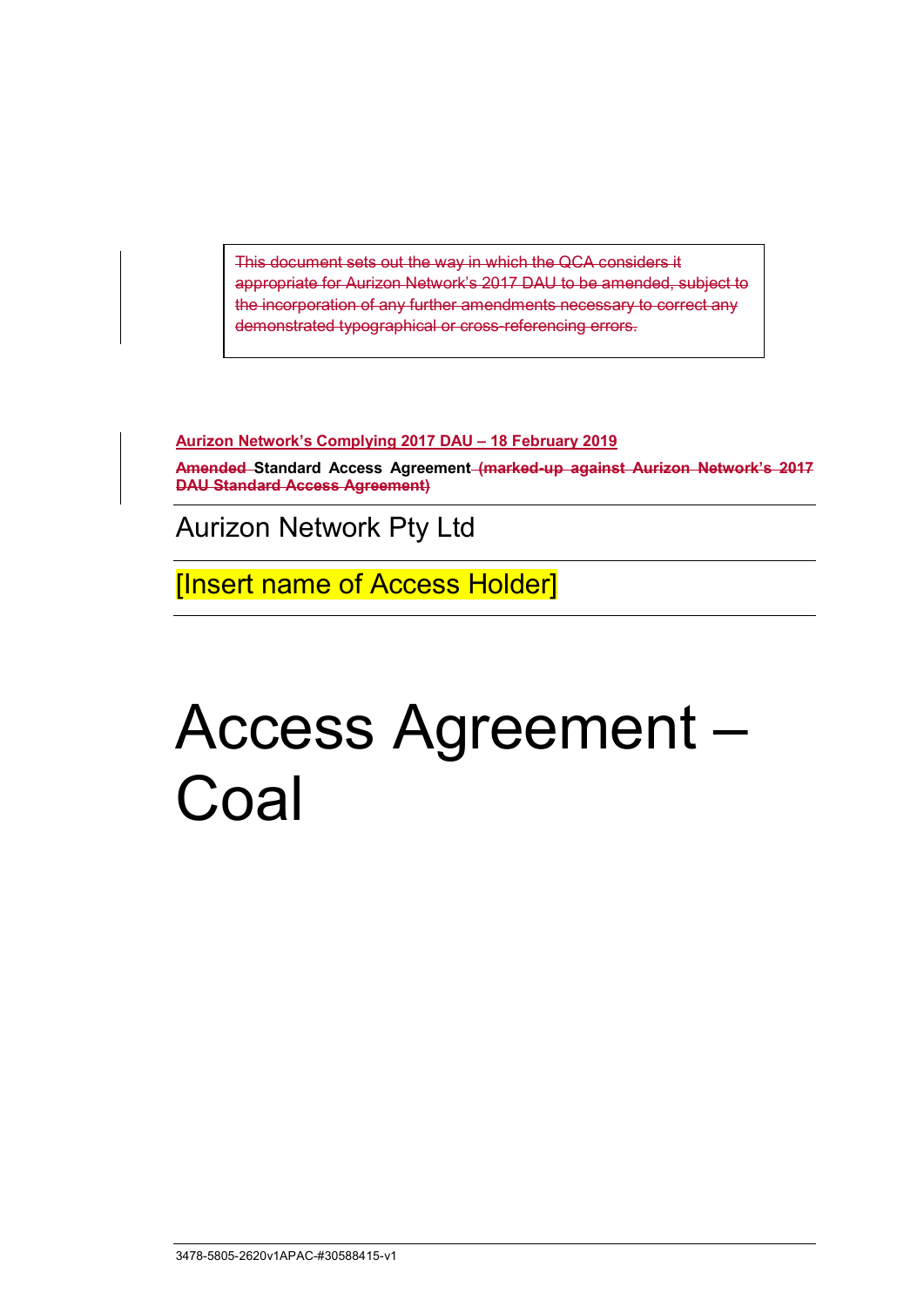This document sets out the way in which the QCA considers it appropriate for Aurizon Network's 2017 DAU to be amended, subject to the incorporation of any further amendments necessary to correct any demonstrated typographical or cross-referencing errors.

**Aurizon Network's Complying 2017 DAU – 18 February 2019**

**Amended Standard Access Agreement (marked-up against Aurizon Network's 2017 DAU Standard Access Agreement)**

Aurizon Network Pty Ltd

[Insert name of Access Holder]

# Access Agreement – Coal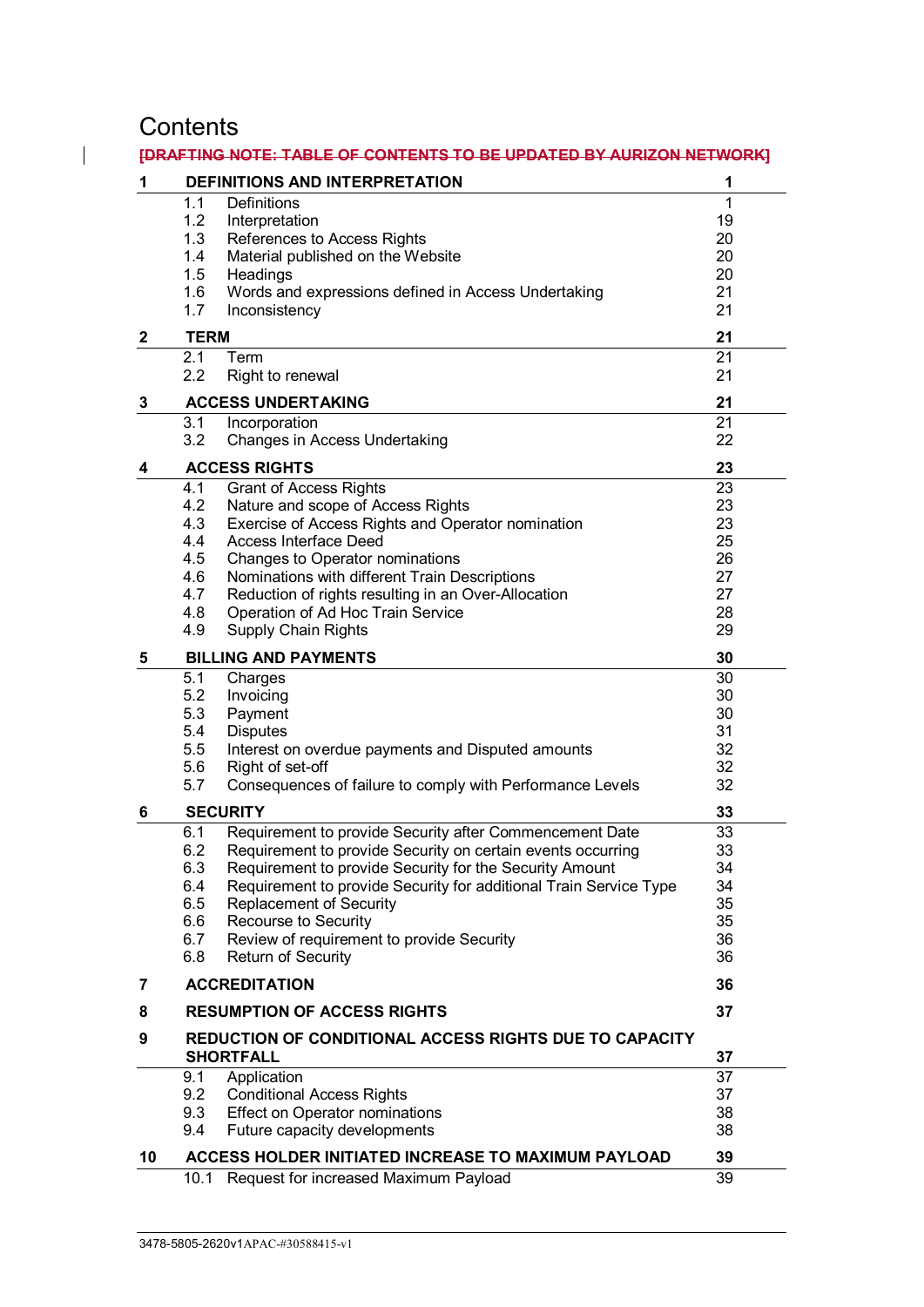# **Contents**

 $\mathbf{I}$ 

| 1            | <b>DEFINITIONS AND INTERPRETATION</b>                                             | 1        |
|--------------|-----------------------------------------------------------------------------------|----------|
|              |                                                                                   |          |
|              | 1.1<br>Definitions                                                                | 1        |
|              | 1.2<br>Interpretation                                                             | 19       |
|              | 1.3<br>References to Access Rights                                                | 20       |
|              | 1.4<br>Material published on the Website                                          | 20       |
|              | 1.5<br>Headings                                                                   | 20       |
|              | 1.6<br>Words and expressions defined in Access Undertaking                        | 21       |
|              | 1.7<br>Inconsistency                                                              | 21       |
| $\mathbf{2}$ | <b>TERM</b>                                                                       |          |
|              | 2.1<br>Term                                                                       | 21       |
|              | 2.2<br>Right to renewal                                                           | 21       |
| 3            | <b>ACCESS UNDERTAKING</b>                                                         | 21       |
|              | 3.1<br>Incorporation                                                              | 21       |
|              | 3.2<br>Changes in Access Undertaking                                              | 22       |
| 4            | <b>ACCESS RIGHTS</b>                                                              | 23       |
|              | 4.1<br><b>Grant of Access Rights</b>                                              | 23       |
|              | 4.2<br>Nature and scope of Access Rights                                          | 23       |
|              | 4.3<br>Exercise of Access Rights and Operator nomination                          | 23       |
|              | 4.4<br><b>Access Interface Deed</b>                                               | 25       |
|              | 4.5<br>Changes to Operator nominations                                            | 26       |
|              | 4.6<br>Nominations with different Train Descriptions                              | 27       |
|              | 4.7<br>Reduction of rights resulting in an Over-Allocation                        | 27       |
|              | 4.8<br>Operation of Ad Hoc Train Service                                          | 28       |
|              | 4.9<br><b>Supply Chain Rights</b>                                                 | 29       |
| 5            | <b>BILLING AND PAYMENTS</b>                                                       | 30       |
|              | 5.1<br>Charges                                                                    | 30       |
|              | 5.2<br>Invoicing                                                                  | 30       |
|              | 5.3                                                                               | 30       |
|              | Payment                                                                           |          |
|              | 5.4<br><b>Disputes</b>                                                            | 31       |
|              | 5.5<br>Interest on overdue payments and Disputed amounts                          | 32       |
|              | 5.6<br>Right of set-off                                                           | 32       |
|              | 5.7<br>Consequences of failure to comply with Performance Levels                  | 32       |
| 6            | <b>SECURITY</b>                                                                   |          |
|              | Requirement to provide Security after Commencement Date<br>6.1                    | 33       |
|              | 6.2<br>Requirement to provide Security on certain events occurring                | 33       |
|              | 6.3<br>Requirement to provide Security for the Security Amount                    | 34       |
|              | 6.4<br>Requirement to provide Security for additional Train Service Type          | 34       |
|              | 6.5<br>Replacement of Security                                                    | 35       |
|              | 6.6<br>Recourse to Security                                                       | 35       |
|              | Review of requirement to provide Security<br>6.7                                  | 36       |
|              | 6.8<br><b>Return of Security</b>                                                  | 36       |
| 7            | <b>ACCREDITATION</b>                                                              | 36       |
| 8            | <b>RESUMPTION OF ACCESS RIGHTS</b>                                                | 37       |
| 9            |                                                                                   |          |
|              | <b>REDUCTION OF CONDITIONAL ACCESS RIGHTS DUE TO CAPACITY</b><br><b>SHORTFALL</b> |          |
|              | 9.1<br>Application                                                                | 37<br>37 |
|              | 9.2<br><b>Conditional Access Rights</b>                                           | 37       |
|              | 9.3<br><b>Effect on Operator nominations</b>                                      | 38       |
|              | 9.4<br>Future capacity developments                                               | 38       |
| 10           | ACCESS HOLDER INITIATED INCREASE TO MAXIMUM PAYLOAD                               | 39       |
|              | Request for increased Maximum Payload<br>10.1                                     | 39       |
|              |                                                                                   |          |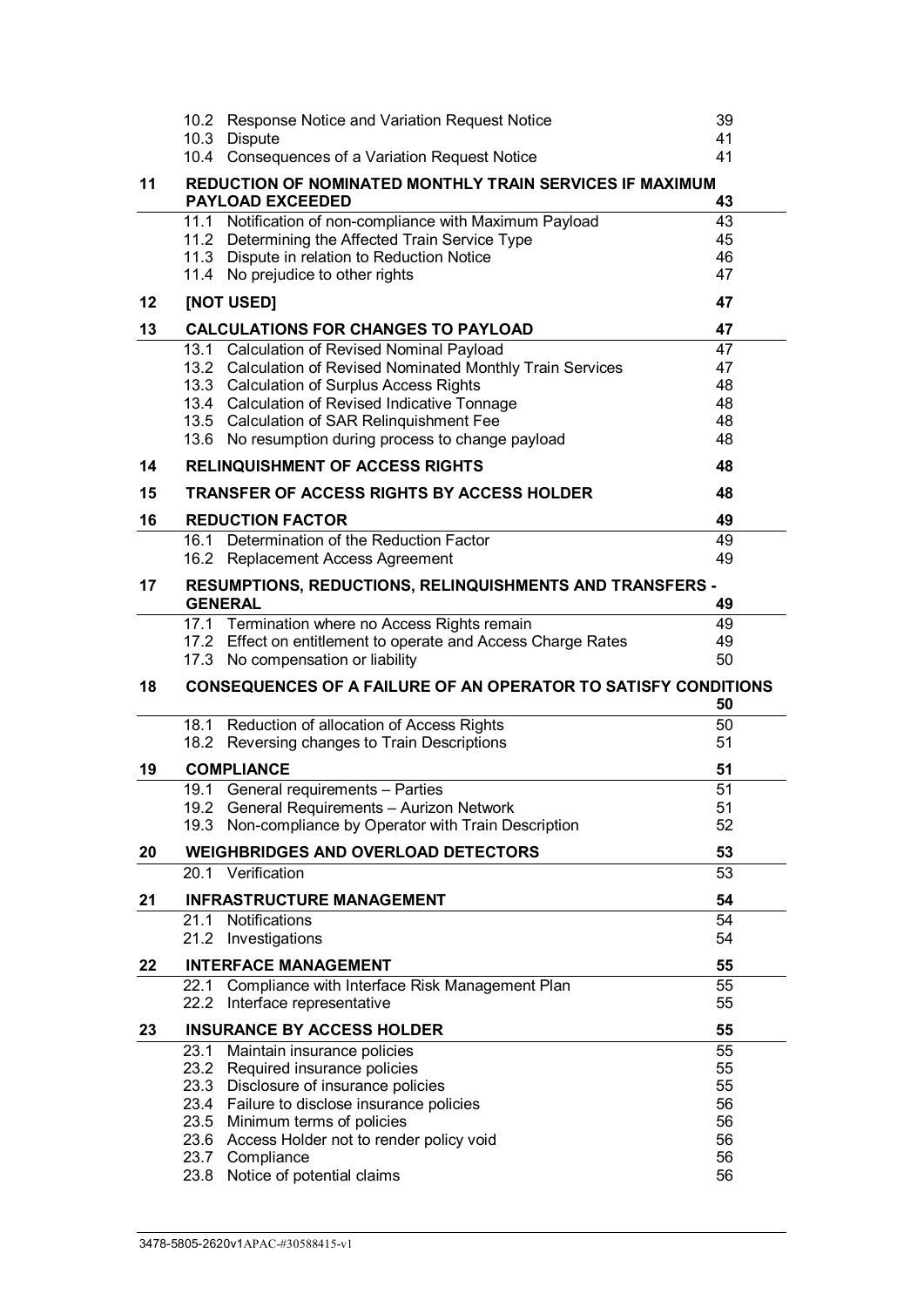|    | 10.2 Response Notice and Variation Request Notice                                             | 39       |  |  |
|----|-----------------------------------------------------------------------------------------------|----------|--|--|
|    | 10.3 Dispute                                                                                  | 41       |  |  |
|    | 10.4 Consequences of a Variation Request Notice                                               | 41       |  |  |
| 11 | REDUCTION OF NOMINATED MONTHLY TRAIN SERVICES IF MAXIMUM<br>43                                |          |  |  |
|    | 11.1 Notification of non-compliance with Maximum Payload                                      | 43       |  |  |
|    | 11.2 Determining the Affected Train Service Type                                              | 45       |  |  |
|    | 11.3 Dispute in relation to Reduction Notice                                                  | 46       |  |  |
|    | 11.4 No prejudice to other rights                                                             | 47       |  |  |
| 12 | [NOT USED]                                                                                    | 47       |  |  |
| 13 | <b>CALCULATIONS FOR CHANGES TO PAYLOAD</b>                                                    |          |  |  |
|    | 13.1 Calculation of Revised Nominal Payload                                                   | 47       |  |  |
|    | 13.2 Calculation of Revised Nominated Monthly Train Services                                  | 47       |  |  |
|    | 13.3 Calculation of Surplus Access Rights                                                     | 48       |  |  |
|    | 13.4 Calculation of Revised Indicative Tonnage                                                | 48       |  |  |
|    | 13.5 Calculation of SAR Relinquishment Fee                                                    | 48       |  |  |
| 14 | 13.6 No resumption during process to change payload<br><b>RELINQUISHMENT OF ACCESS RIGHTS</b> | 48       |  |  |
|    |                                                                                               | 48       |  |  |
| 15 | <b>TRANSFER OF ACCESS RIGHTS BY ACCESS HOLDER</b>                                             | 48       |  |  |
| 16 | <b>REDUCTION FACTOR</b>                                                                       | 49       |  |  |
|    | 16.1 Determination of the Reduction Factor                                                    | 49       |  |  |
|    | 16.2 Replacement Access Agreement                                                             | 49       |  |  |
| 17 | RESUMPTIONS, REDUCTIONS, RELINQUISHMENTS AND TRANSFERS -<br><b>GENERAL</b>                    | 49       |  |  |
|    | 17.1 Termination where no Access Rights remain                                                | 49       |  |  |
|    | 17.2 Effect on entitlement to operate and Access Charge Rates                                 | 49       |  |  |
|    | 17.3 No compensation or liability                                                             | 50       |  |  |
| 18 | <b>CONSEQUENCES OF A FAILURE OF AN OPERATOR TO SATISFY CONDITIONS</b>                         |          |  |  |
|    |                                                                                               | 50       |  |  |
|    | 18.1 Reduction of allocation of Access Rights                                                 | 50       |  |  |
|    | 18.2 Reversing changes to Train Descriptions                                                  | 51       |  |  |
| 19 | <b>COMPLIANCE</b>                                                                             | 51       |  |  |
|    | 19.1 General requirements - Parties                                                           | 51       |  |  |
|    | 19.2 General Requirements - Aurizon Network                                                   |          |  |  |
|    |                                                                                               | 51       |  |  |
|    | 19.3 Non-compliance by Operator with Train Description                                        | 52       |  |  |
| 20 | <b>WEIGHBRIDGES AND OVERLOAD DETECTORS</b>                                                    | 53       |  |  |
|    | 20.1 Verification                                                                             | 53       |  |  |
| 21 | <b>INFRASTRUCTURE MANAGEMENT</b>                                                              | 54       |  |  |
|    | 21.1                                                                                          |          |  |  |
|    | Notifications<br>21.2 Investigations                                                          | 54<br>54 |  |  |
| 22 | <b>INTERFACE MANAGEMENT</b>                                                                   | 55       |  |  |
|    | 22.1<br>Compliance with Interface Risk Management Plan                                        | 55       |  |  |
|    | 22.2<br>Interface representative                                                              | 55       |  |  |
| 23 | <b>INSURANCE BY ACCESS HOLDER</b>                                                             | 55       |  |  |
|    | 23.1<br>Maintain insurance policies                                                           | 55       |  |  |
|    | 23.2 Required insurance policies                                                              | 55       |  |  |
|    | 23.3 Disclosure of insurance policies                                                         | 55       |  |  |
|    | 23.4 Failure to disclose insurance policies                                                   | 56       |  |  |
|    | 23.5 Minimum terms of policies                                                                | 56       |  |  |
|    | 23.6 Access Holder not to render policy void                                                  | 56       |  |  |
|    | 23.7 Compliance<br>23.8 Notice of potential claims                                            | 56<br>56 |  |  |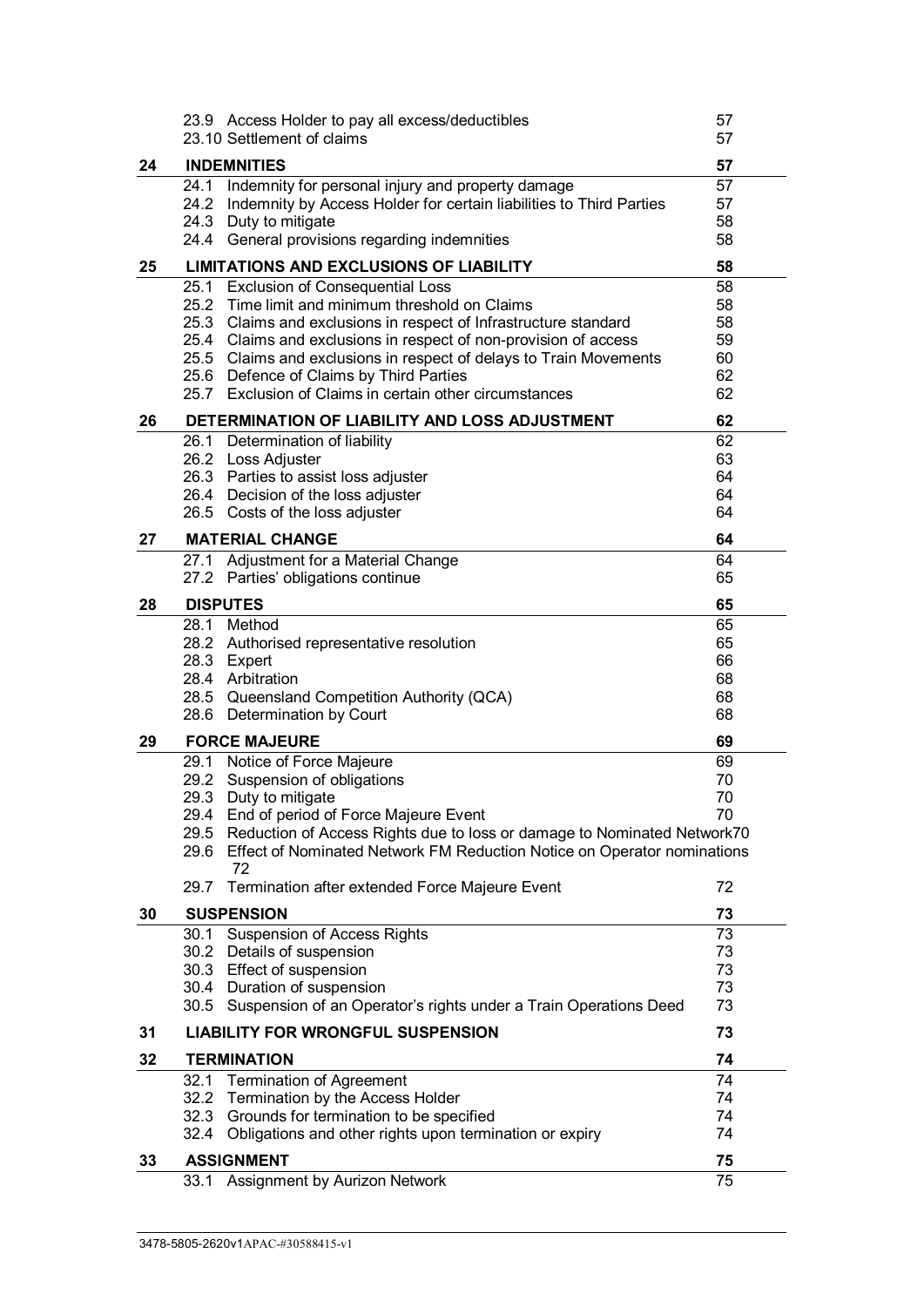|    | 23.9 Access Holder to pay all excess/deductibles                                                                                       | 57       |
|----|----------------------------------------------------------------------------------------------------------------------------------------|----------|
|    | 23.10 Settlement of claims                                                                                                             | 57       |
| 24 | <b>INDEMNITIES</b>                                                                                                                     | 57       |
|    | Indemnity for personal injury and property damage<br>24.1                                                                              | 57       |
|    | 24.2<br>Indemnity by Access Holder for certain liabilities to Third Parties                                                            | 57       |
|    | 24.3 Duty to mitigate                                                                                                                  | 58       |
|    | 24.4 General provisions regarding indemnities                                                                                          | 58       |
| 25 | <b>LIMITATIONS AND EXCLUSIONS OF LIABILITY</b>                                                                                         | 58       |
|    | 25.1 Exclusion of Consequential Loss                                                                                                   | 58       |
|    | 25.2 Time limit and minimum threshold on Claims                                                                                        | 58       |
|    | 25.3 Claims and exclusions in respect of Infrastructure standard                                                                       | 58       |
|    | 25.4 Claims and exclusions in respect of non-provision of access<br>25.5 Claims and exclusions in respect of delays to Train Movements | 59<br>60 |
|    | 25.6 Defence of Claims by Third Parties                                                                                                | 62       |
|    | 25.7 Exclusion of Claims in certain other circumstances                                                                                | 62       |
| 26 | DETERMINATION OF LIABILITY AND LOSS ADJUSTMENT                                                                                         | 62       |
|    | 26.1 Determination of liability                                                                                                        | 62       |
|    | 26.2 Loss Adjuster                                                                                                                     | 63       |
|    | 26.3 Parties to assist loss adjuster                                                                                                   | 64       |
|    | 26.4 Decision of the loss adjuster                                                                                                     | 64       |
|    | 26.5 Costs of the loss adjuster                                                                                                        | 64       |
| 27 | <b>MATERIAL CHANGE</b>                                                                                                                 | 64       |
|    | Adjustment for a Material Change<br>27.1                                                                                               | 64       |
|    | 27.2<br>Parties' obligations continue                                                                                                  | 65       |
| 28 | <b>DISPUTES</b>                                                                                                                        | 65       |
|    | 28.1 Method                                                                                                                            | 65       |
|    | 28.2 Authorised representative resolution                                                                                              | 65       |
|    | 28.3 Expert<br>28.4 Arbitration                                                                                                        | 66<br>68 |
|    | 28.5 Queensland Competition Authority (QCA)                                                                                            | 68       |
|    | 28.6 Determination by Court                                                                                                            | 68       |
| 29 | <b>FORCE MAJEURE</b>                                                                                                                   | 69       |
|    | 29.1 Notice of Force Majeure                                                                                                           | 69       |
|    | 29.2 Suspension of obligations                                                                                                         | 70       |
|    | 29.3<br>Duty to mitigate                                                                                                               | 70       |
|    | 29.4 End of period of Force Majeure Event                                                                                              | 70       |
|    | 29.5<br>Reduction of Access Rights due to loss or damage to Nominated Network70                                                        |          |
|    | 29.6<br>Effect of Nominated Network FM Reduction Notice on Operator nominations<br>72                                                  |          |
|    | Termination after extended Force Majeure Event<br>29.7                                                                                 | 72       |
| 30 | <b>SUSPENSION</b>                                                                                                                      | 73       |
|    | <b>Suspension of Access Rights</b><br>30.1                                                                                             | 73       |
|    | 30.2<br>Details of suspension                                                                                                          | 73       |
|    | 30.3 Effect of suspension                                                                                                              | 73       |
|    | 30.4 Duration of suspension                                                                                                            | 73       |
|    | 30.5 Suspension of an Operator's rights under a Train Operations Deed                                                                  | 73       |
| 31 | <b>LIABILITY FOR WRONGFUL SUSPENSION</b>                                                                                               | 73       |
| 32 | <b>TERMINATION</b>                                                                                                                     | 74       |
|    | 32.1<br><b>Termination of Agreement</b>                                                                                                | 74       |
|    | 32.2<br>Termination by the Access Holder                                                                                               | 74       |
|    | 32.3<br>Grounds for termination to be specified<br>Obligations and other rights upon termination or expiry<br>32.4                     | 74<br>74 |
|    |                                                                                                                                        |          |
| 33 | <b>ASSIGNMENT</b>                                                                                                                      | 75       |
|    | 33.1<br>Assignment by Aurizon Network                                                                                                  | 75       |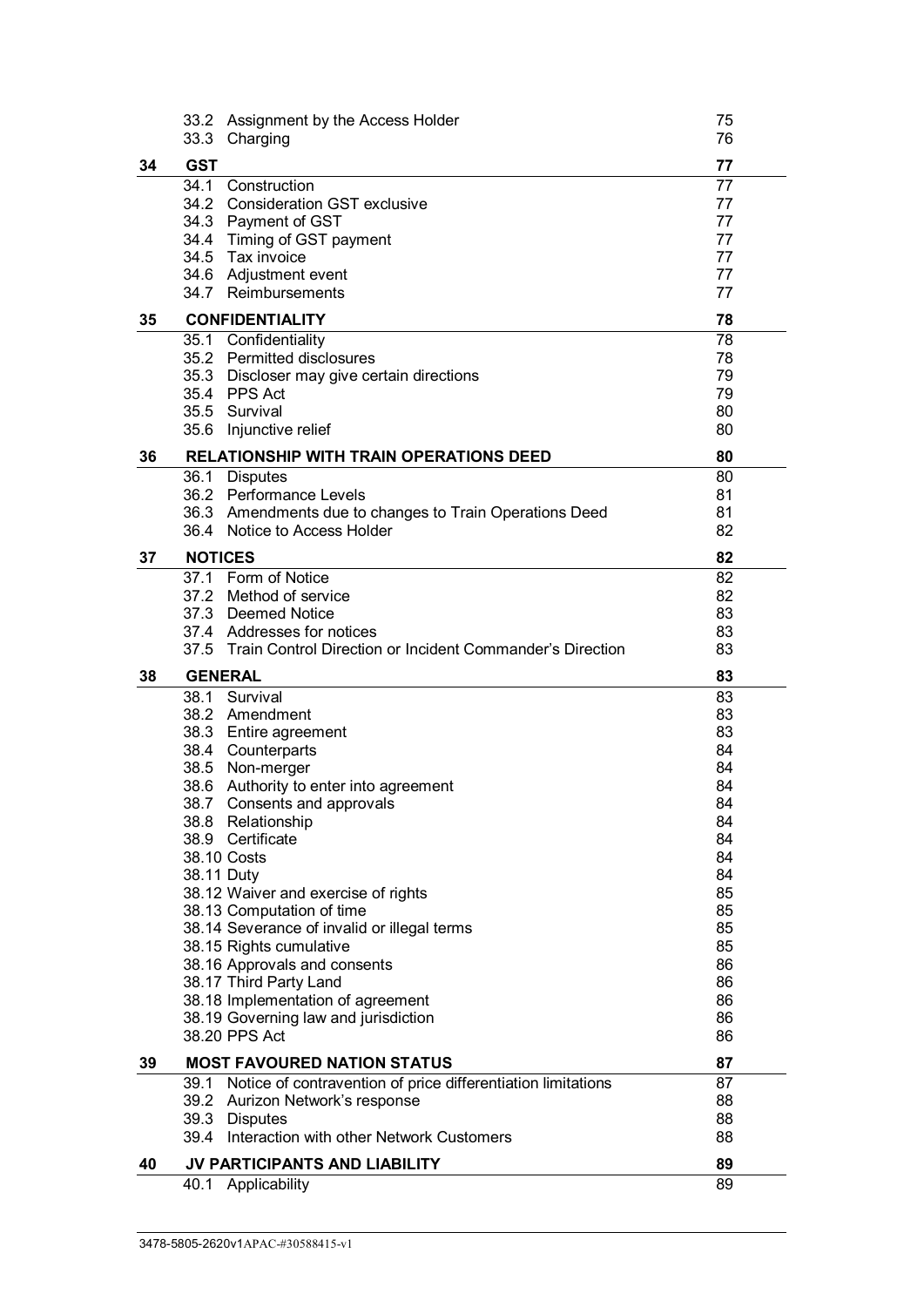|    | 33.2           | Assignment by the Access Holder                                   | 75<br>76 |
|----|----------------|-------------------------------------------------------------------|----------|
|    | 33.3           | Charging                                                          |          |
| 34 | <b>GST</b>     |                                                                   | 77       |
|    | 34.1           | Construction                                                      | 77       |
|    |                | 34.2 Consideration GST exclusive                                  | 77       |
|    |                | 34.3 Payment of GST                                               | 77       |
|    |                | 34.4 Timing of GST payment                                        | 77       |
|    |                | 34.5 Tax invoice<br>34.6 Adjustment event                         | 77<br>77 |
|    |                | 34.7 Reimbursements                                               | 77       |
| 35 |                | <b>CONFIDENTIALITY</b>                                            | 78       |
|    |                | 35.1 Confidentiality                                              | 78       |
|    |                | 35.2 Permitted disclosures                                        | 78       |
|    |                | 35.3 Discloser may give certain directions                        | 79       |
|    |                | 35.4 PPS Act                                                      | 79       |
|    |                | 35.5 Survival                                                     | 80       |
|    |                | 35.6 Injunctive relief                                            | 80       |
| 36 |                | <b>RELATIONSHIP WITH TRAIN OPERATIONS DEED</b>                    | 80       |
|    | 36.1           | <b>Disputes</b>                                                   | 80       |
|    |                | 36.2 Performance Levels                                           | 81       |
|    |                | 36.3 Amendments due to changes to Train Operations Deed           | 81       |
|    |                | 36.4 Notice to Access Holder                                      | 82       |
| 37 | <b>NOTICES</b> |                                                                   | 82       |
|    |                | 37.1 Form of Notice                                               | 82       |
|    |                | 37.2 Method of service                                            | 82       |
|    |                | 37.3 Deemed Notice<br>37.4 Addresses for notices                  | 83<br>83 |
|    |                | 37.5 Train Control Direction or Incident Commander's Direction    |          |
|    |                |                                                                   |          |
|    |                |                                                                   | 83       |
| 38 |                | <b>GENERAL</b>                                                    | 83       |
|    |                | 38.1 Survival                                                     | 83       |
|    |                | 38.2 Amendment                                                    | 83       |
|    |                | 38.3 Entire agreement                                             | 83<br>84 |
|    |                | 38.4 Counterparts<br>38.5 Non-merger                              | 84       |
|    |                | 38.6 Authority to enter into agreement                            | 84       |
|    |                | 38.7 Consents and approvals                                       | 84       |
|    |                | 38.8 Relationship                                                 | 84       |
|    |                | 38.9 Certificate                                                  | 84       |
|    |                | 38.10 Costs                                                       | 84       |
|    |                | 38.11 Duty                                                        | 84       |
|    |                | 38.12 Waiver and exercise of rights                               | 85       |
|    |                | 38.13 Computation of time                                         | 85       |
|    |                | 38.14 Severance of invalid or illegal terms                       | 85       |
|    |                | 38.15 Rights cumulative                                           | 85       |
|    |                | 38.16 Approvals and consents                                      | 86<br>86 |
|    |                | 38.17 Third Party Land<br>38.18 Implementation of agreement       | 86       |
|    |                | 38.19 Governing law and jurisdiction                              | 86       |
|    |                | 38.20 PPS Act                                                     | 86       |
| 39 |                | <b>MOST FAVOURED NATION STATUS</b>                                | 87       |
|    |                | 39.1 Notice of contravention of price differentiation limitations | 87       |
|    |                | 39.2 Aurizon Network's response                                   | 88       |
|    |                | 39.3 Disputes                                                     | 88       |
|    |                | 39.4 Interaction with other Network Customers                     | 88       |
| 40 | 40.1           | JV PARTICIPANTS AND LIABILITY<br>Applicability                    | 89<br>89 |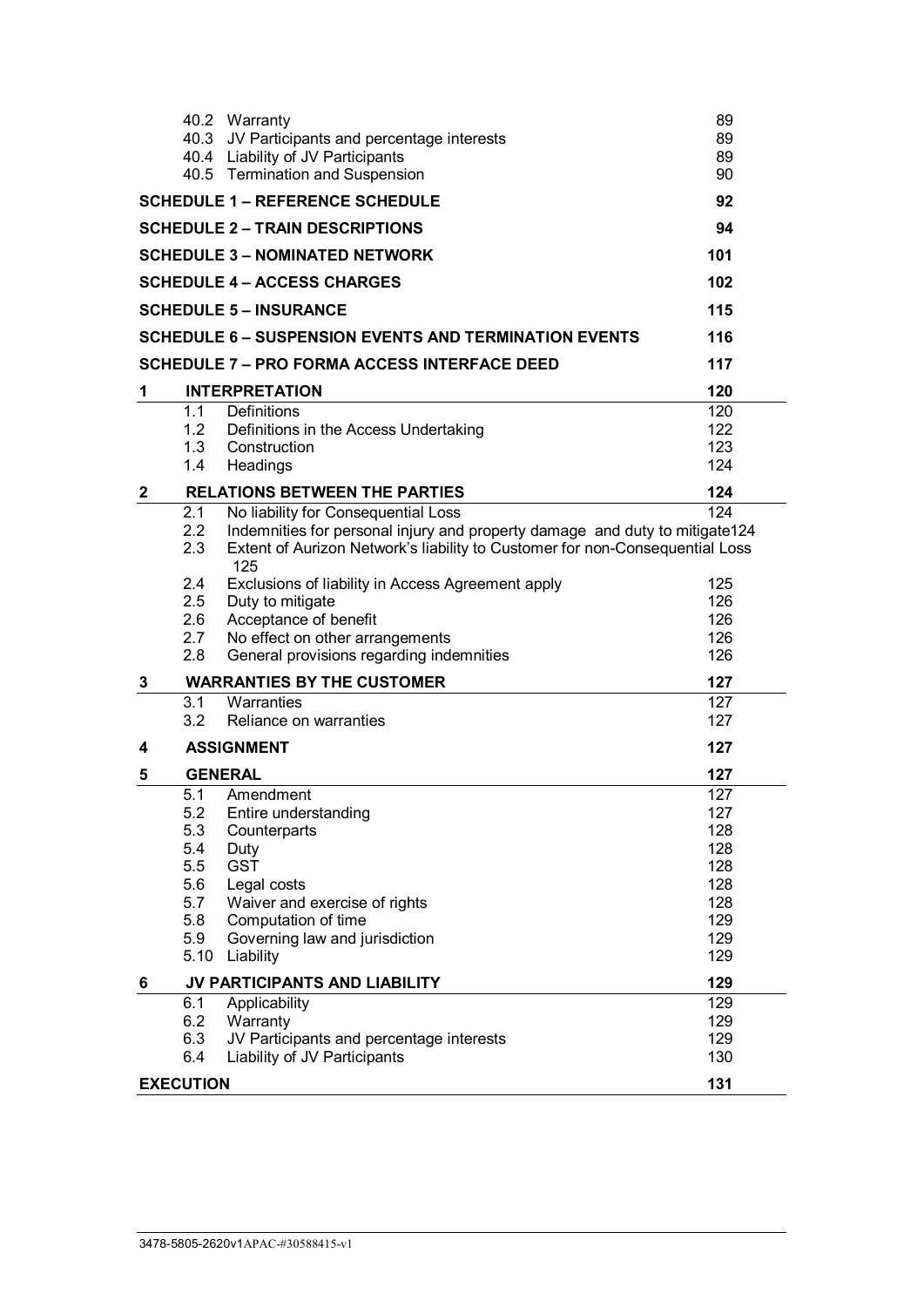|                                        |            | 40.2 Warranty                                                                       | 89         |  |  |  |  |
|----------------------------------------|------------|-------------------------------------------------------------------------------------|------------|--|--|--|--|
|                                        |            | 40.3 JV Participants and percentage interests                                       | 89         |  |  |  |  |
|                                        |            | 40.4 Liability of JV Participants                                                   | 89         |  |  |  |  |
|                                        |            | 40.5 Termination and Suspension                                                     | 90         |  |  |  |  |
|                                        |            | <b>SCHEDULE 1 - REFERENCE SCHEDULE</b>                                              | 92         |  |  |  |  |
| <b>SCHEDULE 2 - TRAIN DESCRIPTIONS</b> |            |                                                                                     |            |  |  |  |  |
| <b>SCHEDULE 3 - NOMINATED NETWORK</b>  | 101        |                                                                                     |            |  |  |  |  |
| <b>SCHEDULE 4 – ACCESS CHARGES</b>     |            |                                                                                     |            |  |  |  |  |
| <b>SCHEDULE 5 - INSURANCE</b><br>115   |            |                                                                                     |            |  |  |  |  |
|                                        |            | <b>SCHEDULE 6 - SUSPENSION EVENTS AND TERMINATION EVENTS</b>                        | 116        |  |  |  |  |
|                                        |            | <b>SCHEDULE 7 – PRO FORMA ACCESS INTERFACE DEED</b>                                 | 117        |  |  |  |  |
| 1                                      |            | <b>INTERPRETATION</b>                                                               | 120        |  |  |  |  |
|                                        | 1.1        | Definitions                                                                         | 120        |  |  |  |  |
|                                        | 1.2        | Definitions in the Access Undertaking                                               | 122        |  |  |  |  |
|                                        | 1.3<br>1.4 | Construction                                                                        | 123<br>124 |  |  |  |  |
|                                        |            | Headings                                                                            |            |  |  |  |  |
| $\mathbf{2}$                           |            | <b>RELATIONS BETWEEN THE PARTIES</b>                                                | 124        |  |  |  |  |
|                                        | 2.1        | No liability for Consequential Loss                                                 | 124        |  |  |  |  |
|                                        | 2.2        | Indemnities for personal injury and property damage and duty to mitigate124         |            |  |  |  |  |
|                                        | 2.3        | Extent of Aurizon Network's liability to Customer for non-Consequential Loss<br>125 |            |  |  |  |  |
|                                        | 2.4        | Exclusions of liability in Access Agreement apply                                   | 125        |  |  |  |  |
|                                        | 2.5        | Duty to mitigate                                                                    | 126        |  |  |  |  |
|                                        | 2.6        | Acceptance of benefit                                                               | 126        |  |  |  |  |
|                                        | 2.7        | No effect on other arrangements                                                     | 126        |  |  |  |  |
|                                        | 2.8        | General provisions regarding indemnities                                            | 126        |  |  |  |  |
| 3                                      |            | <b>WARRANTIES BY THE CUSTOMER</b>                                                   | 127        |  |  |  |  |
|                                        | 3.1        | Warranties                                                                          | 127        |  |  |  |  |
|                                        | 3.2        | Reliance on warranties                                                              | 127        |  |  |  |  |
| 4                                      |            | <b>ASSIGNMENT</b>                                                                   | 127        |  |  |  |  |
| 5                                      |            | <b>GENERAL</b>                                                                      | 127        |  |  |  |  |
|                                        | 5.1        | Amendment                                                                           | 127        |  |  |  |  |
|                                        | 5.2        | Entire understanding                                                                | 127        |  |  |  |  |
|                                        | 5.3        | Counterparts                                                                        | 128        |  |  |  |  |
|                                        | 5.4        | Duty                                                                                | 128        |  |  |  |  |
|                                        | 5.5        | <b>GST</b>                                                                          | 128        |  |  |  |  |
|                                        | 5.6        | Legal costs                                                                         | 128        |  |  |  |  |
|                                        | 5.7        | Waiver and exercise of rights                                                       | 128        |  |  |  |  |
|                                        | 5.8        | Computation of time                                                                 | 129        |  |  |  |  |
|                                        | 5.9        | Governing law and jurisdiction                                                      | 129        |  |  |  |  |
|                                        | 5.10       | Liability                                                                           | 129        |  |  |  |  |
| 6                                      |            | JV PARTICIPANTS AND LIABILITY                                                       | 129        |  |  |  |  |
|                                        | 6.1        | Applicability                                                                       | 129        |  |  |  |  |
|                                        | 6.2        | Warranty                                                                            | 129        |  |  |  |  |
|                                        | 6.3        | JV Participants and percentage interests                                            | 129        |  |  |  |  |
|                                        | 6.4        | Liability of JV Participants                                                        | 130        |  |  |  |  |
| <b>EXECUTION</b>                       | 131        |                                                                                     |            |  |  |  |  |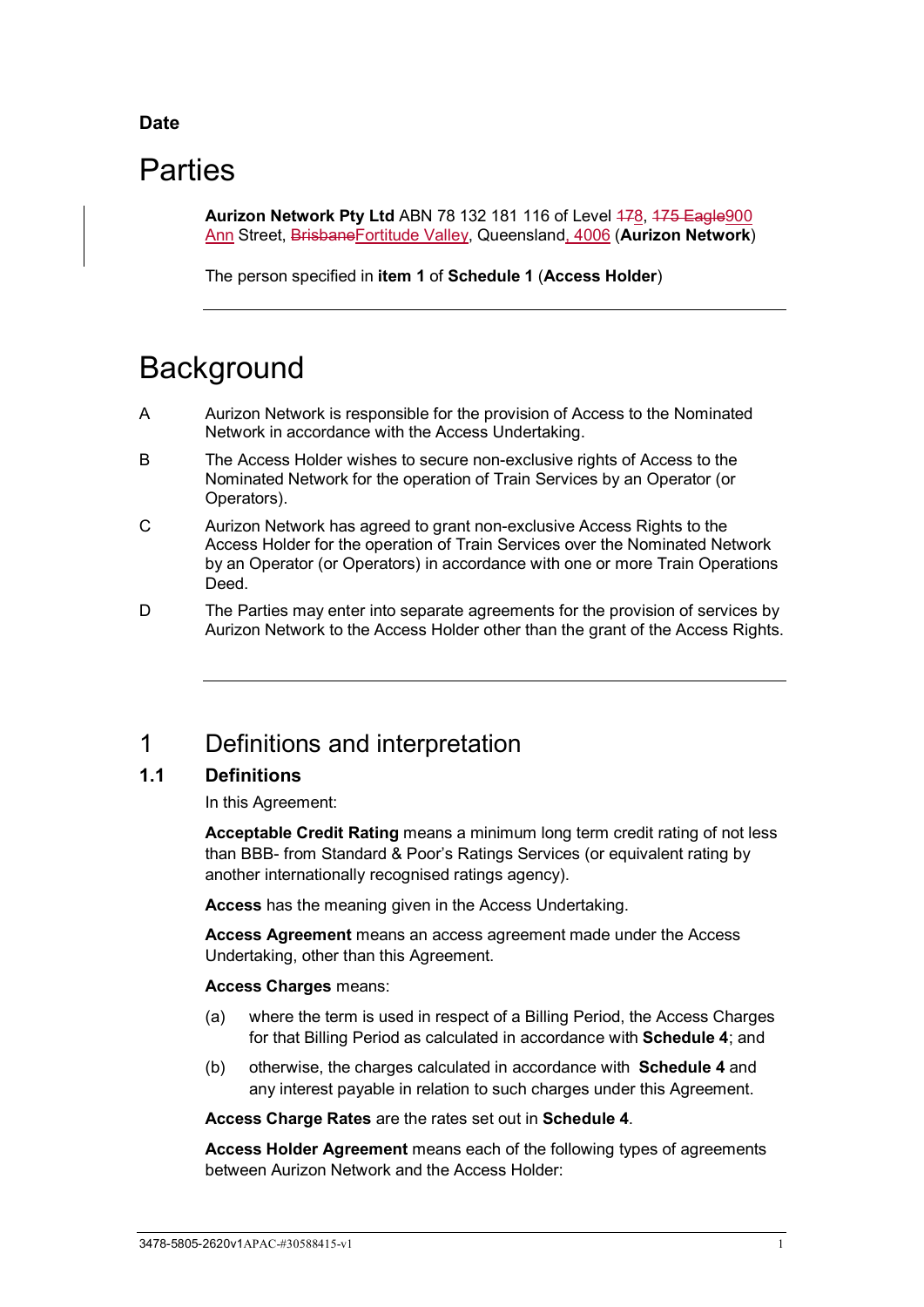## **Date**

# **Parties**

**Aurizon Network Pty Ltd ABN 78 132 181 116 of Level 478, 475 Eagle 900** Ann Street, BrisbaneFortitude Valley, Queensland, 4006 (**Aurizon Network**)

The person specified in **item [1](#page-97-1)** of **[Schedule 1](#page-97-0)** (**Access Holder**)

# **Background**

- A Aurizon Network is responsible for the provision of Access to the Nominated Network in accordance with the Access Undertaking.
- B The Access Holder wishes to secure non-exclusive rights of Access to the Nominated Network for the operation of Train Services by an Operator (or Operators).
- C Aurizon Network has agreed to grant non-exclusive Access Rights to the Access Holder for the operation of Train Services over the Nominated Network by an Operator (or Operators) in accordance with one or more Train Operations Deed.
- D The Parties may enter into separate agreements for the provision of services by Aurizon Network to the Access Holder other than the grant of the Access Rights.

# <span id="page-6-0"></span>1 Definitions and interpretation

## <span id="page-6-1"></span>**1.1 Definitions**

In this Agreement:

**Acceptable Credit Rating** means a minimum long term credit rating of not less than BBB- from Standard & Poor's Ratings Services (or equivalent rating by another internationally recognised ratings agency).

**Access** has the meaning given in the Access Undertaking.

**Access Agreement** means an access agreement made under the Access Undertaking, other than this Agreement.

## **Access Charges** means:

- (a) where the term is used in respect of a Billing Period, the Access Charges for that Billing Period as calculated in accordance with **[Schedule 4](#page-107-0)**; and
- (b) otherwise, the charges calculated in accordance with **[Schedule 4](#page-107-0)** and any interest payable in relation to such charges under this Agreement.

**Access Charge Rates** are the rates set out in **[Schedule 4](#page-107-0)**.

**Access Holder Agreement** means each of the following types of agreements between Aurizon Network and the Access Holder: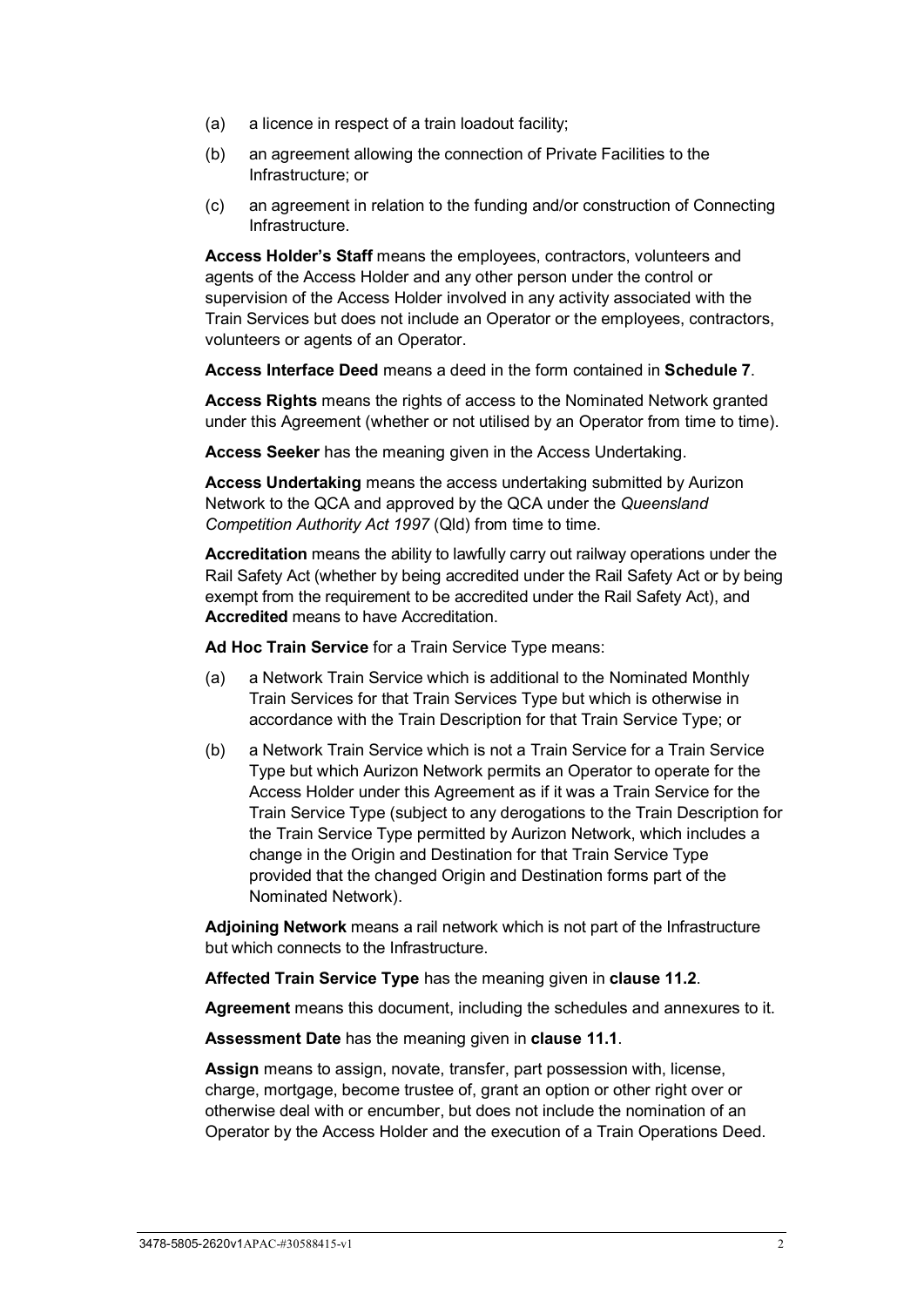- (a) a licence in respect of a train loadout facility;
- (b) an agreement allowing the connection of Private Facilities to the Infrastructure; or
- (c) an agreement in relation to the funding and/or construction of Connecting Infrastructure.

**Access Holder's Staff** means the employees, contractors, volunteers and agents of the Access Holder and any other person under the control or supervision of the Access Holder involved in any activity associated with the Train Services but does not include an Operator or the employees, contractors, volunteers or agents of an Operator.

**Access Interface Deed** means a deed in the form contained in **[Schedule 7](#page-122-0)**.

**Access Rights** means the rights of access to the Nominated Network granted under this Agreement (whether or not utilised by an Operator from time to time).

**Access Seeker** has the meaning given in the Access Undertaking.

**Access Undertaking** means the access undertaking submitted by Aurizon Network to the QCA and approved by the QCA under the *Queensland Competition Authority Act 1997* (Qld) from time to time.

**Accreditation** means the ability to lawfully carry out railway operations under the Rail Safety Act (whether by being accredited under the Rail Safety Act or by being exempt from the requirement to be accredited under the Rail Safety Act), and **Accredited** means to have Accreditation.

**Ad Hoc Train Service** for a Train Service Type means:

- (a) a Network Train Service which is additional to the Nominated Monthly Train Services for that Train Services Type but which is otherwise in accordance with the Train Description for that Train Service Type; or
- (b) a Network Train Service which is not a Train Service for a Train Service Type but which Aurizon Network permits an Operator to operate for the Access Holder under this Agreement as if it was a Train Service for the Train Service Type (subject to any derogations to the Train Description for the Train Service Type permitted by Aurizon Network, which includes a change in the Origin and Destination for that Train Service Type provided that the changed Origin and Destination forms part of the Nominated Network).

**Adjoining Network** means a rail network which is not part of the Infrastructure but which connects to the Infrastructure.

**Affected Train Service Type** has the meaning given in **clause [11.2](#page-50-0)**.

**Agreement** means this document, including the schedules and annexures to it.

**Assessment Date** has the meaning given in **clause [11.1](#page-48-1)**.

**Assign** means to assign, novate, transfer, part possession with, license, charge, mortgage, become trustee of, grant an option or other right over or otherwise deal with or encumber, but does not include the nomination of an Operator by the Access Holder and the execution of a Train Operations Deed.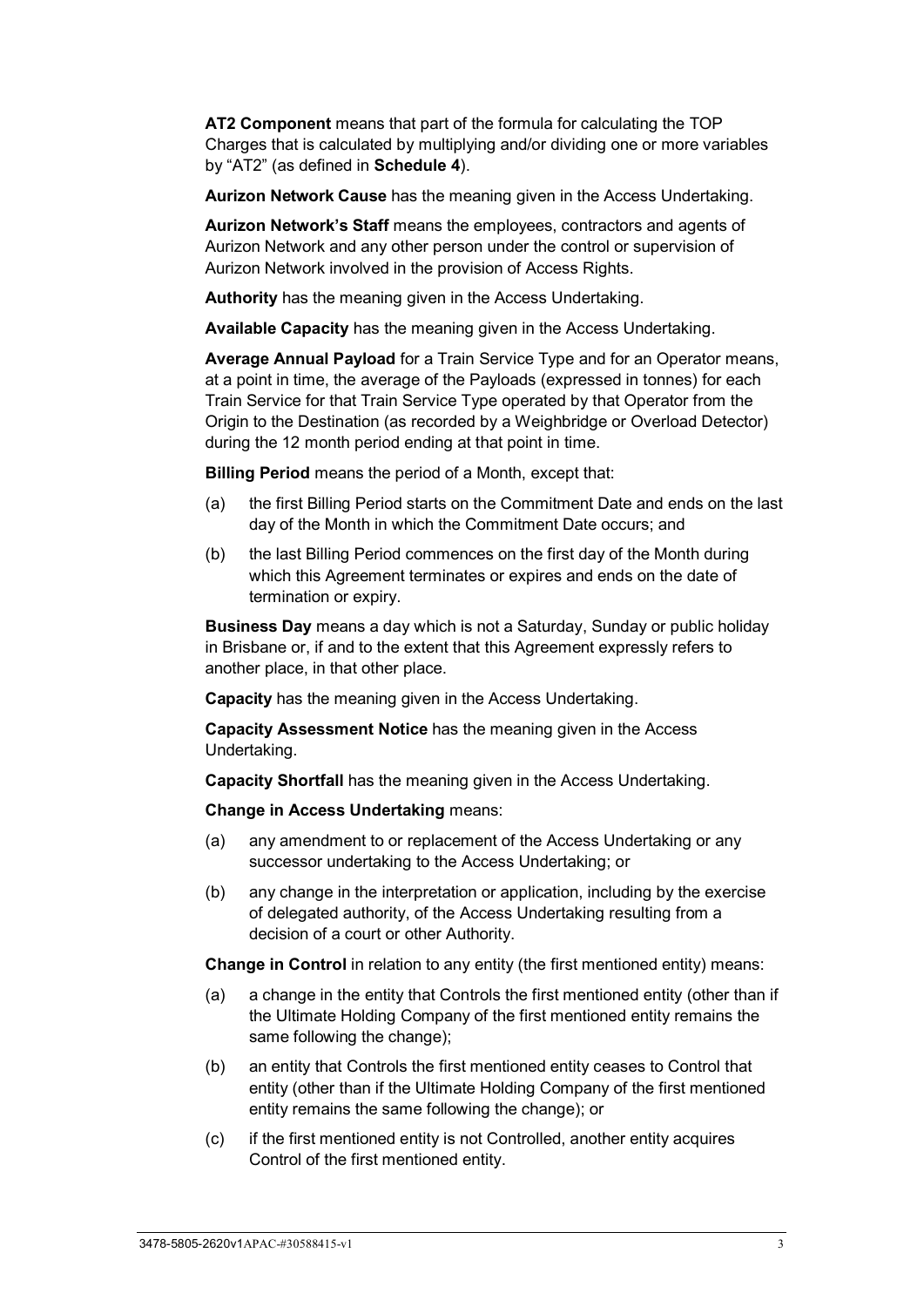**AT2 Component** means that part of the formula for calculating the TOP Charges that is calculated by multiplying and/or dividing one or more variables by "AT2" (as defined in **[Schedule 4](#page-107-0)**).

**Aurizon Network Cause** has the meaning given in the Access Undertaking.

**Aurizon Network's Staff** means the employees, contractors and agents of Aurizon Network and any other person under the control or supervision of Aurizon Network involved in the provision of Access Rights.

**Authority** has the meaning given in the Access Undertaking.

**Available Capacity** has the meaning given in the Access Undertaking.

**Average Annual Payload** for a Train Service Type and for an Operator means, at a point in time, the average of the Payloads (expressed in tonnes) for each Train Service for that Train Service Type operated by that Operator from the Origin to the Destination (as recorded by a Weighbridge or Overload Detector) during the 12 month period ending at that point in time.

**Billing Period** means the period of a Month, except that:

- (a) the first Billing Period starts on the Commitment Date and ends on the last day of the Month in which the Commitment Date occurs; and
- (b) the last Billing Period commences on the first day of the Month during which this Agreement terminates or expires and ends on the date of termination or expiry.

**Business Day** means a day which is not a Saturday, Sunday or public holiday in Brisbane or, if and to the extent that this Agreement expressly refers to another place, in that other place.

**Capacity** has the meaning given in the Access Undertaking.

**Capacity Assessment Notice** has the meaning given in the Access Undertaking.

**Capacity Shortfall** has the meaning given in the Access Undertaking.

**Change in Access Undertaking** means:

- (a) any amendment to or replacement of the Access Undertaking or any successor undertaking to the Access Undertaking; or
- (b) any change in the interpretation or application, including by the exercise of delegated authority, of the Access Undertaking resulting from a decision of a court or other Authority.

**Change in Control** in relation to any entity (the first mentioned entity) means:

- (a) a change in the entity that Controls the first mentioned entity (other than if the Ultimate Holding Company of the first mentioned entity remains the same following the change);
- (b) an entity that Controls the first mentioned entity ceases to Control that entity (other than if the Ultimate Holding Company of the first mentioned entity remains the same following the change); or
- (c) if the first mentioned entity is not Controlled, another entity acquires Control of the first mentioned entity.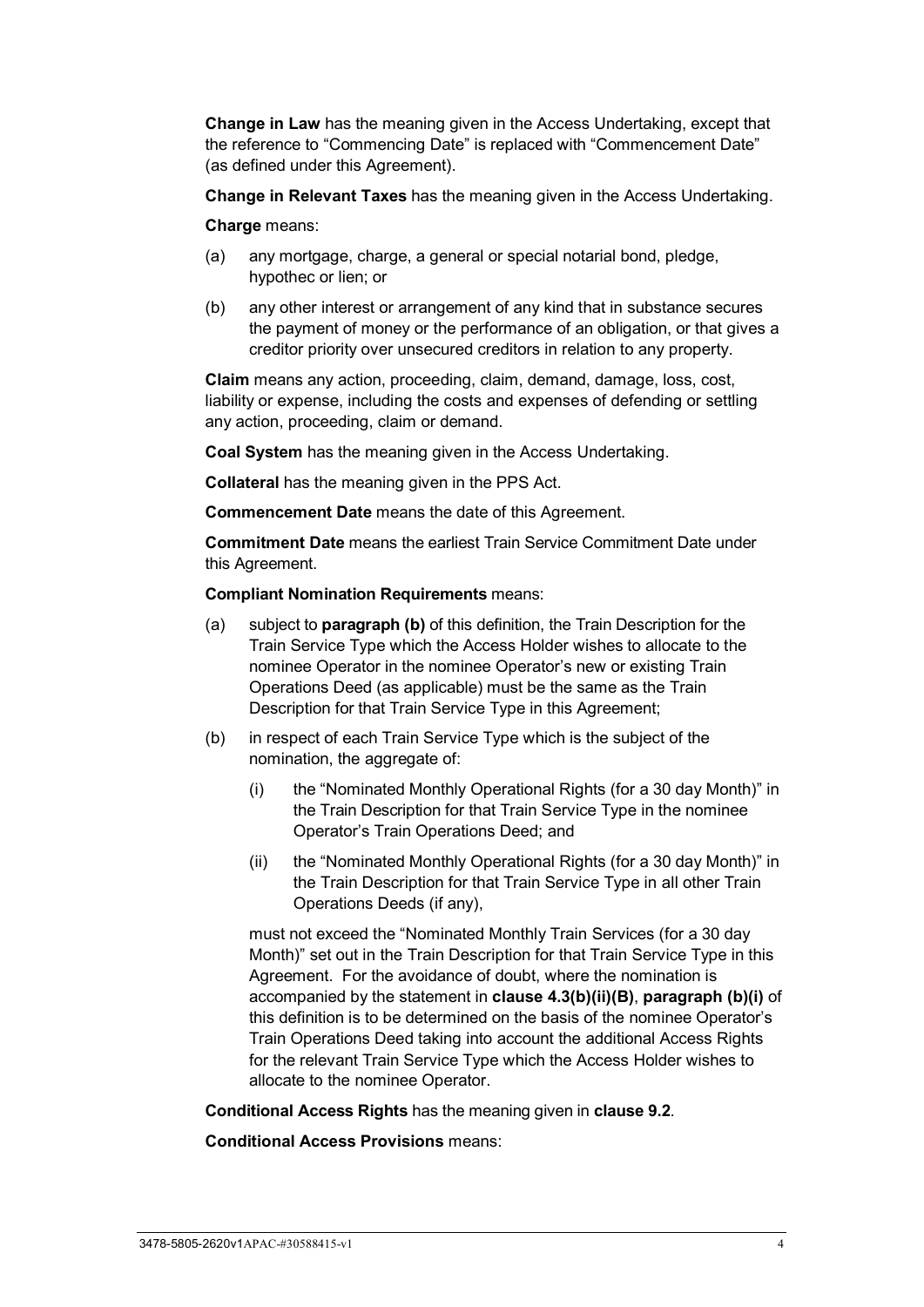**Change in Law** has the meaning given in the Access Undertaking, except that the reference to "Commencing Date" is replaced with "Commencement Date" (as defined under this Agreement).

**Change in Relevant Taxes** has the meaning given in the Access Undertaking.

**Charge** means:

- (a) any mortgage, charge, a general or special notarial bond, pledge, hypothec or lien; or
- (b) any other interest or arrangement of any kind that in substance secures the payment of money or the performance of an obligation, or that gives a creditor priority over unsecured creditors in relation to any property.

**Claim** means any action, proceeding, claim, demand, damage, loss, cost, liability or expense, including the costs and expenses of defending or settling any action, proceeding, claim or demand.

**Coal System** has the meaning given in the Access Undertaking.

**Collateral** has the meaning given in the PPS Act.

**Commencement Date** means the date of this Agreement.

**Commitment Date** means the earliest Train Service Commitment Date under this Agreement.

**Compliant Nomination Requirements** means:

- (a) subject to **paragraph [\(b\)](#page-9-0)** of this definition, the Train Description for the Train Service Type which the Access Holder wishes to allocate to the nominee Operator in the nominee Operator's new or existing Train Operations Deed (as applicable) must be the same as the Train Description for that Train Service Type in this Agreement;
- <span id="page-9-1"></span><span id="page-9-0"></span>(b) in respect of each Train Service Type which is the subject of the nomination, the aggregate of:
	- (i) the "Nominated Monthly Operational Rights (for a 30 day Month)" in the Train Description for that Train Service Type in the nominee Operator's Train Operations Deed; and
	- (ii) the "Nominated Monthly Operational Rights (for a 30 day Month)" in the Train Description for that Train Service Type in all other Train Operations Deeds (if any),

must not exceed the "Nominated Monthly Train Services (for a 30 day Month)" set out in the Train Description for that Train Service Type in this Agreement. For the avoidance of doubt, where the nomination is accompanied by the statement in **clause [4.3\(b\)\(ii\)\(B\)](#page-29-0)**, **paragraph [\(b\)](#page-9-0)[\(i\)](#page-9-1)** of this definition is to be determined on the basis of the nominee Operator's Train Operations Deed taking into account the additional Access Rights for the relevant Train Service Type which the Access Holder wishes to allocate to the nominee Operator.

#### **Conditional Access Rights** has the meaning given in **clause [9.2](#page-42-3)**.

**Conditional Access Provisions** means: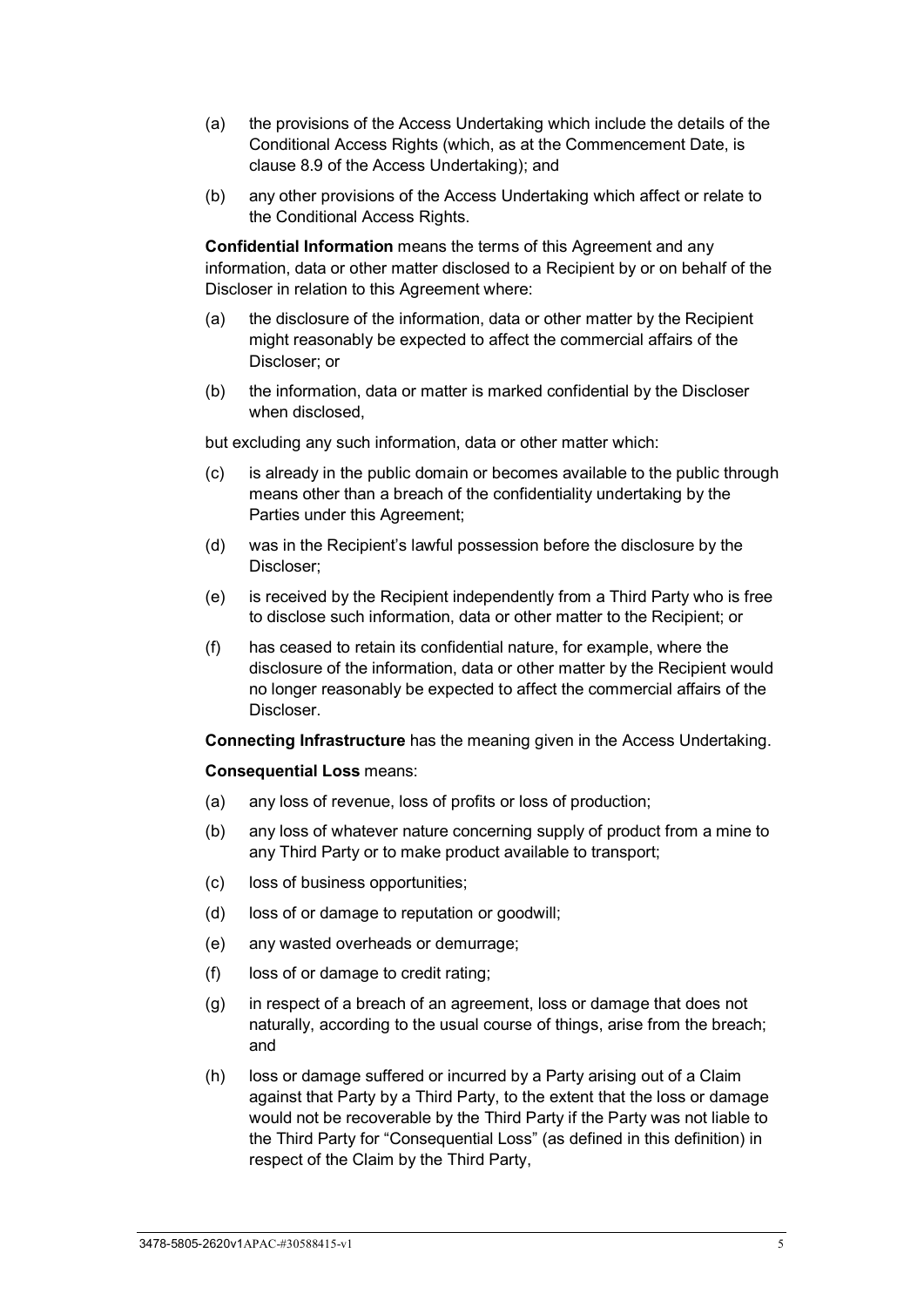- (a) the provisions of the Access Undertaking which include the details of the Conditional Access Rights (which, as at the Commencement Date, is clause 8.9 of the Access Undertaking); and
- (b) any other provisions of the Access Undertaking which affect or relate to the Conditional Access Rights.

**Confidential Information** means the terms of this Agreement and any information, data or other matter disclosed to a Recipient by or on behalf of the Discloser in relation to this Agreement where:

- (a) the disclosure of the information, data or other matter by the Recipient might reasonably be expected to affect the commercial affairs of the Discloser; or
- (b) the information, data or matter is marked confidential by the Discloser when disclosed,

but excluding any such information, data or other matter which:

- (c) is already in the public domain or becomes available to the public through means other than a breach of the confidentiality undertaking by the Parties under this Agreement;
- (d) was in the Recipient's lawful possession before the disclosure by the Discloser;
- (e) is received by the Recipient independently from a Third Party who is free to disclose such information, data or other matter to the Recipient; or
- (f) has ceased to retain its confidential nature, for example, where the disclosure of the information, data or other matter by the Recipient would no longer reasonably be expected to affect the commercial affairs of the Discloser.

**Connecting Infrastructure** has the meaning given in the Access Undertaking.

**Consequential Loss** means:

- (a) any loss of revenue, loss of profits or loss of production;
- (b) any loss of whatever nature concerning supply of product from a mine to any Third Party or to make product available to transport;
- (c) loss of business opportunities;
- (d) loss of or damage to reputation or goodwill;
- (e) any wasted overheads or demurrage;
- (f) loss of or damage to credit rating;
- (g) in respect of a breach of an agreement, loss or damage that does not naturally, according to the usual course of things, arise from the breach; and
- (h) loss or damage suffered or incurred by a Party arising out of a Claim against that Party by a Third Party, to the extent that the loss or damage would not be recoverable by the Third Party if the Party was not liable to the Third Party for "Consequential Loss" (as defined in this definition) in respect of the Claim by the Third Party,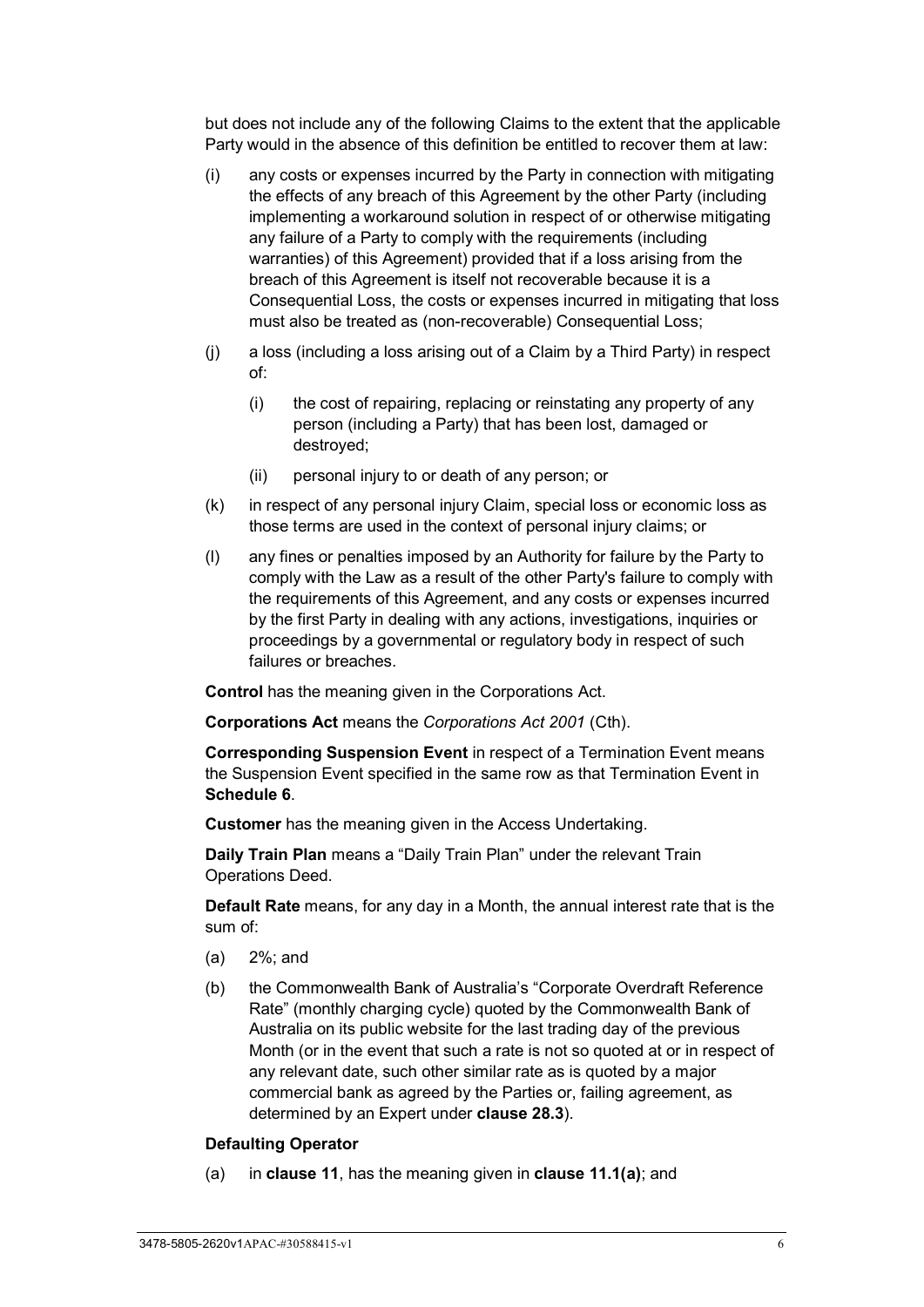but does not include any of the following Claims to the extent that the applicable Party would in the absence of this definition be entitled to recover them at law:

- (i) any costs or expenses incurred by the Party in connection with mitigating the effects of any breach of this Agreement by the other Party (including implementing a workaround solution in respect of or otherwise mitigating any failure of a Party to comply with the requirements (including warranties) of this Agreement) provided that if a loss arising from the breach of this Agreement is itself not recoverable because it is a Consequential Loss, the costs or expenses incurred in mitigating that loss must also be treated as (non-recoverable) Consequential Loss;
- (j) a loss (including a loss arising out of a Claim by a Third Party) in respect of:
	- (i) the cost of repairing, replacing or reinstating any property of any person (including a Party) that has been lost, damaged or destroyed;
	- (ii) personal injury to or death of any person; or
- (k) in respect of any personal injury Claim, special loss or economic loss as those terms are used in the context of personal injury claims; or
- (l) any fines or penalties imposed by an Authority for failure by the Party to comply with the Law as a result of the other Party's failure to comply with the requirements of this Agreement, and any costs or expenses incurred by the first Party in dealing with any actions, investigations, inquiries or proceedings by a governmental or regulatory body in respect of such failures or breaches.

**Control** has the meaning given in the Corporations Act.

**Corporations Act** means the *Corporations Act 2001* (Cth).

**Corresponding Suspension Event** in respect of a Termination Event means the Suspension Event specified in the same row as that Termination Event in **[Schedule 6](#page-121-0)**.

**Customer** has the meaning given in the Access Undertaking.

**Daily Train Plan** means a "Daily Train Plan" under the relevant Train Operations Deed.

**Default Rate** means, for any day in a Month, the annual interest rate that is the sum of:

- (a) 2%; and
- (b) the Commonwealth Bank of Australia's "Corporate Overdraft Reference Rate" (monthly charging cycle) quoted by the Commonwealth Bank of Australia on its public website for the last trading day of the previous Month (or in the event that such a rate is not so quoted at or in respect of any relevant date, such other similar rate as is quoted by a major commercial bank as agreed by the Parties or, failing agreement, as determined by an Expert under **clause [28.3](#page-71-0)**).

#### **Defaulting Operator**

(a) in **clause [11](#page-48-0)**, has the meaning given in **clause [11.1\(a\)](#page-48-2)**; and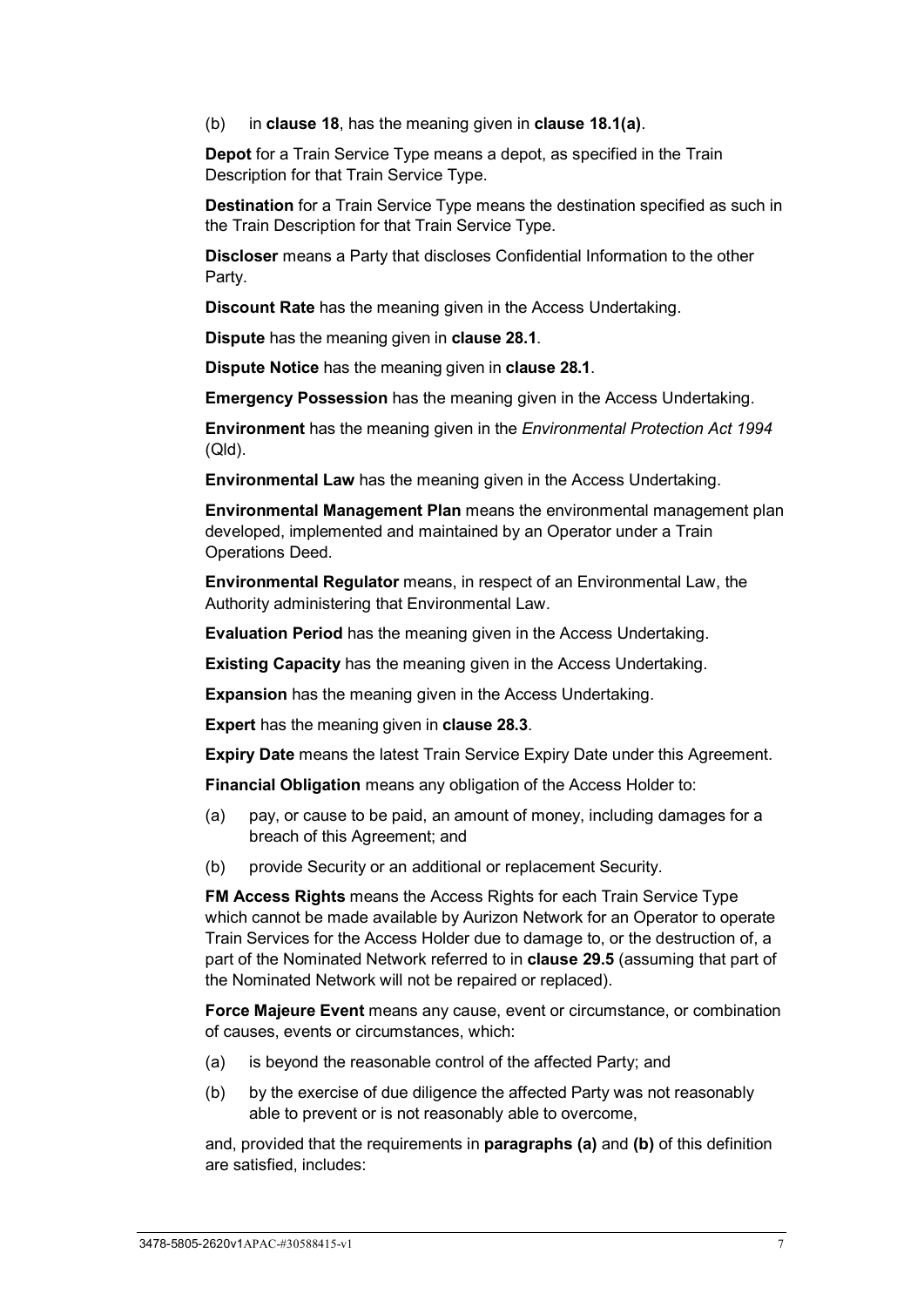(b) in **clause [18](#page-55-1)**, has the meaning given in **clause [18.1\(a\)](#page-55-3)**.

**Depot** for a Train Service Type means a depot, as specified in the Train Description for that Train Service Type.

**Destination** for a Train Service Type means the destination specified as such in the Train Description for that Train Service Type.

**Discloser** means a Party that discloses Confidential Information to the other Party.

**Discount Rate** has the meaning given in the Access Undertaking.

**Dispute** has the meaning given in **clause [28.1](#page-70-2)**.

**Dispute Notice** has the meaning given in **clause [28.1](#page-70-2)**.

**Emergency Possession** has the meaning given in the Access Undertaking.

**Environment** has the meaning given in the *Environmental Protection Act 1994* (Qld).

**Environmental Law** has the meaning given in the Access Undertaking.

**Environmental Management Plan** means the environmental management plan developed, implemented and maintained by an Operator under a Train Operations Deed.

**Environmental Regulator** means, in respect of an Environmental Law, the Authority administering that Environmental Law.

**Evaluation Period** has the meaning given in the Access Undertaking.

**Existing Capacity** has the meaning given in the Access Undertaking.

**Expansion** has the meaning given in the Access Undertaking.

**Expert** has the meaning given in **clause [28.3](#page-71-0)**.

**Expiry Date** means the latest Train Service Expiry Date under this Agreement.

**Financial Obligation** means any obligation of the Access Holder to:

- (a) pay, or cause to be paid, an amount of money, including damages for a breach of this Agreement; and
- (b) provide Security or an additional or replacement Security.

**FM Access Rights** means the Access Rights for each Train Service Type which cannot be made available by Aurizon Network for an Operator to operate Train Services for the Access Holder due to damage to, or the destruction of, a part of the Nominated Network referred to in **clause [29.5](#page-75-3)** (assuming that part of the Nominated Network will not be repaired or replaced).

**Force Majeure Event** means any cause, event or circumstance, or combination of causes, events or circumstances, which:

- (a) is beyond the reasonable control of the affected Party; and
- (b) by the exercise of due diligence the affected Party was not reasonably able to prevent or is not reasonably able to overcome,

and, provided that the requirements in **paragraphs (a)** and **(b)** of this definition are satisfied, includes: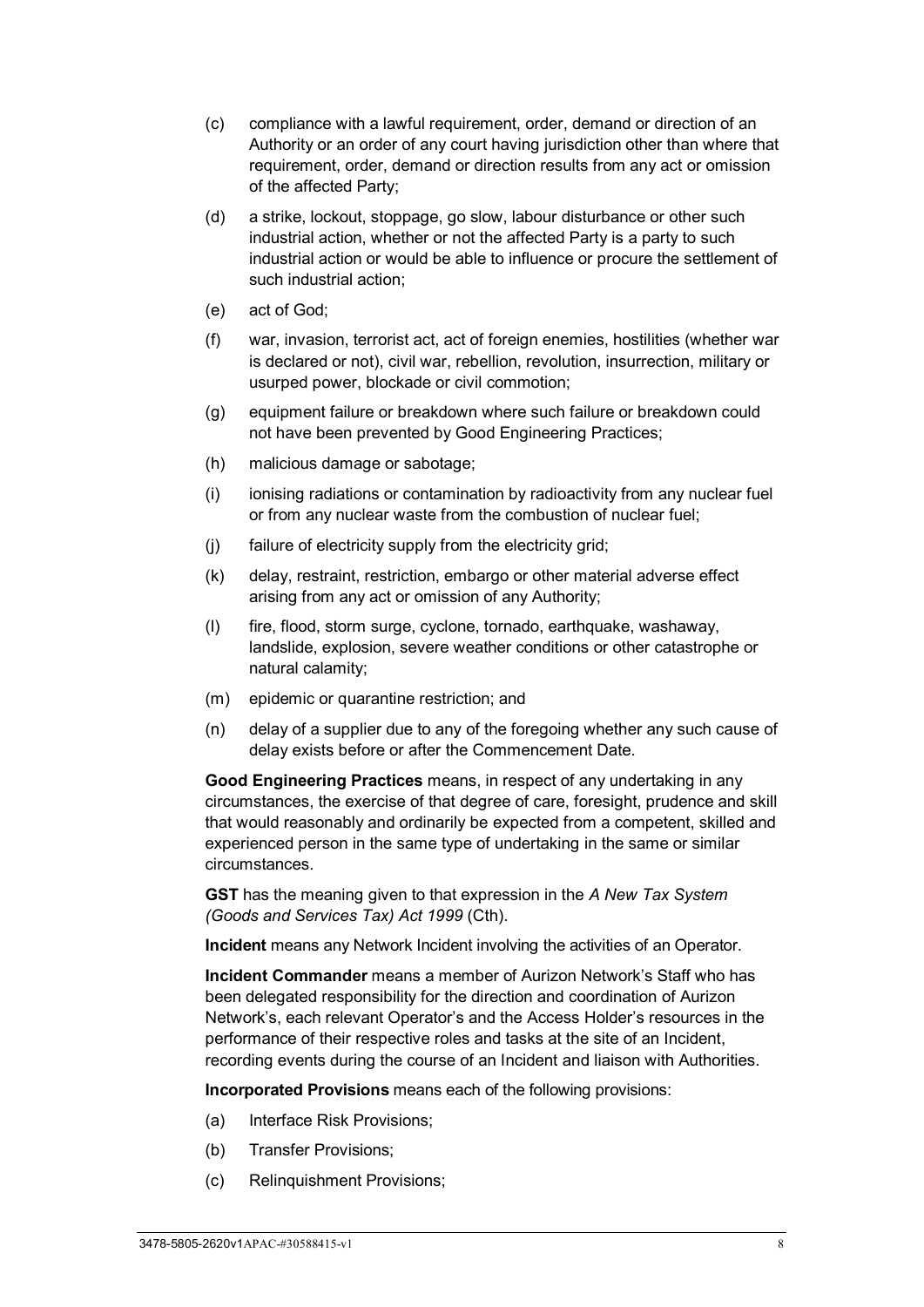- (c) compliance with a lawful requirement, order, demand or direction of an Authority or an order of any court having jurisdiction other than where that requirement, order, demand or direction results from any act or omission of the affected Party;
- (d) a strike, lockout, stoppage, go slow, labour disturbance or other such industrial action, whether or not the affected Party is a party to such industrial action or would be able to influence or procure the settlement of such industrial action;
- (e) act of God;
- (f) war, invasion, terrorist act, act of foreign enemies, hostilities (whether war is declared or not), civil war, rebellion, revolution, insurrection, military or usurped power, blockade or civil commotion;
- (g) equipment failure or breakdown where such failure or breakdown could not have been prevented by Good Engineering Practices;
- (h) malicious damage or sabotage;
- (i) ionising radiations or contamination by radioactivity from any nuclear fuel or from any nuclear waste from the combustion of nuclear fuel;
- (j) failure of electricity supply from the electricity grid;
- (k) delay, restraint, restriction, embargo or other material adverse effect arising from any act or omission of any Authority;
- (l) fire, flood, storm surge, cyclone, tornado, earthquake, washaway, landslide, explosion, severe weather conditions or other catastrophe or natural calamity;
- (m) epidemic or quarantine restriction; and
- (n) delay of a supplier due to any of the foregoing whether any such cause of delay exists before or after the Commencement Date.

**Good Engineering Practices** means, in respect of any undertaking in any circumstances, the exercise of that degree of care, foresight, prudence and skill that would reasonably and ordinarily be expected from a competent, skilled and experienced person in the same type of undertaking in the same or similar circumstances.

**GST** has the meaning given to that expression in the *A New Tax System (Goods and Services Tax) Act 1999* (Cth).

**Incident** means any Network Incident involving the activities of an Operator.

**Incident Commander** means a member of Aurizon Network's Staff who has been delegated responsibility for the direction and coordination of Aurizon Network's, each relevant Operator's and the Access Holder's resources in the performance of their respective roles and tasks at the site of an Incident, recording events during the course of an Incident and liaison with Authorities.

**Incorporated Provisions** means each of the following provisions:

- (a) Interface Risk Provisions;
- (b) Transfer Provisions;
- (c) Relinquishment Provisions;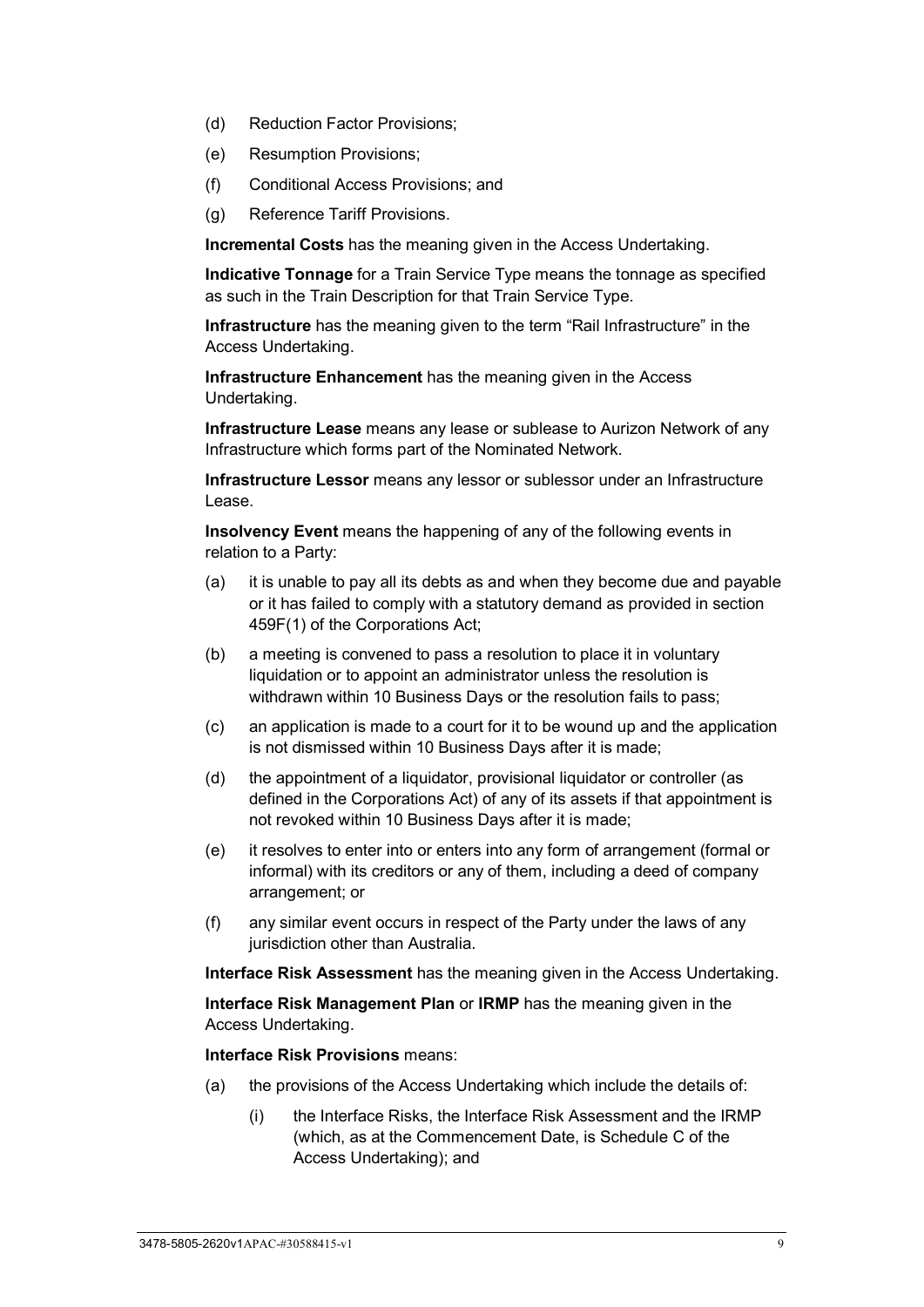- (d) Reduction Factor Provisions;
- (e) Resumption Provisions;
- (f) Conditional Access Provisions; and
- (g) Reference Tariff Provisions.

**Incremental Costs** has the meaning given in the Access Undertaking.

**Indicative Tonnage** for a Train Service Type means the tonnage as specified as such in the Train Description for that Train Service Type.

**Infrastructure** has the meaning given to the term "Rail Infrastructure" in the Access Undertaking.

**Infrastructure Enhancement** has the meaning given in the Access Undertaking.

**Infrastructure Lease** means any lease or sublease to Aurizon Network of any Infrastructure which forms part of the Nominated Network.

**Infrastructure Lessor** means any lessor or sublessor under an Infrastructure Lease.

**Insolvency Event** means the happening of any of the following events in relation to a Party:

- (a) it is unable to pay all its debts as and when they become due and payable or it has failed to comply with a statutory demand as provided in section 459F(1) of the Corporations Act;
- (b) a meeting is convened to pass a resolution to place it in voluntary liquidation or to appoint an administrator unless the resolution is withdrawn within 10 Business Days or the resolution fails to pass;
- (c) an application is made to a court for it to be wound up and the application is not dismissed within 10 Business Days after it is made;
- (d) the appointment of a liquidator, provisional liquidator or controller (as defined in the Corporations Act) of any of its assets if that appointment is not revoked within 10 Business Days after it is made;
- (e) it resolves to enter into or enters into any form of arrangement (formal or informal) with its creditors or any of them, including a deed of company arrangement; or
- (f) any similar event occurs in respect of the Party under the laws of any jurisdiction other than Australia.

**Interface Risk Assessment** has the meaning given in the Access Undertaking.

**Interface Risk Management Plan** or **IRMP** has the meaning given in the Access Undertaking.

#### **Interface Risk Provisions** means:

- (a) the provisions of the Access Undertaking which include the details of:
	- (i) the Interface Risks, the Interface Risk Assessment and the IRMP (which, as at the Commencement Date, is Schedule C of the Access Undertaking); and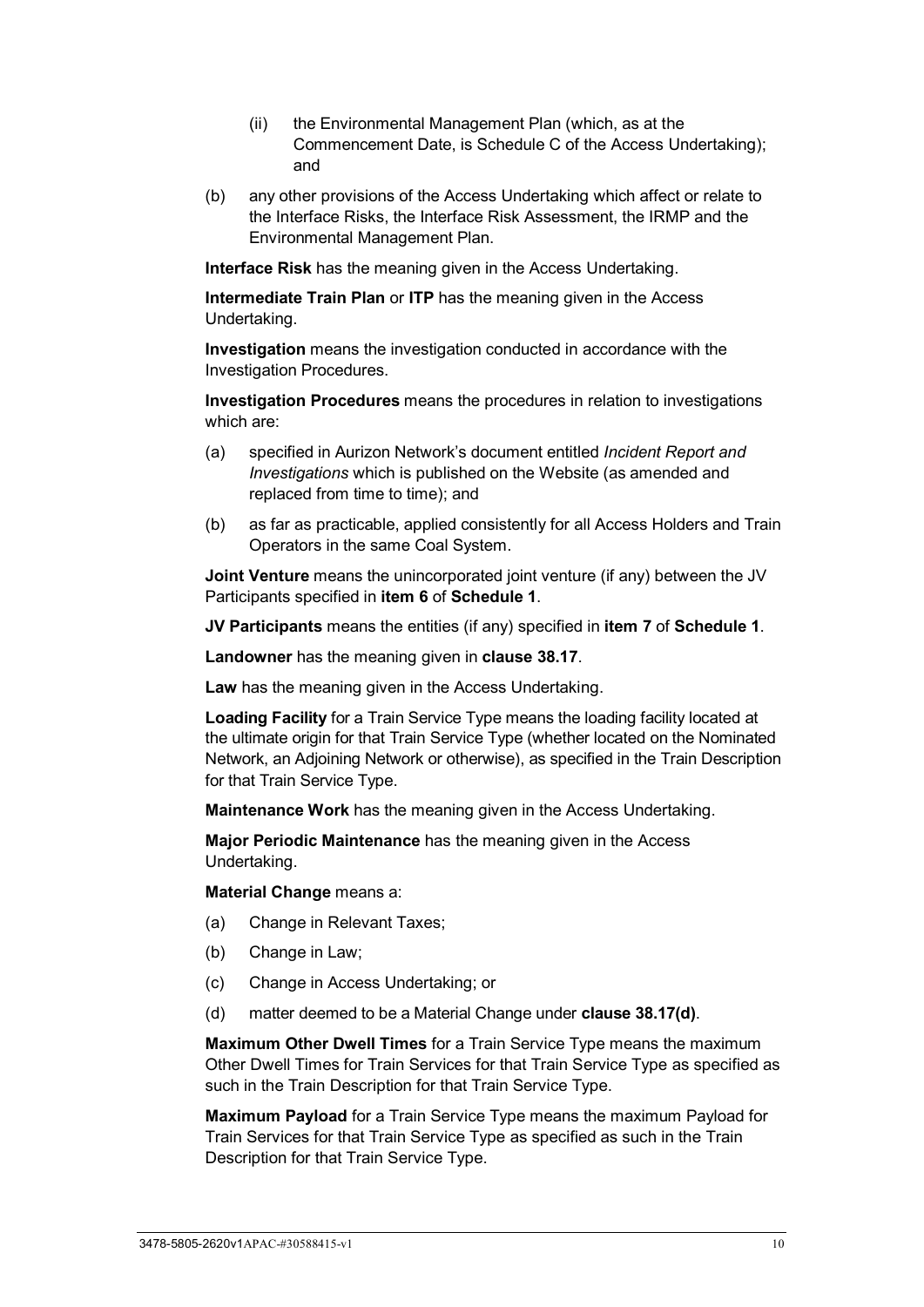- (ii) the Environmental Management Plan (which, as at the Commencement Date, is Schedule C of the Access Undertaking); and
- (b) any other provisions of the Access Undertaking which affect or relate to the Interface Risks, the Interface Risk Assessment, the IRMP and the Environmental Management Plan.

**Interface Risk** has the meaning given in the Access Undertaking.

**Intermediate Train Plan** or **ITP** has the meaning given in the Access Undertaking.

**Investigation** means the investigation conducted in accordance with the Investigation Procedures.

**Investigation Procedures** means the procedures in relation to investigations which are:

- (a) specified in Aurizon Network's document entitled *Incident Report and Investigations* which is published on the Website (as amended and replaced from time to time); and
- (b) as far as practicable, applied consistently for all Access Holders and Train Operators in the same Coal System.

**Joint Venture** means the unincorporated joint venture (if any) between the JV Participants specified in **item [6](#page-97-2)** of **[Schedule 1](#page-97-0)**.

**JV Participants** means the entities (if any) specified in **item [7](#page-97-3)** of **[Schedule 1](#page-97-0)**.

**Landowner** has the meaning given in **clause [38.17](#page-91-1)**.

**Law** has the meaning given in the Access Undertaking.

**Loading Facility** for a Train Service Type means the loading facility located at the ultimate origin for that Train Service Type (whether located on the Nominated Network, an Adjoining Network or otherwise), as specified in the Train Description for that Train Service Type.

**Maintenance Work** has the meaning given in the Access Undertaking.

**Major Periodic Maintenance** has the meaning given in the Access Undertaking.

**Material Change** means a:

- (a) Change in Relevant Taxes;
- (b) Change in Law;
- (c) Change in Access Undertaking; or
- (d) matter deemed to be a Material Change under **clause [38.17\(d\)](#page-91-5)**.

**Maximum Other Dwell Times** for a Train Service Type means the maximum Other Dwell Times for Train Services for that Train Service Type as specified as such in the Train Description for that Train Service Type.

**Maximum Payload** for a Train Service Type means the maximum Payload for Train Services for that Train Service Type as specified as such in the Train Description for that Train Service Type.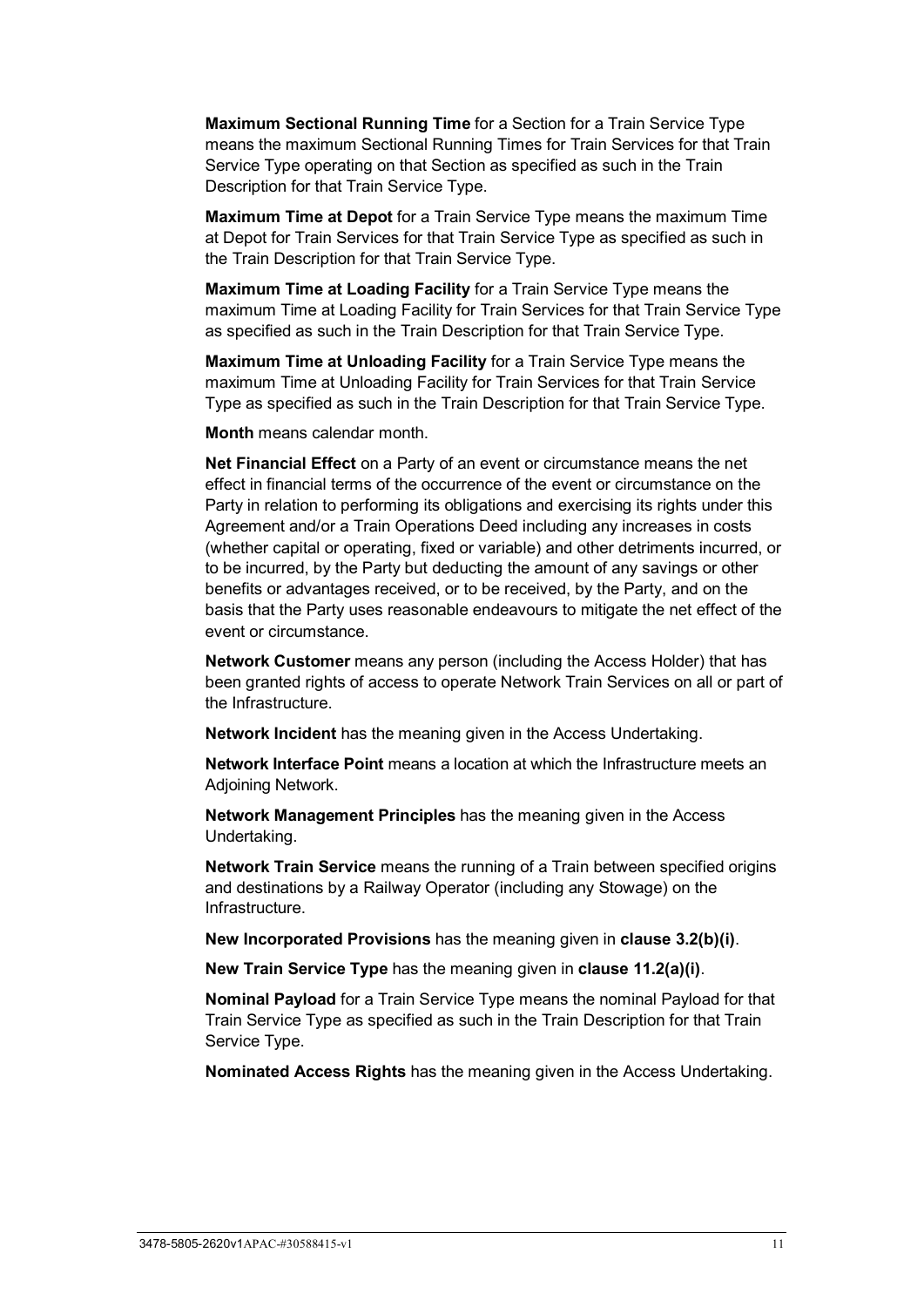**Maximum Sectional Running Time** for a Section for a Train Service Type means the maximum Sectional Running Times for Train Services for that Train Service Type operating on that Section as specified as such in the Train Description for that Train Service Type.

**Maximum Time at Depot** for a Train Service Type means the maximum Time at Depot for Train Services for that Train Service Type as specified as such in the Train Description for that Train Service Type.

**Maximum Time at Loading Facility** for a Train Service Type means the maximum Time at Loading Facility for Train Services for that Train Service Type as specified as such in the Train Description for that Train Service Type.

**Maximum Time at Unloading Facility** for a Train Service Type means the maximum Time at Unloading Facility for Train Services for that Train Service Type as specified as such in the Train Description for that Train Service Type.

**Month** means calendar month.

**Net Financial Effect** on a Party of an event or circumstance means the net effect in financial terms of the occurrence of the event or circumstance on the Party in relation to performing its obligations and exercising its rights under this Agreement and/or a Train Operations Deed including any increases in costs (whether capital or operating, fixed or variable) and other detriments incurred, or to be incurred, by the Party but deducting the amount of any savings or other benefits or advantages received, or to be received, by the Party, and on the basis that the Party uses reasonable endeavours to mitigate the net effect of the event or circumstance.

**Network Customer** means any person (including the Access Holder) that has been granted rights of access to operate Network Train Services on all or part of the Infrastructure.

**Network Incident** has the meaning given in the Access Undertaking.

**Network Interface Point** means a location at which the Infrastructure meets an Adjoining Network.

**Network Management Principles** has the meaning given in the Access Undertaking.

**Network Train Service** means the running of a Train between specified origins and destinations by a Railway Operator (including any Stowage) on the Infrastructure.

**New Incorporated Provisions** has the meaning given in **clause [3.2\(b\)\(i\)](#page-27-1)**.

**New Train Service Type** has the meaning given in **clause [11.2\(a\)\(i\)](#page-50-1)**.

**Nominal Payload** for a Train Service Type means the nominal Payload for that Train Service Type as specified as such in the Train Description for that Train Service Type.

**Nominated Access Rights** has the meaning given in the Access Undertaking.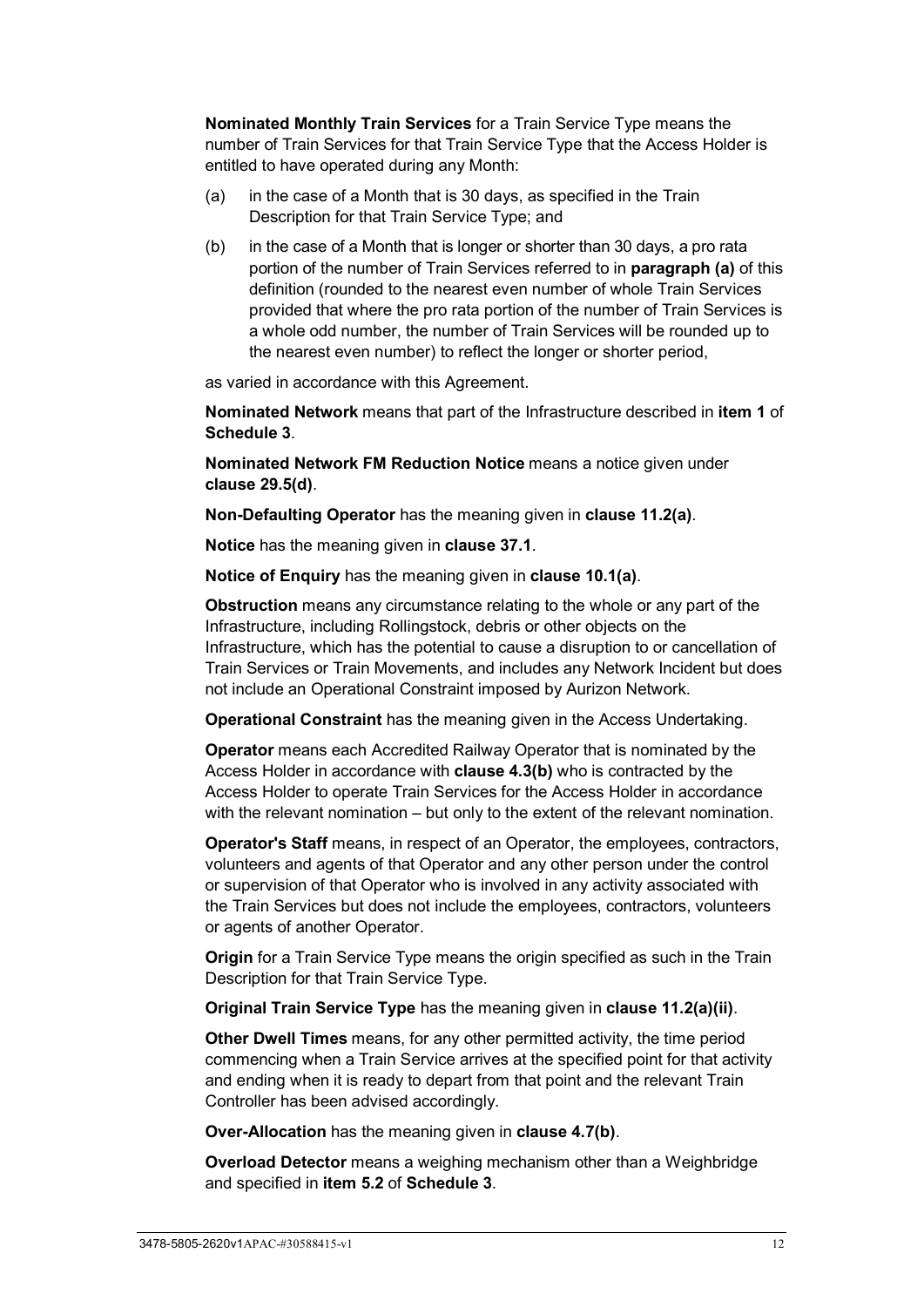**Nominated Monthly Train Services** for a Train Service Type means the number of Train Services for that Train Service Type that the Access Holder is entitled to have operated during any Month:

- <span id="page-17-0"></span>(a) in the case of a Month that is 30 days, as specified in the Train Description for that Train Service Type; and
- (b) in the case of a Month that is longer or shorter than 30 days, a pro rata portion of the number of Train Services referred to in **paragraph [\(a\)](#page-17-0)** of this definition (rounded to the nearest even number of whole Train Services provided that where the pro rata portion of the number of Train Services is a whole odd number, the number of Train Services will be rounded up to the nearest even number) to reflect the longer or shorter period,

as varied in accordance with this Agreement.

**Nominated Network** means that part of the Infrastructure described in **item [1](#page-106-1)** of **[Schedule 3](#page-106-0)**.

**Nominated Network FM Reduction Notice** means a notice given under **clause [29.5\(d\)](#page-76-0)**.

**Non-Defaulting Operator** has the meaning given in **clause [11.2\(a\)](#page-50-2)**.

**Notice** has the meaning given in **clause [37.1](#page-87-2)**.

**Notice of Enquiry** has the meaning given in **clause [10.1\(a\)](#page-44-3)**.

**Obstruction** means any circumstance relating to the whole or any part of the Infrastructure, including Rollingstock, debris or other objects on the Infrastructure, which has the potential to cause a disruption to or cancellation of Train Services or Train Movements, and includes any Network Incident but does not include an Operational Constraint imposed by Aurizon Network.

**Operational Constraint** has the meaning given in the Access Undertaking.

**Operator** means each Accredited Railway Operator that is nominated by the Access Holder in accordance with **clause [4.3\(b\)](#page-29-1)** who is contracted by the Access Holder to operate Train Services for the Access Holder in accordance with the relevant nomination – but only to the extent of the relevant nomination.

**Operator's Staff** means, in respect of an Operator, the employees, contractors, volunteers and agents of that Operator and any other person under the control or supervision of that Operator who is involved in any activity associated with the Train Services but does not include the employees, contractors, volunteers or agents of another Operator.

**Origin** for a Train Service Type means the origin specified as such in the Train Description for that Train Service Type.

**Original Train Service Type** has the meaning given in **clause [11.2\(a\)\(ii\)](#page-50-3)**.

**Other Dwell Times** means, for any other permitted activity, the time period commencing when a Train Service arrives at the specified point for that activity and ending when it is ready to depart from that point and the relevant Train Controller has been advised accordingly.

**Over-Allocation** has the meaning given in **clause [4.7\(b\)](#page-33-1)**.

**Overload Detector** means a weighing mechanism other than a Weighbridge and specified in **item [5.2](#page-106-2)** of **[Schedule 3](#page-106-0)**.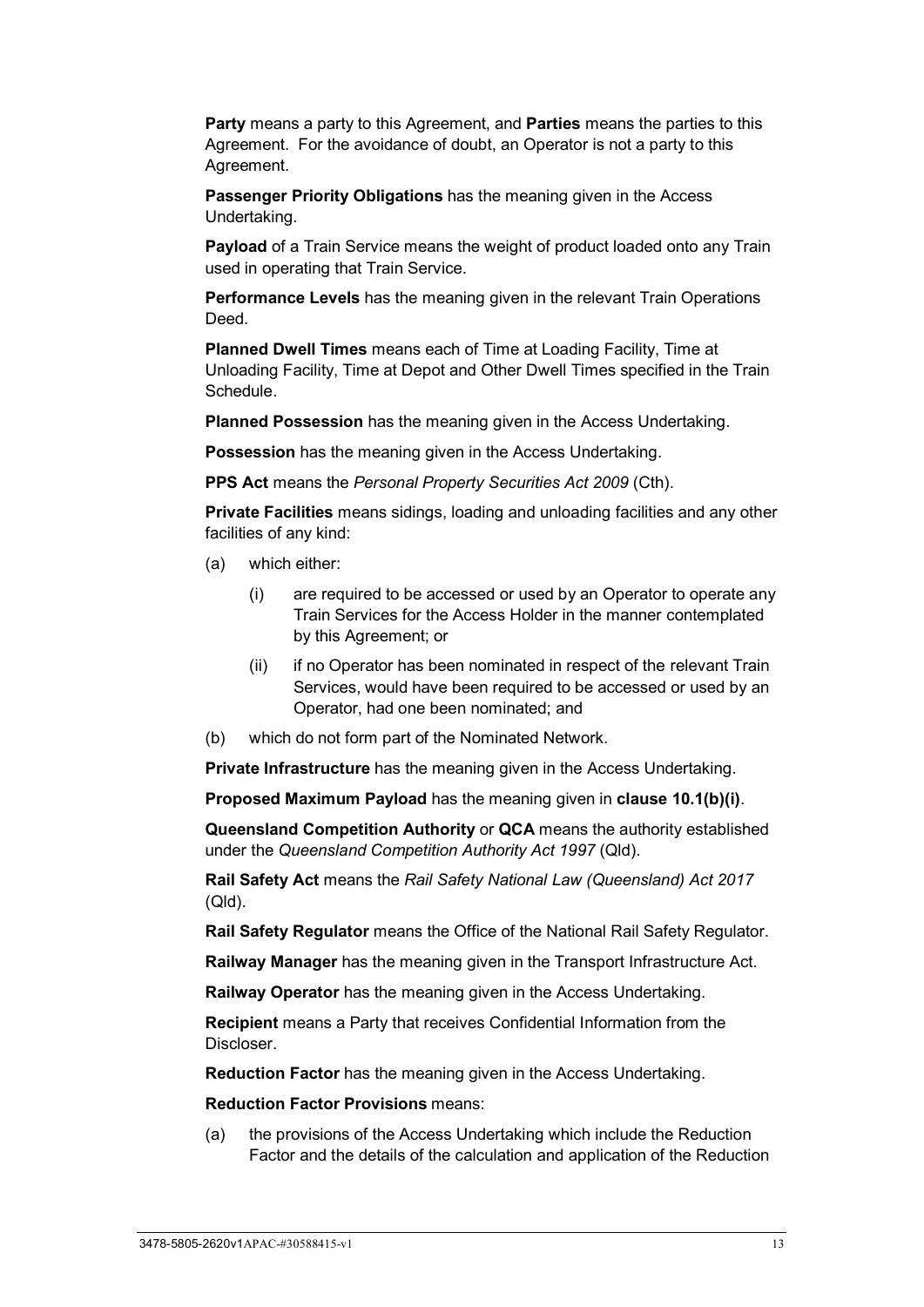**Party** means a party to this Agreement, and **Parties** means the parties to this Agreement. For the avoidance of doubt, an Operator is not a party to this Agreement.

**Passenger Priority Obligations** has the meaning given in the Access Undertaking.

**Payload** of a Train Service means the weight of product loaded onto any Train used in operating that Train Service.

**Performance Levels** has the meaning given in the relevant Train Operations **Deed** 

**Planned Dwell Times** means each of Time at Loading Facility, Time at Unloading Facility, Time at Depot and Other Dwell Times specified in the Train Schedule.

**Planned Possession** has the meaning given in the Access Undertaking.

**Possession** has the meaning given in the Access Undertaking.

**PPS Act** means the *Personal Property Securities Act 2009* (Cth).

**Private Facilities** means sidings, loading and unloading facilities and any other facilities of any kind:

- (a) which either:
	- (i) are required to be accessed or used by an Operator to operate any Train Services for the Access Holder in the manner contemplated by this Agreement; or
	- (ii) if no Operator has been nominated in respect of the relevant Train Services, would have been required to be accessed or used by an Operator, had one been nominated; and
- (b) which do not form part of the Nominated Network.

**Private Infrastructure** has the meaning given in the Access Undertaking.

**Proposed Maximum Payload** has the meaning given in **clause [10.1\(b\)\(i\)](#page-44-4)**.

**Queensland Competition Authority** or **QCA** means the authority established under the *Queensland Competition Authority Act 1997* (Qld).

**Rail Safety Act** means the *Rail Safety National Law (Queensland) Act 2017* (Qld).

**Rail Safety Regulator** means the Office of the National Rail Safety Regulator.

**Railway Manager** has the meaning given in the Transport Infrastructure Act.

**Railway Operator** has the meaning given in the Access Undertaking.

**Recipient** means a Party that receives Confidential Information from the Discloser.

**Reduction Factor** has the meaning given in the Access Undertaking.

**Reduction Factor Provisions** means:

(a) the provisions of the Access Undertaking which include the Reduction Factor and the details of the calculation and application of the Reduction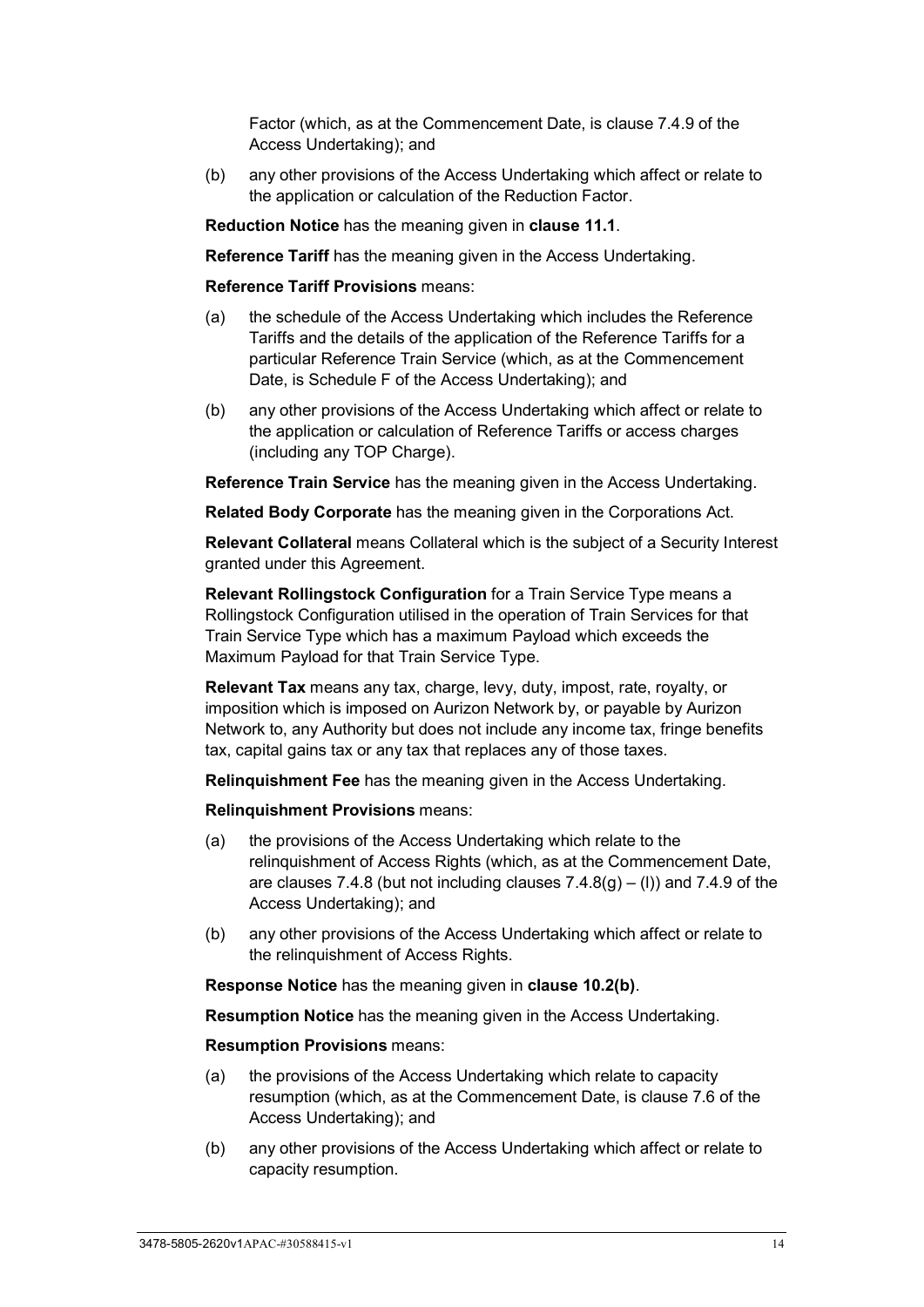Factor (which, as at the Commencement Date, is clause 7.4.9 of the Access Undertaking); and

(b) any other provisions of the Access Undertaking which affect or relate to the application or calculation of the Reduction Factor.

**Reduction Notice** has the meaning given in **clause [11.1](#page-48-1)**.

**Reference Tariff** has the meaning given in the Access Undertaking.

**Reference Tariff Provisions** means:

- (a) the schedule of the Access Undertaking which includes the Reference Tariffs and the details of the application of the Reference Tariffs for a particular Reference Train Service (which, as at the Commencement Date, is Schedule F of the Access Undertaking); and
- (b) any other provisions of the Access Undertaking which affect or relate to the application or calculation of Reference Tariffs or access charges (including any TOP Charge).

**Reference Train Service** has the meaning given in the Access Undertaking.

**Related Body Corporate** has the meaning given in the Corporations Act.

**Relevant Collateral** means Collateral which is the subject of a Security Interest granted under this Agreement.

**Relevant Rollingstock Configuration** for a Train Service Type means a Rollingstock Configuration utilised in the operation of Train Services for that Train Service Type which has a maximum Payload which exceeds the Maximum Payload for that Train Service Type.

**Relevant Tax** means any tax, charge, levy, duty, impost, rate, royalty, or imposition which is imposed on Aurizon Network by, or payable by Aurizon Network to, any Authority but does not include any income tax, fringe benefits tax, capital gains tax or any tax that replaces any of those taxes.

**Relinquishment Fee** has the meaning given in the Access Undertaking.

**Relinquishment Provisions** means:

- (a) the provisions of the Access Undertaking which relate to the relinquishment of Access Rights (which, as at the Commencement Date, are clauses 7.4.8 (but not including clauses  $7.4.8(q) - (1)$ ) and 7.4.9 of the Access Undertaking); and
- (b) any other provisions of the Access Undertaking which affect or relate to the relinquishment of Access Rights.

**Response Notice** has the meaning given in **clause [10.2\(b\)](#page-45-0)**.

**Resumption Notice** has the meaning given in the Access Undertaking.

**Resumption Provisions** means:

- (a) the provisions of the Access Undertaking which relate to capacity resumption (which, as at the Commencement Date, is clause 7.6 of the Access Undertaking); and
- (b) any other provisions of the Access Undertaking which affect or relate to capacity resumption.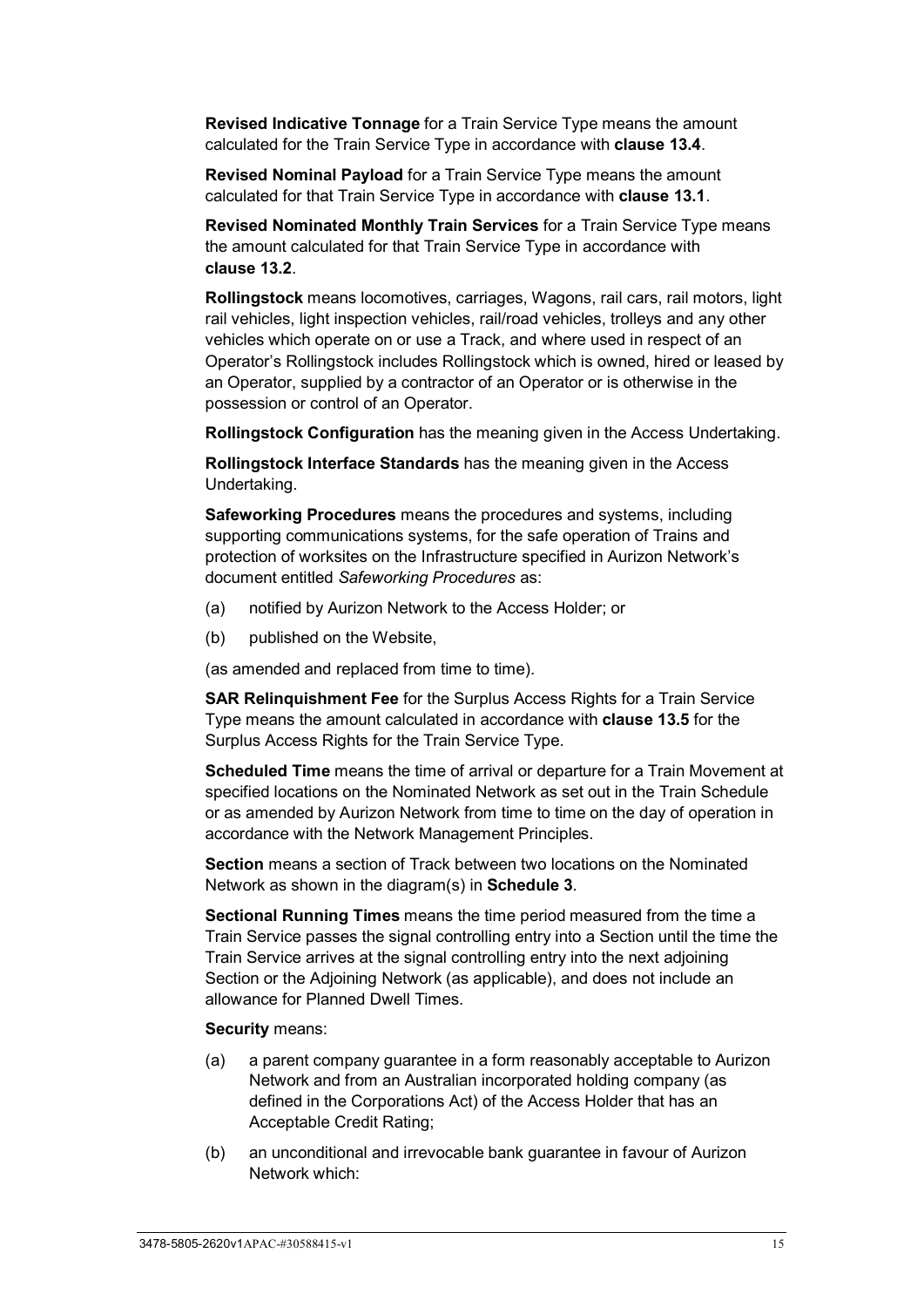**Revised Indicative Tonnage** for a Train Service Type means the amount calculated for the Train Service Type in accordance with **clause [13.4](#page-53-1)**.

**Revised Nominal Payload** for a Train Service Type means the amount calculated for that Train Service Type in accordance with **clause [13.1](#page-52-3)**.

**Revised Nominated Monthly Train Services** for a Train Service Type means the amount calculated for that Train Service Type in accordance with **clause [13.2](#page-52-4)**.

**Rollingstock** means locomotives, carriages, Wagons, rail cars, rail motors, light rail vehicles, light inspection vehicles, rail/road vehicles, trolleys and any other vehicles which operate on or use a Track, and where used in respect of an Operator's Rollingstock includes Rollingstock which is owned, hired or leased by an Operator, supplied by a contractor of an Operator or is otherwise in the possession or control of an Operator.

**Rollingstock Configuration** has the meaning given in the Access Undertaking.

**Rollingstock Interface Standards** has the meaning given in the Access Undertaking.

**Safeworking Procedures** means the procedures and systems, including supporting communications systems, for the safe operation of Trains and protection of worksites on the Infrastructure specified in Aurizon Network's document entitled *Safeworking Procedures* as:

- (a) notified by Aurizon Network to the Access Holder; or
- (b) published on the Website,

(as amended and replaced from time to time).

**SAR Relinquishment Fee** for the Surplus Access Rights for a Train Service Type means the amount calculated in accordance with **clause [13.5](#page-53-2)** for the Surplus Access Rights for the Train Service Type.

**Scheduled Time** means the time of arrival or departure for a Train Movement at specified locations on the Nominated Network as set out in the Train Schedule or as amended by Aurizon Network from time to time on the day of operation in accordance with the Network Management Principles.

**Section** means a section of Track between two locations on the Nominated Network as shown in the diagram(s) in **[Schedule 3](#page-106-0)**.

**Sectional Running Times** means the time period measured from the time a Train Service passes the signal controlling entry into a Section until the time the Train Service arrives at the signal controlling entry into the next adjoining Section or the Adjoining Network (as applicable), and does not include an allowance for Planned Dwell Times.

#### **Security** means:

- (a) a parent company guarantee in a form reasonably acceptable to Aurizon Network and from an Australian incorporated holding company (as defined in the Corporations Act) of the Access Holder that has an Acceptable Credit Rating;
- (b) an unconditional and irrevocable bank guarantee in favour of Aurizon Network which: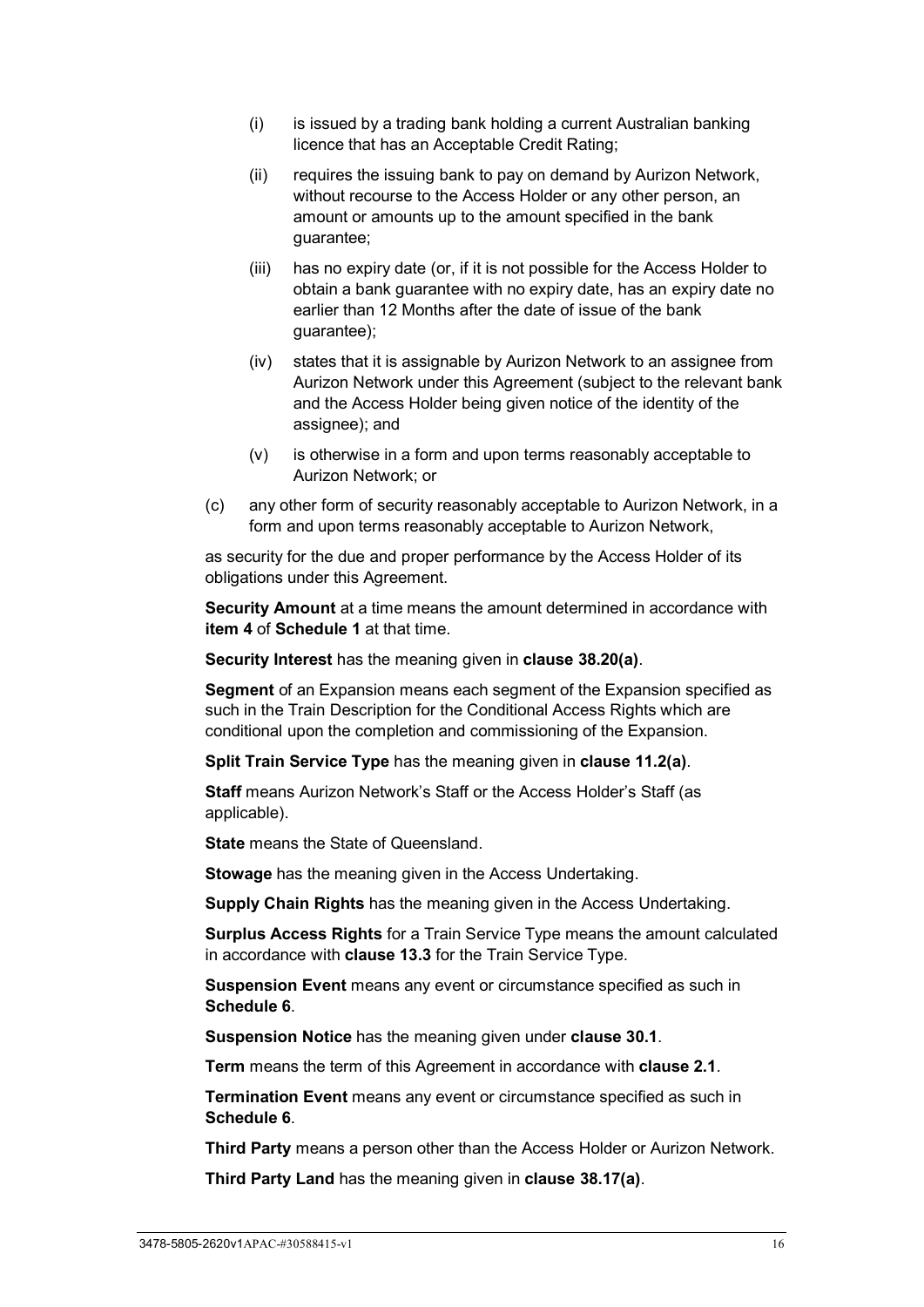- (i) is issued by a trading bank holding a current Australian banking licence that has an Acceptable Credit Rating;
- (ii) requires the issuing bank to pay on demand by Aurizon Network, without recourse to the Access Holder or any other person, an amount or amounts up to the amount specified in the bank guarantee;
- (iii) has no expiry date (or, if it is not possible for the Access Holder to obtain a bank guarantee with no expiry date, has an expiry date no earlier than 12 Months after the date of issue of the bank guarantee);
- (iv) states that it is assignable by Aurizon Network to an assignee from Aurizon Network under this Agreement (subject to the relevant bank and the Access Holder being given notice of the identity of the assignee); and
- (v) is otherwise in a form and upon terms reasonably acceptable to Aurizon Network; or
- (c) any other form of security reasonably acceptable to Aurizon Network, in a form and upon terms reasonably acceptable to Aurizon Network,

as security for the due and proper performance by the Access Holder of its obligations under this Agreement.

**Security Amount** at a time means the amount determined in accordance with **item [4](#page-97-4)** of **[Schedule 1](#page-97-0)** at that time.

**Security Interest** has the meaning given in **clause [38.20\(a\)](#page-91-6)**.

**Segment** of an Expansion means each segment of the Expansion specified as such in the Train Description for the Conditional Access Rights which are conditional upon the completion and commissioning of the Expansion.

**Split Train Service Type** has the meaning given in **clause [11.2\(a\)](#page-50-2)**.

**Staff** means Aurizon Network's Staff or the Access Holder's Staff (as applicable).

**State** means the State of Queensland.

**Stowage** has the meaning given in the Access Undertaking.

**Supply Chain Rights** has the meaning given in the Access Undertaking.

**Surplus Access Rights** for a Train Service Type means the amount calculated in accordance with **clause [13.3](#page-53-0)** for the Train Service Type.

**Suspension Event** means any event or circumstance specified as such in **[Schedule 6](#page-121-0)**.

**Suspension Notice** has the meaning given under **clause [30.1](#page-78-1)**.

**Term** means the term of this Agreement in accordance with **clause [2.1](#page-26-3)**.

**Termination Event** means any event or circumstance specified as such in **[Schedule 6](#page-121-0)**.

**Third Party** means a person other than the Access Holder or Aurizon Network.

**Third Party Land** has the meaning given in **clause [38.17\(a\)](#page-91-7)**.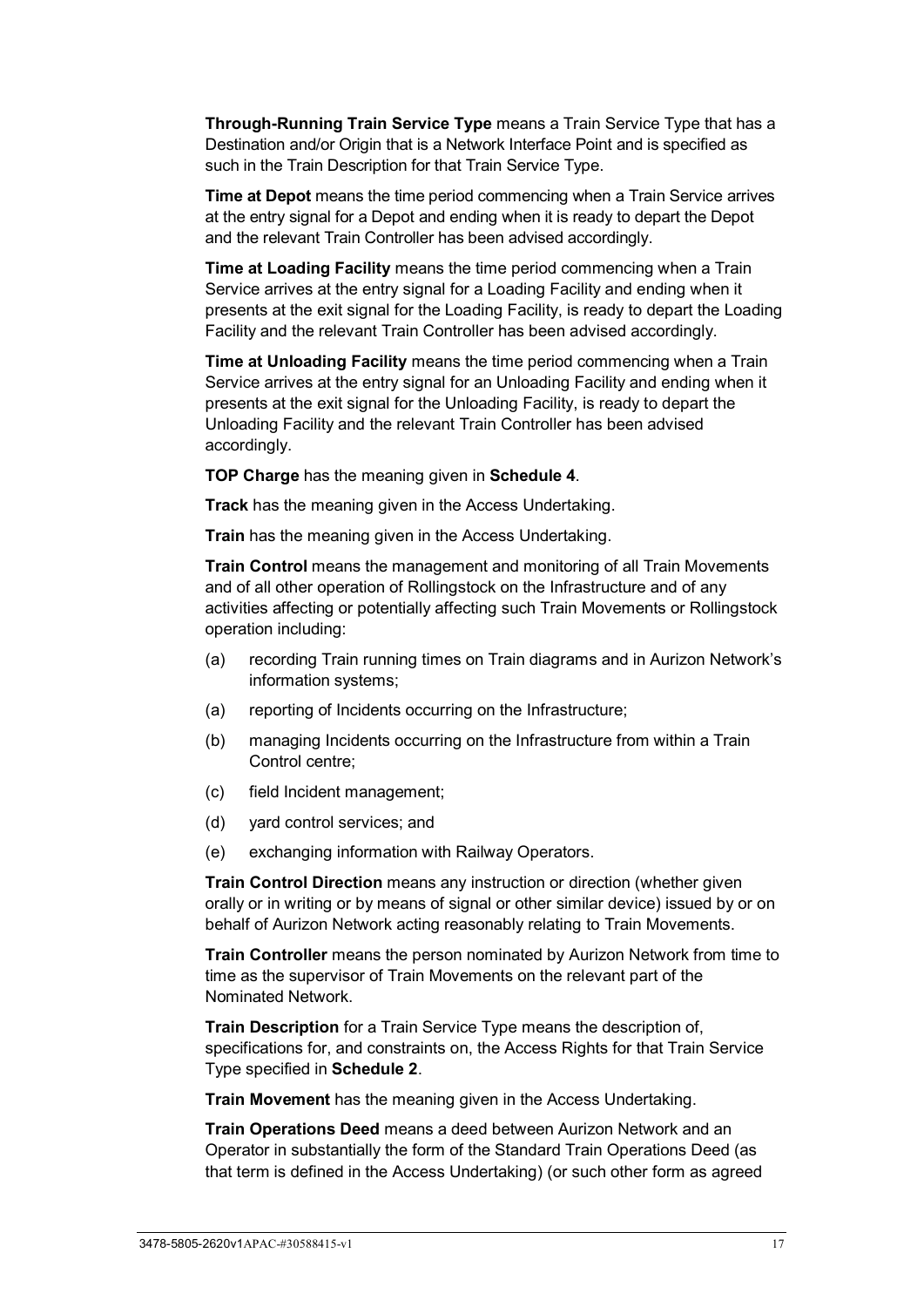**Through-Running Train Service Type** means a Train Service Type that has a Destination and/or Origin that is a Network Interface Point and is specified as such in the Train Description for that Train Service Type.

**Time at Depot** means the time period commencing when a Train Service arrives at the entry signal for a Depot and ending when it is ready to depart the Depot and the relevant Train Controller has been advised accordingly.

**Time at Loading Facility** means the time period commencing when a Train Service arrives at the entry signal for a Loading Facility and ending when it presents at the exit signal for the Loading Facility, is ready to depart the Loading Facility and the relevant Train Controller has been advised accordingly.

**Time at Unloading Facility** means the time period commencing when a Train Service arrives at the entry signal for an Unloading Facility and ending when it presents at the exit signal for the Unloading Facility, is ready to depart the Unloading Facility and the relevant Train Controller has been advised accordingly.

**TOP Charge** has the meaning given in **[Schedule 4](#page-107-0)**.

**Track** has the meaning given in the Access Undertaking.

**Train** has the meaning given in the Access Undertaking.

**Train Control** means the management and monitoring of all Train Movements and of all other operation of Rollingstock on the Infrastructure and of any activities affecting or potentially affecting such Train Movements or Rollingstock operation including:

- (a) recording Train running times on Train diagrams and in Aurizon Network's information systems;
- (a) reporting of Incidents occurring on the Infrastructure;
- (b) managing Incidents occurring on the Infrastructure from within a Train Control centre;
- (c) field Incident management;
- (d) yard control services; and
- (e) exchanging information with Railway Operators.

**Train Control Direction** means any instruction or direction (whether given orally or in writing or by means of signal or other similar device) issued by or on behalf of Aurizon Network acting reasonably relating to Train Movements.

**Train Controller** means the person nominated by Aurizon Network from time to time as the supervisor of Train Movements on the relevant part of the Nominated Network.

**Train Description** for a Train Service Type means the description of, specifications for, and constraints on, the Access Rights for that Train Service Type specified in **[Schedule 2](#page-99-0)**.

**Train Movement** has the meaning given in the Access Undertaking.

**Train Operations Deed** means a deed between Aurizon Network and an Operator in substantially the form of the Standard Train Operations Deed (as that term is defined in the Access Undertaking) (or such other form as agreed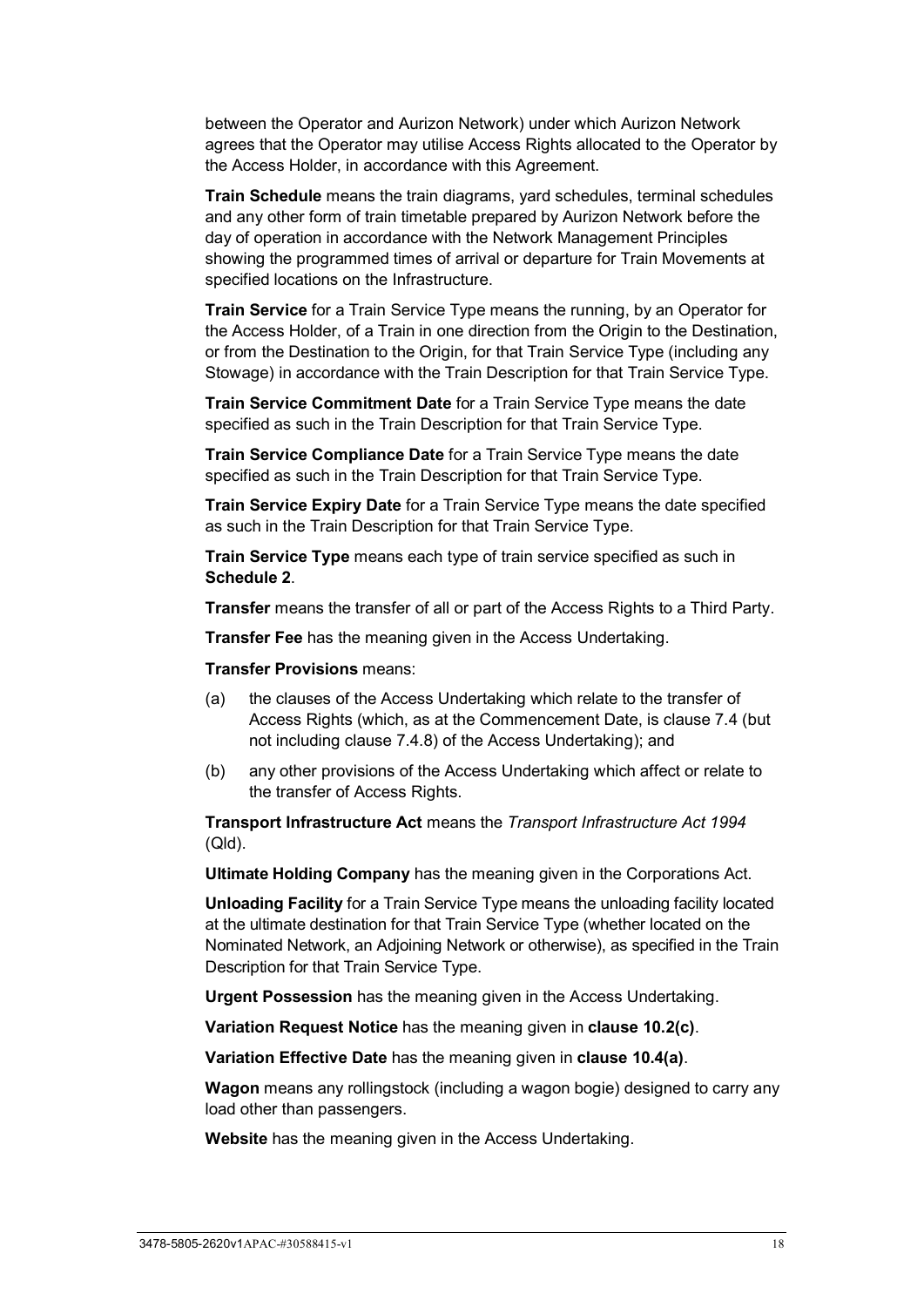between the Operator and Aurizon Network) under which Aurizon Network agrees that the Operator may utilise Access Rights allocated to the Operator by the Access Holder, in accordance with this Agreement.

**Train Schedule** means the train diagrams, yard schedules, terminal schedules and any other form of train timetable prepared by Aurizon Network before the day of operation in accordance with the Network Management Principles showing the programmed times of arrival or departure for Train Movements at specified locations on the Infrastructure.

**Train Service** for a Train Service Type means the running, by an Operator for the Access Holder, of a Train in one direction from the Origin to the Destination, or from the Destination to the Origin, for that Train Service Type (including any Stowage) in accordance with the Train Description for that Train Service Type.

**Train Service Commitment Date** for a Train Service Type means the date specified as such in the Train Description for that Train Service Type.

**Train Service Compliance Date** for a Train Service Type means the date specified as such in the Train Description for that Train Service Type.

**Train Service Expiry Date** for a Train Service Type means the date specified as such in the Train Description for that Train Service Type.

**Train Service Type** means each type of train service specified as such in **[Schedule 2](#page-99-0)**.

**Transfer** means the transfer of all or part of the Access Rights to a Third Party.

**Transfer Fee** has the meaning given in the Access Undertaking.

**Transfer Provisions** means:

- (a) the clauses of the Access Undertaking which relate to the transfer of Access Rights (which, as at the Commencement Date, is clause 7.4 (but not including clause 7.4.8) of the Access Undertaking); and
- (b) any other provisions of the Access Undertaking which affect or relate to the transfer of Access Rights.

**Transport Infrastructure Act** means the *Transport Infrastructure Act 1994* (Qld).

**Ultimate Holding Company** has the meaning given in the Corporations Act.

**Unloading Facility** for a Train Service Type means the unloading facility located at the ultimate destination for that Train Service Type (whether located on the Nominated Network, an Adjoining Network or otherwise), as specified in the Train Description for that Train Service Type.

**Urgent Possession** has the meaning given in the Access Undertaking.

**Variation Request Notice** has the meaning given in **clause [10.2\(c\)](#page-46-2)**.

**Variation Effective Date** has the meaning given in **clause [10.4\(a\)](#page-46-3)**.

**Wagon** means any rollingstock (including a wagon bogie) designed to carry any load other than passengers.

**Website** has the meaning given in the Access Undertaking.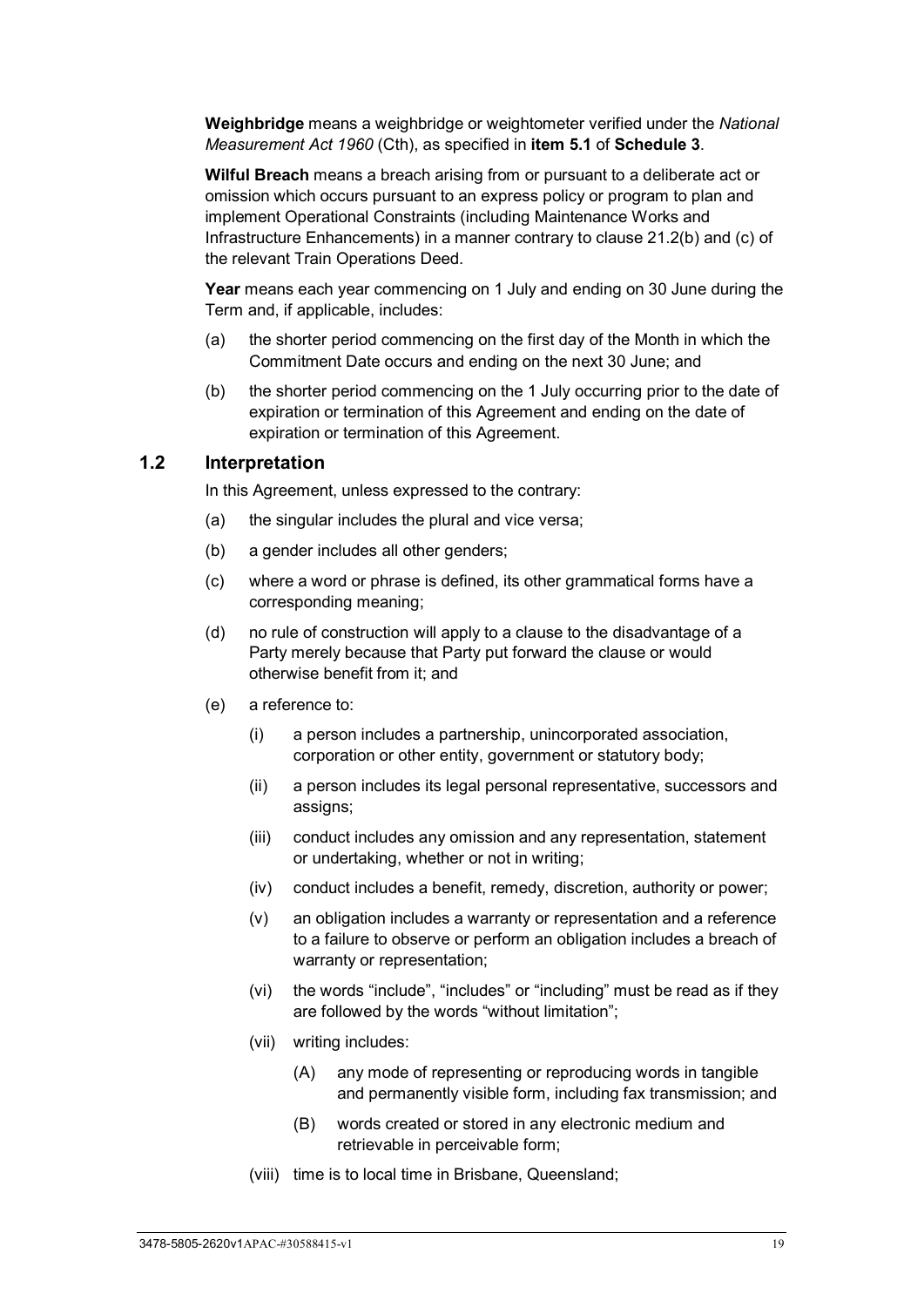**Weighbridge** means a weighbridge or weightometer verified under the *National Measurement Act 1960* (Cth), as specified in **item [5.1](#page-106-3)** of **[Schedule 3](#page-106-0)**.

**Wilful Breach** means a breach arising from or pursuant to a deliberate act or omission which occurs pursuant to an express policy or program to plan and implement Operational Constraints (including Maintenance Works and Infrastructure Enhancements) in a manner contrary to clause 21.2(b) and (c) of the relevant Train Operations Deed.

**Year** means each year commencing on 1 July and ending on 30 June during the Term and, if applicable, includes:

- (a) the shorter period commencing on the first day of the Month in which the Commitment Date occurs and ending on the next 30 June; and
- (b) the shorter period commencing on the 1 July occurring prior to the date of expiration or termination of this Agreement and ending on the date of expiration or termination of this Agreement.

#### <span id="page-24-0"></span>**1.2 Interpretation**

In this Agreement, unless expressed to the contrary:

- (a) the singular includes the plural and vice versa;
- (b) a gender includes all other genders;
- (c) where a word or phrase is defined, its other grammatical forms have a corresponding meaning;
- (d) no rule of construction will apply to a clause to the disadvantage of a Party merely because that Party put forward the clause or would otherwise benefit from it; and
- (e) a reference to:
	- (i) a person includes a partnership, unincorporated association, corporation or other entity, government or statutory body;
	- (ii) a person includes its legal personal representative, successors and assigns;
	- (iii) conduct includes any omission and any representation, statement or undertaking, whether or not in writing;
	- (iv) conduct includes a benefit, remedy, discretion, authority or power;
	- (v) an obligation includes a warranty or representation and a reference to a failure to observe or perform an obligation includes a breach of warranty or representation;
	- (vi) the words "include", "includes" or "including" must be read as if they are followed by the words "without limitation";
	- (vii) writing includes:
		- (A) any mode of representing or reproducing words in tangible and permanently visible form, including fax transmission; and
		- (B) words created or stored in any electronic medium and retrievable in perceivable form;
	- (viii) time is to local time in Brisbane, Queensland;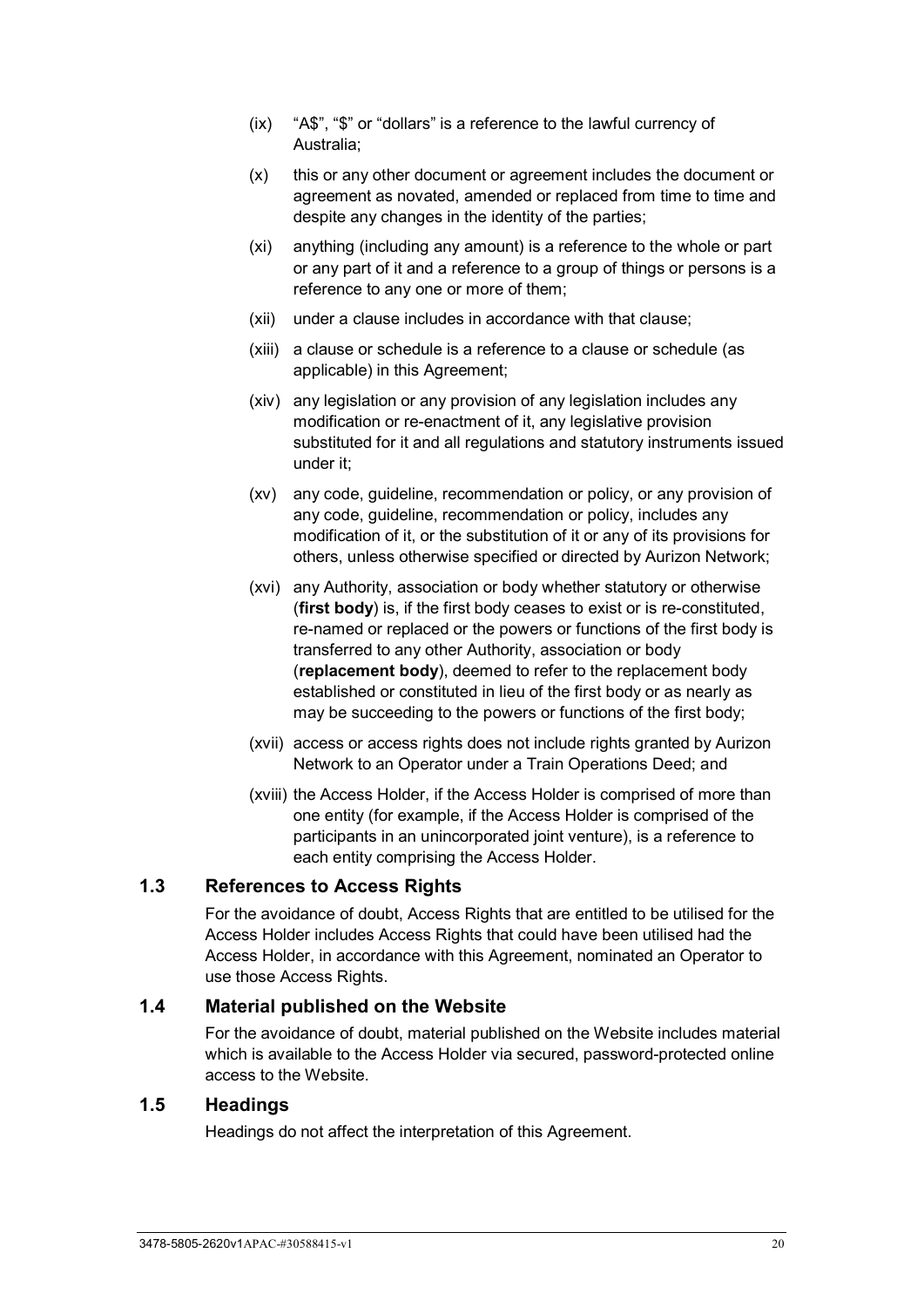- (ix) "A\$", "\$" or "dollars" is a reference to the lawful currency of Australia;
- (x) this or any other document or agreement includes the document or agreement as novated, amended or replaced from time to time and despite any changes in the identity of the parties;
- (xi) anything (including any amount) is a reference to the whole or part or any part of it and a reference to a group of things or persons is a reference to any one or more of them;
- (xii) under a clause includes in accordance with that clause;
- (xiii) a clause or schedule is a reference to a clause or schedule (as applicable) in this Agreement;
- (xiv) any legislation or any provision of any legislation includes any modification or re-enactment of it, any legislative provision substituted for it and all regulations and statutory instruments issued under it;
- (xv) any code, guideline, recommendation or policy, or any provision of any code, guideline, recommendation or policy, includes any modification of it, or the substitution of it or any of its provisions for others, unless otherwise specified or directed by Aurizon Network;
- (xvi) any Authority, association or body whether statutory or otherwise (**first body**) is, if the first body ceases to exist or is re-constituted, re-named or replaced or the powers or functions of the first body is transferred to any other Authority, association or body (**replacement body**), deemed to refer to the replacement body established or constituted in lieu of the first body or as nearly as may be succeeding to the powers or functions of the first body;
- (xvii) access or access rights does not include rights granted by Aurizon Network to an Operator under a Train Operations Deed; and
- (xviii) the Access Holder, if the Access Holder is comprised of more than one entity (for example, if the Access Holder is comprised of the participants in an unincorporated joint venture), is a reference to each entity comprising the Access Holder.

## <span id="page-25-0"></span>**1.3 References to Access Rights**

For the avoidance of doubt, Access Rights that are entitled to be utilised for the Access Holder includes Access Rights that could have been utilised had the Access Holder, in accordance with this Agreement, nominated an Operator to use those Access Rights.

## <span id="page-25-1"></span>**1.4 Material published on the Website**

For the avoidance of doubt, material published on the Website includes material which is available to the Access Holder via secured, password-protected online access to the Website.

## <span id="page-25-2"></span>**1.5 Headings**

Headings do not affect the interpretation of this Agreement.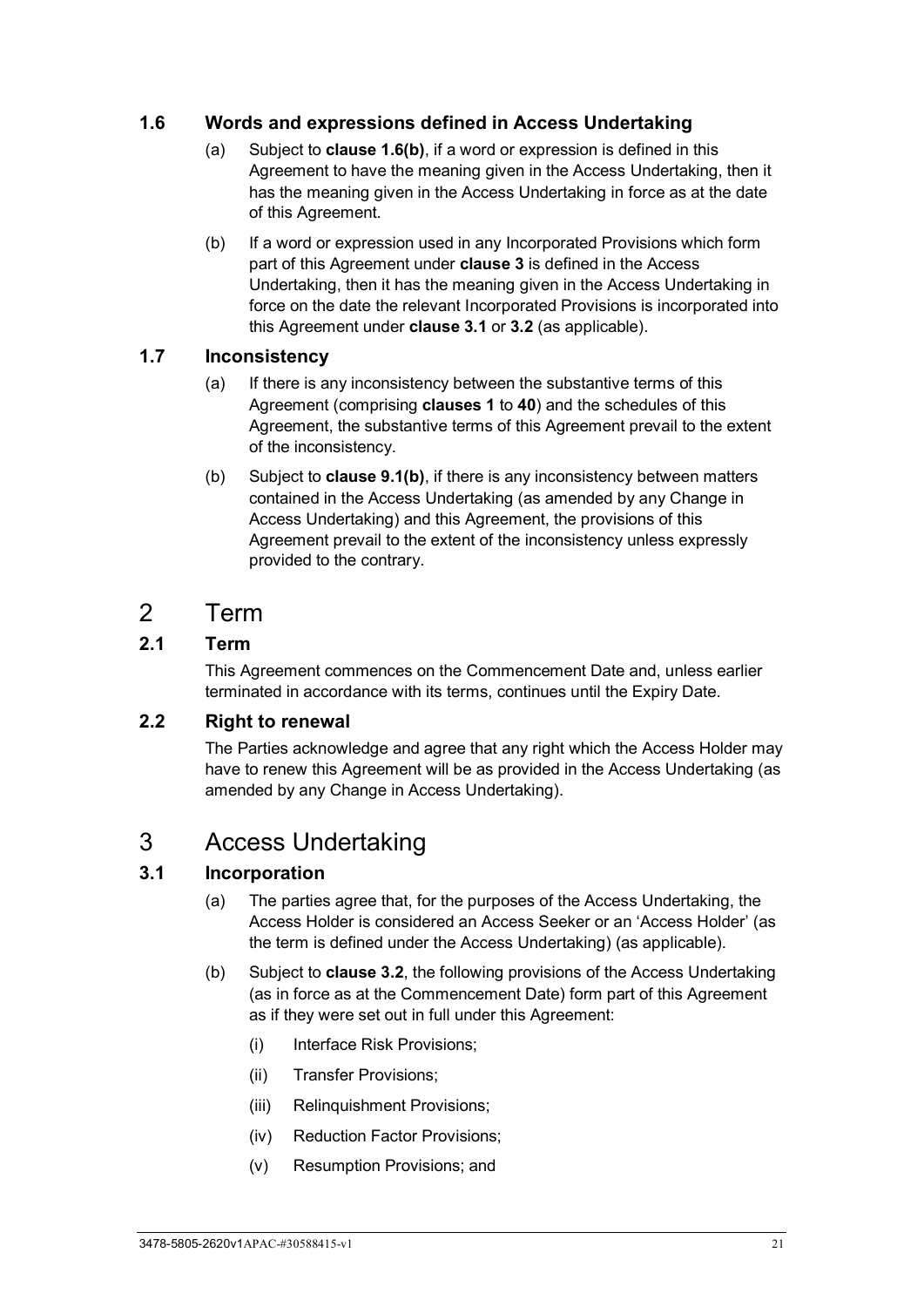# <span id="page-26-0"></span>**1.6 Words and expressions defined in Access Undertaking**

- (a) Subject to **clause [1.6\(b\)](#page-26-7)**, if a word or expression is defined in this Agreement to have the meaning given in the Access Undertaking, then it has the meaning given in the Access Undertaking in force as at the date of this Agreement.
- <span id="page-26-7"></span>(b) If a word or expression used in any Incorporated Provisions which form part of this Agreement under **clause [3](#page-26-5)** is defined in the Access Undertaking, then it has the meaning given in the Access Undertaking in force on the date the relevant Incorporated Provisions is incorporated into this Agreement under **clause [3.1](#page-26-6)** or **[3.2](#page-27-0)** (as applicable).

# <span id="page-26-1"></span>**1.7 Inconsistency**

- (a) If there is any inconsistency between the substantive terms of this Agreement (comprising **clauses [1](#page-6-0)** to **[40](#page-94-0)**) and the schedules of this Agreement, the substantive terms of this Agreement prevail to the extent of the inconsistency.
- (b) Subject to **clause [9.1\(b\)](#page-42-4)**, if there is any inconsistency between matters contained in the Access Undertaking (as amended by any Change in Access Undertaking) and this Agreement, the provisions of this Agreement prevail to the extent of the inconsistency unless expressly provided to the contrary.

# <span id="page-26-2"></span>2 Term

# <span id="page-26-3"></span>**2.1 Term**

This Agreement commences on the Commencement Date and, unless earlier terminated in accordance with its terms, continues until the Expiry Date.

# <span id="page-26-4"></span>**2.2 Right to renewal**

The Parties acknowledge and agree that any right which the Access Holder may have to renew this Agreement will be as provided in the Access Undertaking (as amended by any Change in Access Undertaking).

# <span id="page-26-5"></span>3 Access Undertaking

# <span id="page-26-6"></span>**3.1 Incorporation**

- (a) The parties agree that, for the purposes of the Access Undertaking, the Access Holder is considered an Access Seeker or an 'Access Holder' (as the term is defined under the Access Undertaking) (as applicable).
- <span id="page-26-8"></span>(b) Subject to **clause [3.2](#page-27-0)**, the following provisions of the Access Undertaking (as in force as at the Commencement Date) form part of this Agreement as if they were set out in full under this Agreement:
	- (i) Interface Risk Provisions;
	- (ii) Transfer Provisions;
	- (iii) Relinquishment Provisions;
	- (iv) Reduction Factor Provisions;
	- (v) Resumption Provisions; and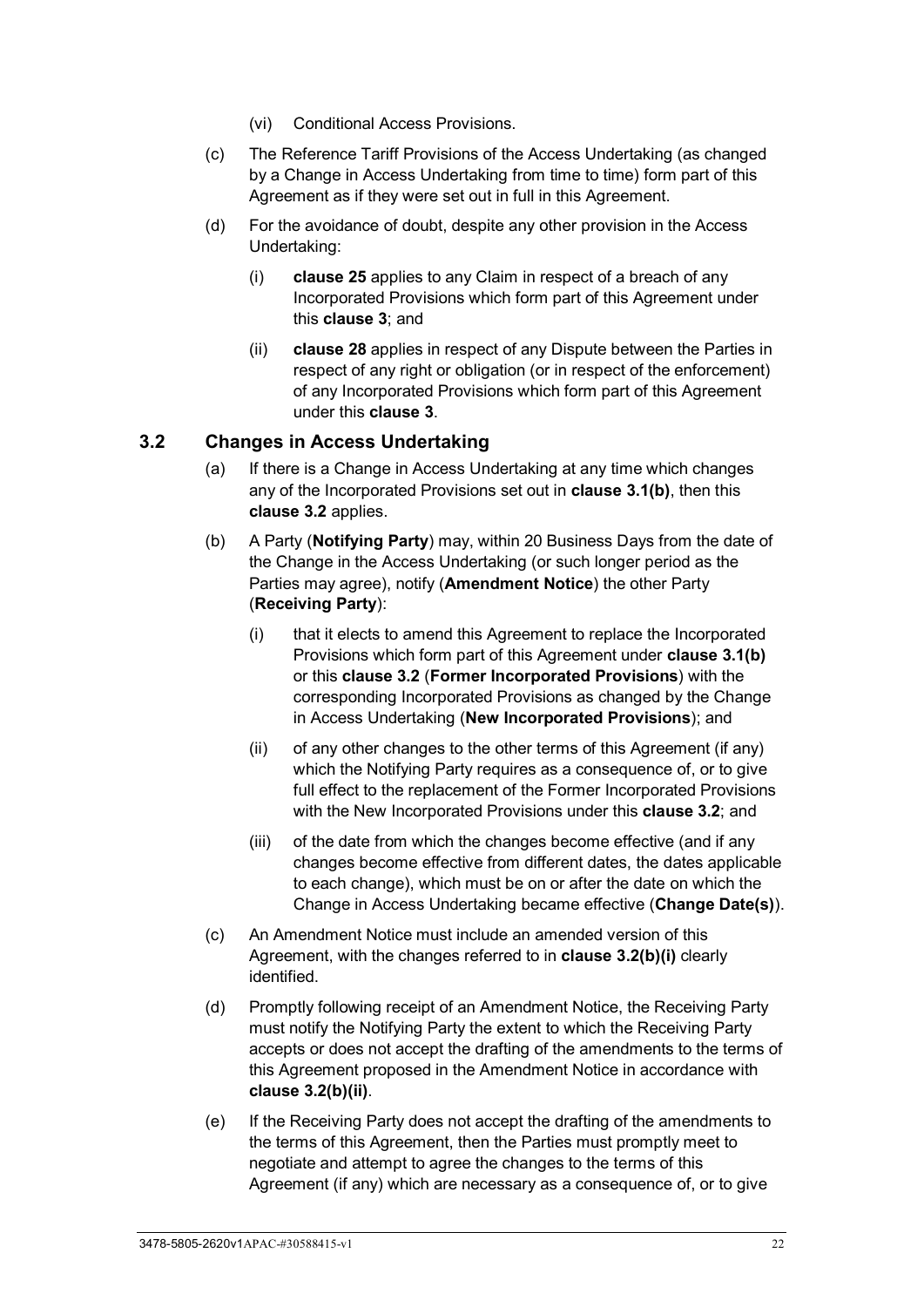- (vi) Conditional Access Provisions.
- (c) The Reference Tariff Provisions of the Access Undertaking (as changed by a Change in Access Undertaking from time to time) form part of this Agreement as if they were set out in full in this Agreement.
- (d) For the avoidance of doubt, despite any other provision in the Access Undertaking:
	- (i) **clause [25](#page-63-2)** applies to any Claim in respect of a breach of any Incorporated Provisions which form part of this Agreement under this **clause [3](#page-26-5)**; and
	- (ii) **clause [28](#page-70-1)** applies in respect of any Dispute between the Parties in respect of any right or obligation (or in respect of the enforcement) of any Incorporated Provisions which form part of this Agreement under this **clause [3](#page-26-5)**.

## <span id="page-27-0"></span>**3.2 Changes in Access Undertaking**

- (a) If there is a Change in Access Undertaking at any time which changes any of the Incorporated Provisions set out in **clause [3.1\(b\)](#page-26-8)**, then this **clause [3.2](#page-27-0)** applies.
- <span id="page-27-1"></span>(b) A Party (**Notifying Party**) may, within 20 Business Days from the date of the Change in the Access Undertaking (or such longer period as the Parties may agree), notify (**Amendment Notice**) the other Party (**Receiving Party**):
	- (i) that it elects to amend this Agreement to replace the Incorporated Provisions which form part of this Agreement under **clause [3.1\(b\)](#page-26-8)** or this **clause [3.2](#page-27-0)** (**Former Incorporated Provisions**) with the corresponding Incorporated Provisions as changed by the Change in Access Undertaking (**New Incorporated Provisions**); and
	- (ii) of any other changes to the other terms of this Agreement (if any) which the Notifying Party requires as a consequence of, or to give full effect to the replacement of the Former Incorporated Provisions with the New Incorporated Provisions under this **clause [3.2](#page-27-0)**; and
	- (iii) of the date from which the changes become effective (and if any changes become effective from different dates, the dates applicable to each change), which must be on or after the date on which the Change in Access Undertaking became effective (**Change Date(s)**).
- <span id="page-27-2"></span>(c) An Amendment Notice must include an amended version of this Agreement, with the changes referred to in **clause [3.2\(b\)\(i\)](#page-27-1)** clearly identified.
- <span id="page-27-4"></span>(d) Promptly following receipt of an Amendment Notice, the Receiving Party must notify the Notifying Party the extent to which the Receiving Party accepts or does not accept the drafting of the amendments to the terms of this Agreement proposed in the Amendment Notice in accordance with **clause [3.2\(b\)\(ii\)](#page-27-2)**.
- <span id="page-27-3"></span>(e) If the Receiving Party does not accept the drafting of the amendments to the terms of this Agreement, then the Parties must promptly meet to negotiate and attempt to agree the changes to the terms of this Agreement (if any) which are necessary as a consequence of, or to give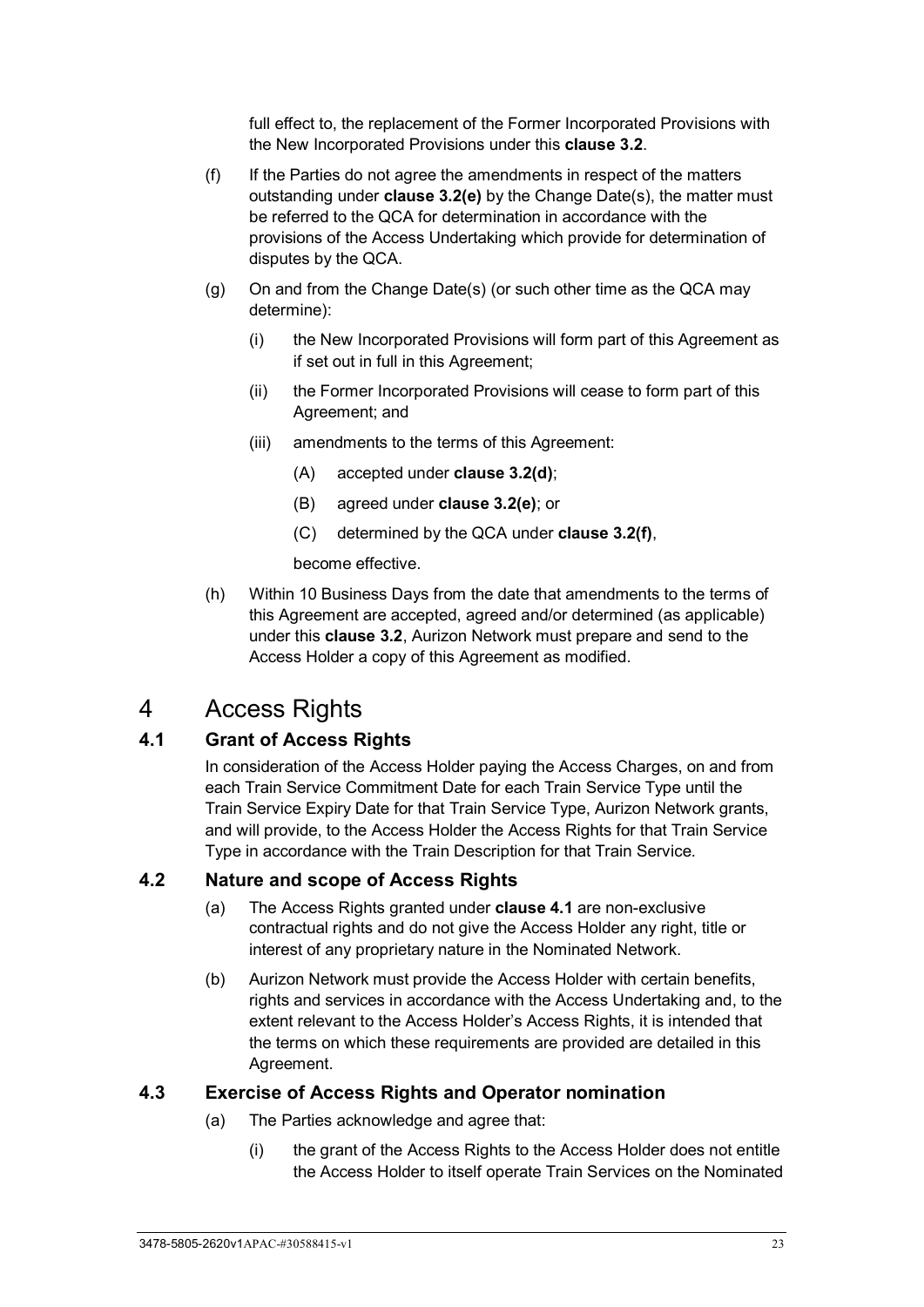full effect to, the replacement of the Former Incorporated Provisions with the New Incorporated Provisions under this **clause [3.2](#page-27-0)**.

- <span id="page-28-4"></span>(f) If the Parties do not agree the amendments in respect of the matters outstanding under **clause [3.2\(e\)](#page-27-3)** by the Change Date(s), the matter must be referred to the QCA for determination in accordance with the provisions of the Access Undertaking which provide for determination of disputes by the QCA.
- (g) On and from the Change Date(s) (or such other time as the QCA may determine):
	- (i) the New Incorporated Provisions will form part of this Agreement as if set out in full in this Agreement;
	- (ii) the Former Incorporated Provisions will cease to form part of this Agreement; and
	- (iii) amendments to the terms of this Agreement:
		- (A) accepted under **clause [3.2\(d\)](#page-27-4)**;
		- (B) agreed under **clause [3.2\(e\)](#page-27-3)**; or
		- (C) determined by the QCA under **clause [3.2\(f\)](#page-28-4)**,

become effective.

(h) Within 10 Business Days from the date that amendments to the terms of this Agreement are accepted, agreed and/or determined (as applicable) under this **clause [3.2](#page-27-0)**, Aurizon Network must prepare and send to the Access Holder a copy of this Agreement as modified.

# <span id="page-28-0"></span>4 Access Rights

# <span id="page-28-1"></span>**4.1 Grant of Access Rights**

In consideration of the Access Holder paying the Access Charges, on and from each Train Service Commitment Date for each Train Service Type until the Train Service Expiry Date for that Train Service Type, Aurizon Network grants, and will provide, to the Access Holder the Access Rights for that Train Service Type in accordance with the Train Description for that Train Service*.*

## <span id="page-28-2"></span>**4.2 Nature and scope of Access Rights**

- (a) The Access Rights granted under **clause [4.1](#page-28-1)** are non-exclusive contractual rights and do not give the Access Holder any right, title or interest of any proprietary nature in the Nominated Network.
- (b) Aurizon Network must provide the Access Holder with certain benefits, rights and services in accordance with the Access Undertaking and, to the extent relevant to the Access Holder's Access Rights, it is intended that the terms on which these requirements are provided are detailed in this Agreement.

# <span id="page-28-3"></span>**4.3 Exercise of Access Rights and Operator nomination**

- (a) The Parties acknowledge and agree that:
	- (i) the grant of the Access Rights to the Access Holder does not entitle the Access Holder to itself operate Train Services on the Nominated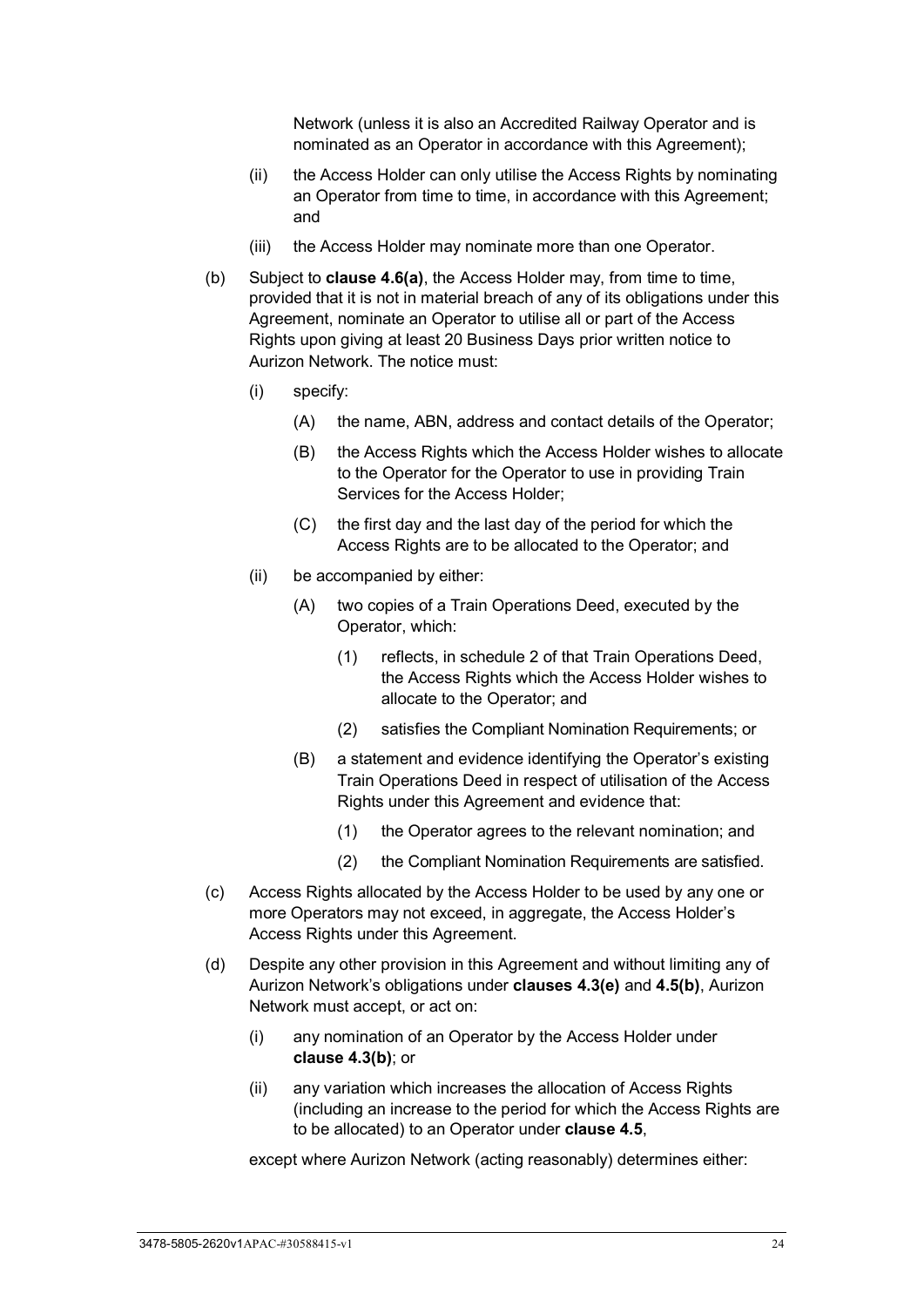Network (unless it is also an Accredited Railway Operator and is nominated as an Operator in accordance with this Agreement);

- (ii) the Access Holder can only utilise the Access Rights by nominating an Operator from time to time, in accordance with this Agreement; and
- (iii) the Access Holder may nominate more than one Operator.
- <span id="page-29-1"></span>(b) Subject to **clause [4.6\(a\)](#page-32-2)**, the Access Holder may, from time to time, provided that it is not in material breach of any of its obligations under this Agreement, nominate an Operator to utilise all or part of the Access Rights upon giving at least 20 Business Days prior written notice to Aurizon Network. The notice must:
	- (i) specify:
		- (A) the name, ABN, address and contact details of the Operator;
		- (B) the Access Rights which the Access Holder wishes to allocate to the Operator for the Operator to use in providing Train Services for the Access Holder;
		- (C) the first day and the last day of the period for which the Access Rights are to be allocated to the Operator; and
	- (ii) be accompanied by either:
		- (A) two copies of a Train Operations Deed, executed by the Operator, which:
			- (1) reflects, in schedule 2 of that Train Operations Deed, the Access Rights which the Access Holder wishes to allocate to the Operator; and
			- (2) satisfies the Compliant Nomination Requirements; or
		- (B) a statement and evidence identifying the Operator's existing Train Operations Deed in respect of utilisation of the Access Rights under this Agreement and evidence that:
			- (1) the Operator agrees to the relevant nomination; and
			- (2) the Compliant Nomination Requirements are satisfied.
- <span id="page-29-2"></span><span id="page-29-0"></span>(c) Access Rights allocated by the Access Holder to be used by any one or more Operators may not exceed, in aggregate, the Access Holder's Access Rights under this Agreement.
- (d) Despite any other provision in this Agreement and without limiting any of Aurizon Network's obligations under **clauses [4.3\(e\)](#page-30-1)** and **[4.5\(b\)](#page-31-1)**, Aurizon Network must accept, or act on:
	- (i) any nomination of an Operator by the Access Holder under **clause [4.3](#page-28-3)[\(b\)](#page-29-1)**; or
	- (ii) any variation which increases the allocation of Access Rights (including an increase to the period for which the Access Rights are to be allocated) to an Operator under **clause [4.5](#page-31-0)**,

<span id="page-29-3"></span>except where Aurizon Network (acting reasonably) determines either: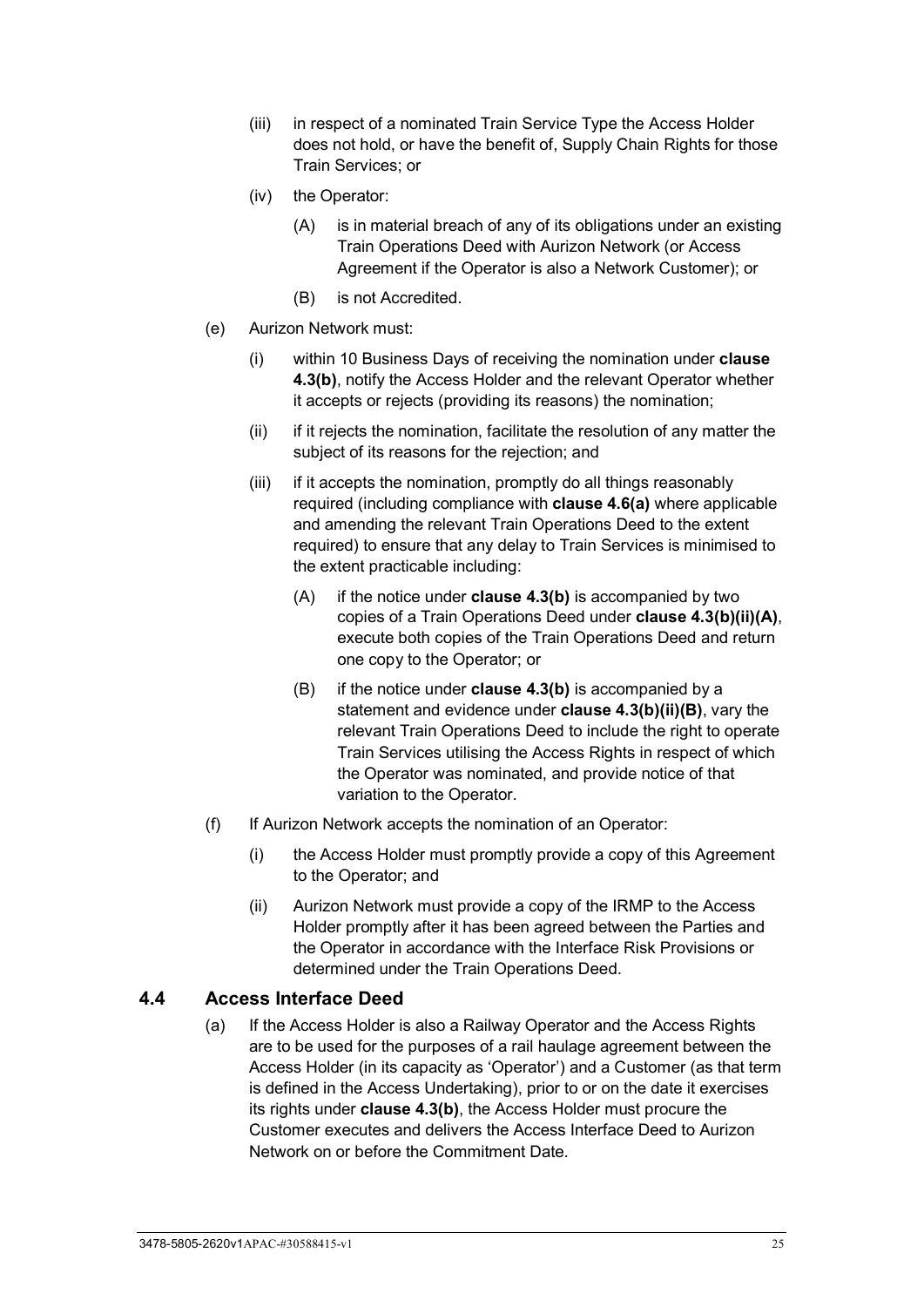- (iii) in respect of a nominated Train Service Type the Access Holder does not hold, or have the benefit of, Supply Chain Rights for those Train Services; or
- (iv) the Operator:
	- (A) is in material breach of any of its obligations under an existing Train Operations Deed with Aurizon Network (or Access Agreement if the Operator is also a Network Customer); or
	- (B) is not Accredited.
- <span id="page-30-2"></span><span id="page-30-1"></span>(e) Aurizon Network must:
	- (i) within 10 Business Days of receiving the nomination under **clause [4.3](#page-28-3)[\(b\)](#page-29-1)**, notify the Access Holder and the relevant Operator whether it accepts or rejects (providing its reasons) the nomination;
	- (ii) if it rejects the nomination, facilitate the resolution of any matter the subject of its reasons for the rejection; and
	- (iii) if it accepts the nomination, promptly do all things reasonably required (including compliance with **clause [4.6\(a\)](#page-32-2)** where applicable and amending the relevant Train Operations Deed to the extent required) to ensure that any delay to Train Services is minimised to the extent practicable including:
		- (A) if the notice under **clause [4.3\(b\)](#page-29-1)** is accompanied by two copies of a Train Operations Deed under **clause [4.3\(b\)\(ii\)\(A\)](#page-29-2)**, execute both copies of the Train Operations Deed and return one copy to the Operator; or
		- (B) if the notice under **clause [4.3\(b\)](#page-29-1)** is accompanied by a statement and evidence under **clause [4.3\(b\)\(ii\)\(B\)](#page-29-0)**, vary the relevant Train Operations Deed to include the right to operate Train Services utilising the Access Rights in respect of which the Operator was nominated, and provide notice of that variation to the Operator.
- (f) If Aurizon Network accepts the nomination of an Operator:
	- (i) the Access Holder must promptly provide a copy of this Agreement to the Operator; and
	- (ii) Aurizon Network must provide a copy of the IRMP to the Access Holder promptly after it has been agreed between the Parties and the Operator in accordance with the Interface Risk Provisions or determined under the Train Operations Deed.

# <span id="page-30-0"></span>**4.4 Access Interface Deed**

(a) If the Access Holder is also a Railway Operator and the Access Rights are to be used for the purposes of a rail haulage agreement between the Access Holder (in its capacity as 'Operator') and a Customer (as that term is defined in the Access Undertaking), prior to or on the date it exercises its rights under **clause [4.3\(b\)](#page-29-1)**, the Access Holder must procure the Customer executes and delivers the Access Interface Deed to Aurizon Network on or before the Commitment Date.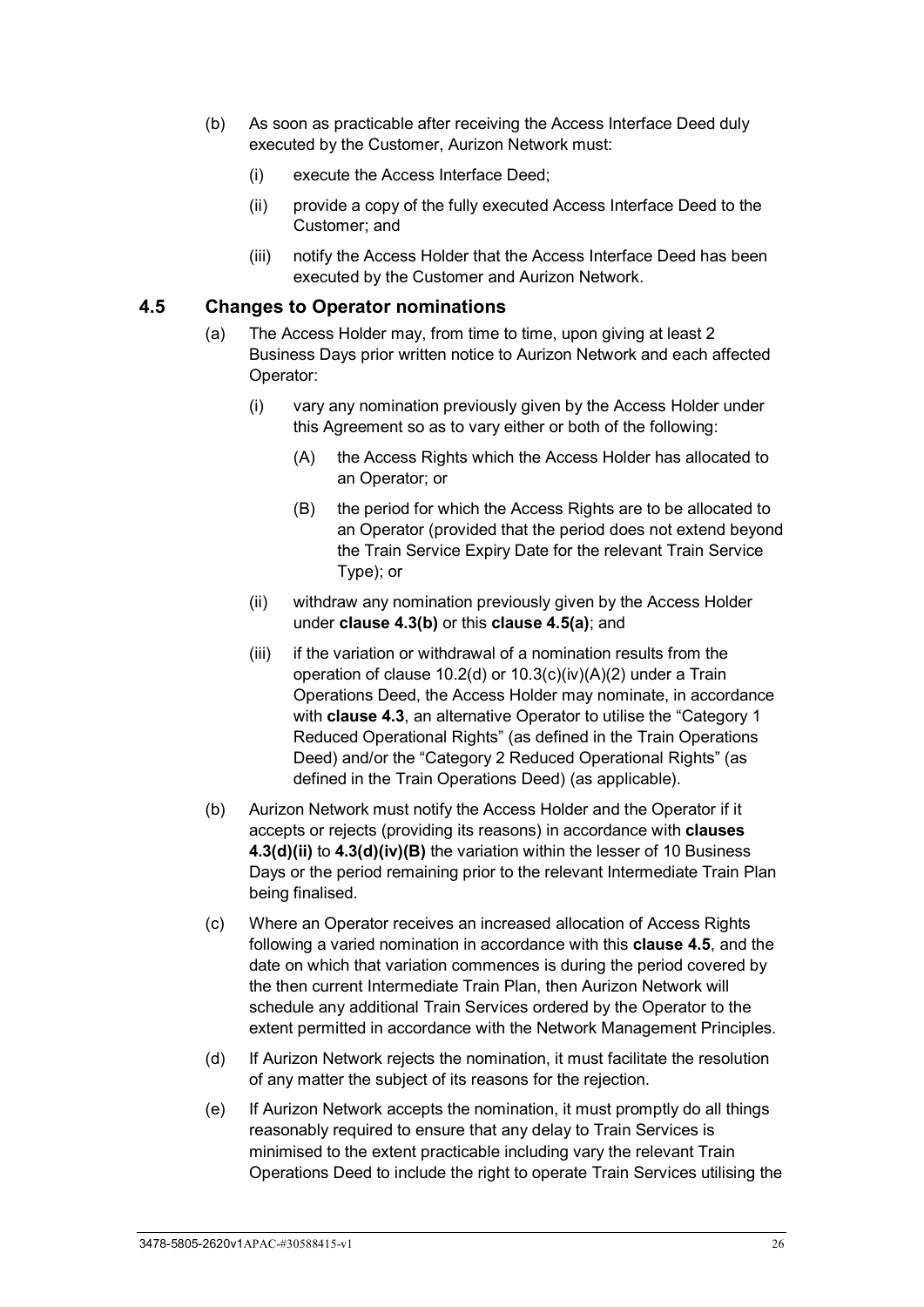- (b) As soon as practicable after receiving the Access Interface Deed duly executed by the Customer, Aurizon Network must:
	- (i) execute the Access Interface Deed;
	- (ii) provide a copy of the fully executed Access Interface Deed to the Customer; and
	- (iii) notify the Access Holder that the Access Interface Deed has been executed by the Customer and Aurizon Network.

## <span id="page-31-2"></span><span id="page-31-0"></span>**4.5 Changes to Operator nominations**

- (a) The Access Holder may, from time to time, upon giving at least 2 Business Days prior written notice to Aurizon Network and each affected Operator:
	- (i) vary any nomination previously given by the Access Holder under this Agreement so as to vary either or both of the following:
		- (A) the Access Rights which the Access Holder has allocated to an Operator; or
		- (B) the period for which the Access Rights are to be allocated to an Operator (provided that the period does not extend beyond the Train Service Expiry Date for the relevant Train Service Type); or
	- (ii) withdraw any nomination previously given by the Access Holder under **clause [4.3\(b\)](#page-29-1)** or this **clause [4.5\(a\)](#page-31-2)**; and
	- (iii) if the variation or withdrawal of a nomination results from the operation of clause 10.2(d) or 10.3(c)(iv)(A)(2) under a Train Operations Deed, the Access Holder may nominate, in accordance with **clause [4.3](#page-28-3)**, an alternative Operator to utilise the "Category 1 Reduced Operational Rights" (as defined in the Train Operations Deed) and/or the "Category 2 Reduced Operational Rights" (as defined in the Train Operations Deed) (as applicable).
- <span id="page-31-1"></span>(b) Aurizon Network must notify the Access Holder and the Operator if it accepts or rejects (providing its reasons) in accordance with **clauses [4.3\(d\)\(ii\)](#page-29-3)** to **[4.3\(d\)\(iv\)\(B\)](#page-30-2)** the variation within the lesser of 10 Business Days or the period remaining prior to the relevant Intermediate Train Plan being finalised.
- (c) Where an Operator receives an increased allocation of Access Rights following a varied nomination in accordance with this **clause [4.5](#page-31-0)**, and the date on which that variation commences is during the period covered by the then current Intermediate Train Plan, then Aurizon Network will schedule any additional Train Services ordered by the Operator to the extent permitted in accordance with the Network Management Principles.
- (d) If Aurizon Network rejects the nomination, it must facilitate the resolution of any matter the subject of its reasons for the rejection.
- (e) If Aurizon Network accepts the nomination, it must promptly do all things reasonably required to ensure that any delay to Train Services is minimised to the extent practicable including vary the relevant Train Operations Deed to include the right to operate Train Services utilising the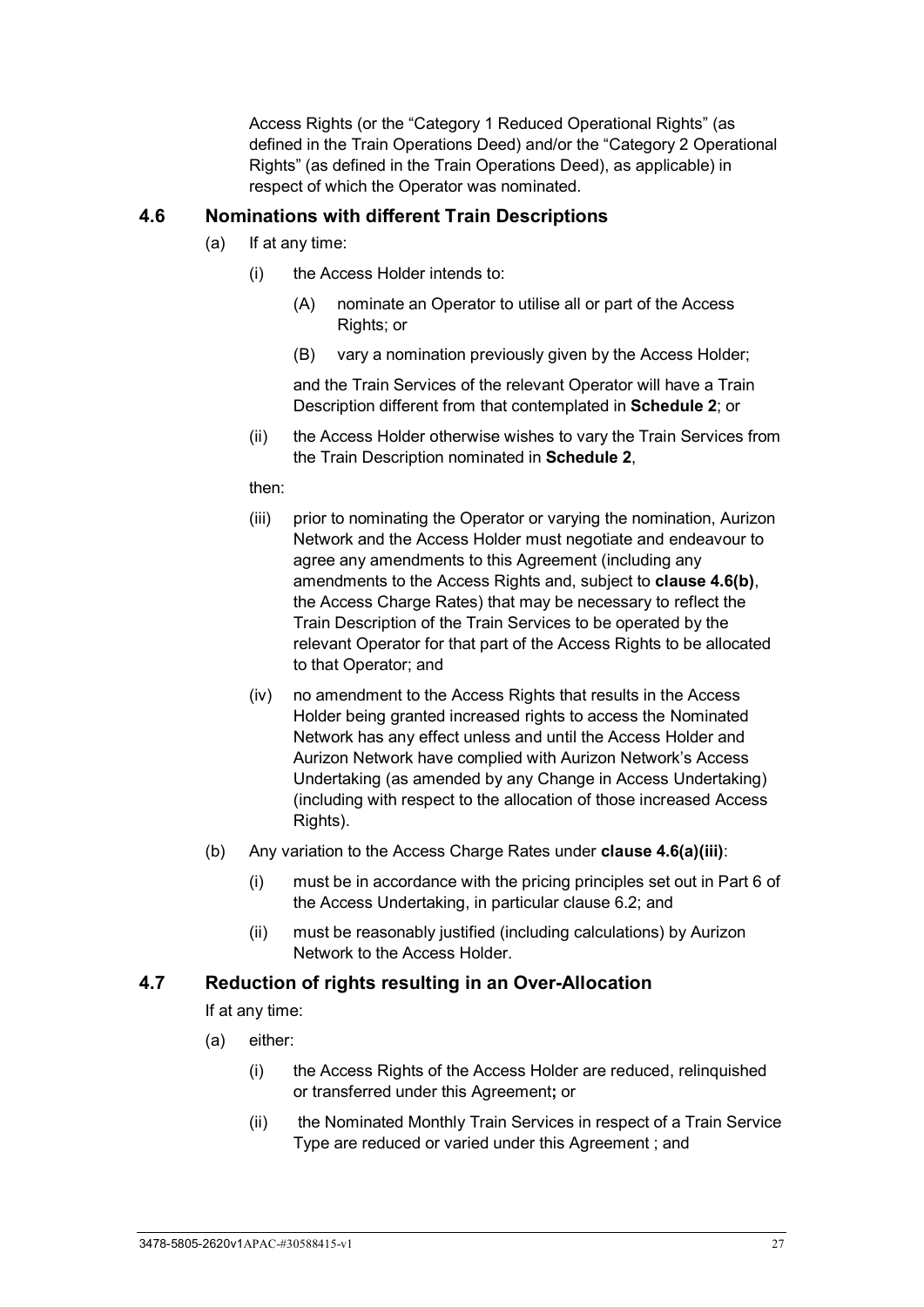Access Rights (or the "Category 1 Reduced Operational Rights" (as defined in the Train Operations Deed) and/or the "Category 2 Operational Rights" (as defined in the Train Operations Deed), as applicable) in respect of which the Operator was nominated.

## <span id="page-32-2"></span><span id="page-32-0"></span>**4.6 Nominations with different Train Descriptions**

- (a) If at any time:
	- (i) the Access Holder intends to:
		- (A) nominate an Operator to utilise all or part of the Access Rights; or
		- (B) vary a nomination previously given by the Access Holder;

and the Train Services of the relevant Operator will have a Train Description different from that contemplated in **[Schedule 2](#page-99-0)**; or

(ii) the Access Holder otherwise wishes to vary the Train Services from the Train Description nominated in **[Schedule 2](#page-99-0)**,

#### then:

- <span id="page-32-4"></span>(iii) prior to nominating the Operator or varying the nomination, Aurizon Network and the Access Holder must negotiate and endeavour to agree any amendments to this Agreement (including any amendments to the Access Rights and, subject to **clause [4.6\(b\)](#page-32-3)**, the Access Charge Rates) that may be necessary to reflect the Train Description of the Train Services to be operated by the relevant Operator for that part of the Access Rights to be allocated to that Operator; and
- (iv) no amendment to the Access Rights that results in the Access Holder being granted increased rights to access the Nominated Network has any effect unless and until the Access Holder and Aurizon Network have complied with Aurizon Network's Access Undertaking (as amended by any Change in Access Undertaking) (including with respect to the allocation of those increased Access Rights).
- <span id="page-32-3"></span>(b) Any variation to the Access Charge Rates under **clause [4.6\(a\)\(iii\)](#page-32-4)**:
	- (i) must be in accordance with the pricing principles set out in Part 6 of the Access Undertaking, in particular clause 6.2; and
	- (ii) must be reasonably justified (including calculations) by Aurizon Network to the Access Holder.

## <span id="page-32-1"></span>**4.7 Reduction of rights resulting in an Over-Allocation**

If at any time:

- (a) either:
	- (i) the Access Rights of the Access Holder are reduced, relinquished or transferred under this Agreement**;** or
	- (ii) the Nominated Monthly Train Services in respect of a Train Service Type are reduced or varied under this Agreement ; and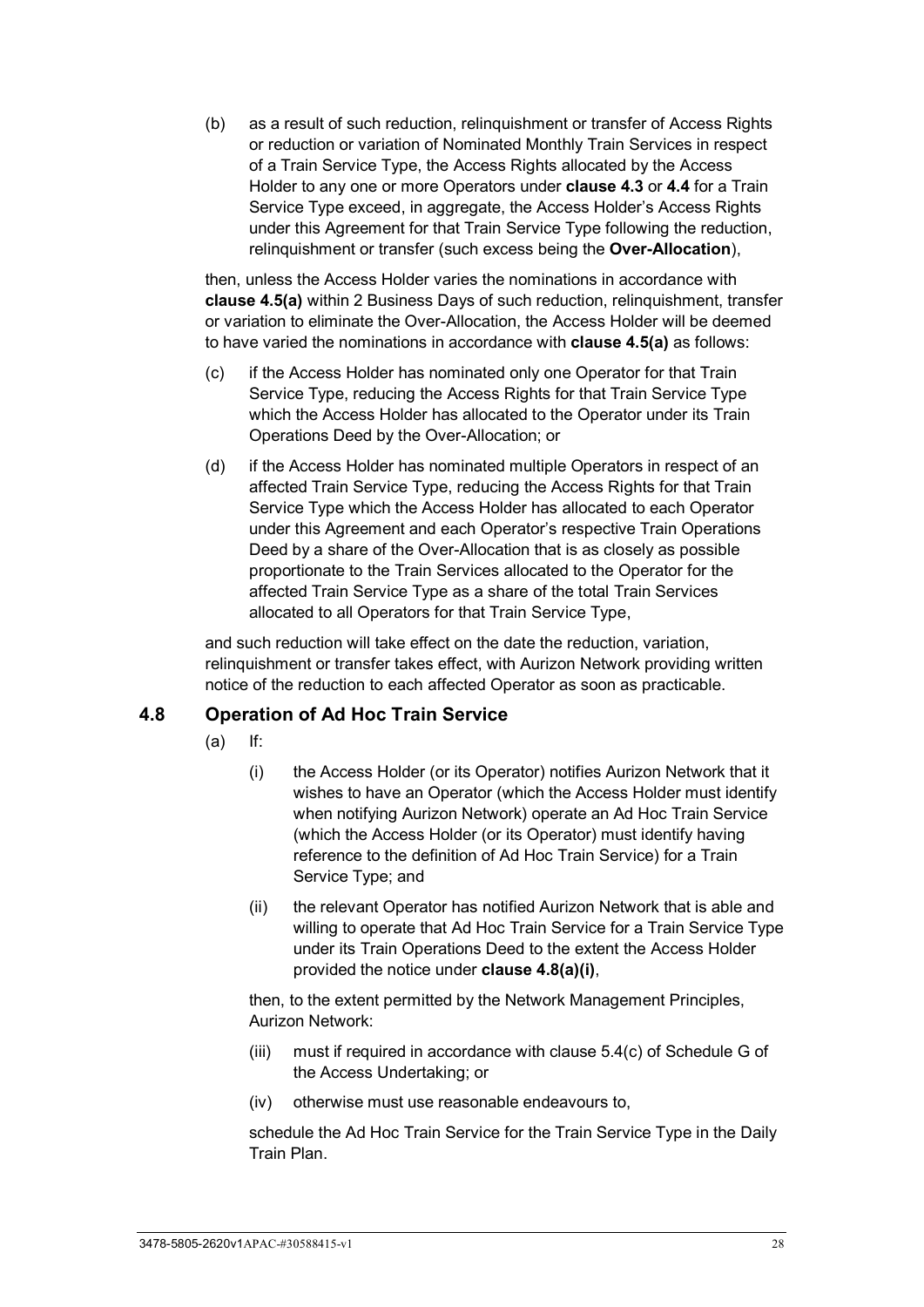<span id="page-33-1"></span>(b) as a result of such reduction, relinquishment or transfer of Access Rights or reduction or variation of Nominated Monthly Train Services in respect of a Train Service Type, the Access Rights allocated by the Access Holder to any one or more Operators under **clause [4.3](#page-28-3)** or **[4.4](#page-30-0)** for a Train Service Type exceed, in aggregate, the Access Holder's Access Rights under this Agreement for that Train Service Type following the reduction, relinquishment or transfer (such excess being the **Over-Allocation**),

then, unless the Access Holder varies the nominations in accordance with **clause [4.5\(a\)](#page-31-2)** within 2 Business Days of such reduction, relinquishment, transfer or variation to eliminate the Over-Allocation, the Access Holder will be deemed to have varied the nominations in accordance with **clause [4.5\(a\)](#page-31-2)** as follows:

- (c) if the Access Holder has nominated only one Operator for that Train Service Type, reducing the Access Rights for that Train Service Type which the Access Holder has allocated to the Operator under its Train Operations Deed by the Over-Allocation; or
- (d) if the Access Holder has nominated multiple Operators in respect of an affected Train Service Type, reducing the Access Rights for that Train Service Type which the Access Holder has allocated to each Operator under this Agreement and each Operator's respective Train Operations Deed by a share of the Over-Allocation that is as closely as possible proportionate to the Train Services allocated to the Operator for the affected Train Service Type as a share of the total Train Services allocated to all Operators for that Train Service Type,

and such reduction will take effect on the date the reduction, variation, relinquishment or transfer takes effect, with Aurizon Network providing written notice of the reduction to each affected Operator as soon as practicable.

# <span id="page-33-2"></span><span id="page-33-0"></span>**4.8 Operation of Ad Hoc Train Service**

- (a) If:
	- (i) the Access Holder (or its Operator) notifies Aurizon Network that it wishes to have an Operator (which the Access Holder must identify when notifying Aurizon Network) operate an Ad Hoc Train Service (which the Access Holder (or its Operator) must identify having reference to the definition of Ad Hoc Train Service) for a Train Service Type; and
	- (ii) the relevant Operator has notified Aurizon Network that is able and willing to operate that Ad Hoc Train Service for a Train Service Type under its Train Operations Deed to the extent the Access Holder provided the notice under **clause [4.8\(a\)\(i\)](#page-33-2)**,

then, to the extent permitted by the Network Management Principles, Aurizon Network:

- (iii) must if required in accordance with clause 5.4(c) of Schedule G of the Access Undertaking; or
- (iv) otherwise must use reasonable endeavours to,

schedule the Ad Hoc Train Service for the Train Service Type in the Daily Train Plan.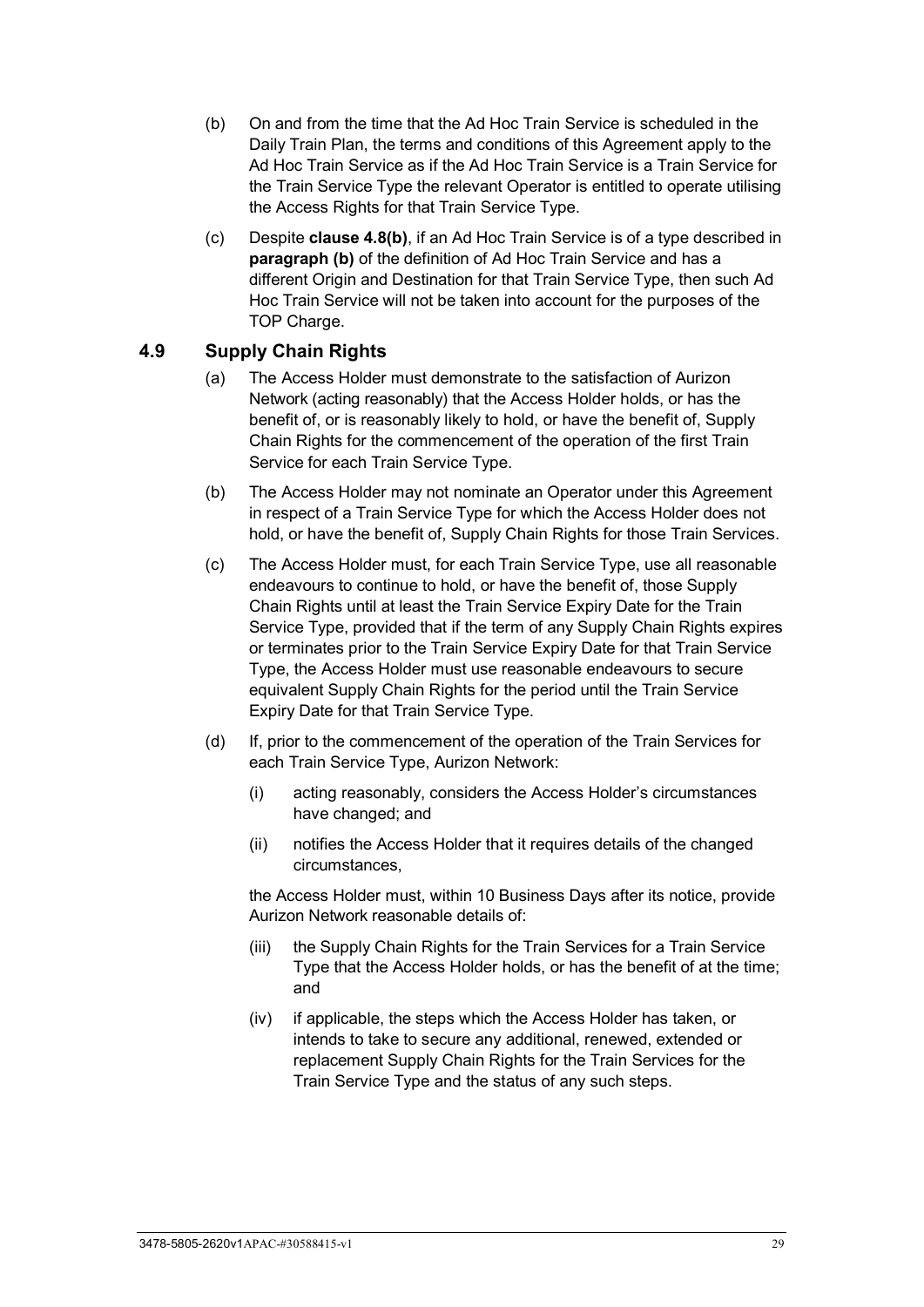- <span id="page-34-1"></span>(b) On and from the time that the Ad Hoc Train Service is scheduled in the Daily Train Plan, the terms and conditions of this Agreement apply to the Ad Hoc Train Service as if the Ad Hoc Train Service is a Train Service for the Train Service Type the relevant Operator is entitled to operate utilising the Access Rights for that Train Service Type.
- (c) Despite **clause [4.8\(b\)](#page-34-1)**, if an Ad Hoc Train Service is of a type described in **paragraph (b)** of the definition of Ad Hoc Train Service and has a different Origin and Destination for that Train Service Type, then such Ad Hoc Train Service will not be taken into account for the purposes of the TOP Charge.

## <span id="page-34-0"></span>**4.9 Supply Chain Rights**

- (a) The Access Holder must demonstrate to the satisfaction of Aurizon Network (acting reasonably) that the Access Holder holds, or has the benefit of, or is reasonably likely to hold, or have the benefit of, Supply Chain Rights for the commencement of the operation of the first Train Service for each Train Service Type.
- (b) The Access Holder may not nominate an Operator under this Agreement in respect of a Train Service Type for which the Access Holder does not hold, or have the benefit of, Supply Chain Rights for those Train Services.
- (c) The Access Holder must, for each Train Service Type, use all reasonable endeavours to continue to hold, or have the benefit of, those Supply Chain Rights until at least the Train Service Expiry Date for the Train Service Type, provided that if the term of any Supply Chain Rights expires or terminates prior to the Train Service Expiry Date for that Train Service Type, the Access Holder must use reasonable endeavours to secure equivalent Supply Chain Rights for the period until the Train Service Expiry Date for that Train Service Type.
- (d) If, prior to the commencement of the operation of the Train Services for each Train Service Type, Aurizon Network:
	- (i) acting reasonably, considers the Access Holder's circumstances have changed; and
	- (ii) notifies the Access Holder that it requires details of the changed circumstances,

the Access Holder must, within 10 Business Days after its notice, provide Aurizon Network reasonable details of:

- (iii) the Supply Chain Rights for the Train Services for a Train Service Type that the Access Holder holds, or has the benefit of at the time; and
- (iv) if applicable, the steps which the Access Holder has taken, or intends to take to secure any additional, renewed, extended or replacement Supply Chain Rights for the Train Services for the Train Service Type and the status of any such steps.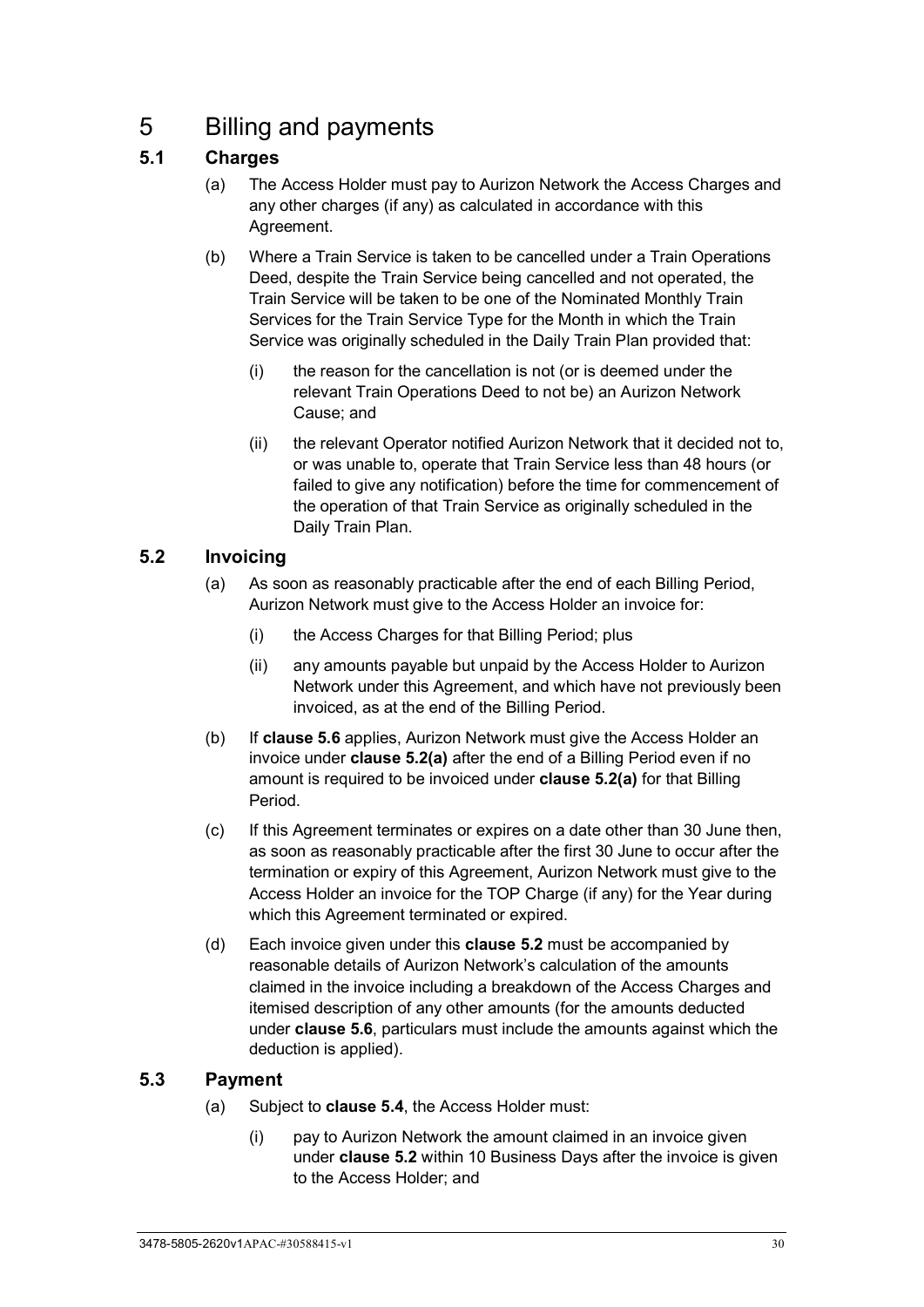# <span id="page-35-0"></span>5 Billing and payments

# <span id="page-35-1"></span>**5.1 Charges**

- (a) The Access Holder must pay to Aurizon Network the Access Charges and any other charges (if any) as calculated in accordance with this Agreement.
- (b) Where a Train Service is taken to be cancelled under a Train Operations Deed, despite the Train Service being cancelled and not operated, the Train Service will be taken to be one of the Nominated Monthly Train Services for the Train Service Type for the Month in which the Train Service was originally scheduled in the Daily Train Plan provided that:
	- (i) the reason for the cancellation is not (or is deemed under the relevant Train Operations Deed to not be) an Aurizon Network Cause; and
	- (ii) the relevant Operator notified Aurizon Network that it decided not to, or was unable to, operate that Train Service less than 48 hours (or failed to give any notification) before the time for commencement of the operation of that Train Service as originally scheduled in the Daily Train Plan.

# <span id="page-35-4"></span><span id="page-35-2"></span>**5.2 Invoicing**

- (a) As soon as reasonably practicable after the end of each Billing Period, Aurizon Network must give to the Access Holder an invoice for:
	- (i) the Access Charges for that Billing Period; plus
	- (ii) any amounts payable but unpaid by the Access Holder to Aurizon Network under this Agreement, and which have not previously been invoiced, as at the end of the Billing Period.
- (b) If **clause [5.6](#page-37-1)** applies, Aurizon Network must give the Access Holder an invoice under **clause [5.2\(a\)](#page-35-4)** after the end of a Billing Period even if no amount is required to be invoiced under **clause [5.2\(a\)](#page-35-4)** for that Billing Period.
- (c) If this Agreement terminates or expires on a date other than 30 June then, as soon as reasonably practicable after the first 30 June to occur after the termination or expiry of this Agreement, Aurizon Network must give to the Access Holder an invoice for the TOP Charge (if any) for the Year during which this Agreement terminated or expired.
- (d) Each invoice given under this **clause [5.2](#page-35-2)** must be accompanied by reasonable details of Aurizon Network's calculation of the amounts claimed in the invoice including a breakdown of the Access Charges and itemised description of any other amounts (for the amounts deducted under **clause [5.6](#page-37-1)**, particulars must include the amounts against which the deduction is applied).

# <span id="page-35-3"></span>**5.3 Payment**

- (a) Subject to **clause [5.4](#page-36-0)**, the Access Holder must:
	- (i) pay to Aurizon Network the amount claimed in an invoice given under **clause [5.2](#page-35-2)** within 10 Business Days after the invoice is given to the Access Holder; and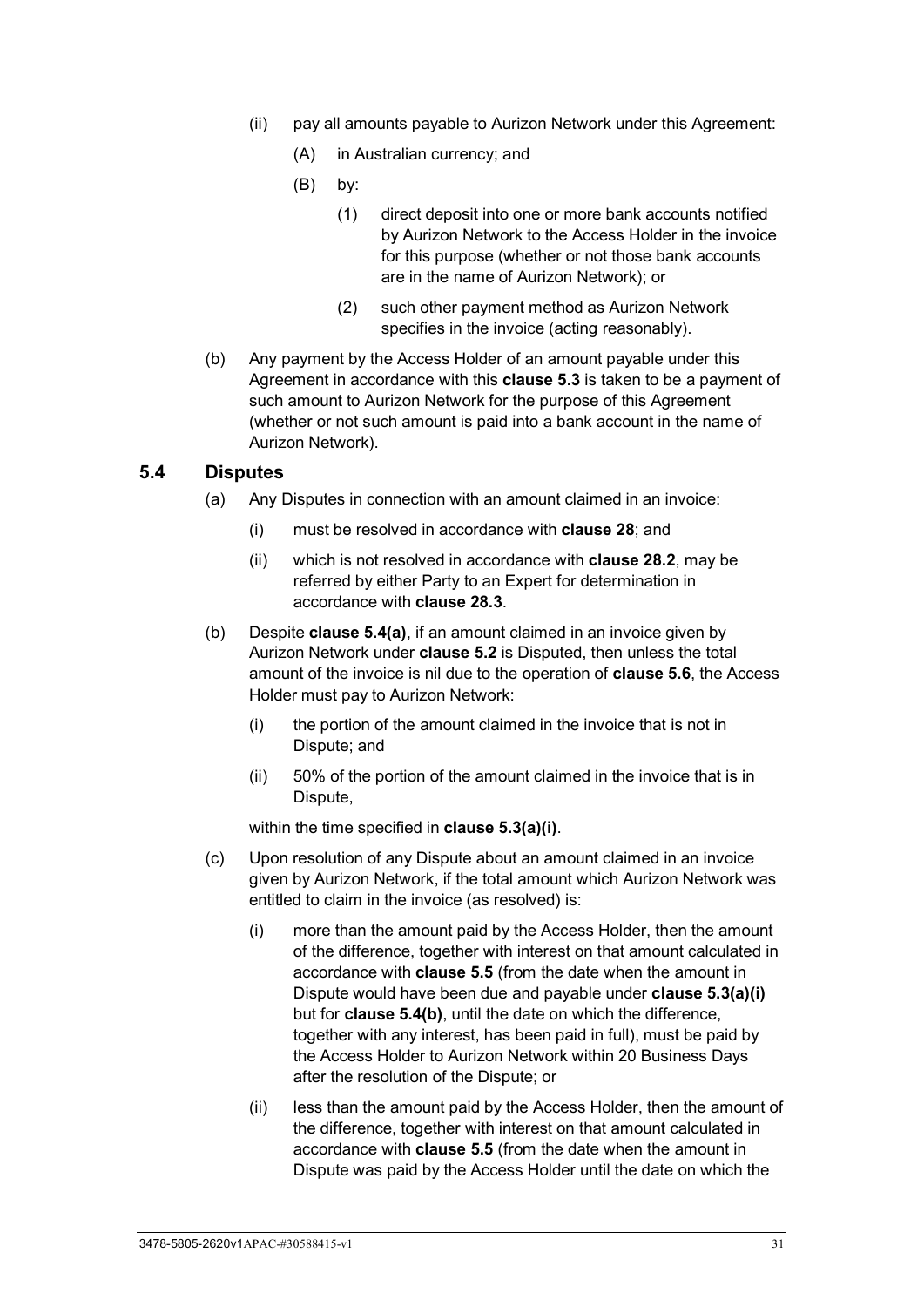- (ii) pay all amounts payable to Aurizon Network under this Agreement:
	- (A) in Australian currency; and
	- (B) by:
		- (1) direct deposit into one or more bank accounts notified by Aurizon Network to the Access Holder in the invoice for this purpose (whether or not those bank accounts are in the name of Aurizon Network); or
		- (2) such other payment method as Aurizon Network specifies in the invoice (acting reasonably).
- (b) Any payment by the Access Holder of an amount payable under this Agreement in accordance with this **clause [5.3](#page-35-0)** is taken to be a payment of such amount to Aurizon Network for the purpose of this Agreement (whether or not such amount is paid into a bank account in the name of Aurizon Network).

#### <span id="page-36-4"></span><span id="page-36-0"></span>**5.4 Disputes**

- (a) Any Disputes in connection with an amount claimed in an invoice:
	- (i) must be resolved in accordance with **clause [28](#page-70-0)**; and
	- (ii) which is not resolved in accordance with **clause [28.2](#page-70-1)**, may be referred by either Party to an Expert for determination in accordance with **clause [28.3](#page-71-0)**.
- <span id="page-36-1"></span>(b) Despite **clause [5.4\(a\)](#page-36-0)**, if an amount claimed in an invoice given by Aurizon Network under **clause [5.2](#page-35-1)** is Disputed, then unless the total amount of the invoice is nil due to the operation of **clause [5.6](#page-37-0)**, the Access Holder must pay to Aurizon Network:
	- (i) the portion of the amount claimed in the invoice that is not in Dispute; and
	- (ii) 50% of the portion of the amount claimed in the invoice that is in Dispute,

within the time specified in **clause [5.3\(a\)\(i\)](#page-35-2)**.

- <span id="page-36-3"></span><span id="page-36-2"></span>(c) Upon resolution of any Dispute about an amount claimed in an invoice given by Aurizon Network, if the total amount which Aurizon Network was entitled to claim in the invoice (as resolved) is:
	- (i) more than the amount paid by the Access Holder, then the amount of the difference, together with interest on that amount calculated in accordance with **clause [5.5](#page-37-1)** (from the date when the amount in Dispute would have been due and payable under **clause [5.3\(a\)\(i\)](#page-35-2)** but for **clause [5.4\(b\)](#page-36-1)**, until the date on which the difference, together with any interest, has been paid in full), must be paid by the Access Holder to Aurizon Network within 20 Business Days after the resolution of the Dispute; or
	- (ii) less than the amount paid by the Access Holder, then the amount of the difference, together with interest on that amount calculated in accordance with **clause [5.5](#page-37-1)** (from the date when the amount in Dispute was paid by the Access Holder until the date on which the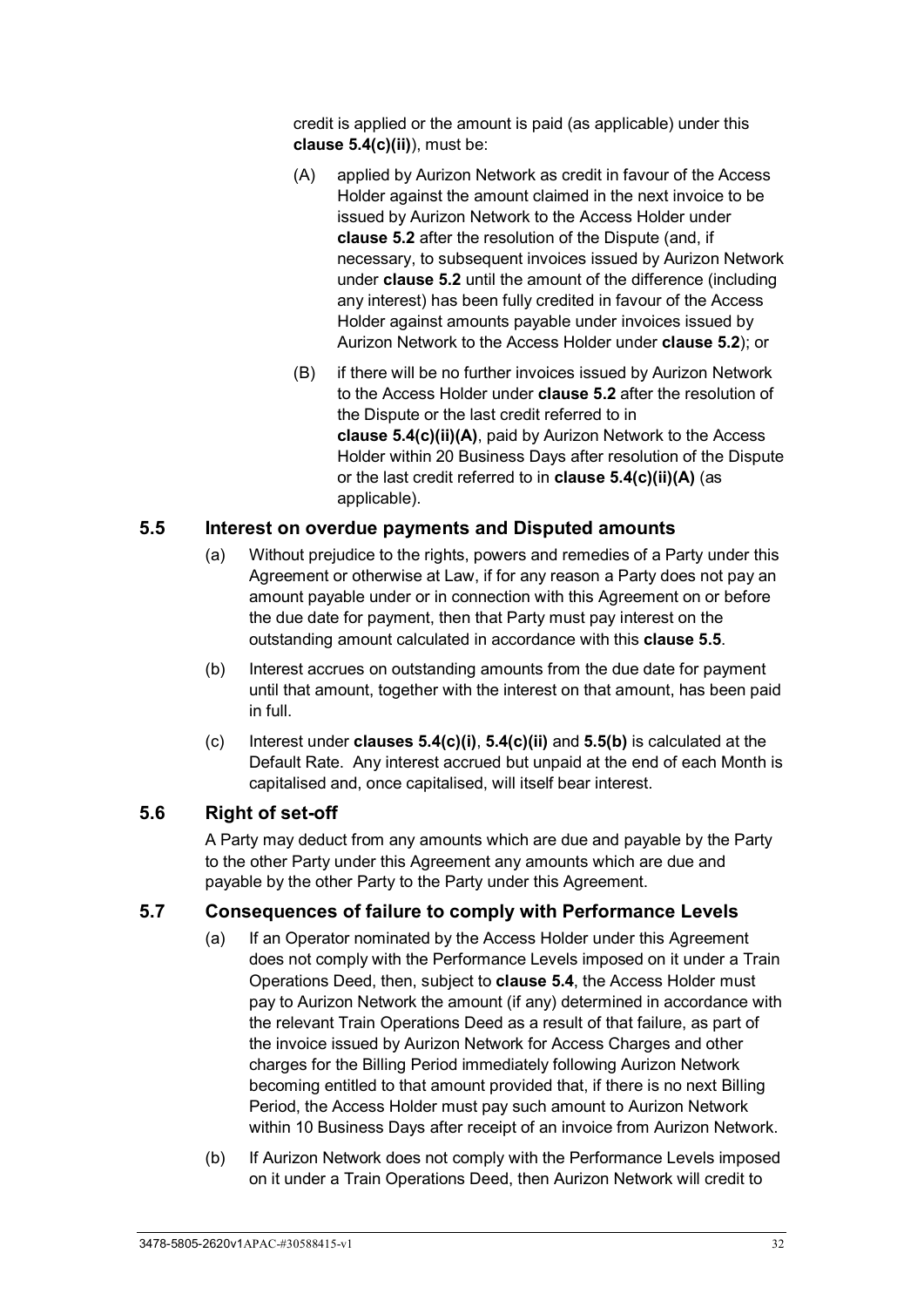credit is applied or the amount is paid (as applicable) under this **clause [5.4\(c\)\(ii\)](#page-36-2)**), must be:

- <span id="page-37-2"></span>(A) applied by Aurizon Network as credit in favour of the Access Holder against the amount claimed in the next invoice to be issued by Aurizon Network to the Access Holder under **clause [5.2](#page-35-1)** after the resolution of the Dispute (and, if necessary, to subsequent invoices issued by Aurizon Network under **clause [5.2](#page-35-1)** until the amount of the difference (including any interest) has been fully credited in favour of the Access Holder against amounts payable under invoices issued by Aurizon Network to the Access Holder under **clause [5.2](#page-35-1)**); or
- (B) if there will be no further invoices issued by Aurizon Network to the Access Holder under **clause [5.2](#page-35-1)** after the resolution of the Dispute or the last credit referred to in **clause [5.4\(c\)\(ii\)\(A\)](#page-37-2)**, paid by Aurizon Network to the Access Holder within 20 Business Days after resolution of the Dispute or the last credit referred to in **clause [5.4\(c\)\(ii\)\(A\)](#page-37-2)** (as applicable).

### <span id="page-37-1"></span>**5.5 Interest on overdue payments and Disputed amounts**

- (a) Without prejudice to the rights, powers and remedies of a Party under this Agreement or otherwise at Law, if for any reason a Party does not pay an amount payable under or in connection with this Agreement on or before the due date for payment, then that Party must pay interest on the outstanding amount calculated in accordance with this **clause [5.5](#page-37-1)**.
- <span id="page-37-3"></span>(b) Interest accrues on outstanding amounts from the due date for payment until that amount, together with the interest on that amount, has been paid in full.
- (c) Interest under **clauses [5.4\(c\)\(i\)](#page-36-3)**, **[5.4\(c\)\(ii\)](#page-36-2)** and **[5.5\(b\)](#page-37-3)** is calculated at the Default Rate. Any interest accrued but unpaid at the end of each Month is capitalised and, once capitalised, will itself bear interest.

#### <span id="page-37-0"></span>**5.6 Right of set-off**

A Party may deduct from any amounts which are due and payable by the Party to the other Party under this Agreement any amounts which are due and payable by the other Party to the Party under this Agreement.

#### **5.7 Consequences of failure to comply with Performance Levels**

- (a) If an Operator nominated by the Access Holder under this Agreement does not comply with the Performance Levels imposed on it under a Train Operations Deed, then, subject to **clause [5.4](#page-36-4)**, the Access Holder must pay to Aurizon Network the amount (if any) determined in accordance with the relevant Train Operations Deed as a result of that failure, as part of the invoice issued by Aurizon Network for Access Charges and other charges for the Billing Period immediately following Aurizon Network becoming entitled to that amount provided that, if there is no next Billing Period, the Access Holder must pay such amount to Aurizon Network within 10 Business Days after receipt of an invoice from Aurizon Network.
- <span id="page-37-4"></span>(b) If Aurizon Network does not comply with the Performance Levels imposed on it under a Train Operations Deed, then Aurizon Network will credit to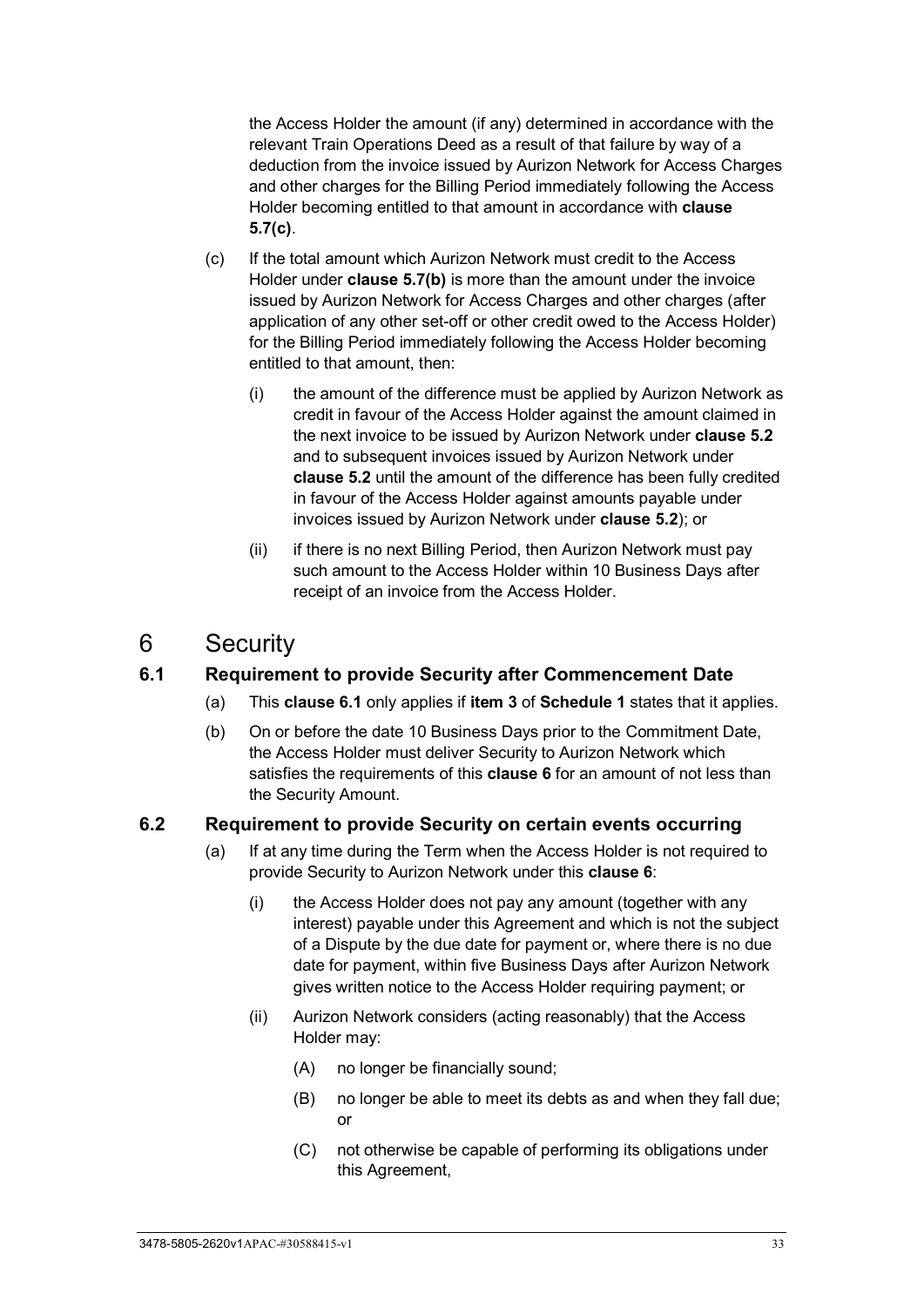the Access Holder the amount (if any) determined in accordance with the relevant Train Operations Deed as a result of that failure by way of a deduction from the invoice issued by Aurizon Network for Access Charges and other charges for the Billing Period immediately following the Access Holder becoming entitled to that amount in accordance with **clause [5.7\(c\)](#page-38-0)**.

- <span id="page-38-0"></span>(c) If the total amount which Aurizon Network must credit to the Access Holder under **clause [5.7\(b\)](#page-37-4)** is more than the amount under the invoice issued by Aurizon Network for Access Charges and other charges (after application of any other set-off or other credit owed to the Access Holder) for the Billing Period immediately following the Access Holder becoming entitled to that amount, then:
	- (i) the amount of the difference must be applied by Aurizon Network as credit in favour of the Access Holder against the amount claimed in the next invoice to be issued by Aurizon Network under **clause [5.2](#page-35-1)** and to subsequent invoices issued by Aurizon Network under **clause [5.2](#page-35-1)** until the amount of the difference has been fully credited in favour of the Access Holder against amounts payable under invoices issued by Aurizon Network under **clause [5.2](#page-35-1)**); or
	- (ii) if there is no next Billing Period, then Aurizon Network must pay such amount to the Access Holder within 10 Business Days after receipt of an invoice from the Access Holder.

## <span id="page-38-2"></span>6 Security

## <span id="page-38-1"></span>**6.1 Requirement to provide Security after Commencement Date**

- (a) This **clause [6.1](#page-38-1)** only applies if **item [3](#page-97-0)** of **[Schedule 1](#page-97-1)** states that it applies.
- (b) On or before the date 10 Business Days prior to the Commitment Date, the Access Holder must deliver Security to Aurizon Network which satisfies the requirements of this **clause [6](#page-38-2)** for an amount of not less than the Security Amount.

#### **6.2 Requirement to provide Security on certain events occurring**

- <span id="page-38-3"></span>(a) If at any time during the Term when the Access Holder is not required to provide Security to Aurizon Network under this **clause [6](#page-38-2)**:
	- (i) the Access Holder does not pay any amount (together with any interest) payable under this Agreement and which is not the subject of a Dispute by the due date for payment or, where there is no due date for payment, within five Business Days after Aurizon Network gives written notice to the Access Holder requiring payment; or
	- (ii) Aurizon Network considers (acting reasonably) that the Access Holder may:
		- (A) no longer be financially sound;
		- (B) no longer be able to meet its debts as and when they fall due; or
		- (C) not otherwise be capable of performing its obligations under this Agreement,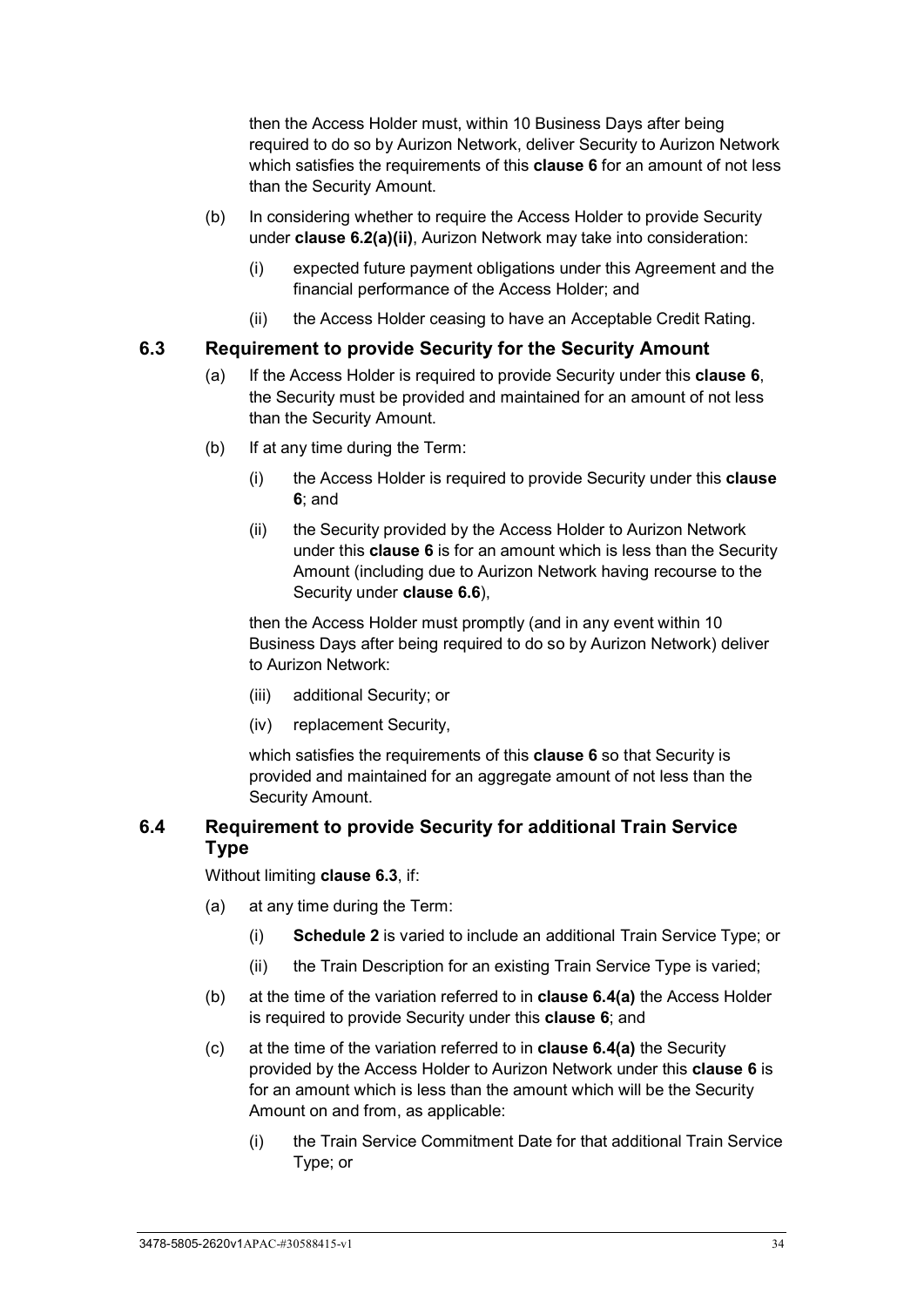then the Access Holder must, within 10 Business Days after being required to do so by Aurizon Network, deliver Security to Aurizon Network which satisfies the requirements of this **clause [6](#page-38-2)** for an amount of not less than the Security Amount.

- (b) In considering whether to require the Access Holder to provide Security under **clause [6.2\(a\)\(ii\)](#page-38-3)**, Aurizon Network may take into consideration:
	- (i) expected future payment obligations under this Agreement and the financial performance of the Access Holder; and
	- (ii) the Access Holder ceasing to have an Acceptable Credit Rating.

#### <span id="page-39-0"></span>**6.3 Requirement to provide Security for the Security Amount**

- (a) If the Access Holder is required to provide Security under this **clause [6](#page-38-2)**, the Security must be provided and maintained for an amount of not less than the Security Amount.
- (b) If at any time during the Term:
	- (i) the Access Holder is required to provide Security under this **clause [6](#page-38-2)**; and
	- (ii) the Security provided by the Access Holder to Aurizon Network under this **clause [6](#page-38-2)** is for an amount which is less than the Security Amount (including due to Aurizon Network having recourse to the Security under **clause [6.6](#page-40-0)**),

then the Access Holder must promptly (and in any event within 10 Business Days after being required to do so by Aurizon Network) deliver to Aurizon Network:

- (iii) additional Security; or
- (iv) replacement Security,

which satisfies the requirements of this **clause [6](#page-38-2)** so that Security is provided and maintained for an aggregate amount of not less than the Security Amount.

#### <span id="page-39-3"></span>**6.4 Requirement to provide Security for additional Train Service Type**

Without limiting **clause [6.3](#page-39-0)**, if:

- <span id="page-39-1"></span>(a) at any time during the Term:
	- (i) **[Schedule 2](#page-99-0)** is varied to include an additional Train Service Type; or
	- (ii) the Train Description for an existing Train Service Type is varied;
- (b) at the time of the variation referred to in **clause [6.4\(a\)](#page-39-1)** the Access Holder is required to provide Security under this **clause [6](#page-38-2)**; and
- <span id="page-39-2"></span>(c) at the time of the variation referred to in **clause [6.4\(a\)](#page-39-1)** the Security provided by the Access Holder to Aurizon Network under this **clause [6](#page-38-2)** is for an amount which is less than the amount which will be the Security Amount on and from, as applicable:
	- (i) the Train Service Commitment Date for that additional Train Service Type; or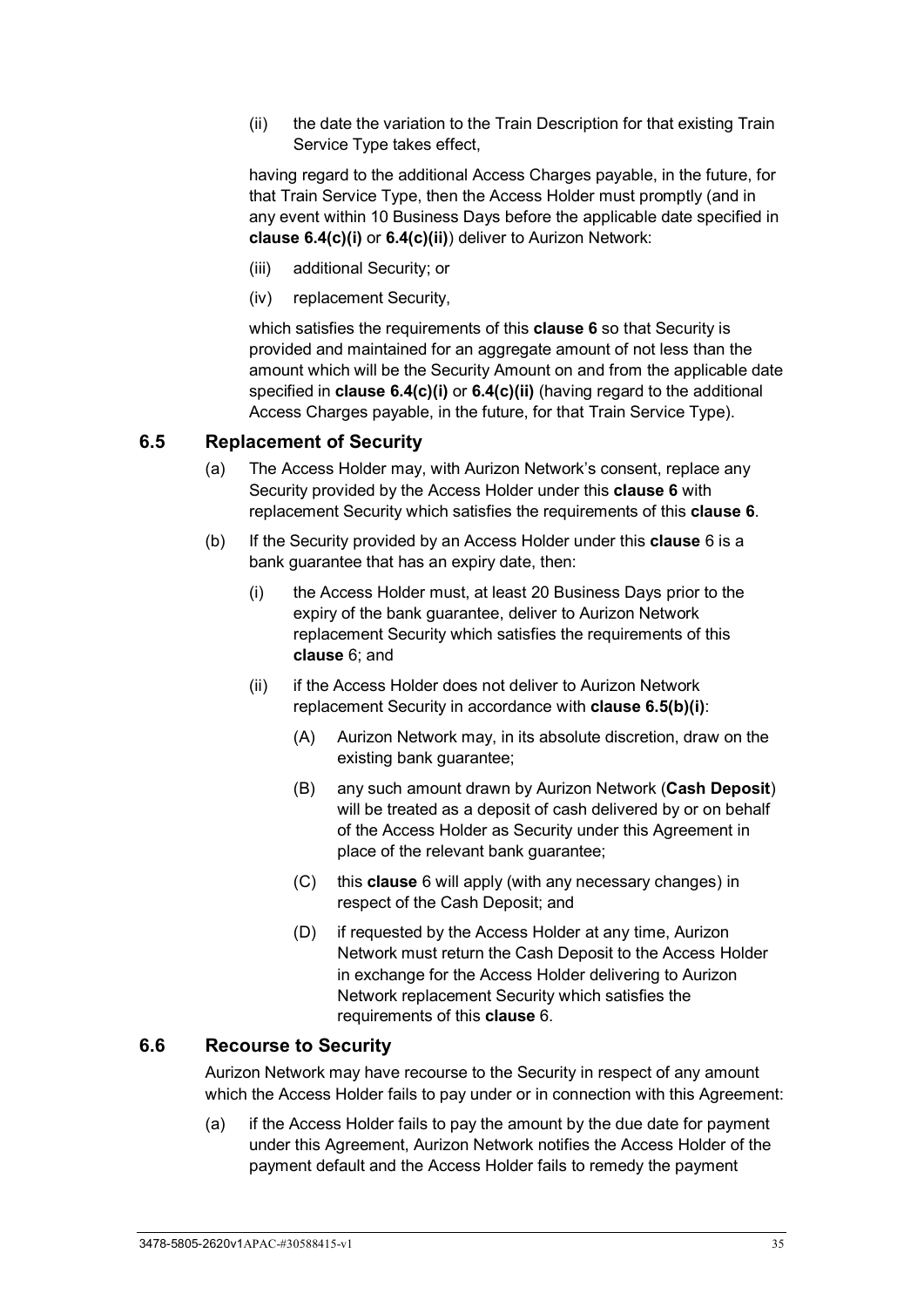<span id="page-40-1"></span>(ii) the date the variation to the Train Description for that existing Train Service Type takes effect,

having regard to the additional Access Charges payable, in the future, for that Train Service Type, then the Access Holder must promptly (and in any event within 10 Business Days before the applicable date specified in **clause [6.4\(c\)\(i\)](#page-39-2)** or **[6.4\(c\)\(ii\)](#page-40-1)**) deliver to Aurizon Network:

- (iii) additional Security; or
- <span id="page-40-3"></span>(iv) replacement Security,

which satisfies the requirements of this **clause [6](#page-38-2)** so that Security is provided and maintained for an aggregate amount of not less than the amount which will be the Security Amount on and from the applicable date specified in **clause [6.4\(c\)\(i\)](#page-39-2)** or **[6.4\(c\)\(ii\)](#page-40-1)** (having regard to the additional Access Charges payable, in the future, for that Train Service Type).

#### <span id="page-40-4"></span>**6.5 Replacement of Security**

- (a) The Access Holder may, with Aurizon Network's consent, replace any Security provided by the Access Holder under this **clause [6](#page-38-2)** with replacement Security which satisfies the requirements of this **clause [6](#page-38-2)**.
- <span id="page-40-2"></span>(b) If the Security provided by an Access Holder under this **clause** [6](#page-38-2) is a bank guarantee that has an expiry date, then:
	- (i) the Access Holder must, at least 20 Business Days prior to the expiry of the bank guarantee, deliver to Aurizon Network replacement Security which satisfies the requirements of this **clause** [6;](#page-38-2) and
	- (ii) if the Access Holder does not deliver to Aurizon Network replacement Security in accordance with **clause [6.5\(b\)\(i\)](#page-40-2)**:
		- (A) Aurizon Network may, in its absolute discretion, draw on the existing bank guarantee;
		- (B) any such amount drawn by Aurizon Network (**Cash Deposit**) will be treated as a deposit of cash delivered by or on behalf of the Access Holder as Security under this Agreement in place of the relevant bank guarantee;
		- (C) this **clause** [6](#page-38-2) will apply (with any necessary changes) in respect of the Cash Deposit; and
		- (D) if requested by the Access Holder at any time, Aurizon Network must return the Cash Deposit to the Access Holder in exchange for the Access Holder delivering to Aurizon Network replacement Security which satisfies the requirements of this **clause** [6.](#page-38-2)

### <span id="page-40-0"></span>**6.6 Recourse to Security**

Aurizon Network may have recourse to the Security in respect of any amount which the Access Holder fails to pay under or in connection with this Agreement:

(a) if the Access Holder fails to pay the amount by the due date for payment under this Agreement, Aurizon Network notifies the Access Holder of the payment default and the Access Holder fails to remedy the payment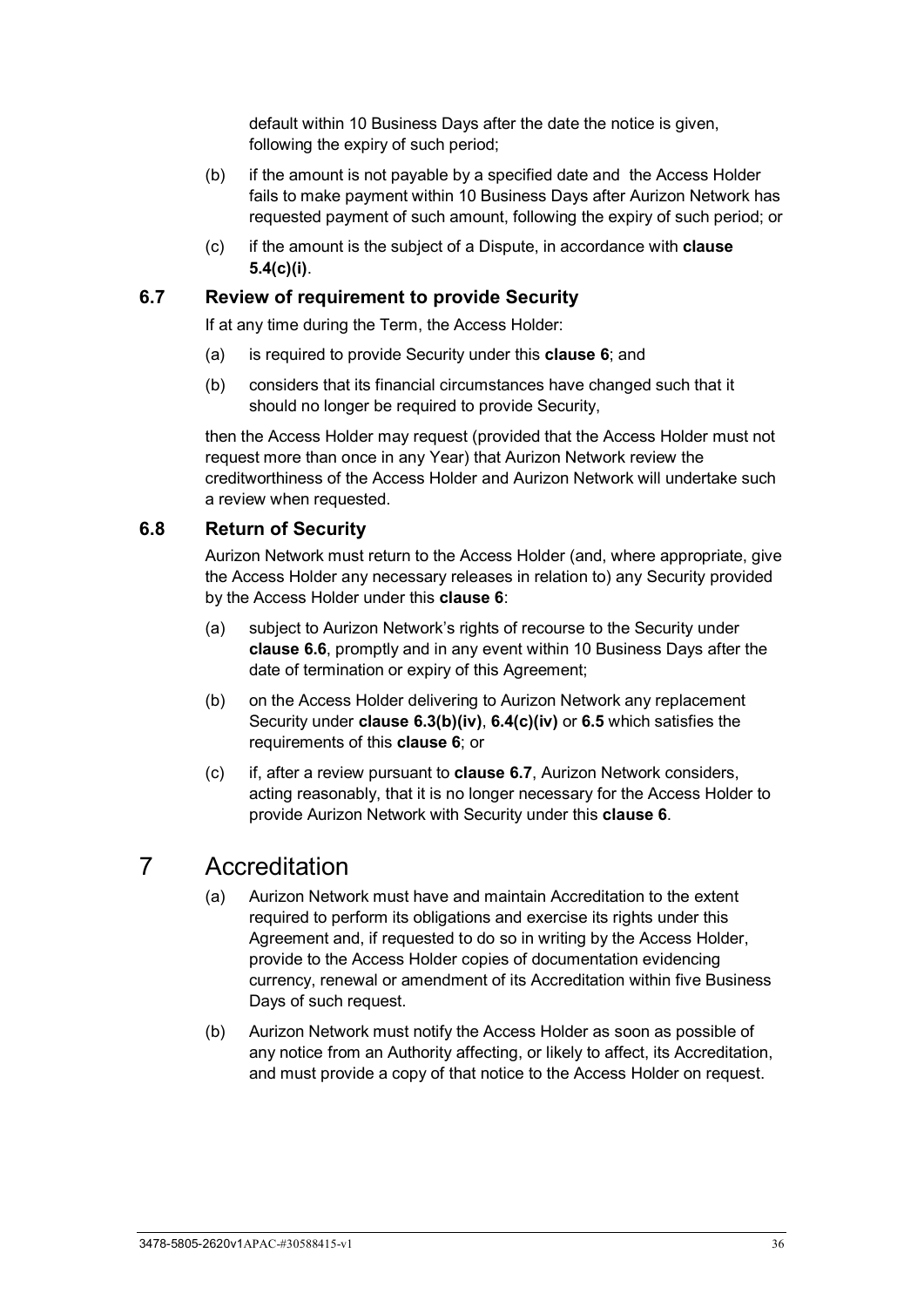default within 10 Business Days after the date the notice is given, following the expiry of such period;

- (b) if the amount is not payable by a specified date and the Access Holder fails to make payment within 10 Business Days after Aurizon Network has requested payment of such amount, following the expiry of such period; or
- (c) if the amount is the subject of a Dispute, in accordance with **clause [5.4\(c\)\(i\)](#page-36-3)**.

#### <span id="page-41-0"></span>**6.7 Review of requirement to provide Security**

If at any time during the Term, the Access Holder:

- (a) is required to provide Security under this **clause [6](#page-38-2)**; and
- (b) considers that its financial circumstances have changed such that it should no longer be required to provide Security,

then the Access Holder may request (provided that the Access Holder must not request more than once in any Year) that Aurizon Network review the creditworthiness of the Access Holder and Aurizon Network will undertake such a review when requested.

#### **6.8 Return of Security**

Aurizon Network must return to the Access Holder (and, where appropriate, give the Access Holder any necessary releases in relation to) any Security provided by the Access Holder under this **clause [6](#page-38-2)**:

- (a) subject to Aurizon Network's rights of recourse to the Security under **clause [6.6](#page-40-0)**, promptly and in any event within 10 Business Days after the date of termination or expiry of this Agreement;
- (b) on the Access Holder delivering to Aurizon Network any replacement Security under **clause [6.3\(b\)\(iv\)](#page-39-3)**, **[6.4\(c\)\(iv\)](#page-40-3)** or **[6.5](#page-40-4)** which satisfies the requirements of this **clause [6](#page-38-2)**; or
- (c) if, after a review pursuant to **clause [6.7](#page-41-0)**, Aurizon Network considers, acting reasonably, that it is no longer necessary for the Access Holder to provide Aurizon Network with Security under this **clause [6](#page-38-2)**.

## 7 Accreditation

- (a) Aurizon Network must have and maintain Accreditation to the extent required to perform its obligations and exercise its rights under this Agreement and, if requested to do so in writing by the Access Holder, provide to the Access Holder copies of documentation evidencing currency, renewal or amendment of its Accreditation within five Business Days of such request.
- (b) Aurizon Network must notify the Access Holder as soon as possible of any notice from an Authority affecting, or likely to affect, its Accreditation, and must provide a copy of that notice to the Access Holder on request.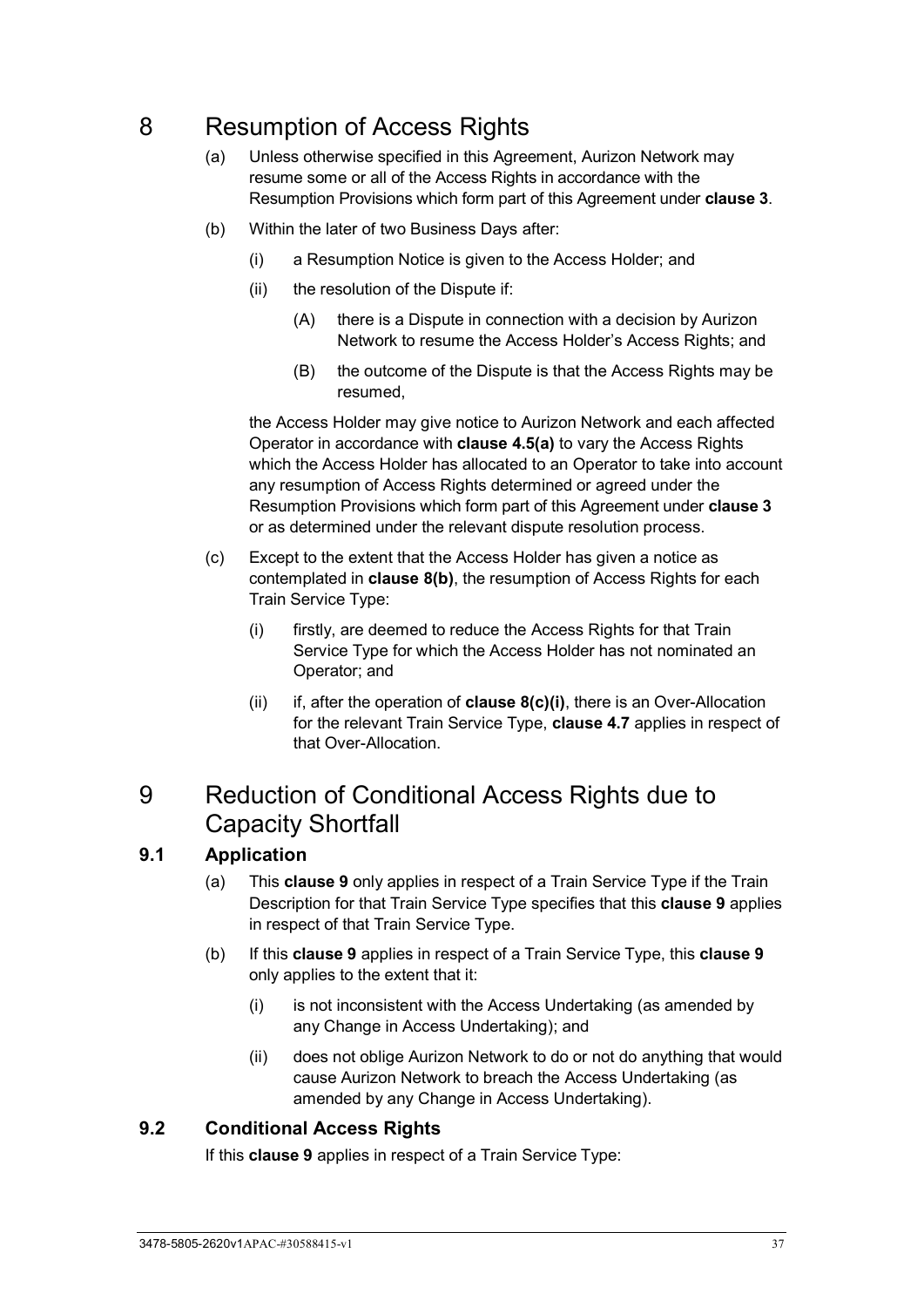# <span id="page-42-3"></span>8 Resumption of Access Rights

- (a) Unless otherwise specified in this Agreement, Aurizon Network may resume some or all of the Access Rights in accordance with the Resumption Provisions which form part of this Agreement under **clause [3](#page-26-0)**.
- <span id="page-42-0"></span>(b) Within the later of two Business Days after:
	- (i) a Resumption Notice is given to the Access Holder; and
	- (ii) the resolution of the Dispute if:
		- (A) there is a Dispute in connection with a decision by Aurizon Network to resume the Access Holder's Access Rights; and
		- (B) the outcome of the Dispute is that the Access Rights may be resumed,

the Access Holder may give notice to Aurizon Network and each affected Operator in accordance with **clause [4.5\(a\)](#page-31-0)** to vary the Access Rights which the Access Holder has allocated to an Operator to take into account any resumption of Access Rights determined or agreed under the Resumption Provisions which form part of this Agreement under **clause [3](#page-26-0)** or as determined under the relevant dispute resolution process.

- <span id="page-42-1"></span>(c) Except to the extent that the Access Holder has given a notice as contemplated in **clause [8\(b\)](#page-42-0)**, the resumption of Access Rights for each Train Service Type:
	- (i) firstly, are deemed to reduce the Access Rights for that Train Service Type for which the Access Holder has not nominated an Operator; and
	- (ii) if, after the operation of **clause [8\(c\)\(i\)](#page-42-1)**, there is an Over-Allocation for the relevant Train Service Type, **clause [4.7](#page-32-0)** applies in respect of that Over-Allocation.

## <span id="page-42-2"></span>9 Reduction of Conditional Access Rights due to Capacity Shortfall

## **9.1 Application**

- (a) This **clause [9](#page-42-2)** only applies in respect of a Train Service Type if the Train Description for that Train Service Type specifies that this **clause [9](#page-42-2)** applies in respect of that Train Service Type.
- (b) If this **clause [9](#page-42-2)** applies in respect of a Train Service Type, this **clause [9](#page-42-2)** only applies to the extent that it:
	- (i) is not inconsistent with the Access Undertaking (as amended by any Change in Access Undertaking); and
	- (ii) does not oblige Aurizon Network to do or not do anything that would cause Aurizon Network to breach the Access Undertaking (as amended by any Change in Access Undertaking).

## **9.2 Conditional Access Rights**

If this **clause [9](#page-42-2)** applies in respect of a Train Service Type: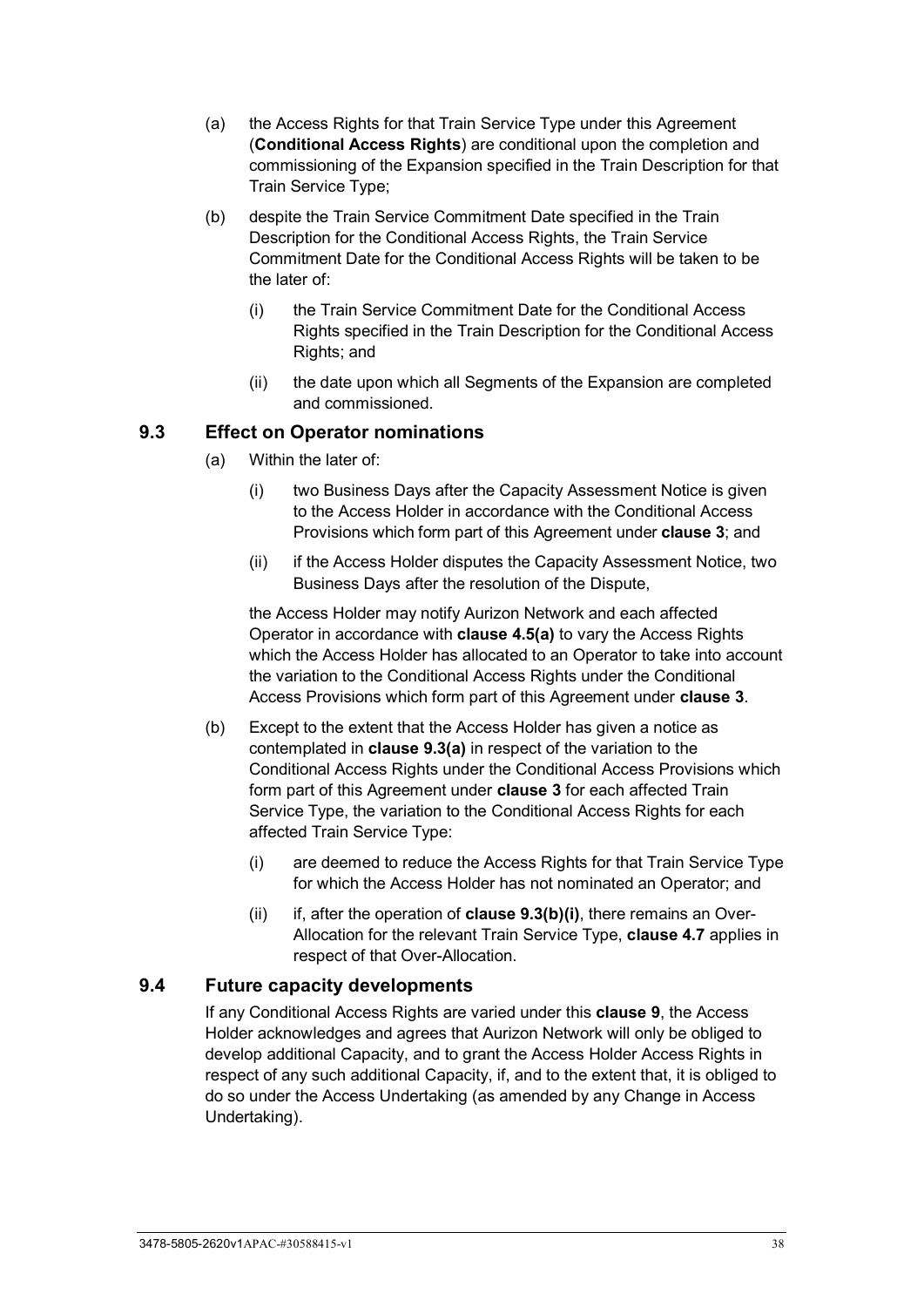- (a) the Access Rights for that Train Service Type under this Agreement (**Conditional Access Rights**) are conditional upon the completion and commissioning of the Expansion specified in the Train Description for that Train Service Type;
- (b) despite the Train Service Commitment Date specified in the Train Description for the Conditional Access Rights, the Train Service Commitment Date for the Conditional Access Rights will be taken to be the later of:
	- (i) the Train Service Commitment Date for the Conditional Access Rights specified in the Train Description for the Conditional Access Rights; and
	- (ii) the date upon which all Segments of the Expansion are completed and commissioned.

### <span id="page-43-0"></span>**9.3 Effect on Operator nominations**

- (a) Within the later of:
	- (i) two Business Days after the Capacity Assessment Notice is given to the Access Holder in accordance with the Conditional Access Provisions which form part of this Agreement under **clause [3](#page-26-0)**; and
	- (ii) if the Access Holder disputes the Capacity Assessment Notice, two Business Days after the resolution of the Dispute,

the Access Holder may notify Aurizon Network and each affected Operator in accordance with **clause [4.5\(a\)](#page-31-0)** to vary the Access Rights which the Access Holder has allocated to an Operator to take into account the variation to the Conditional Access Rights under the Conditional Access Provisions which form part of this Agreement under **clause [3](#page-26-0)**.

- (b) Except to the extent that the Access Holder has given a notice as contemplated in **clause [9.3\(a\)](#page-43-0)** in respect of the variation to the Conditional Access Rights under the Conditional Access Provisions which form part of this Agreement under **clause [3](#page-26-0)** for each affected Train Service Type, the variation to the Conditional Access Rights for each affected Train Service Type:
	- (i) are deemed to reduce the Access Rights for that Train Service Type for which the Access Holder has not nominated an Operator; and
	- (ii) if, after the operation of **clause [9.3\(b\)\(i\)](#page-43-1)**, there remains an Over-Allocation for the relevant Train Service Type, **clause [4.7](#page-32-0)** applies in respect of that Over-Allocation.

#### <span id="page-43-1"></span>**9.4 Future capacity developments**

If any Conditional Access Rights are varied under this **clause [9](#page-42-2)**, the Access Holder acknowledges and agrees that Aurizon Network will only be obliged to develop additional Capacity, and to grant the Access Holder Access Rights in respect of any such additional Capacity, if, and to the extent that, it is obliged to do so under the Access Undertaking (as amended by any Change in Access Undertaking).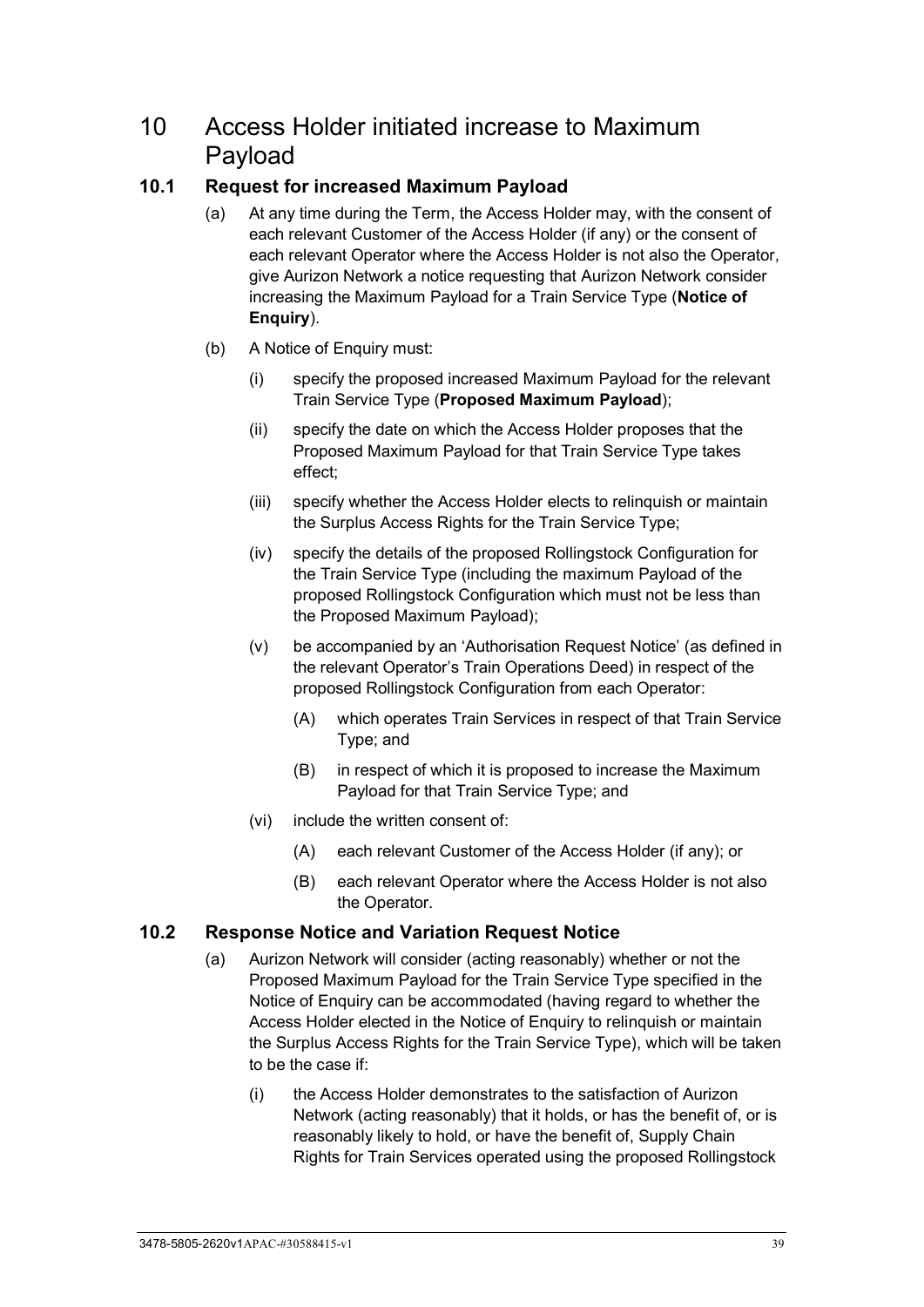# <span id="page-44-1"></span>10 Access Holder initiated increase to Maximum Payload

## **10.1 Request for increased Maximum Payload**

- (a) At any time during the Term, the Access Holder may, with the consent of each relevant Customer of the Access Holder (if any) or the consent of each relevant Operator where the Access Holder is not also the Operator, give Aurizon Network a notice requesting that Aurizon Network consider increasing the Maximum Payload for a Train Service Type (**Notice of Enquiry**).
- (b) A Notice of Enquiry must:
	- (i) specify the proposed increased Maximum Payload for the relevant Train Service Type (**Proposed Maximum Payload**);
	- (ii) specify the date on which the Access Holder proposes that the Proposed Maximum Payload for that Train Service Type takes effect;
	- (iii) specify whether the Access Holder elects to relinquish or maintain the Surplus Access Rights for the Train Service Type;
	- (iv) specify the details of the proposed Rollingstock Configuration for the Train Service Type (including the maximum Payload of the proposed Rollingstock Configuration which must not be less than the Proposed Maximum Payload);
	- (v) be accompanied by an 'Authorisation Request Notice' (as defined in the relevant Operator's Train Operations Deed) in respect of the proposed Rollingstock Configuration from each Operator:
		- (A) which operates Train Services in respect of that Train Service Type; and
		- (B) in respect of which it is proposed to increase the Maximum Payload for that Train Service Type; and
	- (vi) include the written consent of:
		- (A) each relevant Customer of the Access Holder (if any); or
		- (B) each relevant Operator where the Access Holder is not also the Operator.

## <span id="page-44-0"></span>**10.2 Response Notice and Variation Request Notice**

- <span id="page-44-2"></span>(a) Aurizon Network will consider (acting reasonably) whether or not the Proposed Maximum Payload for the Train Service Type specified in the Notice of Enquiry can be accommodated (having regard to whether the Access Holder elected in the Notice of Enquiry to relinquish or maintain the Surplus Access Rights for the Train Service Type), which will be taken to be the case if:
	- (i) the Access Holder demonstrates to the satisfaction of Aurizon Network (acting reasonably) that it holds, or has the benefit of, or is reasonably likely to hold, or have the benefit of, Supply Chain Rights for Train Services operated using the proposed Rollingstock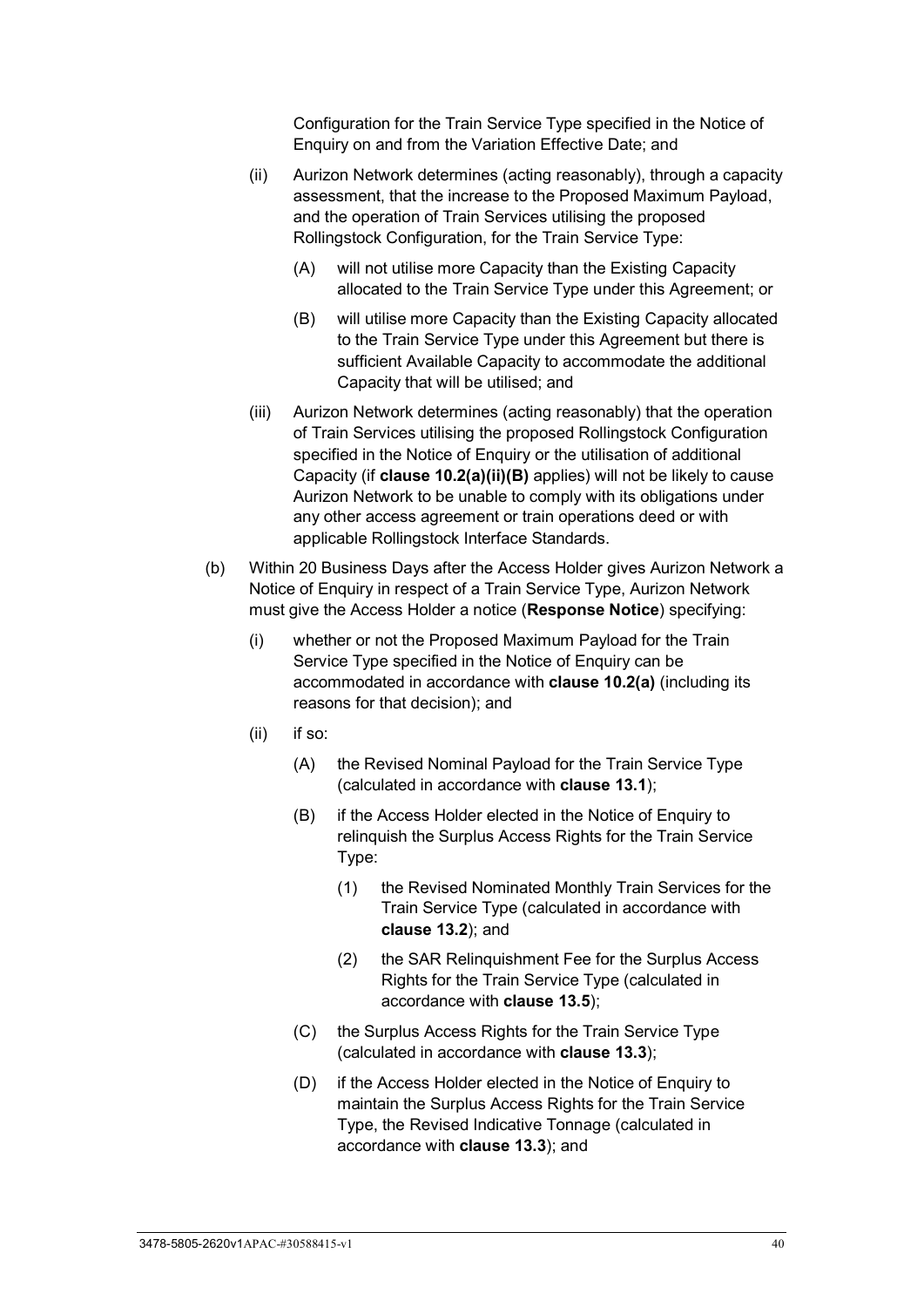Configuration for the Train Service Type specified in the Notice of Enquiry on and from the Variation Effective Date; and

- (ii) Aurizon Network determines (acting reasonably), through a capacity assessment, that the increase to the Proposed Maximum Payload, and the operation of Train Services utilising the proposed Rollingstock Configuration, for the Train Service Type:
	- (A) will not utilise more Capacity than the Existing Capacity allocated to the Train Service Type under this Agreement; or
	- (B) will utilise more Capacity than the Existing Capacity allocated to the Train Service Type under this Agreement but there is sufficient Available Capacity to accommodate the additional Capacity that will be utilised; and
- <span id="page-45-0"></span>(iii) Aurizon Network determines (acting reasonably) that the operation of Train Services utilising the proposed Rollingstock Configuration specified in the Notice of Enquiry or the utilisation of additional Capacity (if **clause [10.2\(a\)\(ii\)\(B\)](#page-45-0)** applies) will not be likely to cause Aurizon Network to be unable to comply with its obligations under any other access agreement or train operations deed or with applicable Rollingstock Interface Standards.
- <span id="page-45-1"></span>(b) Within 20 Business Days after the Access Holder gives Aurizon Network a Notice of Enquiry in respect of a Train Service Type, Aurizon Network must give the Access Holder a notice (**Response Notice**) specifying:
	- (i) whether or not the Proposed Maximum Payload for the Train Service Type specified in the Notice of Enquiry can be accommodated in accordance with **clause [10.2\(a\)](#page-44-0)** (including its reasons for that decision); and
	- (ii) if so:
		- (A) the Revised Nominal Payload for the Train Service Type (calculated in accordance with **clause [13.1](#page-52-0)**);
		- (B) if the Access Holder elected in the Notice of Enquiry to relinquish the Surplus Access Rights for the Train Service Type:
			- (1) the Revised Nominated Monthly Train Services for the Train Service Type (calculated in accordance with **clause [13.2](#page-52-1)**); and
			- (2) the SAR Relinquishment Fee for the Surplus Access Rights for the Train Service Type (calculated in accordance with **clause 13.5**);
		- (C) the Surplus Access Rights for the Train Service Type (calculated in accordance with **clause 13.3**);
		- (D) if the Access Holder elected in the Notice of Enquiry to maintain the Surplus Access Rights for the Train Service Type, the Revised Indicative Tonnage (calculated in accordance with **clause [13.3](#page-53-0)**); and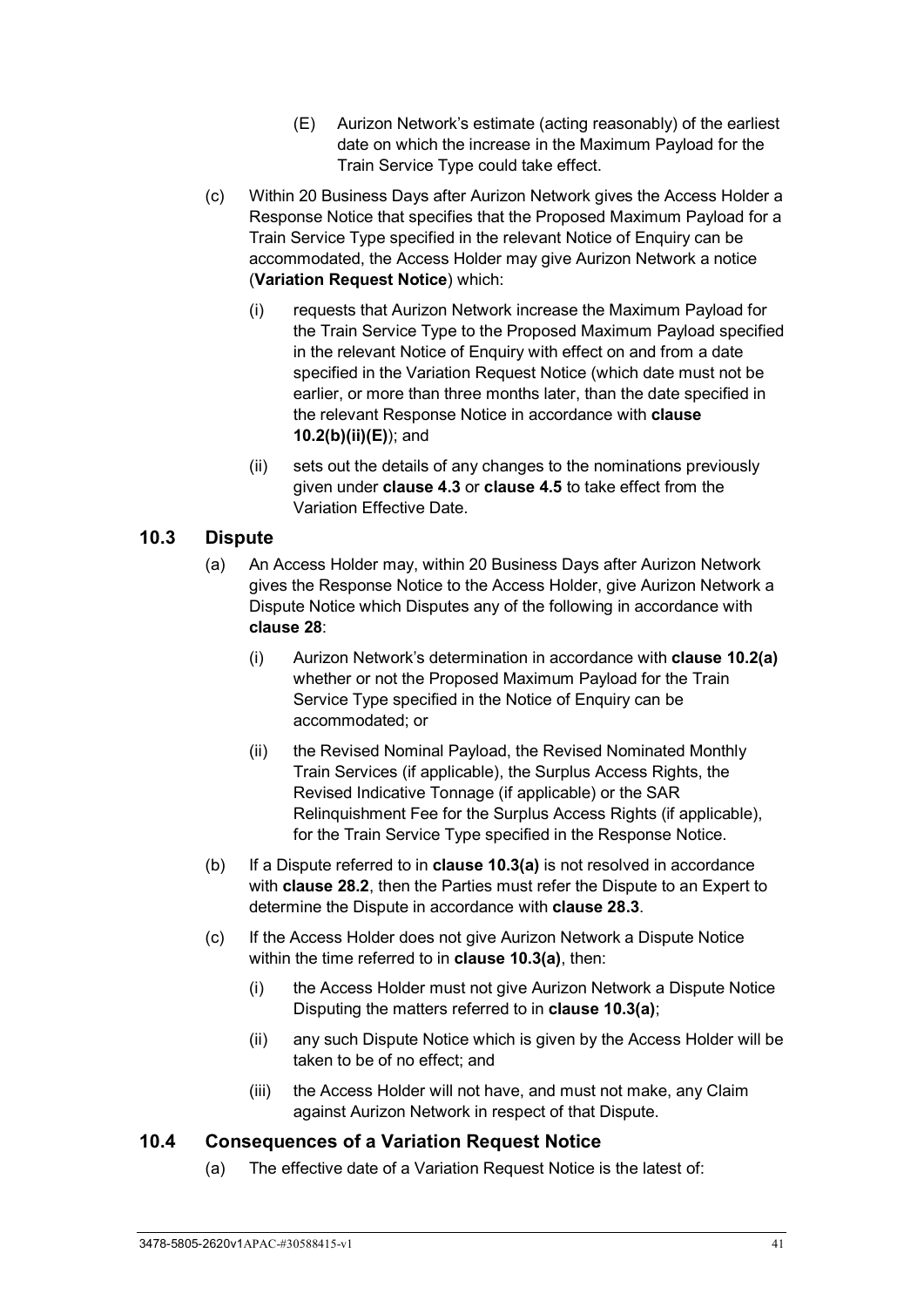- <span id="page-46-0"></span>(E) Aurizon Network's estimate (acting reasonably) of the earliest date on which the increase in the Maximum Payload for the Train Service Type could take effect.
- <span id="page-46-3"></span><span id="page-46-2"></span>(c) Within 20 Business Days after Aurizon Network gives the Access Holder a Response Notice that specifies that the Proposed Maximum Payload for a Train Service Type specified in the relevant Notice of Enquiry can be accommodated, the Access Holder may give Aurizon Network a notice (**Variation Request Notice**) which:
	- (i) requests that Aurizon Network increase the Maximum Payload for the Train Service Type to the Proposed Maximum Payload specified in the relevant Notice of Enquiry with effect on and from a date specified in the Variation Request Notice (which date must not be earlier, or more than three months later, than the date specified in the relevant Response Notice in accordance with **clause [10.2\(b\)\(ii\)\(E\)](#page-46-0)**); and
	- (ii) sets out the details of any changes to the nominations previously given under **clause [4.3](#page-28-0)** or **clause [4.5](#page-31-1)** to take effect from the Variation Effective Date.

### <span id="page-46-1"></span>**10.3 Dispute**

- (a) An Access Holder may, within 20 Business Days after Aurizon Network gives the Response Notice to the Access Holder, give Aurizon Network a Dispute Notice which Disputes any of the following in accordance with **clause [28](#page-70-0)**:
	- (i) Aurizon Network's determination in accordance with **clause [10.2\(a\)](#page-44-0)** whether or not the Proposed Maximum Payload for the Train Service Type specified in the Notice of Enquiry can be accommodated; or
	- (ii) the Revised Nominal Payload, the Revised Nominated Monthly Train Services (if applicable), the Surplus Access Rights, the Revised Indicative Tonnage (if applicable) or the SAR Relinquishment Fee for the Surplus Access Rights (if applicable), for the Train Service Type specified in the Response Notice.
- (b) If a Dispute referred to in **clause [10.3\(a\)](#page-46-1)** is not resolved in accordance with **clause [28.2](#page-70-1)**, then the Parties must refer the Dispute to an Expert to determine the Dispute in accordance with **clause [28.3](#page-71-0)**.
- (c) If the Access Holder does not give Aurizon Network a Dispute Notice within the time referred to in **clause [10.3\(a\)](#page-46-1)**, then:
	- (i) the Access Holder must not give Aurizon Network a Dispute Notice Disputing the matters referred to in **clause [10.3\(a\)](#page-46-1)**;
	- (ii) any such Dispute Notice which is given by the Access Holder will be taken to be of no effect; and
	- (iii) the Access Holder will not have, and must not make, any Claim against Aurizon Network in respect of that Dispute.

#### **10.4 Consequences of a Variation Request Notice**

(a) The effective date of a Variation Request Notice is the latest of: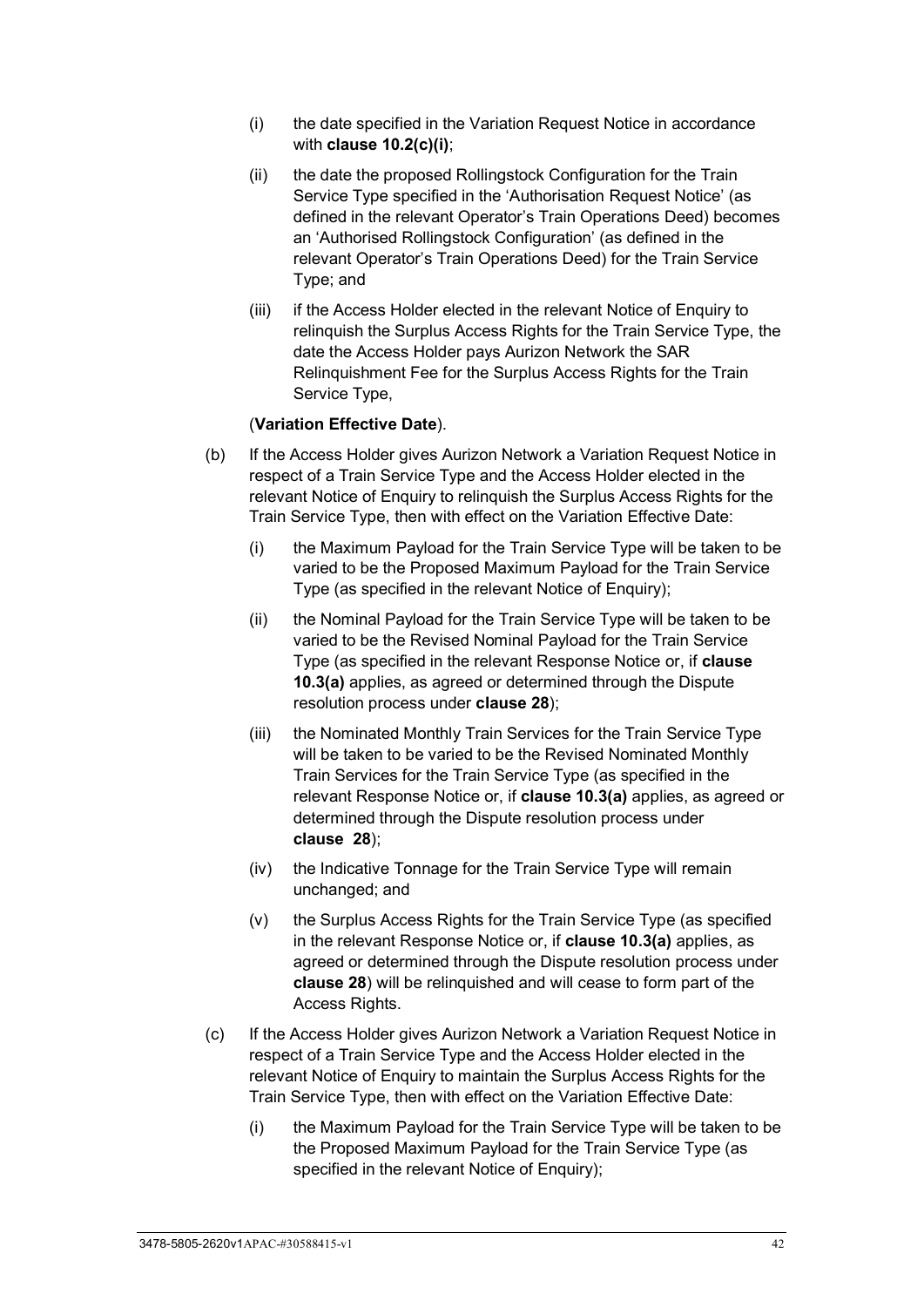- (i) the date specified in the Variation Request Notice in accordance with **clause [10.2\(c\)\(i\)](#page-46-2)**;
- (ii) the date the proposed Rollingstock Configuration for the Train Service Type specified in the 'Authorisation Request Notice' (as defined in the relevant Operator's Train Operations Deed) becomes an 'Authorised Rollingstock Configuration' (as defined in the relevant Operator's Train Operations Deed) for the Train Service Type; and
- (iii) if the Access Holder elected in the relevant Notice of Enquiry to relinquish the Surplus Access Rights for the Train Service Type, the date the Access Holder pays Aurizon Network the SAR Relinquishment Fee for the Surplus Access Rights for the Train Service Type,

#### (**Variation Effective Date**).

- (b) If the Access Holder gives Aurizon Network a Variation Request Notice in respect of a Train Service Type and the Access Holder elected in the relevant Notice of Enquiry to relinquish the Surplus Access Rights for the Train Service Type, then with effect on the Variation Effective Date:
	- (i) the Maximum Payload for the Train Service Type will be taken to be varied to be the Proposed Maximum Payload for the Train Service Type (as specified in the relevant Notice of Enquiry);
	- (ii) the Nominal Payload for the Train Service Type will be taken to be varied to be the Revised Nominal Payload for the Train Service Type (as specified in the relevant Response Notice or, if **clause [10.3\(a\)](#page-46-1)** applies, as agreed or determined through the Dispute resolution process under **clause [28](#page-70-0)**);
	- (iii) the Nominated Monthly Train Services for the Train Service Type will be taken to be varied to be the Revised Nominated Monthly Train Services for the Train Service Type (as specified in the relevant Response Notice or, if **clause [10.3\(a\)](#page-46-1)** applies, as agreed or determined through the Dispute resolution process under **clause [28](#page-70-0)**);
	- (iv) the Indicative Tonnage for the Train Service Type will remain unchanged; and
	- (v) the Surplus Access Rights for the Train Service Type (as specified in the relevant Response Notice or, if **clause [10.3\(a\)](#page-46-1)** applies, as agreed or determined through the Dispute resolution process under **clause [28](#page-70-0)**) will be relinquished and will cease to form part of the Access Rights.
- (c) If the Access Holder gives Aurizon Network a Variation Request Notice in respect of a Train Service Type and the Access Holder elected in the relevant Notice of Enquiry to maintain the Surplus Access Rights for the Train Service Type, then with effect on the Variation Effective Date:
	- (i) the Maximum Payload for the Train Service Type will be taken to be the Proposed Maximum Payload for the Train Service Type (as specified in the relevant Notice of Enquiry);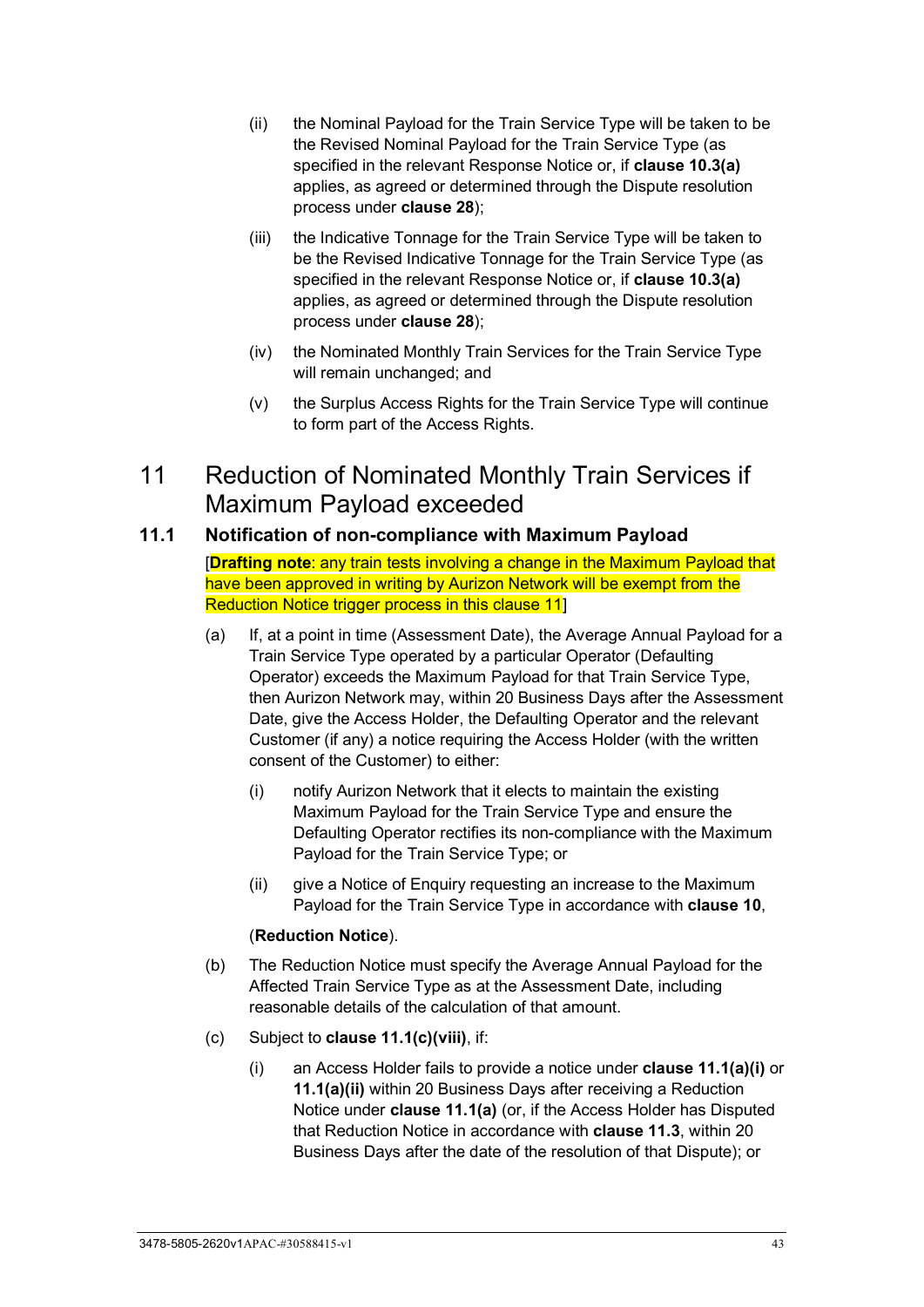- (ii) the Nominal Payload for the Train Service Type will be taken to be the Revised Nominal Payload for the Train Service Type (as specified in the relevant Response Notice or, if **clause [10.3\(a\)](#page-46-1)** applies, as agreed or determined through the Dispute resolution process under **clause [28](#page-70-0)**);
- (iii) the Indicative Tonnage for the Train Service Type will be taken to be the Revised Indicative Tonnage for the Train Service Type (as specified in the relevant Response Notice or, if **clause [10.3\(a\)](#page-46-1)** applies, as agreed or determined through the Dispute resolution process under **clause [28](#page-70-0)**);
- (iv) the Nominated Monthly Train Services for the Train Service Type will remain unchanged; and
- (v) the Surplus Access Rights for the Train Service Type will continue to form part of the Access Rights.

# <span id="page-48-6"></span>11 Reduction of Nominated Monthly Train Services if Maximum Payload exceeded

## <span id="page-48-5"></span><span id="page-48-2"></span>**11.1 Notification of non-compliance with Maximum Payload**

[**Drafting note**: any train tests involving a change in the Maximum Payload that have been approved in writing by Aurizon Network will be exempt from the Reduction Notice trigger process in this clause 11]

- <span id="page-48-0"></span>(a) If, at a point in time (Assessment Date), the Average Annual Payload for a Train Service Type operated by a particular Operator (Defaulting Operator) exceeds the Maximum Payload for that Train Service Type, then Aurizon Network may, within 20 Business Days after the Assessment Date, give the Access Holder, the Defaulting Operator and the relevant Customer (if any) a notice requiring the Access Holder (with the written consent of the Customer) to either:
	- (i) notify Aurizon Network that it elects to maintain the existing Maximum Payload for the Train Service Type and ensure the Defaulting Operator rectifies its non-compliance with the Maximum Payload for the Train Service Type; or
	- (ii) give a Notice of Enquiry requesting an increase to the Maximum Payload for the Train Service Type in accordance with **clause [10](#page-44-1)**,

#### (**Reduction Notice**).

- <span id="page-48-1"></span>(b) The Reduction Notice must specify the Average Annual Payload for the Affected Train Service Type as at the Assessment Date, including reasonable details of the calculation of that amount.
- <span id="page-48-4"></span><span id="page-48-3"></span>(c) Subject to **clause [11.1\(c\)\(viii\)](#page-50-0)**, if:
	- (i) an Access Holder fails to provide a notice under **clause [11.1\(a\)\(i\)](#page-48-0)** or **[11.1\(a\)\(ii\)](#page-48-1)** within 20 Business Days after receiving a Reduction Notice under **clause [11.1\(a\)](#page-48-2)** (or, if the Access Holder has Disputed that Reduction Notice in accordance with **clause [11.3](#page-51-0)**, within 20 Business Days after the date of the resolution of that Dispute); or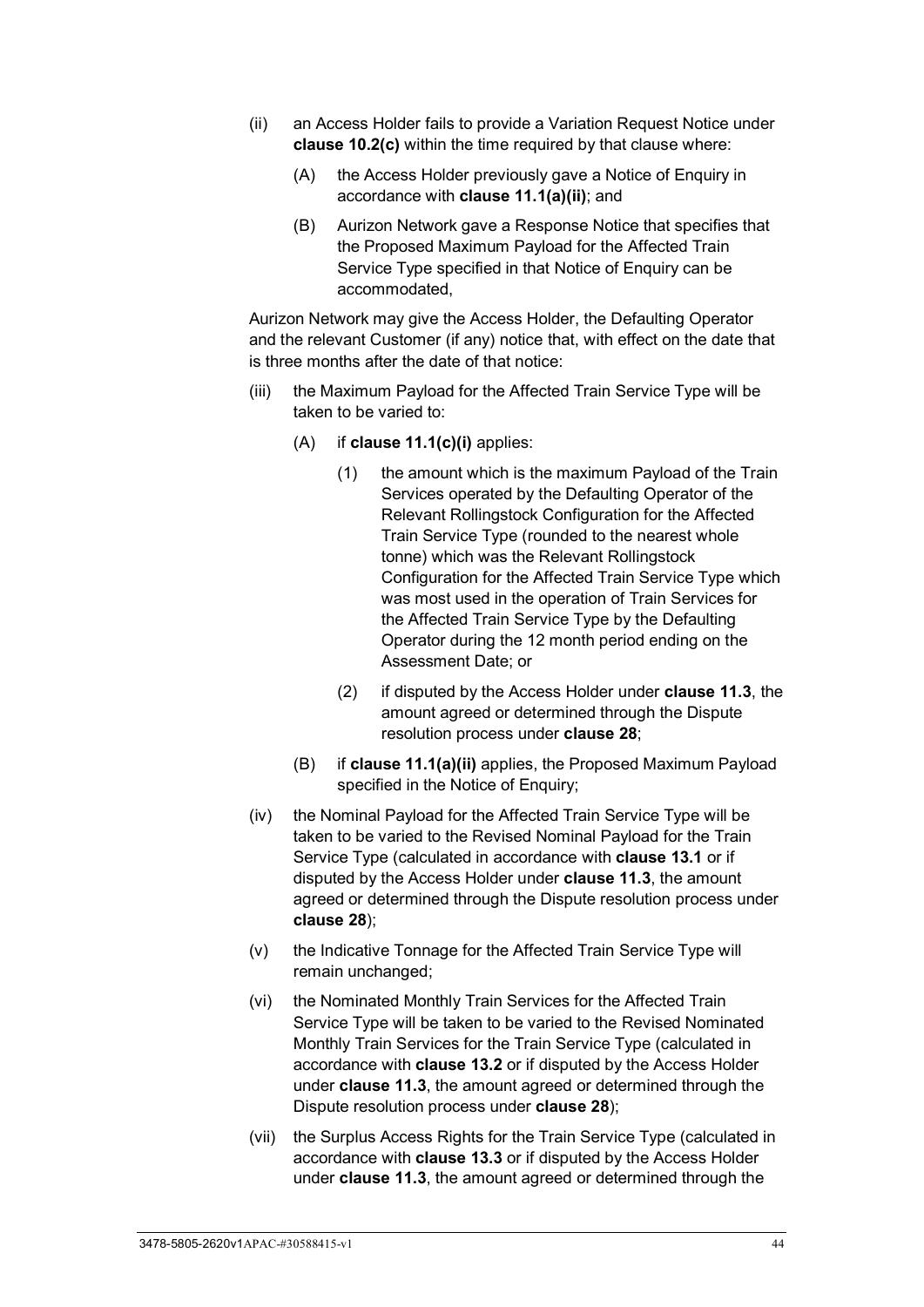- (ii) an Access Holder fails to provide a Variation Request Notice under **clause [10.2\(c\)](#page-46-3)** within the time required by that clause where:
	- (A) the Access Holder previously gave a Notice of Enquiry in accordance with **clause [11.1\(a\)\(ii\)](#page-48-1)**; and
	- (B) Aurizon Network gave a Response Notice that specifies that the Proposed Maximum Payload for the Affected Train Service Type specified in that Notice of Enquiry can be accommodated,

Aurizon Network may give the Access Holder, the Defaulting Operator and the relevant Customer (if any) notice that, with effect on the date that is three months after the date of that notice:

- <span id="page-49-1"></span><span id="page-49-0"></span>(iii) the Maximum Payload for the Affected Train Service Type will be taken to be varied to:
	- (A) if **clause [11.1\(c\)\(i\)](#page-48-3)** applies:
		- (1) the amount which is the maximum Payload of the Train Services operated by the Defaulting Operator of the Relevant Rollingstock Configuration for the Affected Train Service Type (rounded to the nearest whole tonne) which was the Relevant Rollingstock Configuration for the Affected Train Service Type which was most used in the operation of Train Services for the Affected Train Service Type by the Defaulting Operator during the 12 month period ending on the Assessment Date; or
		- (2) if disputed by the Access Holder under **clause [11.3](#page-51-0)**, the amount agreed or determined through the Dispute resolution process under **clause [28](#page-70-0)**;
	- (B) if **clause [11.1\(a\)\(ii\)](#page-48-1)** applies, the Proposed Maximum Payload specified in the Notice of Enquiry;
- (iv) the Nominal Payload for the Affected Train Service Type will be taken to be varied to the Revised Nominal Payload for the Train Service Type (calculated in accordance with **clause [13.1](#page-52-0)** or if disputed by the Access Holder under **clause [11.3](#page-51-0)**, the amount agreed or determined through the Dispute resolution process under **clause [28](#page-70-0)**);
- (v) the Indicative Tonnage for the Affected Train Service Type will remain unchanged;
- <span id="page-49-2"></span>(vi) the Nominated Monthly Train Services for the Affected Train Service Type will be taken to be varied to the Revised Nominated Monthly Train Services for the Train Service Type (calculated in accordance with **clause [13.2](#page-52-1)** or if disputed by the Access Holder under **clause [11.3](#page-51-0)**, the amount agreed or determined through the Dispute resolution process under **clause [28](#page-70-0)**);
- (vii) the Surplus Access Rights for the Train Service Type (calculated in accordance with **clause [13.3](#page-53-0)** or if disputed by the Access Holder under **clause [11.3](#page-51-0)**, the amount agreed or determined through the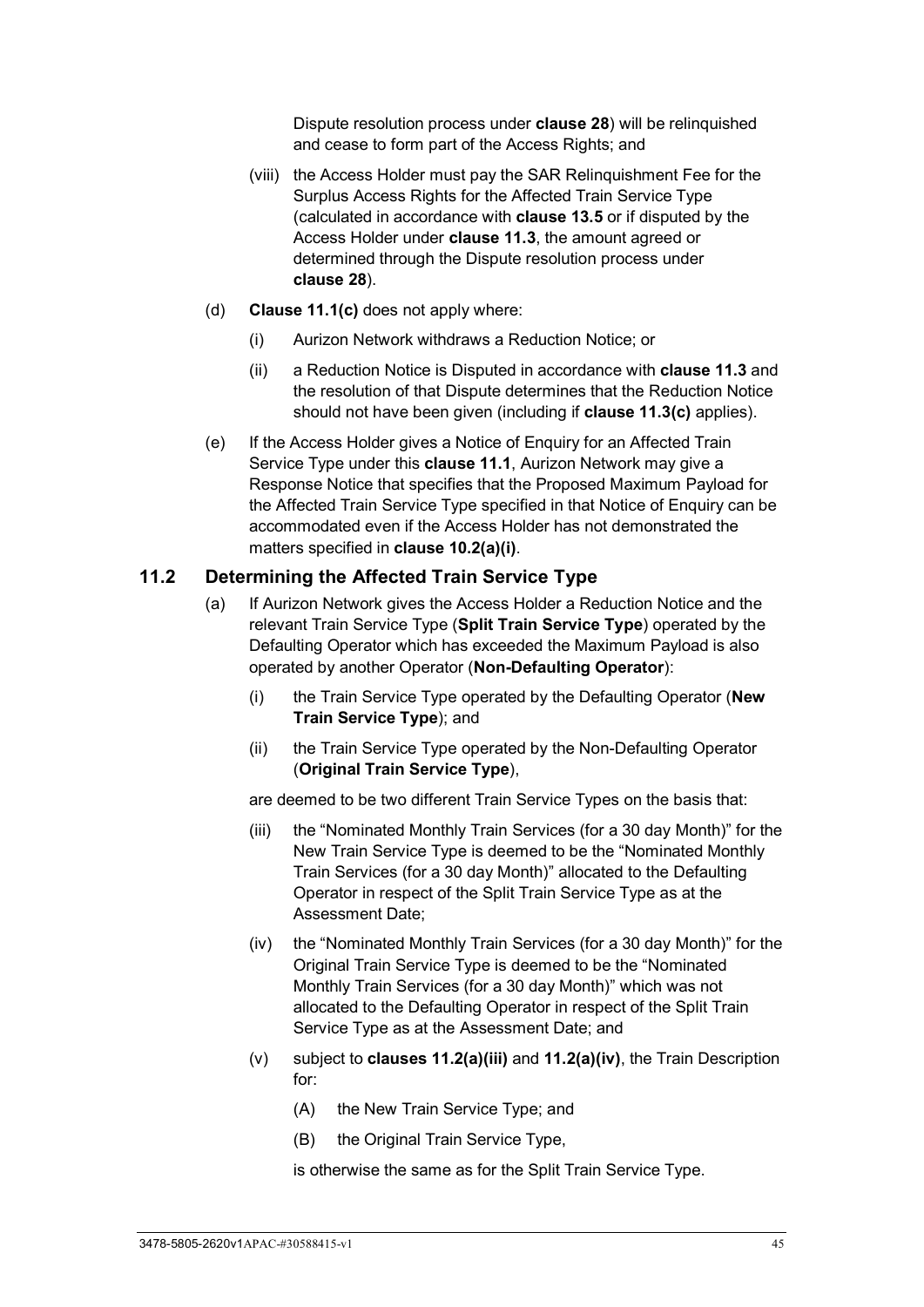Dispute resolution process under **clause [28](#page-70-0)**) will be relinquished and cease to form part of the Access Rights; and

- <span id="page-50-0"></span>(viii) the Access Holder must pay the SAR Relinquishment Fee for the Surplus Access Rights for the Affected Train Service Type (calculated in accordance with **clause [13.5](#page-53-1)** or if disputed by the Access Holder under **clause [11.3](#page-51-0)**, the amount agreed or determined through the Dispute resolution process under **clause [28](#page-70-0)**).
- (d) **Clause [11.1\(c\)](#page-48-4)** does not apply where:
	- (i) Aurizon Network withdraws a Reduction Notice; or
	- (ii) a Reduction Notice is Disputed in accordance with **clause [11.3](#page-51-0)** and the resolution of that Dispute determines that the Reduction Notice should not have been given (including if **clause [11.3\(c\)](#page-51-1)** applies).
- (e) If the Access Holder gives a Notice of Enquiry for an Affected Train Service Type under this **clause [11.1](#page-48-5)**, Aurizon Network may give a Response Notice that specifies that the Proposed Maximum Payload for the Affected Train Service Type specified in that Notice of Enquiry can be accommodated even if the Access Holder has not demonstrated the matters specified in **clause [10.2\(a\)\(i\)](#page-44-2)**.

#### <span id="page-50-4"></span><span id="page-50-3"></span>**11.2 Determining the Affected Train Service Type**

- (a) If Aurizon Network gives the Access Holder a Reduction Notice and the relevant Train Service Type (**Split Train Service Type**) operated by the Defaulting Operator which has exceeded the Maximum Payload is also operated by another Operator (**Non-Defaulting Operator**):
	- (i) the Train Service Type operated by the Defaulting Operator (**New Train Service Type**); and
	- (ii) the Train Service Type operated by the Non-Defaulting Operator (**Original Train Service Type**),

are deemed to be two different Train Service Types on the basis that:

- <span id="page-50-1"></span>(iii) the "Nominated Monthly Train Services (for a 30 day Month)" for the New Train Service Type is deemed to be the "Nominated Monthly Train Services (for a 30 day Month)" allocated to the Defaulting Operator in respect of the Split Train Service Type as at the Assessment Date;
- <span id="page-50-2"></span>(iv) the "Nominated Monthly Train Services (for a 30 day Month)" for the Original Train Service Type is deemed to be the "Nominated Monthly Train Services (for a 30 day Month)" which was not allocated to the Defaulting Operator in respect of the Split Train Service Type as at the Assessment Date; and
- (v) subject to **clauses [11.2\(a\)\(iii\)](#page-50-1)** and **[11.2\(a\)\(iv\)](#page-50-2)**, the Train Description for:
	- (A) the New Train Service Type; and
	- (B) the Original Train Service Type,

is otherwise the same as for the Split Train Service Type.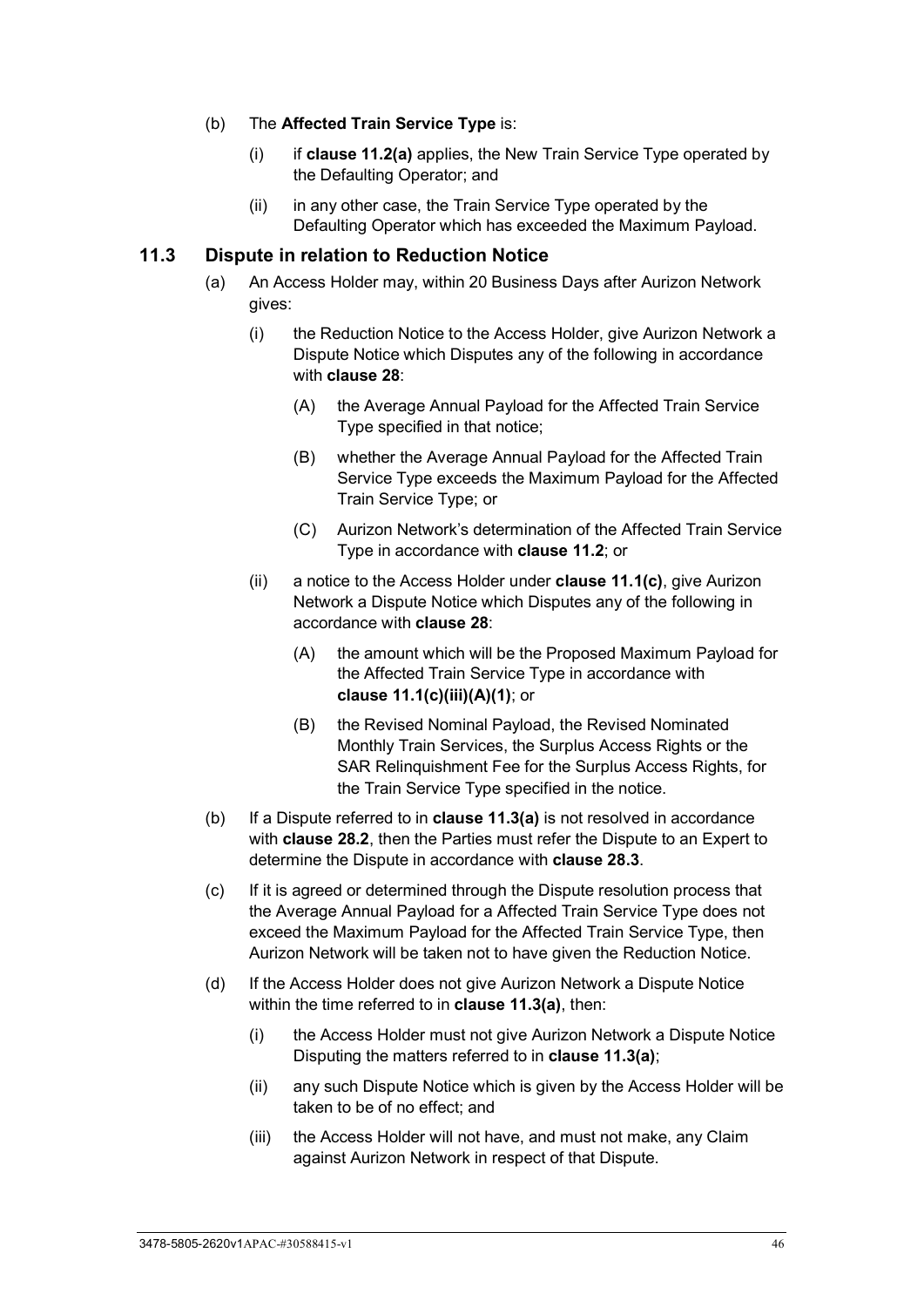#### (b) The **Affected Train Service Type** is:

- (i) if **clause [11.2\(a\)](#page-50-3)** applies, the New Train Service Type operated by the Defaulting Operator; and
- (ii) in any other case, the Train Service Type operated by the Defaulting Operator which has exceeded the Maximum Payload.

#### <span id="page-51-2"></span><span id="page-51-0"></span>**11.3 Dispute in relation to Reduction Notice**

- (a) An Access Holder may, within 20 Business Days after Aurizon Network gives:
	- (i) the Reduction Notice to the Access Holder, give Aurizon Network a Dispute Notice which Disputes any of the following in accordance with **clause [28](#page-70-0)**:
		- (A) the Average Annual Payload for the Affected Train Service Type specified in that notice;
		- (B) whether the Average Annual Payload for the Affected Train Service Type exceeds the Maximum Payload for the Affected Train Service Type; or
		- (C) Aurizon Network's determination of the Affected Train Service Type in accordance with **clause [11.2](#page-50-4)**; or
	- (ii) a notice to the Access Holder under **clause [11.1\(c\)](#page-48-4)**, give Aurizon Network a Dispute Notice which Disputes any of the following in accordance with **clause [28](#page-70-0)**:
		- (A) the amount which will be the Proposed Maximum Payload for the Affected Train Service Type in accordance with **clause [11.1\(c\)\(iii\)\(A\)\(1\)](#page-49-0)**; or
		- (B) the Revised Nominal Payload, the Revised Nominated Monthly Train Services, the Surplus Access Rights or the SAR Relinquishment Fee for the Surplus Access Rights, for the Train Service Type specified in the notice.
- (b) If a Dispute referred to in **clause [11.3\(a\)](#page-51-2)** is not resolved in accordance with **clause [28.2](#page-70-1)**, then the Parties must refer the Dispute to an Expert to determine the Dispute in accordance with **clause [28.3](#page-71-0)**.
- <span id="page-51-1"></span>(c) If it is agreed or determined through the Dispute resolution process that the Average Annual Payload for a Affected Train Service Type does not exceed the Maximum Payload for the Affected Train Service Type, then Aurizon Network will be taken not to have given the Reduction Notice.
- (d) If the Access Holder does not give Aurizon Network a Dispute Notice within the time referred to in **clause [11.3\(a\)](#page-51-2)**, then:
	- (i) the Access Holder must not give Aurizon Network a Dispute Notice Disputing the matters referred to in **clause [11.3\(a\)](#page-51-2)**;
	- (ii) any such Dispute Notice which is given by the Access Holder will be taken to be of no effect; and
	- (iii) the Access Holder will not have, and must not make, any Claim against Aurizon Network in respect of that Dispute.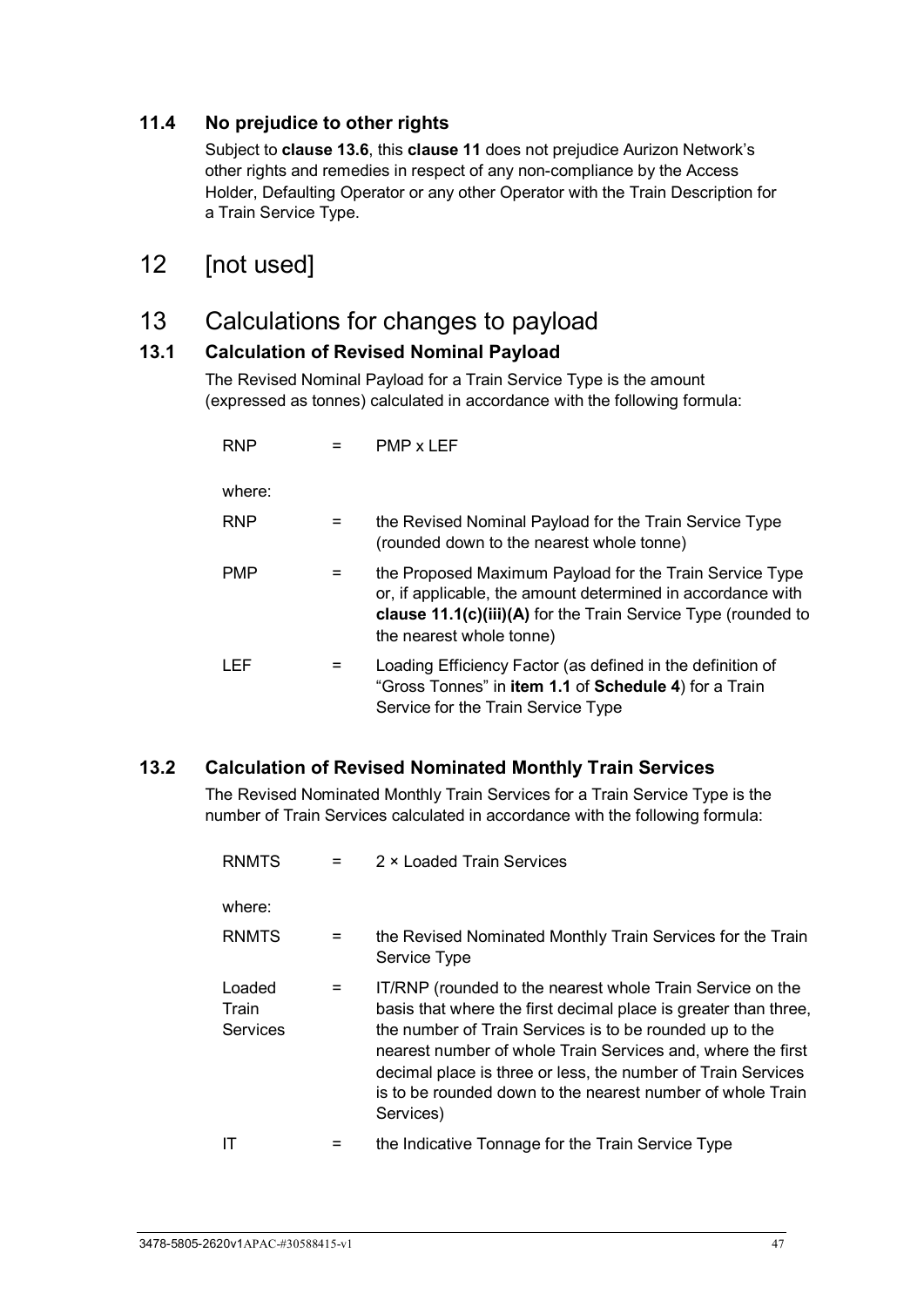## **11.4 No prejudice to other rights**

Subject to **clause [13.6](#page-53-2)**, this **clause [11](#page-48-6)** does not prejudice Aurizon Network's other rights and remedies in respect of any non-compliance by the Access Holder, Defaulting Operator or any other Operator with the Train Description for a Train Service Type.

## 12 [not used]

## 13 Calculations for changes to payload

## <span id="page-52-0"></span>**13.1 Calculation of Revised Nominal Payload**

The Revised Nominal Payload for a Train Service Type is the amount (expressed as tonnes) calculated in accordance with the following formula:

| <b>RNP</b> |     | PMP x LEF                                                                                                                                                                                                           |
|------------|-----|---------------------------------------------------------------------------------------------------------------------------------------------------------------------------------------------------------------------|
| where:     |     |                                                                                                                                                                                                                     |
| <b>RNP</b> | $=$ | the Revised Nominal Payload for the Train Service Type<br>(rounded down to the nearest whole tonne)                                                                                                                 |
| <b>PMP</b> |     | the Proposed Maximum Payload for the Train Service Type<br>or, if applicable, the amount determined in accordance with<br>clause 11.1(c)(iii)(A) for the Train Service Type (rounded to<br>the nearest whole tonne) |
| LEF        |     | Loading Efficiency Factor (as defined in the definition of<br>"Gross Tonnes" in item 1.1 of Schedule 4) for a Train<br>Service for the Train Service Type                                                           |

## <span id="page-52-1"></span>**13.2 Calculation of Revised Nominated Monthly Train Services**

The Revised Nominated Monthly Train Services for a Train Service Type is the number of Train Services calculated in accordance with the following formula:

| RNMTS                       |     | 2 × Loaded Train Services                                                                                                                                                                                                                                                                                                                                                                         |
|-----------------------------|-----|---------------------------------------------------------------------------------------------------------------------------------------------------------------------------------------------------------------------------------------------------------------------------------------------------------------------------------------------------------------------------------------------------|
| where:                      |     |                                                                                                                                                                                                                                                                                                                                                                                                   |
| RNMTS                       | $=$ | the Revised Nominated Monthly Train Services for the Train<br>Service Type                                                                                                                                                                                                                                                                                                                        |
| Loaded<br>Train<br>Services | $=$ | IT/RNP (rounded to the nearest whole Train Service on the<br>basis that where the first decimal place is greater than three,<br>the number of Train Services is to be rounded up to the<br>nearest number of whole Train Services and, where the first<br>decimal place is three or less, the number of Train Services<br>is to be rounded down to the nearest number of whole Train<br>Services) |
| ΙT                          | Ξ   | the Indicative Tonnage for the Train Service Type                                                                                                                                                                                                                                                                                                                                                 |
|                             |     |                                                                                                                                                                                                                                                                                                                                                                                                   |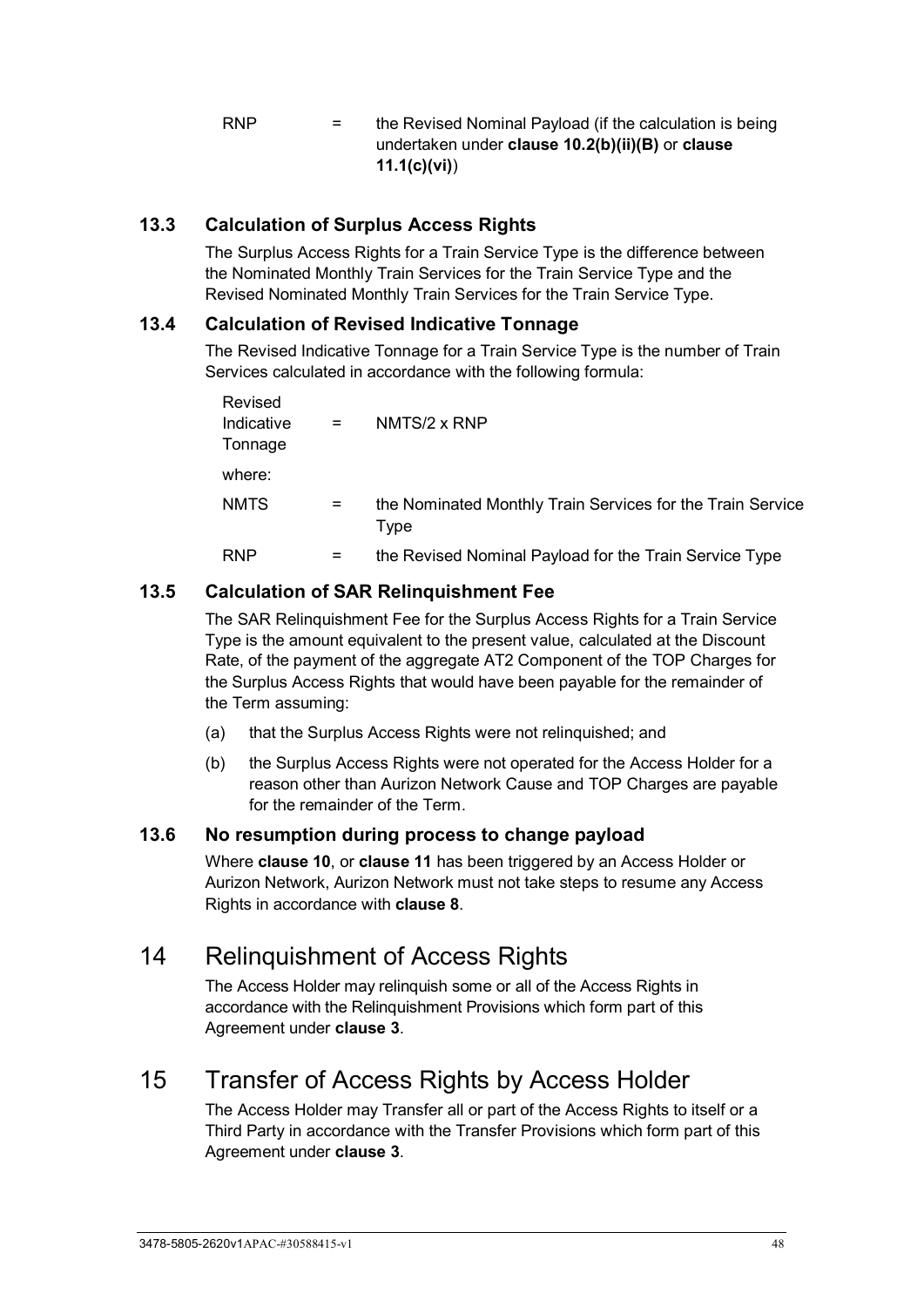$RNP =$  the Revised Nominal Payload (if the calculation is being undertaken under **clause [10.2\(b\)\(ii\)\(B\)](#page-45-1)** or **clause [11.1\(c\)\(vi\)](#page-49-2)**)

## <span id="page-53-0"></span>**13.3 Calculation of Surplus Access Rights**

The Surplus Access Rights for a Train Service Type is the difference between the Nominated Monthly Train Services for the Train Service Type and the Revised Nominated Monthly Train Services for the Train Service Type.

### **13.4 Calculation of Revised Indicative Tonnage**

The Revised Indicative Tonnage for a Train Service Type is the number of Train Services calculated in accordance with the following formula:

| Revised               |     |                                                                    |
|-----------------------|-----|--------------------------------------------------------------------|
| Indicative<br>Tonnage | $=$ | NMTS/2 x RNP                                                       |
| where:                |     |                                                                    |
| <b>NMTS</b>           | $=$ | the Nominated Monthly Train Services for the Train Service<br>Type |
| RNP                   | $=$ | the Revised Nominal Payload for the Train Service Type             |

## <span id="page-53-1"></span>**13.5 Calculation of SAR Relinquishment Fee**

The SAR Relinquishment Fee for the Surplus Access Rights for a Train Service Type is the amount equivalent to the present value, calculated at the Discount Rate, of the payment of the aggregate AT2 Component of the TOP Charges for the Surplus Access Rights that would have been payable for the remainder of the Term assuming:

- (a) that the Surplus Access Rights were not relinquished; and
- (b) the Surplus Access Rights were not operated for the Access Holder for a reason other than Aurizon Network Cause and TOP Charges are payable for the remainder of the Term.

## <span id="page-53-2"></span>**13.6 No resumption during process to change payload**

Where **clause [10](#page-44-1)**, or **clause [11](#page-48-6)** has been triggered by an Access Holder or Aurizon Network, Aurizon Network must not take steps to resume any Access Rights in accordance with **clause [8](#page-42-3)**.

# <span id="page-53-3"></span>14 Relinquishment of Access Rights

The Access Holder may relinquish some or all of the Access Rights in accordance with the Relinquishment Provisions which form part of this Agreement under **clause [3](#page-26-0)**.

# <span id="page-53-4"></span>15 Transfer of Access Rights by Access Holder

The Access Holder may Transfer all or part of the Access Rights to itself or a Third Party in accordance with the Transfer Provisions which form part of this Agreement under **clause [3](#page-26-0)**.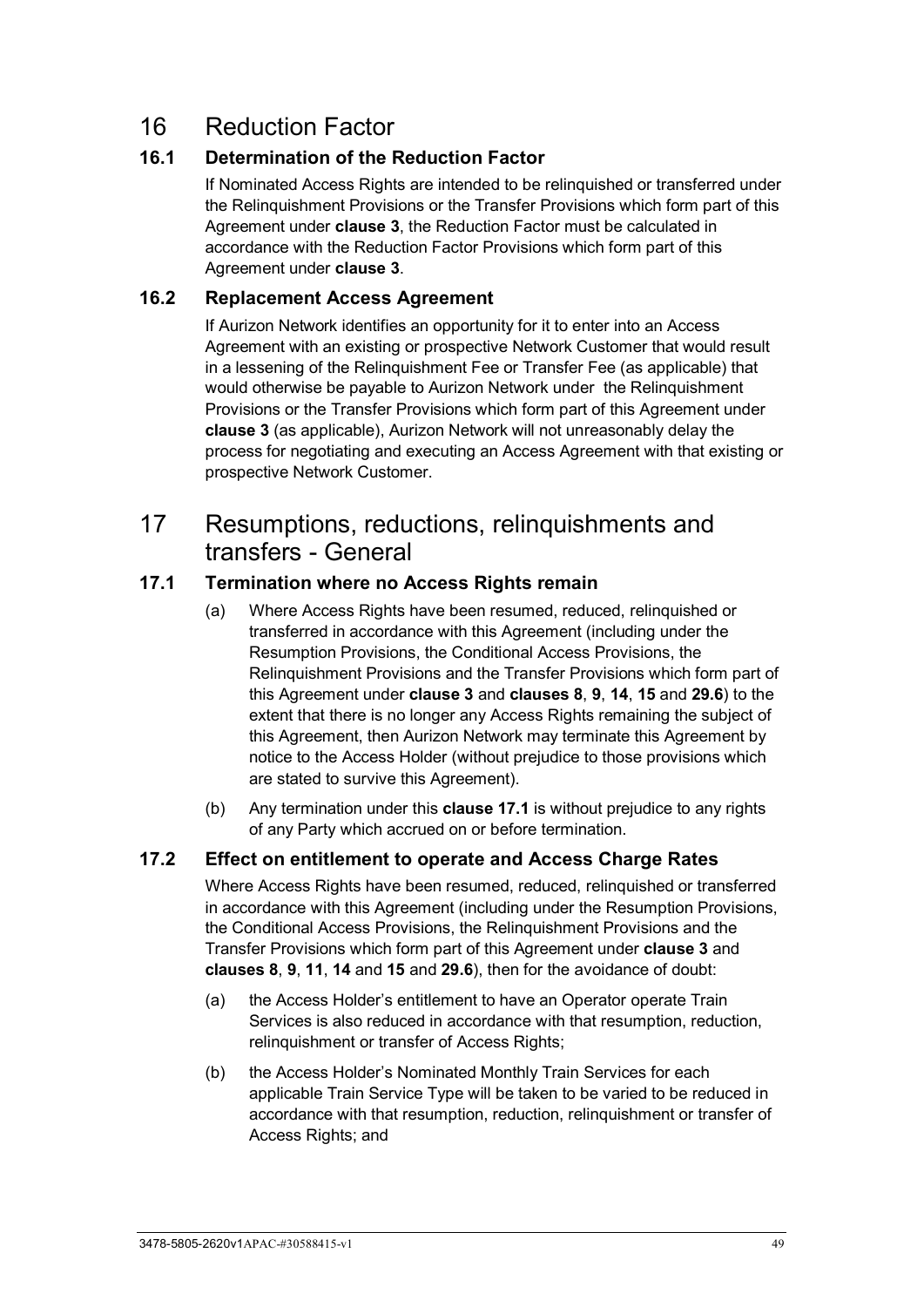# 16 Reduction Factor

### **16.1 Determination of the Reduction Factor**

If Nominated Access Rights are intended to be relinquished or transferred under the Relinquishment Provisions or the Transfer Provisions which form part of this Agreement under **clause [3](#page-26-0)**, the Reduction Factor must be calculated in accordance with the Reduction Factor Provisions which form part of this Agreement under **clause [3](#page-26-0)**.

#### **16.2 Replacement Access Agreement**

If Aurizon Network identifies an opportunity for it to enter into an Access Agreement with an existing or prospective Network Customer that would result in a lessening of the Relinquishment Fee or Transfer Fee (as applicable) that would otherwise be payable to Aurizon Network under the Relinquishment Provisions or the Transfer Provisions which form part of this Agreement under **clause [3](#page-26-0)** (as applicable), Aurizon Network will not unreasonably delay the process for negotiating and executing an Access Agreement with that existing or prospective Network Customer.

## 17 Resumptions, reductions, relinquishments and transfers - General

## <span id="page-54-0"></span>**17.1 Termination where no Access Rights remain**

- (a) Where Access Rights have been resumed, reduced, relinquished or transferred in accordance with this Agreement (including under the Resumption Provisions, the Conditional Access Provisions, the Relinquishment Provisions and the Transfer Provisions which form part of this Agreement under **clause [3](#page-26-0)** and **clauses [8](#page-42-3)**, **[9](#page-42-2)**, **[14](#page-53-3)**, **[15](#page-53-4)** and **[29.6](#page-77-0)**) to the extent that there is no longer any Access Rights remaining the subject of this Agreement, then Aurizon Network may terminate this Agreement by notice to the Access Holder (without prejudice to those provisions which are stated to survive this Agreement).
- (b) Any termination under this **clause [17.1](#page-54-0)** is without prejudice to any rights of any Party which accrued on or before termination.

### **17.2 Effect on entitlement to operate and Access Charge Rates**

Where Access Rights have been resumed, reduced, relinquished or transferred in accordance with this Agreement (including under the Resumption Provisions, the Conditional Access Provisions, the Relinquishment Provisions and the Transfer Provisions which form part of this Agreement under **clause [3](#page-26-0)** and **clauses [8](#page-42-3)**, **[9](#page-42-2)**, **[11](#page-48-6)**, **[14](#page-53-3)** and **[15](#page-53-4)** and **[29.6](#page-77-0)**), then for the avoidance of doubt:

- (a) the Access Holder's entitlement to have an Operator operate Train Services is also reduced in accordance with that resumption, reduction, relinquishment or transfer of Access Rights;
- (b) the Access Holder's Nominated Monthly Train Services for each applicable Train Service Type will be taken to be varied to be reduced in accordance with that resumption, reduction, relinquishment or transfer of Access Rights; and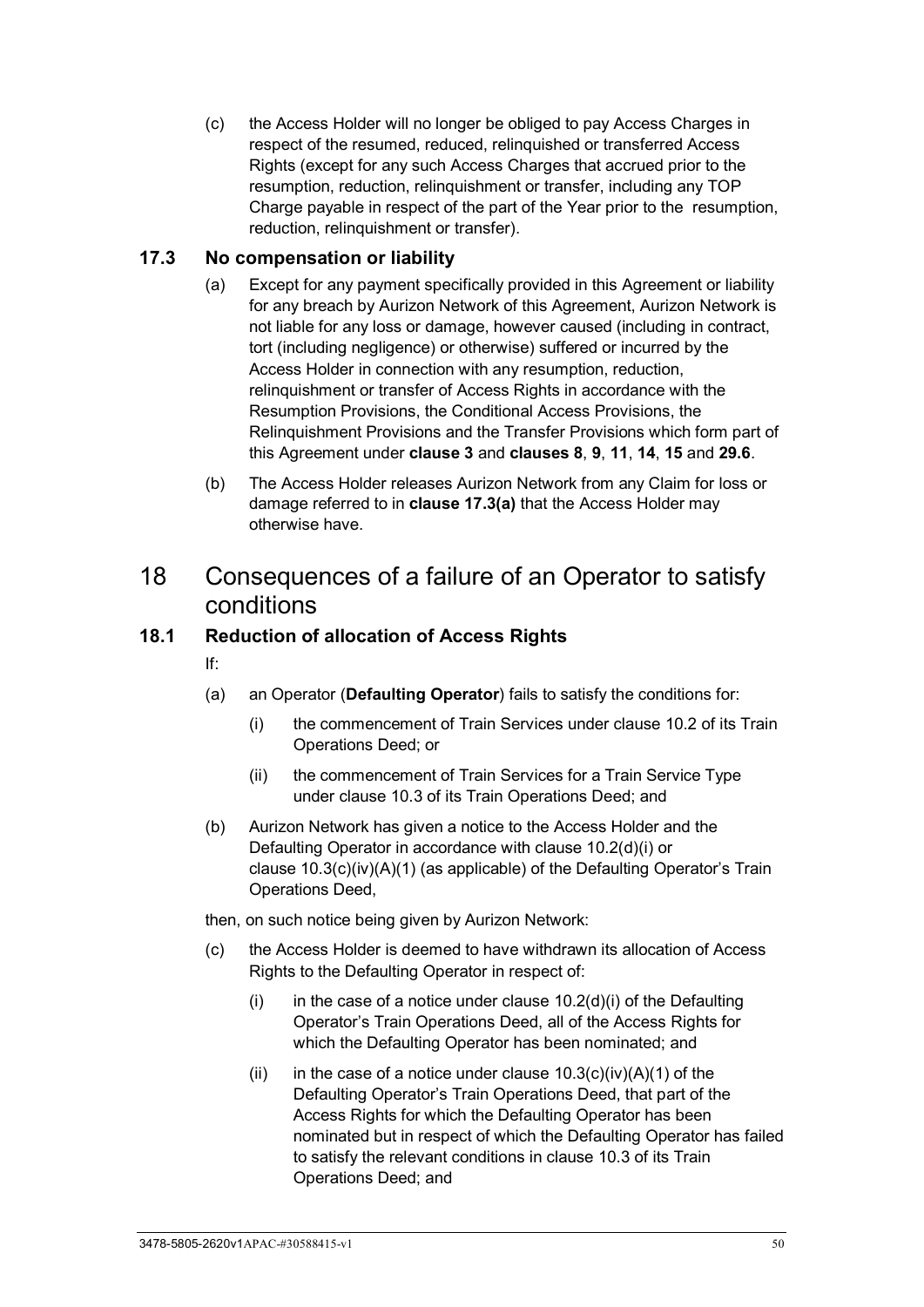(c) the Access Holder will no longer be obliged to pay Access Charges in respect of the resumed, reduced, relinquished or transferred Access Rights (except for any such Access Charges that accrued prior to the resumption, reduction, relinquishment or transfer, including any TOP Charge payable in respect of the part of the Year prior to the resumption, reduction, relinquishment or transfer).

### <span id="page-55-0"></span>**17.3 No compensation or liability**

- (a) Except for any payment specifically provided in this Agreement or liability for any breach by Aurizon Network of this Agreement, Aurizon Network is not liable for any loss or damage, however caused (including in contract, tort (including negligence) or otherwise) suffered or incurred by the Access Holder in connection with any resumption, reduction, relinquishment or transfer of Access Rights in accordance with the Resumption Provisions, the Conditional Access Provisions, the Relinquishment Provisions and the Transfer Provisions which form part of this Agreement under **clause [3](#page-26-0)** and **clauses [8](#page-42-3)**, **[9](#page-42-2)**, **[11](#page-48-6)**, **[14](#page-53-3)**, **[15](#page-53-4)** and **[29.6](#page-77-0)**.
- (b) The Access Holder releases Aurizon Network from any Claim for loss or damage referred to in **clause [17.3\(a\)](#page-55-0)** that the Access Holder may otherwise have.

## 18 Consequences of a failure of an Operator to satisfy conditions

### **18.1 Reduction of allocation of Access Rights**

- If:
- (a) an Operator (**Defaulting Operator**) fails to satisfy the conditions for:
	- (i) the commencement of Train Services under clause 10.2 of its Train Operations Deed; or
	- (ii) the commencement of Train Services for a Train Service Type under clause 10.3 of its Train Operations Deed; and
- (b) Aurizon Network has given a notice to the Access Holder and the Defaulting Operator in accordance with clause 10.2(d)(i) or clause 10.3(c)(iv)(A)(1) (as applicable) of the Defaulting Operator's Train Operations Deed,
- then, on such notice being given by Aurizon Network:
- (c) the Access Holder is deemed to have withdrawn its allocation of Access Rights to the Defaulting Operator in respect of:
	- $(i)$  in the case of a notice under clause 10.2(d)(i) of the Defaulting Operator's Train Operations Deed, all of the Access Rights for which the Defaulting Operator has been nominated; and
	- (ii) in the case of a notice under clause  $10.3(c)(iv)(A)(1)$  of the Defaulting Operator's Train Operations Deed, that part of the Access Rights for which the Defaulting Operator has been nominated but in respect of which the Defaulting Operator has failed to satisfy the relevant conditions in clause 10.3 of its Train Operations Deed; and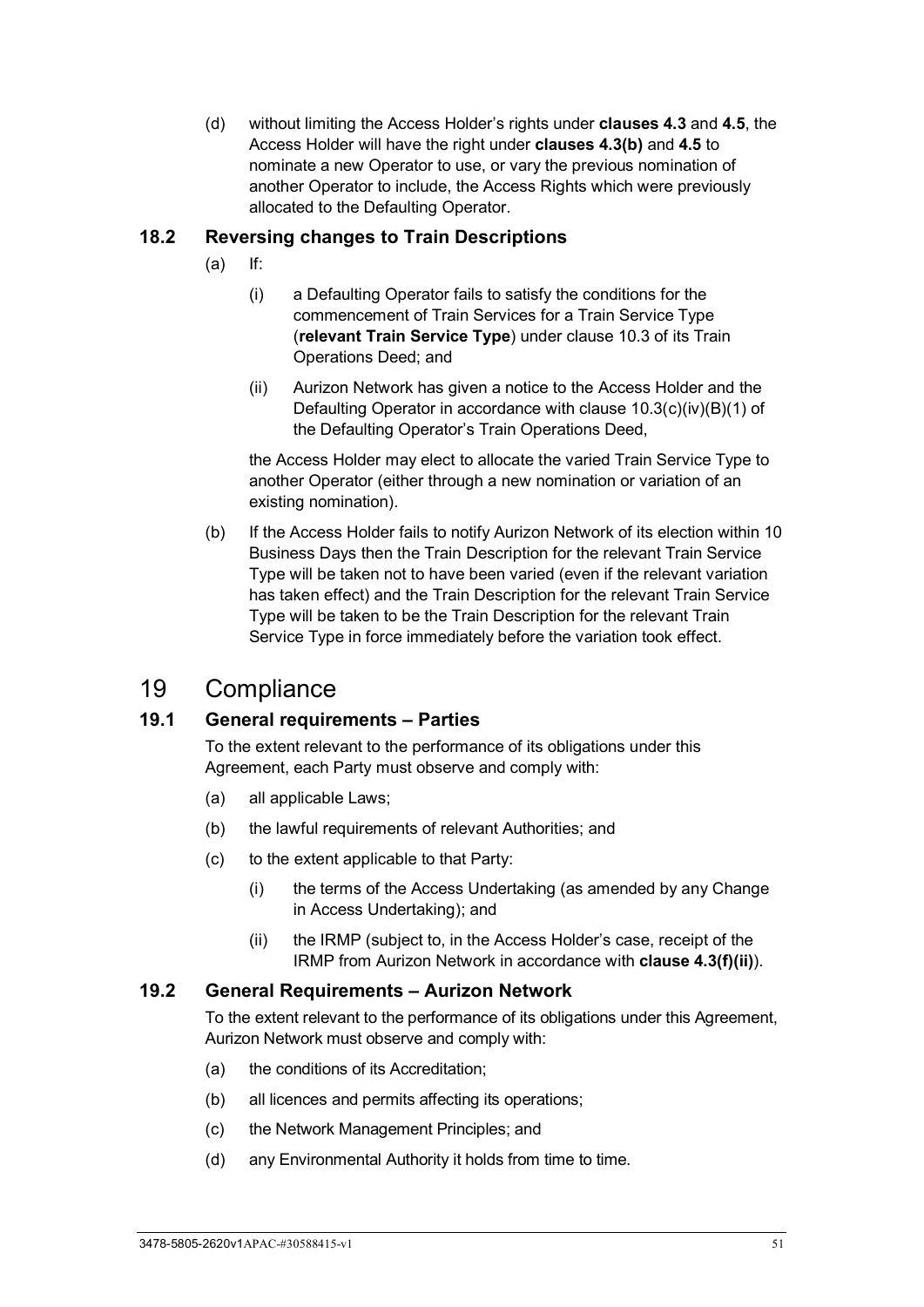(d) without limiting the Access Holder's rights under **clauses [4.3](#page-28-0)** and **[4.5](#page-31-1)**, the Access Holder will have the right under **clauses [4.3\(b\)](#page-29-0)** and **[4.5](#page-31-1)** to nominate a new Operator to use, or vary the previous nomination of another Operator to include, the Access Rights which were previously allocated to the Defaulting Operator.

## **18.2 Reversing changes to Train Descriptions**

- (a) If:
	- (i) a Defaulting Operator fails to satisfy the conditions for the commencement of Train Services for a Train Service Type (**relevant Train Service Type**) under clause 10.3 of its Train Operations Deed; and
	- (ii) Aurizon Network has given a notice to the Access Holder and the Defaulting Operator in accordance with clause 10.3(c)(iv)(B)(1) of the Defaulting Operator's Train Operations Deed,

the Access Holder may elect to allocate the varied Train Service Type to another Operator (either through a new nomination or variation of an existing nomination).

(b) If the Access Holder fails to notify Aurizon Network of its election within 10 Business Days then the Train Description for the relevant Train Service Type will be taken not to have been varied (even if the relevant variation has taken effect) and the Train Description for the relevant Train Service Type will be taken to be the Train Description for the relevant Train Service Type in force immediately before the variation took effect.

## 19 Compliance

## **19.1 General requirements – Parties**

To the extent relevant to the performance of its obligations under this Agreement, each Party must observe and comply with:

- (a) all applicable Laws;
- (b) the lawful requirements of relevant Authorities; and
- (c) to the extent applicable to that Party:
	- (i) the terms of the Access Undertaking (as amended by any Change in Access Undertaking); and
	- (ii) the IRMP (subject to, in the Access Holder's case, receipt of the IRMP from Aurizon Network in accordance with **clause [4.3\(f\)\(ii\)](#page-30-0)**).

#### **19.2 General Requirements – Aurizon Network**

To the extent relevant to the performance of its obligations under this Agreement, Aurizon Network must observe and comply with:

- (a) the conditions of its Accreditation;
- (b) all licences and permits affecting its operations;
- (c) the Network Management Principles; and
- (d) any Environmental Authority it holds from time to time.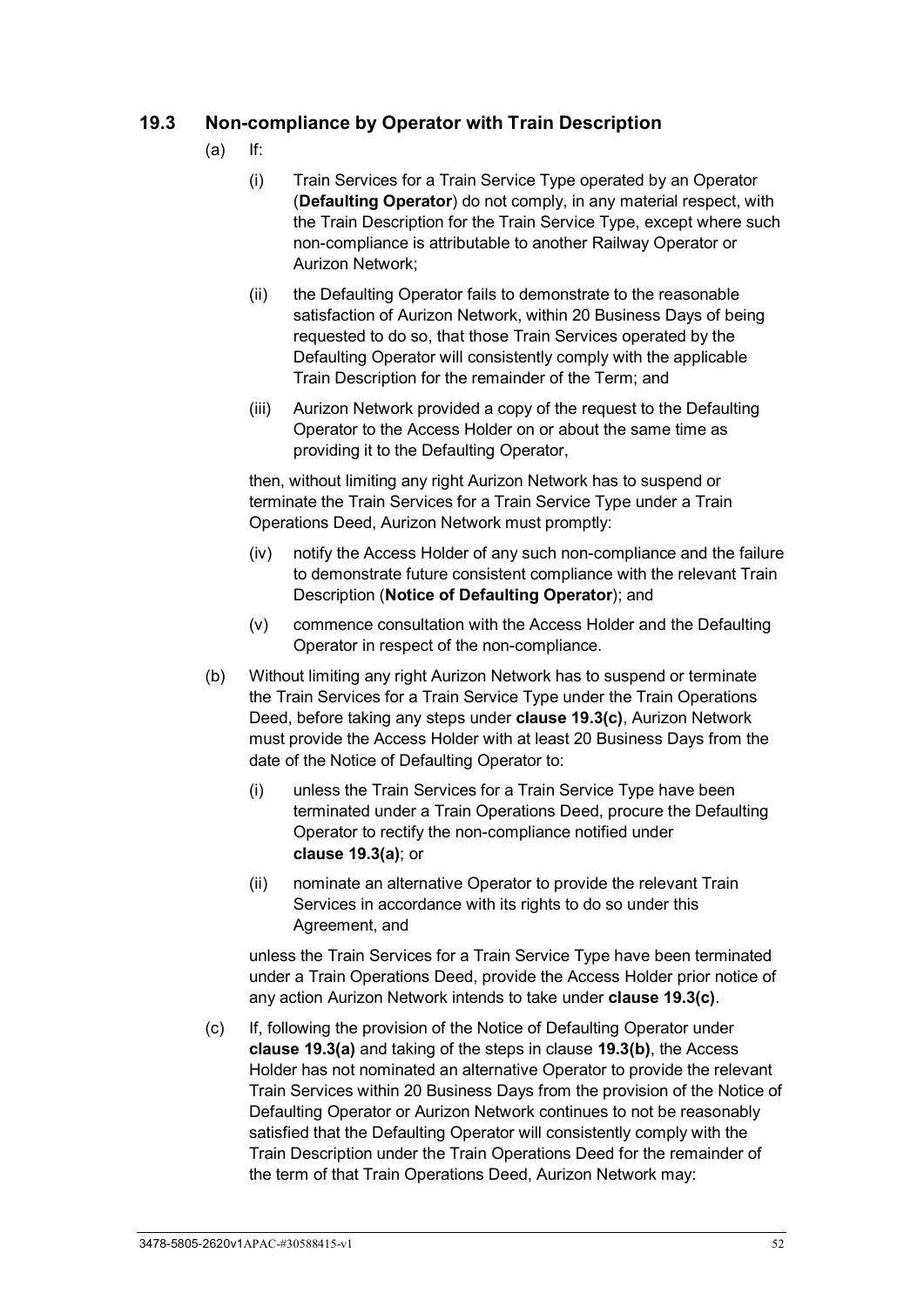## <span id="page-57-3"></span><span id="page-57-1"></span>**19.3 Non-compliance by Operator with Train Description**

- (a) If:
	- (i) Train Services for a Train Service Type operated by an Operator (**Defaulting Operator**) do not comply, in any material respect, with the Train Description for the Train Service Type, except where such non-compliance is attributable to another Railway Operator or Aurizon Network;
	- (ii) the Defaulting Operator fails to demonstrate to the reasonable satisfaction of Aurizon Network, within 20 Business Days of being requested to do so, that those Train Services operated by the Defaulting Operator will consistently comply with the applicable Train Description for the remainder of the Term; and
	- (iii) Aurizon Network provided a copy of the request to the Defaulting Operator to the Access Holder on or about the same time as providing it to the Defaulting Operator,

then, without limiting any right Aurizon Network has to suspend or terminate the Train Services for a Train Service Type under a Train Operations Deed, Aurizon Network must promptly:

- (iv) notify the Access Holder of any such non-compliance and the failure to demonstrate future consistent compliance with the relevant Train Description (**Notice of Defaulting Operator**); and
- (v) commence consultation with the Access Holder and the Defaulting Operator in respect of the non-compliance.
- <span id="page-57-2"></span>(b) Without limiting any right Aurizon Network has to suspend or terminate the Train Services for a Train Service Type under the Train Operations Deed, before taking any steps under **clause [19.3\(c\)](#page-57-0)**, Aurizon Network must provide the Access Holder with at least 20 Business Days from the date of the Notice of Defaulting Operator to:
	- (i) unless the Train Services for a Train Service Type have been terminated under a Train Operations Deed, procure the Defaulting Operator to rectify the non-compliance notified under **clause [19.3\(a\)](#page-57-1)**; or
	- (ii) nominate an alternative Operator to provide the relevant Train Services in accordance with its rights to do so under this Agreement, and

unless the Train Services for a Train Service Type have been terminated under a Train Operations Deed, provide the Access Holder prior notice of any action Aurizon Network intends to take under **clause [19.3\(c\)](#page-57-0)**.

<span id="page-57-0"></span>(c) If, following the provision of the Notice of Defaulting Operator under **clause [19.3\(a\)](#page-57-1)** and taking of the steps in clause **[19.3\(b\)](#page-57-2)**, the Access Holder has not nominated an alternative Operator to provide the relevant Train Services within 20 Business Days from the provision of the Notice of Defaulting Operator or Aurizon Network continues to not be reasonably satisfied that the Defaulting Operator will consistently comply with the Train Description under the Train Operations Deed for the remainder of the term of that Train Operations Deed, Aurizon Network may: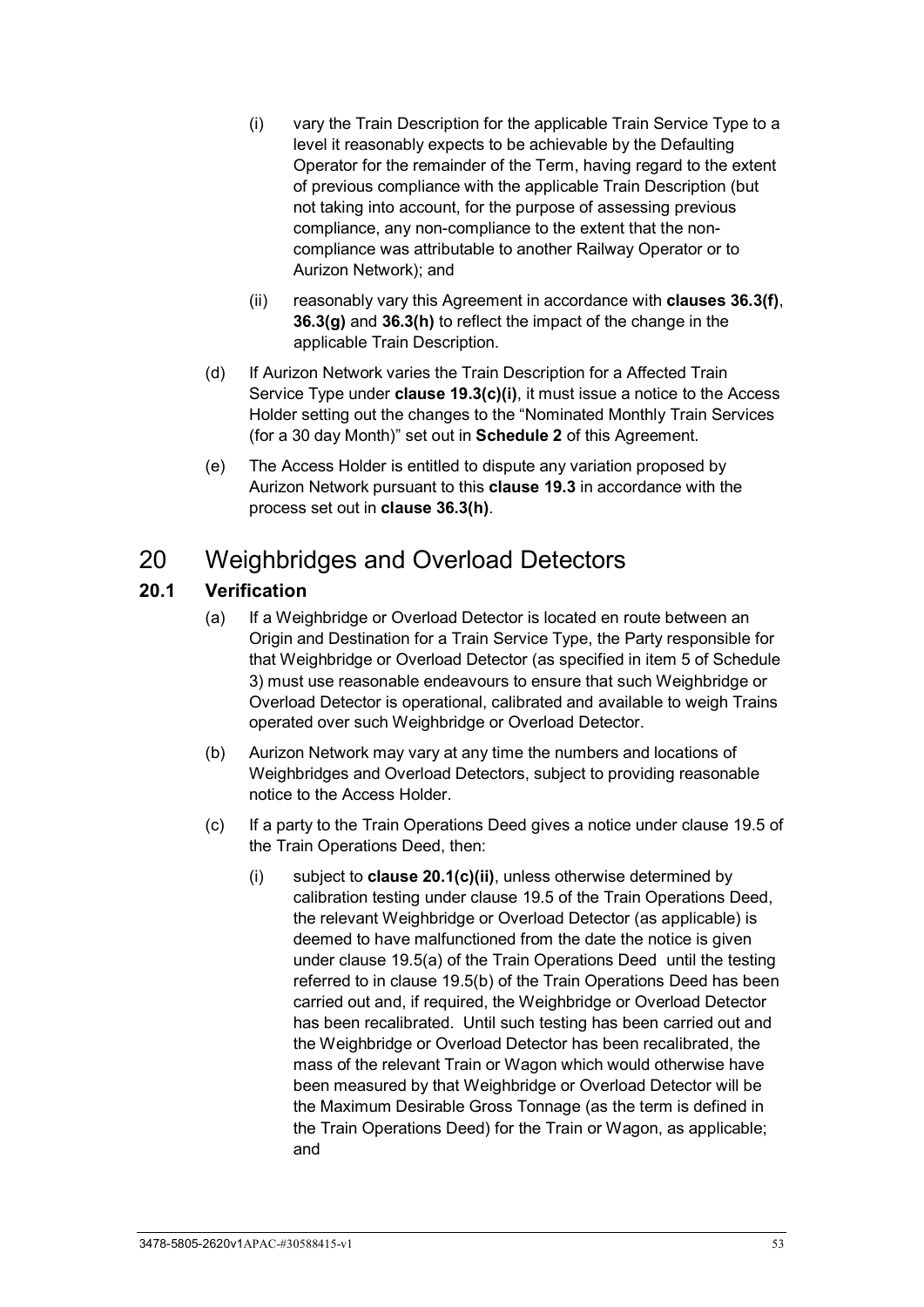- <span id="page-58-0"></span>(i) vary the Train Description for the applicable Train Service Type to a level it reasonably expects to be achievable by the Defaulting Operator for the remainder of the Term, having regard to the extent of previous compliance with the applicable Train Description (but not taking into account, for the purpose of assessing previous compliance, any non-compliance to the extent that the noncompliance was attributable to another Railway Operator or to Aurizon Network); and
- (ii) reasonably vary this Agreement in accordance with **clauses [36.3\(f\)](#page-86-0)**, **[36.3\(g\)](#page-86-1)** and **[36.3\(h\)](#page-86-2)** to reflect the impact of the change in the applicable Train Description.
- (d) If Aurizon Network varies the Train Description for a Affected Train Service Type under **clause [19.3\(c\)\(i\)](#page-58-0)**, it must issue a notice to the Access Holder setting out the changes to the "Nominated Monthly Train Services (for a 30 day Month)" set out in **Schedule 2** of this Agreement.
- (e) The Access Holder is entitled to dispute any variation proposed by Aurizon Network pursuant to this **clause [19.3](#page-57-3)** in accordance with the process set out in **clause [36.3\(h\)](#page-86-2)**.

# 20 Weighbridges and Overload Detectors

## **20.1 Verification**

- (a) If a Weighbridge or Overload Detector is located en route between an Origin and Destination for a Train Service Type, the Party responsible for that Weighbridge or Overload Detector (as specified in item 5 of Schedule 3) must use reasonable endeavours to ensure that such Weighbridge or Overload Detector is operational, calibrated and available to weigh Trains operated over such Weighbridge or Overload Detector.
- (b) Aurizon Network may vary at any time the numbers and locations of Weighbridges and Overload Detectors, subject to providing reasonable notice to the Access Holder.
- <span id="page-58-1"></span>(c) If a party to the Train Operations Deed gives a notice under clause 19.5 of the Train Operations Deed, then:
	- (i) subject to **clause [20.1\(c\)\(ii\)](#page-59-0)**, unless otherwise determined by calibration testing under clause 19.5 of the Train Operations Deed, the relevant Weighbridge or Overload Detector (as applicable) is deemed to have malfunctioned from the date the notice is given under clause 19.5(a) of the Train Operations Deeduntil the testing referred to in clause 19.5(b) of the Train Operations Deed has been carried out and, if required, the Weighbridge or Overload Detector has been recalibrated. Until such testing has been carried out and the Weighbridge or Overload Detector has been recalibrated, the mass of the relevant Train or Wagon which would otherwise have been measured by that Weighbridge or Overload Detector will be the Maximum Desirable Gross Tonnage (as the term is defined in the Train Operations Deed) for the Train or Wagon, as applicable; and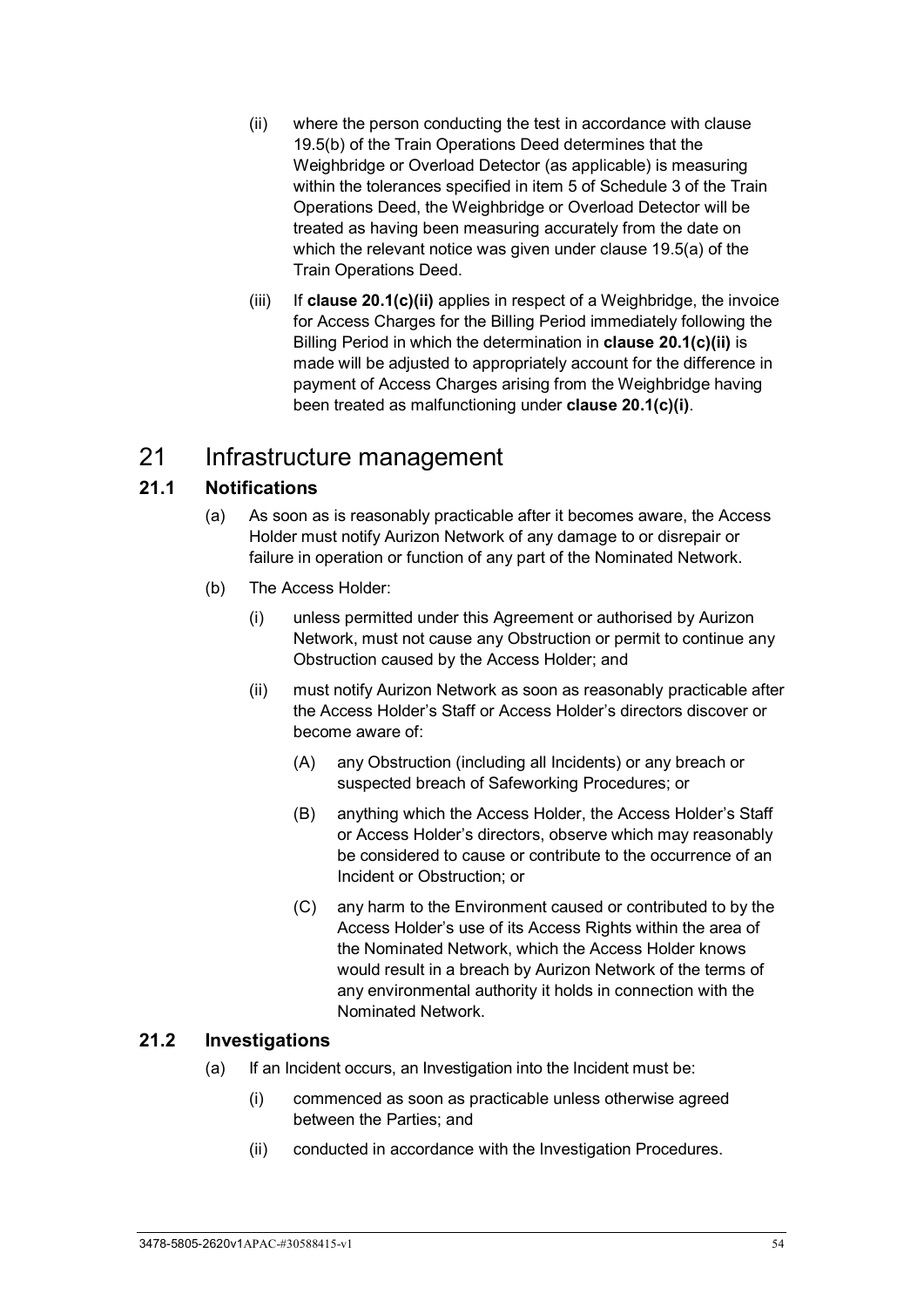- <span id="page-59-0"></span>(ii) where the person conducting the test in accordance with clause 19.5(b) of the Train Operations Deed determines that the Weighbridge or Overload Detector (as applicable) is measuring within the tolerances specified in item 5 of Schedule 3 of the Train Operations Deed, the Weighbridge or Overload Detector will be treated as having been measuring accurately from the date on which the relevant notice was given under clause 19.5(a) of the Train Operations Deed.
- (iii) If **clause [20.1\(c\)\(ii\)](#page-59-0)** applies in respect of a Weighbridge, the invoice for Access Charges for the Billing Period immediately following the Billing Period in which the determination in **clause [20.1\(c\)\(ii\)](#page-59-0)** is made will be adjusted to appropriately account for the difference in payment of Access Charges arising from the Weighbridge having been treated as malfunctioning under **clause [20.1\(c\)\(i\)](#page-58-1)**.

# 21 Infrastructure management

## **21.1 Notifications**

- (a) As soon as is reasonably practicable after it becomes aware, the Access Holder must notify Aurizon Network of any damage to or disrepair or failure in operation or function of any part of the Nominated Network.
- (b) The Access Holder:
	- (i) unless permitted under this Agreement or authorised by Aurizon Network, must not cause any Obstruction or permit to continue any Obstruction caused by the Access Holder; and
	- (ii) must notify Aurizon Network as soon as reasonably practicable after the Access Holder's Staff or Access Holder's directors discover or become aware of:
		- (A) any Obstruction (including all Incidents) or any breach or suspected breach of Safeworking Procedures; or
		- (B) anything which the Access Holder, the Access Holder's Staff or Access Holder's directors, observe which may reasonably be considered to cause or contribute to the occurrence of an Incident or Obstruction; or
		- (C) any harm to the Environment caused or contributed to by the Access Holder's use of its Access Rights within the area of the Nominated Network, which the Access Holder knows would result in a breach by Aurizon Network of the terms of any environmental authority it holds in connection with the Nominated Network.

## **21.2 Investigations**

- (a) If an Incident occurs, an Investigation into the Incident must be:
	- (i) commenced as soon as practicable unless otherwise agreed between the Parties; and
	- (ii) conducted in accordance with the Investigation Procedures.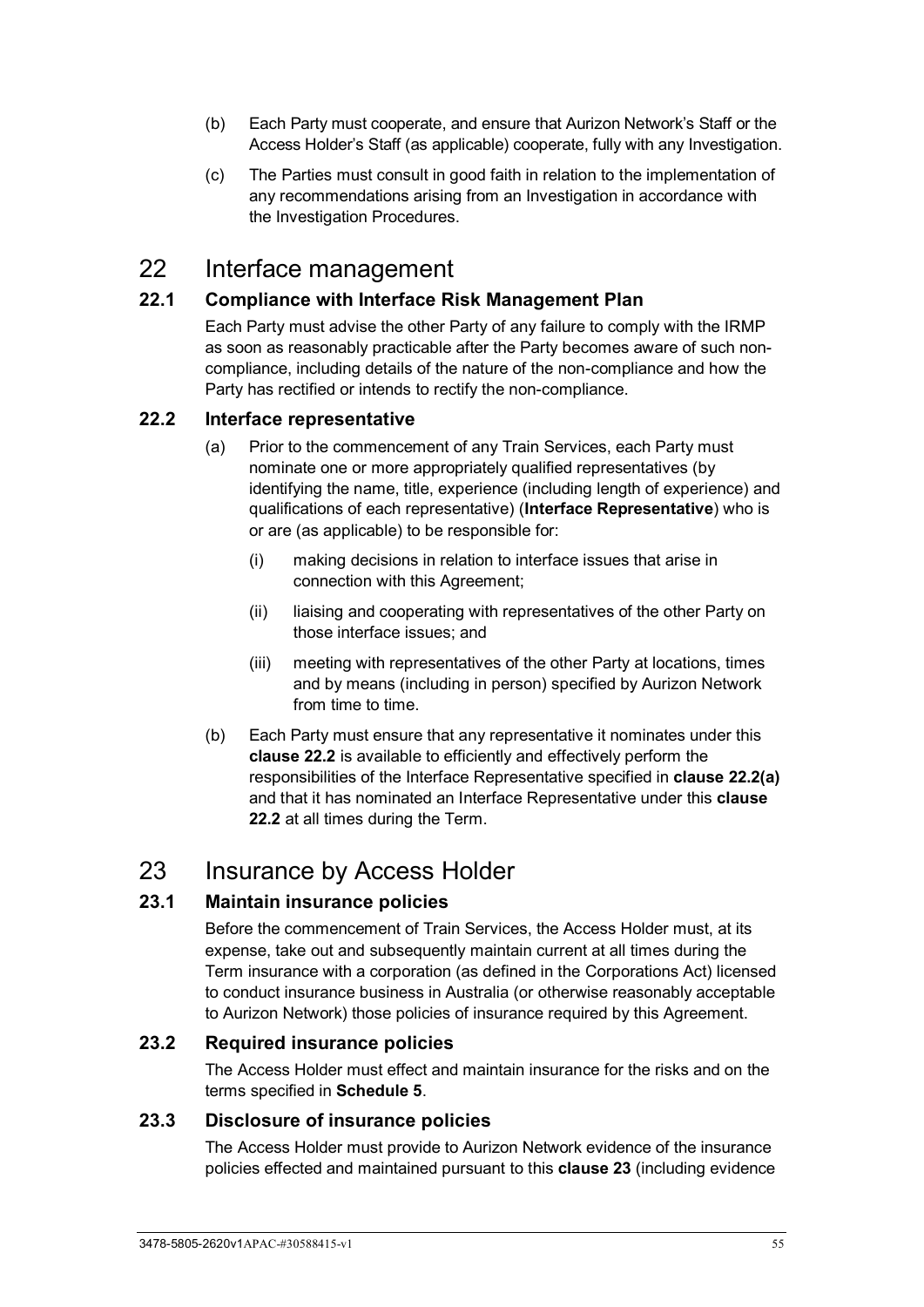- (b) Each Party must cooperate, and ensure that Aurizon Network's Staff or the Access Holder's Staff (as applicable) cooperate, fully with any Investigation.
- (c) The Parties must consult in good faith in relation to the implementation of any recommendations arising from an Investigation in accordance with the Investigation Procedures.

## 22 Interface management

### **22.1 Compliance with Interface Risk Management Plan**

Each Party must advise the other Party of any failure to comply with the IRMP as soon as reasonably practicable after the Party becomes aware of such noncompliance, including details of the nature of the non-compliance and how the Party has rectified or intends to rectify the non-compliance.

### <span id="page-60-1"></span><span id="page-60-0"></span>**22.2 Interface representative**

- (a) Prior to the commencement of any Train Services, each Party must nominate one or more appropriately qualified representatives (by identifying the name, title, experience (including length of experience) and qualifications of each representative) (**Interface Representative**) who is or are (as applicable) to be responsible for:
	- (i) making decisions in relation to interface issues that arise in connection with this Agreement;
	- (ii) liaising and cooperating with representatives of the other Party on those interface issues; and
	- (iii) meeting with representatives of the other Party at locations, times and by means (including in person) specified by Aurizon Network from time to time.
- (b) Each Party must ensure that any representative it nominates under this **clause [22.2](#page-60-0)** is available to efficiently and effectively perform the responsibilities of the Interface Representative specified in **clause [22.2\(a\)](#page-60-1)** and that it has nominated an Interface Representative under this **clause [22.2](#page-60-0)** at all times during the Term.

## <span id="page-60-2"></span>23 Insurance by Access Holder

## **23.1 Maintain insurance policies**

Before the commencement of Train Services, the Access Holder must, at its expense, take out and subsequently maintain current at all times during the Term insurance with a corporation (as defined in the Corporations Act) licensed to conduct insurance business in Australia (or otherwise reasonably acceptable to Aurizon Network) those policies of insurance required by this Agreement.

#### **23.2 Required insurance policies**

The Access Holder must effect and maintain insurance for the risks and on the terms specified in **[Schedule 5](#page-120-0)**.

#### **23.3 Disclosure of insurance policies**

The Access Holder must provide to Aurizon Network evidence of the insurance policies effected and maintained pursuant to this **clause [23](#page-60-2)** (including evidence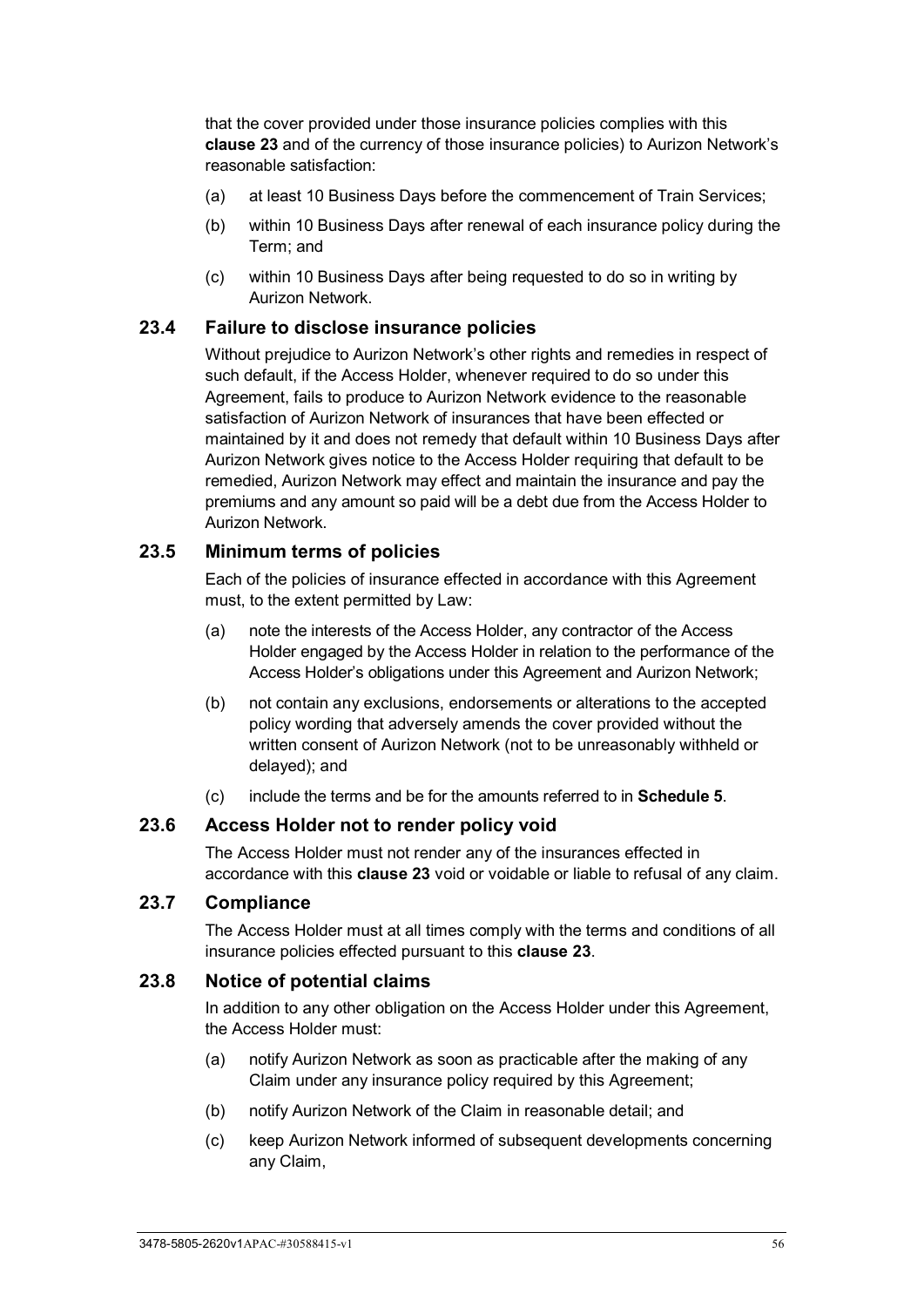that the cover provided under those insurance policies complies with this **clause [23](#page-60-2)** and of the currency of those insurance policies) to Aurizon Network's reasonable satisfaction:

- (a) at least 10 Business Days before the commencement of Train Services;
- (b) within 10 Business Days after renewal of each insurance policy during the Term; and
- (c) within 10 Business Days after being requested to do so in writing by Aurizon Network.

#### **23.4 Failure to disclose insurance policies**

Without prejudice to Aurizon Network's other rights and remedies in respect of such default, if the Access Holder, whenever required to do so under this Agreement, fails to produce to Aurizon Network evidence to the reasonable satisfaction of Aurizon Network of insurances that have been effected or maintained by it and does not remedy that default within 10 Business Days after Aurizon Network gives notice to the Access Holder requiring that default to be remedied, Aurizon Network may effect and maintain the insurance and pay the premiums and any amount so paid will be a debt due from the Access Holder to Aurizon Network.

#### **23.5 Minimum terms of policies**

Each of the policies of insurance effected in accordance with this Agreement must, to the extent permitted by Law:

- (a) note the interests of the Access Holder, any contractor of the Access Holder engaged by the Access Holder in relation to the performance of the Access Holder's obligations under this Agreement and Aurizon Network;
- (b) not contain any exclusions, endorsements or alterations to the accepted policy wording that adversely amends the cover provided without the written consent of Aurizon Network (not to be unreasonably withheld or delayed); and
- (c) include the terms and be for the amounts referred to in **[Schedule 5](#page-120-0)**.

#### **23.6 Access Holder not to render policy void**

The Access Holder must not render any of the insurances effected in accordance with this **clause [23](#page-60-2)** void or voidable or liable to refusal of any claim.

#### **23.7 Compliance**

The Access Holder must at all times comply with the terms and conditions of all insurance policies effected pursuant to this **clause [23](#page-60-2)**.

#### **23.8 Notice of potential claims**

In addition to any other obligation on the Access Holder under this Agreement, the Access Holder must:

- (a) notify Aurizon Network as soon as practicable after the making of any Claim under any insurance policy required by this Agreement;
- (b) notify Aurizon Network of the Claim in reasonable detail; and
- (c) keep Aurizon Network informed of subsequent developments concerning any Claim,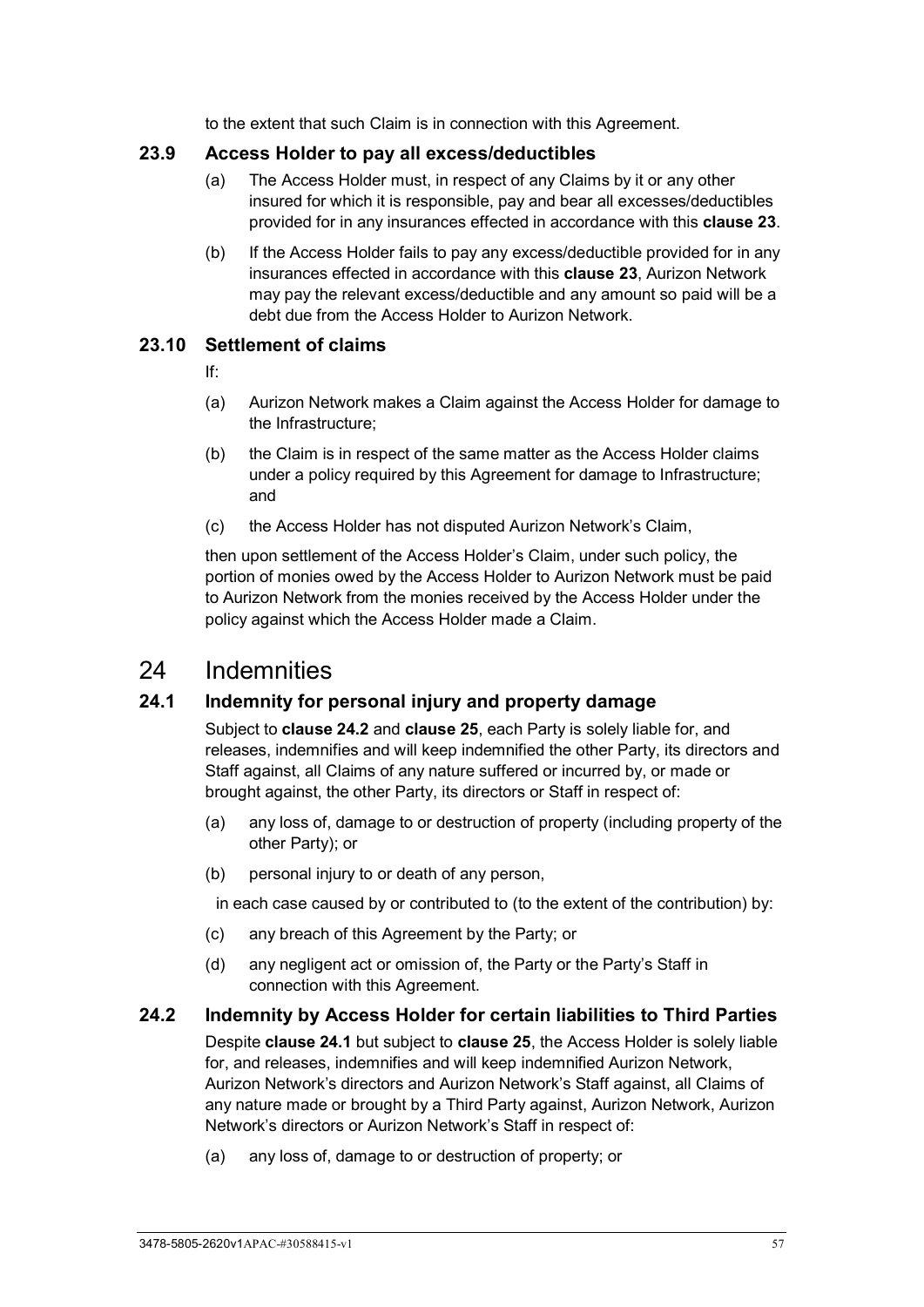to the extent that such Claim is in connection with this Agreement.

### **23.9 Access Holder to pay all excess/deductibles**

- (a) The Access Holder must, in respect of any Claims by it or any other insured for which it is responsible, pay and bear all excesses/deductibles provided for in any insurances effected in accordance with this **clause [23](#page-60-2)**.
- (b) If the Access Holder fails to pay any excess/deductible provided for in any insurances effected in accordance with this **clause [23](#page-60-2)**, Aurizon Network may pay the relevant excess/deductible and any amount so paid will be a debt due from the Access Holder to Aurizon Network.

### **23.10 Settlement of claims**

If:

- (a) Aurizon Network makes a Claim against the Access Holder for damage to the Infrastructure;
- (b) the Claim is in respect of the same matter as the Access Holder claims under a policy required by this Agreement for damage to Infrastructure; and
- (c) the Access Holder has not disputed Aurizon Network's Claim,

then upon settlement of the Access Holder's Claim, under such policy, the portion of monies owed by the Access Holder to Aurizon Network must be paid to Aurizon Network from the monies received by the Access Holder under the policy against which the Access Holder made a Claim.

## <span id="page-62-2"></span>24 Indemnities

## <span id="page-62-1"></span>**24.1 Indemnity for personal injury and property damage**

Subject to **clause [24.2](#page-62-0)** and **clause [25](#page-63-0)**, each Party is solely liable for, and releases, indemnifies and will keep indemnified the other Party, its directors and Staff against, all Claims of any nature suffered or incurred by, or made or brought against, the other Party, its directors or Staff in respect of:

- (a) any loss of, damage to or destruction of property (including property of the other Party); or
- (b) personal injury to or death of any person,

in each case caused by or contributed to (to the extent of the contribution) by:

- (c) any breach of this Agreement by the Party; or
- (d) any negligent act or omission of, the Party or the Party's Staff in connection with this Agreement.

## <span id="page-62-0"></span>**24.2 Indemnity by Access Holder for certain liabilities to Third Parties**

Despite **clause [24.1](#page-62-1)** but subject to **clause [25](#page-63-0)**, the Access Holder is solely liable for, and releases, indemnifies and will keep indemnified Aurizon Network, Aurizon Network's directors and Aurizon Network's Staff against, all Claims of any nature made or brought by a Third Party against, Aurizon Network, Aurizon Network's directors or Aurizon Network's Staff in respect of:

(a) any loss of, damage to or destruction of property; or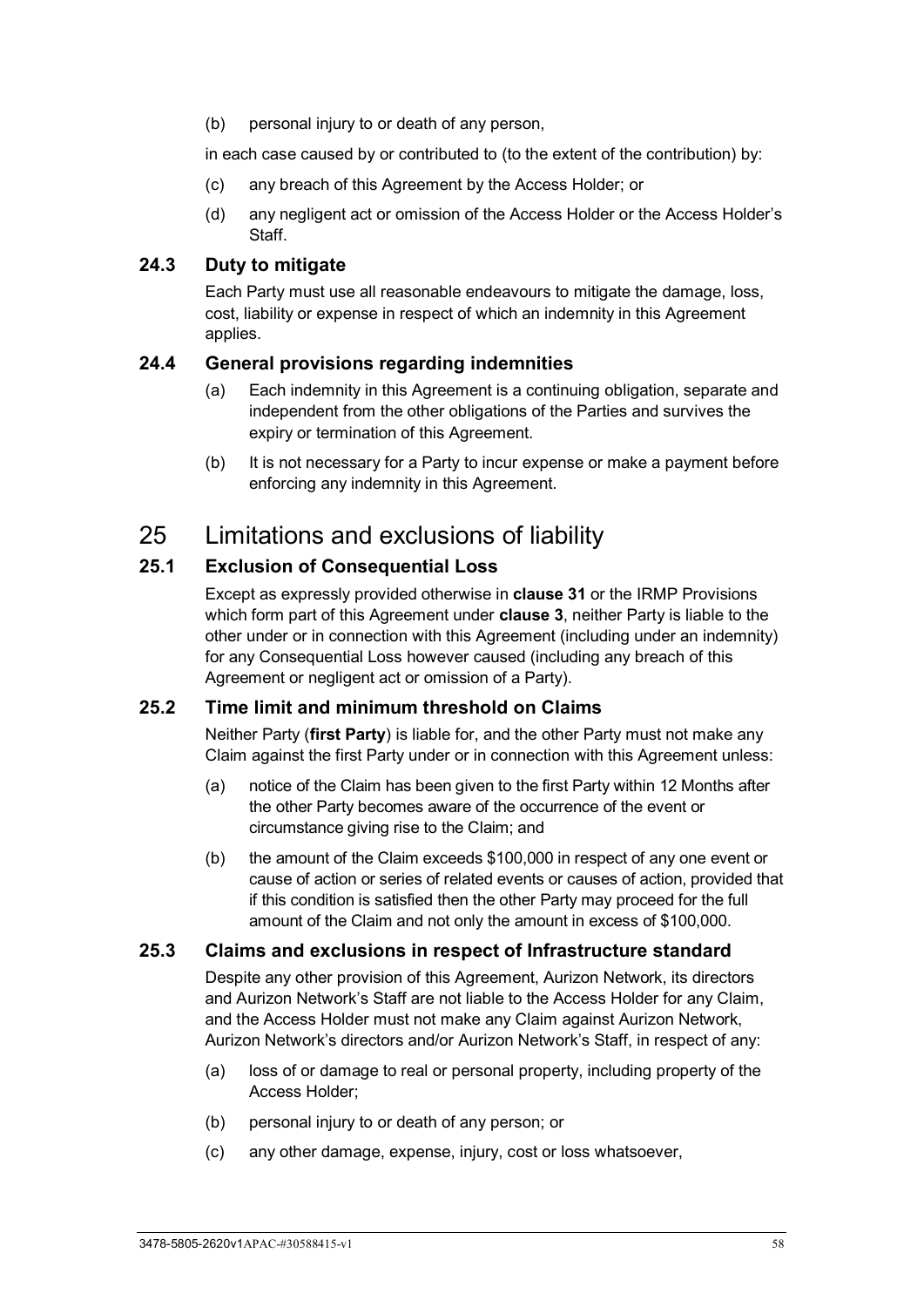(b) personal injury to or death of any person,

in each case caused by or contributed to (to the extent of the contribution) by:

- (c) any breach of this Agreement by the Access Holder; or
- (d) any negligent act or omission of the Access Holder or the Access Holder's Staff.

#### **24.3 Duty to mitigate**

Each Party must use all reasonable endeavours to mitigate the damage, loss, cost, liability or expense in respect of which an indemnity in this Agreement applies.

#### **24.4 General provisions regarding indemnities**

- (a) Each indemnity in this Agreement is a continuing obligation, separate and independent from the other obligations of the Parties and survives the expiry or termination of this Agreement.
- (b) It is not necessary for a Party to incur expense or make a payment before enforcing any indemnity in this Agreement.

## <span id="page-63-0"></span>25 Limitations and exclusions of liability

#### **25.1 Exclusion of Consequential Loss**

Except as expressly provided otherwise in **clause [31](#page-78-0)** or the IRMP Provisions which form part of this Agreement under **clause [3](#page-26-0)**, neither Party is liable to the other under or in connection with this Agreement (including under an indemnity) for any Consequential Loss however caused (including any breach of this Agreement or negligent act or omission of a Party).

#### **25.2 Time limit and minimum threshold on Claims**

Neither Party (**first Party**) is liable for, and the other Party must not make any Claim against the first Party under or in connection with this Agreement unless:

- (a) notice of the Claim has been given to the first Party within 12 Months after the other Party becomes aware of the occurrence of the event or circumstance giving rise to the Claim; and
- (b) the amount of the Claim exceeds \$100,000 in respect of any one event or cause of action or series of related events or causes of action, provided that if this condition is satisfied then the other Party may proceed for the full amount of the Claim and not only the amount in excess of \$100,000.

#### **25.3 Claims and exclusions in respect of Infrastructure standard**

<span id="page-63-1"></span>Despite any other provision of this Agreement, Aurizon Network, its directors and Aurizon Network's Staff are not liable to the Access Holder for any Claim, and the Access Holder must not make any Claim against Aurizon Network, Aurizon Network's directors and/or Aurizon Network's Staff, in respect of any:

- (a) loss of or damage to real or personal property, including property of the Access Holder;
- (b) personal injury to or death of any person; or
- (c) any other damage, expense, injury, cost or loss whatsoever,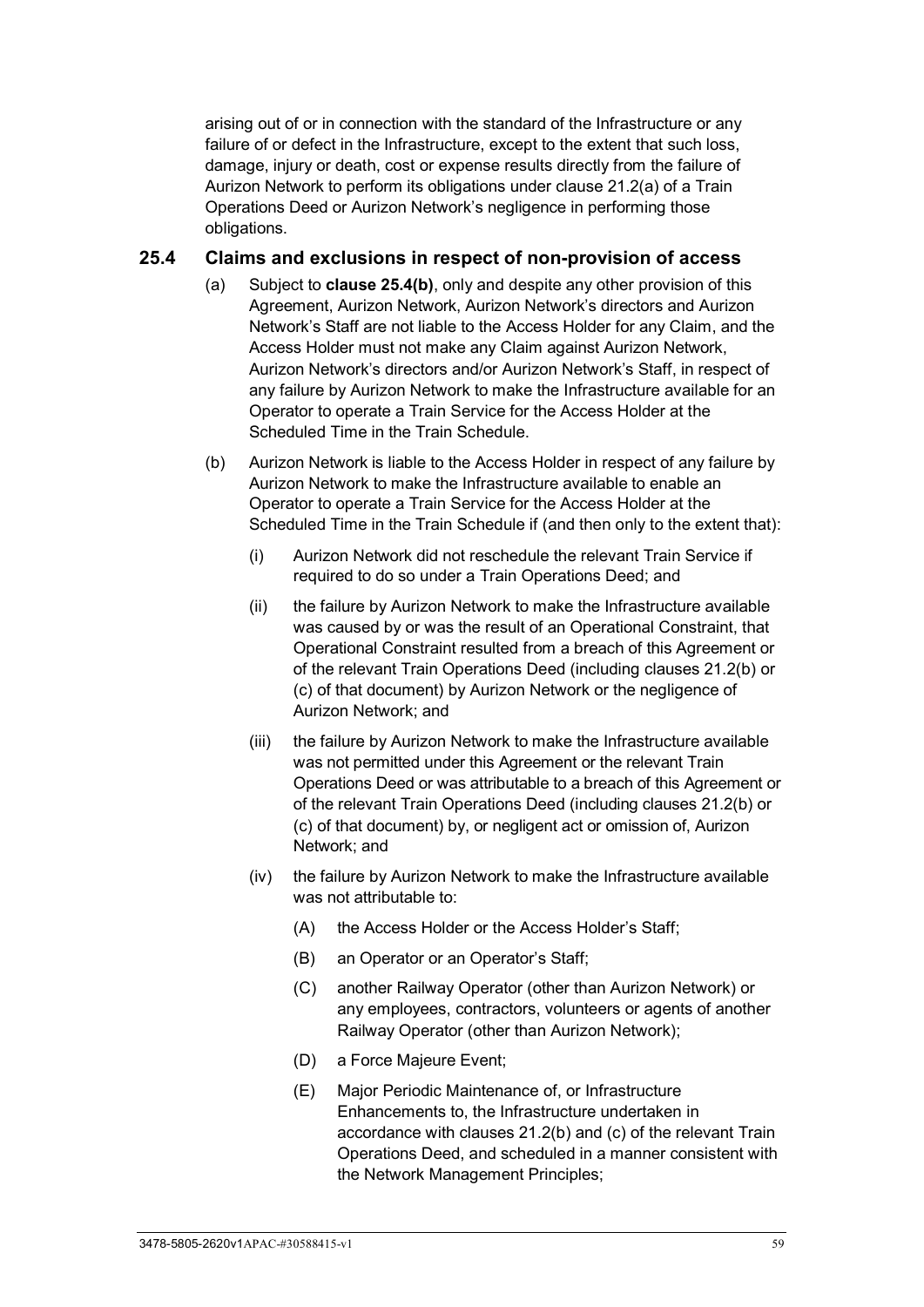arising out of or in connection with the standard of the Infrastructure or any failure of or defect in the Infrastructure, except to the extent that such loss, damage, injury or death, cost or expense results directly from the failure of Aurizon Network to perform its obligations under clause 21.2(a) of a Train Operations Deed or Aurizon Network's negligence in performing those obligations.

#### **25.4 Claims and exclusions in respect of non-provision of access**

- (a) Subject to **clause [25.4\(b\)](#page-64-0)**, only and despite any other provision of this Agreement, Aurizon Network, Aurizon Network's directors and Aurizon Network's Staff are not liable to the Access Holder for any Claim, and the Access Holder must not make any Claim against Aurizon Network, Aurizon Network's directors and/or Aurizon Network's Staff, in respect of any failure by Aurizon Network to make the Infrastructure available for an Operator to operate a Train Service for the Access Holder at the Scheduled Time in the Train Schedule.
- <span id="page-64-2"></span><span id="page-64-1"></span><span id="page-64-0"></span>(b) Aurizon Network is liable to the Access Holder in respect of any failure by Aurizon Network to make the Infrastructure available to enable an Operator to operate a Train Service for the Access Holder at the Scheduled Time in the Train Schedule if (and then only to the extent that):
	- (i) Aurizon Network did not reschedule the relevant Train Service if required to do so under a Train Operations Deed; and
	- (ii) the failure by Aurizon Network to make the Infrastructure available was caused by or was the result of an Operational Constraint, that Operational Constraint resulted from a breach of this Agreement or of the relevant Train Operations Deed (including clauses 21.2(b) or (c) of that document) by Aurizon Network or the negligence of Aurizon Network; and
	- (iii) the failure by Aurizon Network to make the Infrastructure available was not permitted under this Agreement or the relevant Train Operations Deed or was attributable to a breach of this Agreement or of the relevant Train Operations Deed (including clauses 21.2(b) or (c) of that document) by, or negligent act or omission of, Aurizon Network; and
	- (iv) the failure by Aurizon Network to make the Infrastructure available was not attributable to:
		- (A) the Access Holder or the Access Holder's Staff;
		- (B) an Operator or an Operator's Staff;
		- (C) another Railway Operator (other than Aurizon Network) or any employees, contractors, volunteers or agents of another Railway Operator (other than Aurizon Network);
		- (D) a Force Majeure Event;
		- (E) Major Periodic Maintenance of, or Infrastructure Enhancements to, the Infrastructure undertaken in accordance with clauses 21.2(b) and (c) of the relevant Train Operations Deed, and scheduled in a manner consistent with the Network Management Principles;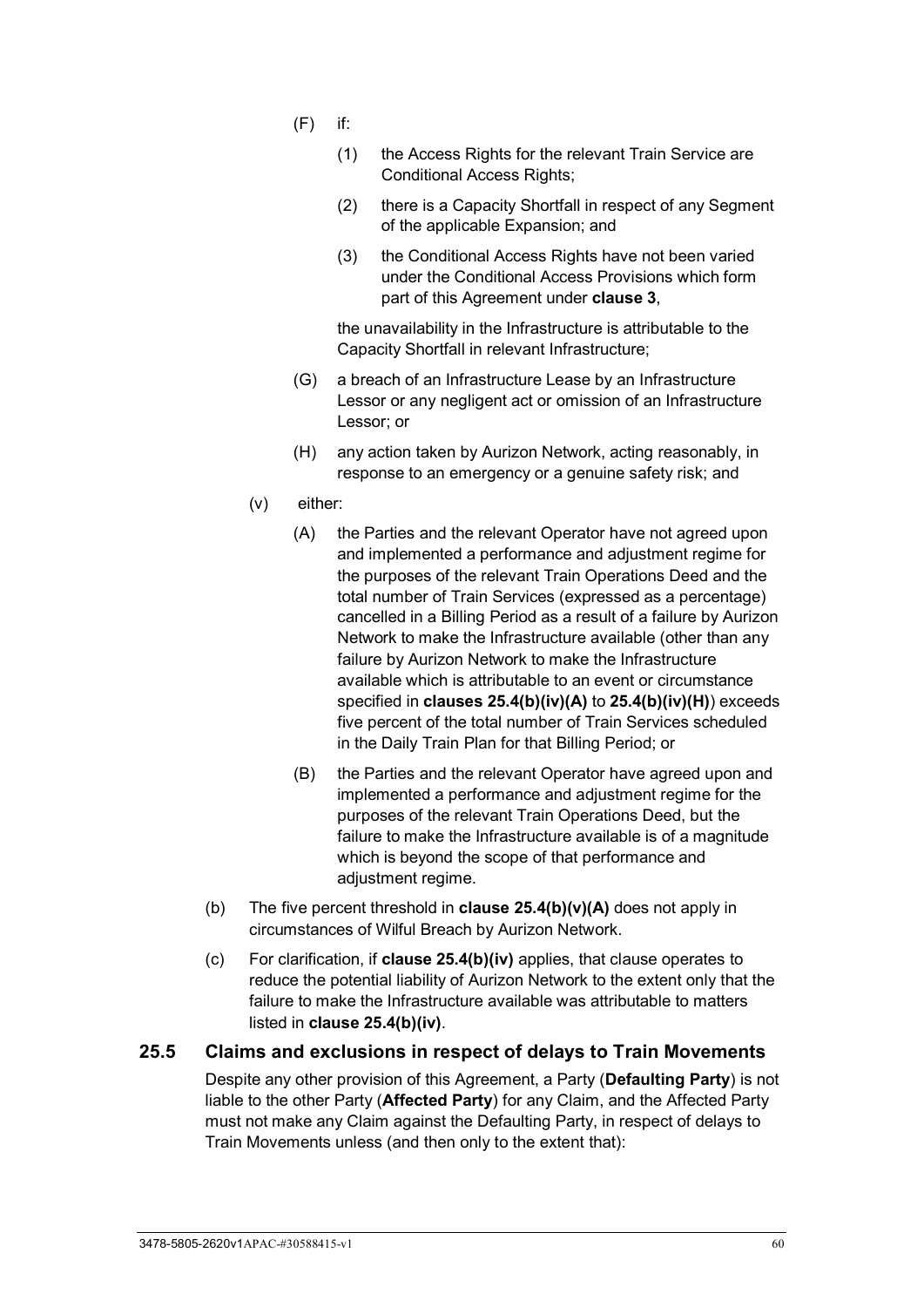- $(F)$  if:
	- (1) the Access Rights for the relevant Train Service are Conditional Access Rights;
	- (2) there is a Capacity Shortfall in respect of any Segment of the applicable Expansion; and
	- (3) the Conditional Access Rights have not been varied under the Conditional Access Provisions which form part of this Agreement under **clause [3](#page-26-0)**,

the unavailability in the Infrastructure is attributable to the Capacity Shortfall in relevant Infrastructure;

- (G) a breach of an Infrastructure Lease by an Infrastructure Lessor or any negligent act or omission of an Infrastructure Lessor; or
- (H) any action taken by Aurizon Network, acting reasonably, in response to an emergency or a genuine safety risk; and
- <span id="page-65-1"></span><span id="page-65-0"></span>(v) either:
	- (A) the Parties and the relevant Operator have not agreed upon and implemented a performance and adjustment regime for the purposes of the relevant Train Operations Deed and the total number of Train Services (expressed as a percentage) cancelled in a Billing Period as a result of a failure by Aurizon Network to make the Infrastructure available (other than any failure by Aurizon Network to make the Infrastructure available which is attributable to an event or circumstance specified in **clauses [25.4\(b\)\(iv\)\(A\)](#page-64-1)** to **[25.4\(b\)\(iv\)\(H\)](#page-65-0)**) exceeds five percent of the total number of Train Services scheduled in the Daily Train Plan for that Billing Period; or
	- (B) the Parties and the relevant Operator have agreed upon and implemented a performance and adjustment regime for the purposes of the relevant Train Operations Deed, but the failure to make the Infrastructure available is of a magnitude which is beyond the scope of that performance and adjustment regime.
- (b) The five percent threshold in **clause [25.4\(b\)\(v\)\(A\)](#page-65-1)** does not apply in circumstances of Wilful Breach by Aurizon Network.
- (c) For clarification, if **clause [25.4\(b\)\(iv\)](#page-64-2)** applies, that clause operates to reduce the potential liability of Aurizon Network to the extent only that the failure to make the Infrastructure available was attributable to matters listed in **clause [25.4\(b\)\(iv\)](#page-64-2)**.

#### **25.5 Claims and exclusions in respect of delays to Train Movements**

Despite any other provision of this Agreement, a Party (**Defaulting Party**) is not liable to the other Party (**Affected Party**) for any Claim, and the Affected Party must not make any Claim against the Defaulting Party, in respect of delays to Train Movements unless (and then only to the extent that):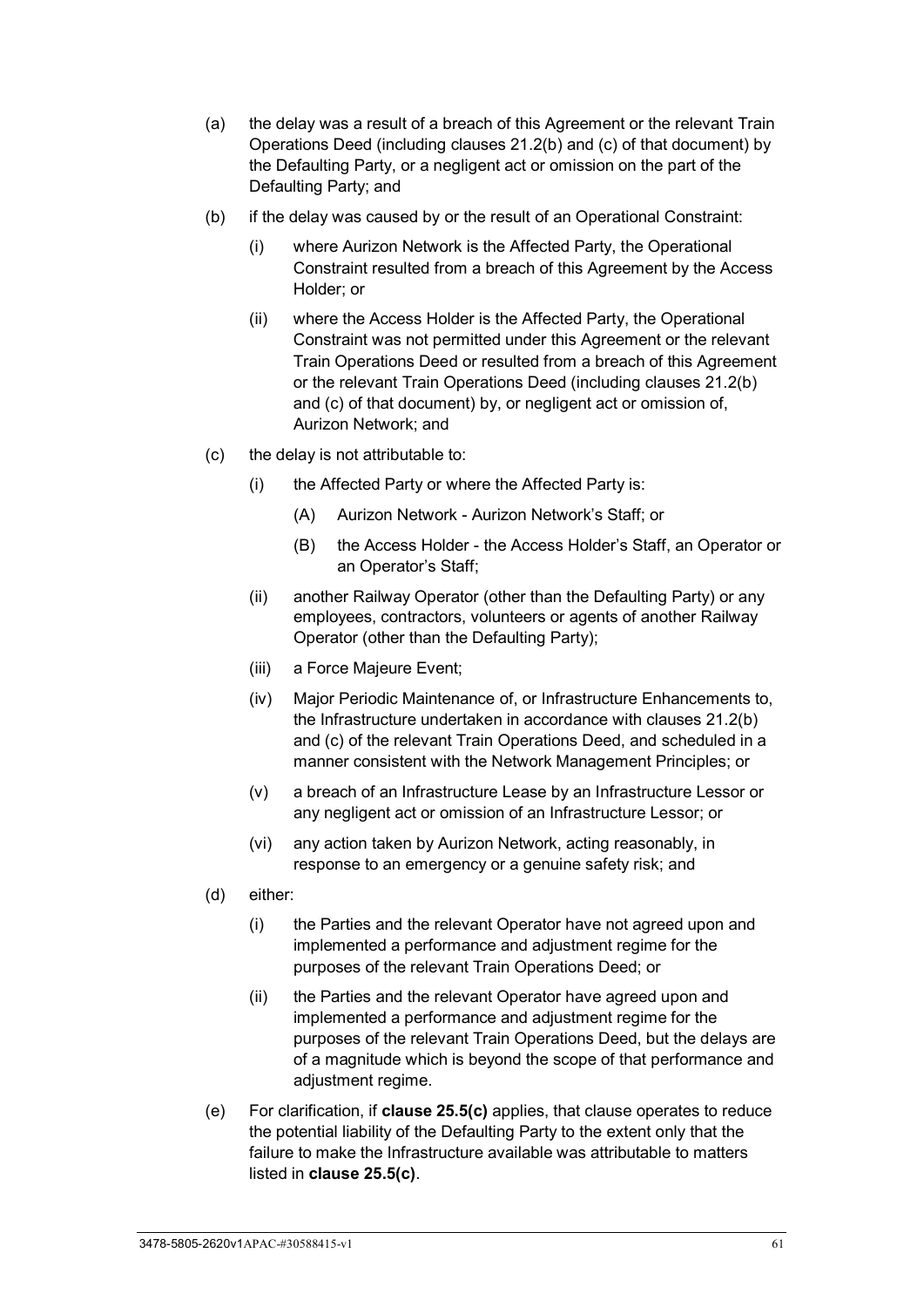- (a) the delay was a result of a breach of this Agreement or the relevant Train Operations Deed (including clauses 21.2(b) and (c) of that document) by the Defaulting Party, or a negligent act or omission on the part of the Defaulting Party; and
- (b) if the delay was caused by or the result of an Operational Constraint:
	- (i) where Aurizon Network is the Affected Party, the Operational Constraint resulted from a breach of this Agreement by the Access Holder; or
	- (ii) where the Access Holder is the Affected Party, the Operational Constraint was not permitted under this Agreement or the relevant Train Operations Deed or resulted from a breach of this Agreement or the relevant Train Operations Deed (including clauses 21.2(b) and (c) of that document) by, or negligent act or omission of, Aurizon Network; and
- <span id="page-66-0"></span>(c) the delay is not attributable to:
	- (i) the Affected Party or where the Affected Party is:
		- (A) Aurizon Network Aurizon Network's Staff; or
		- (B) the Access Holder the Access Holder's Staff, an Operator or an Operator's Staff;
	- (ii) another Railway Operator (other than the Defaulting Party) or any employees, contractors, volunteers or agents of another Railway Operator (other than the Defaulting Party);
	- (iii) a Force Majeure Event;
	- (iv) Major Periodic Maintenance of, or Infrastructure Enhancements to, the Infrastructure undertaken in accordance with clauses 21.2(b) and (c) of the relevant Train Operations Deed, and scheduled in a manner consistent with the Network Management Principles; or
	- (v) a breach of an Infrastructure Lease by an Infrastructure Lessor or any negligent act or omission of an Infrastructure Lessor; or
	- (vi) any action taken by Aurizon Network, acting reasonably, in response to an emergency or a genuine safety risk; and
- (d) either:
	- (i) the Parties and the relevant Operator have not agreed upon and implemented a performance and adjustment regime for the purposes of the relevant Train Operations Deed; or
	- (ii) the Parties and the relevant Operator have agreed upon and implemented a performance and adjustment regime for the purposes of the relevant Train Operations Deed, but the delays are of a magnitude which is beyond the scope of that performance and adjustment regime.
- (e) For clarification, if **clause [25.5\(c\)](#page-66-0)** applies, that clause operates to reduce the potential liability of the Defaulting Party to the extent only that the failure to make the Infrastructure available was attributable to matters listed in **clause [25.5\(c\)](#page-66-0)**.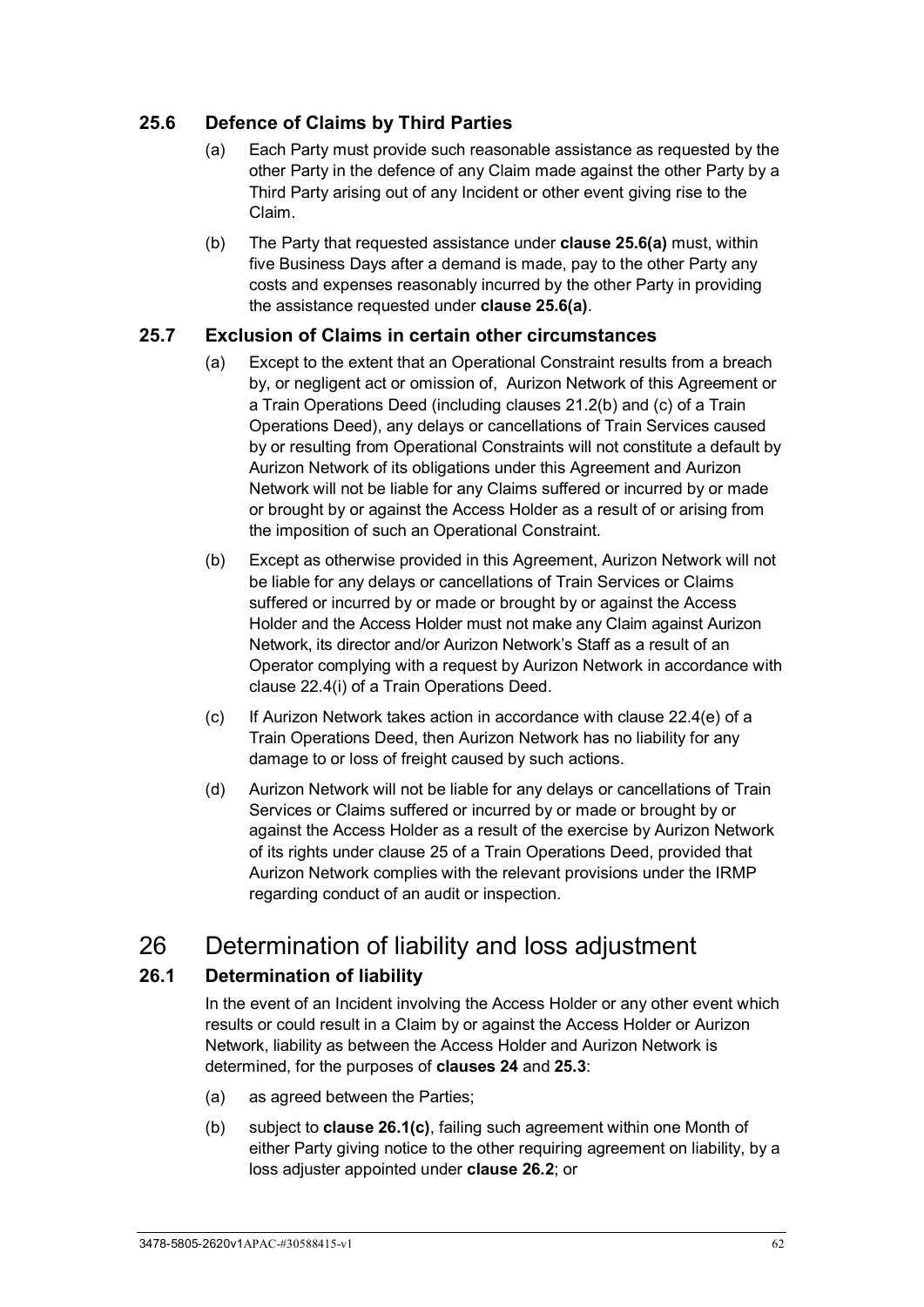### <span id="page-67-0"></span>**25.6 Defence of Claims by Third Parties**

- (a) Each Party must provide such reasonable assistance as requested by the other Party in the defence of any Claim made against the other Party by a Third Party arising out of any Incident or other event giving rise to the Claim.
- (b) The Party that requested assistance under **clause [25.6\(a\)](#page-67-0)** must, within five Business Days after a demand is made, pay to the other Party any costs and expenses reasonably incurred by the other Party in providing the assistance requested under **clause [25.6\(a\)](#page-67-0)**.

#### **25.7 Exclusion of Claims in certain other circumstances**

- (a) Except to the extent that an Operational Constraint results from a breach by, or negligent act or omission of, Aurizon Network of this Agreement or a Train Operations Deed (including clauses 21.2(b) and (c) of a Train Operations Deed), any delays or cancellations of Train Services caused by or resulting from Operational Constraints will not constitute a default by Aurizon Network of its obligations under this Agreement and Aurizon Network will not be liable for any Claims suffered or incurred by or made or brought by or against the Access Holder as a result of or arising from the imposition of such an Operational Constraint.
- (b) Except as otherwise provided in this Agreement, Aurizon Network will not be liable for any delays or cancellations of Train Services or Claims suffered or incurred by or made or brought by or against the Access Holder and the Access Holder must not make any Claim against Aurizon Network, its director and/or Aurizon Network's Staff as a result of an Operator complying with a request by Aurizon Network in accordance with clause 22.4(i) of a Train Operations Deed.
- (c) If Aurizon Network takes action in accordance with clause 22.4(e) of a Train Operations Deed, then Aurizon Network has no liability for any damage to or loss of freight caused by such actions.
- (d) Aurizon Network will not be liable for any delays or cancellations of Train Services or Claims suffered or incurred by or made or brought by or against the Access Holder as a result of the exercise by Aurizon Network of its rights under clause 25 of a Train Operations Deed, provided that Aurizon Network complies with the relevant provisions under the IRMP regarding conduct of an audit or inspection.

# 26 Determination of liability and loss adjustment

### <span id="page-67-1"></span>**26.1 Determination of liability**

In the event of an Incident involving the Access Holder or any other event which results or could result in a Claim by or against the Access Holder or Aurizon Network, liability as between the Access Holder and Aurizon Network is determined, for the purposes of **clauses [24](#page-62-2)** and **[25.3](#page-63-1)**:

- (a) as agreed between the Parties;
- (b) subject to **clause [26.1\(c\)](#page-68-0)**, failing such agreement within one Month of either Party giving notice to the other requiring agreement on liability, by a loss adjuster appointed under **clause [26.2](#page-68-1)**; or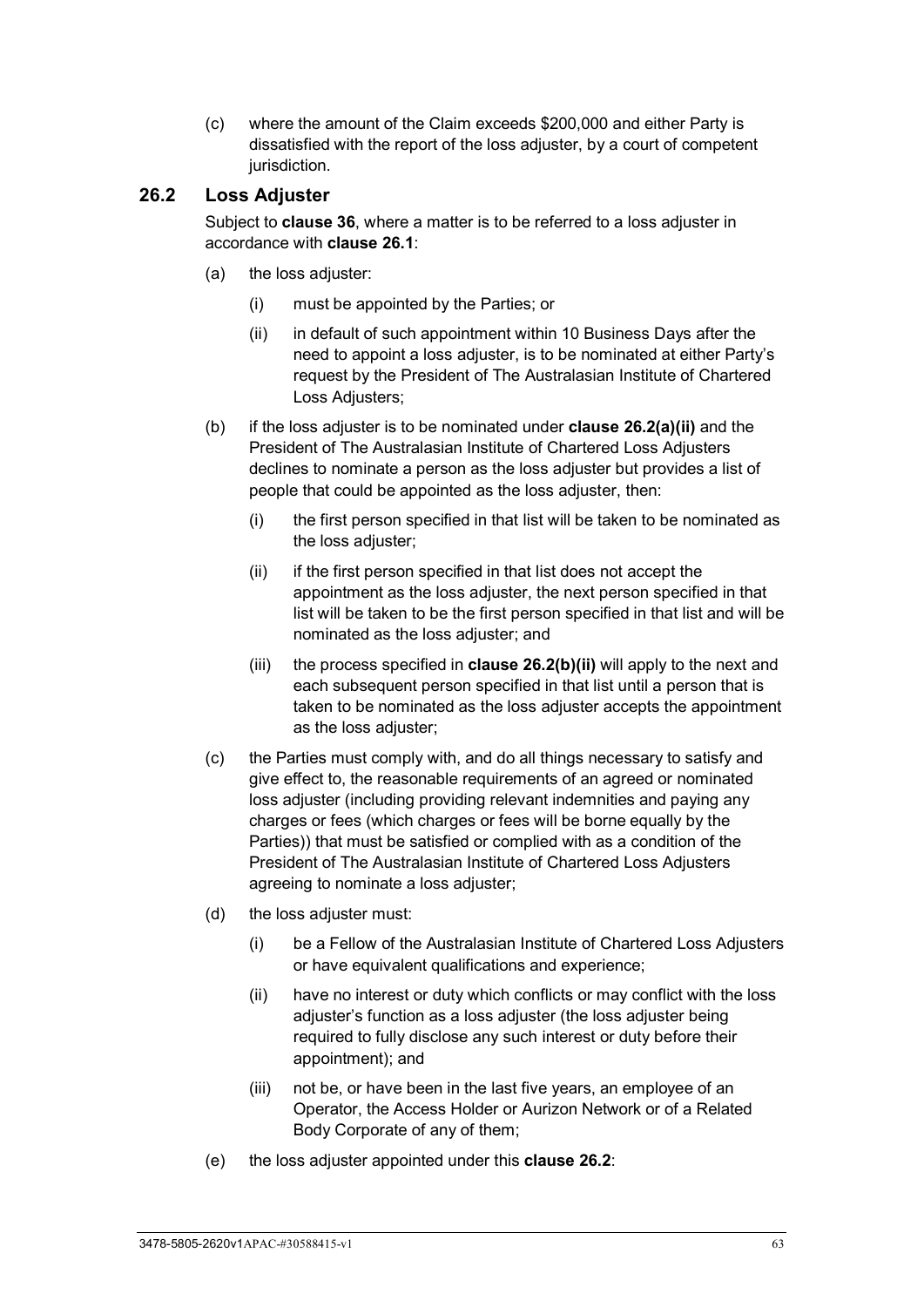<span id="page-68-0"></span>(c) where the amount of the Claim exceeds \$200,000 and either Party is dissatisfied with the report of the loss adjuster, by a court of competent jurisdiction.

#### <span id="page-68-1"></span>**26.2 Loss Adjuster**

Subject to **clause [36](#page-85-0)**, where a matter is to be referred to a loss adjuster in accordance with **clause [26.1](#page-67-1)**:

- <span id="page-68-2"></span>(a) the loss adjuster:
	- (i) must be appointed by the Parties; or
	- (ii) in default of such appointment within 10 Business Days after the need to appoint a loss adjuster, is to be nominated at either Party's request by the President of The Australasian Institute of Chartered Loss Adjusters;
- <span id="page-68-3"></span>(b) if the loss adjuster is to be nominated under **clause [26.2\(a\)\(ii\)](#page-68-2)** and the President of The Australasian Institute of Chartered Loss Adjusters declines to nominate a person as the loss adjuster but provides a list of people that could be appointed as the loss adjuster, then:
	- (i) the first person specified in that list will be taken to be nominated as the loss adjuster;
	- (ii) if the first person specified in that list does not accept the appointment as the loss adjuster, the next person specified in that list will be taken to be the first person specified in that list and will be nominated as the loss adjuster; and
	- (iii) the process specified in **clause [26.2\(b\)\(ii\)](#page-68-3)** will apply to the next and each subsequent person specified in that list until a person that is taken to be nominated as the loss adjuster accepts the appointment as the loss adjuster;
- (c) the Parties must comply with, and do all things necessary to satisfy and give effect to, the reasonable requirements of an agreed or nominated loss adjuster (including providing relevant indemnities and paying any charges or fees (which charges or fees will be borne equally by the Parties)) that must be satisfied or complied with as a condition of the President of The Australasian Institute of Chartered Loss Adjusters agreeing to nominate a loss adjuster;
- (d) the loss adjuster must:
	- (i) be a Fellow of the Australasian Institute of Chartered Loss Adjusters or have equivalent qualifications and experience;
	- (ii) have no interest or duty which conflicts or may conflict with the loss adjuster's function as a loss adjuster (the loss adjuster being required to fully disclose any such interest or duty before their appointment); and
	- (iii) not be, or have been in the last five years, an employee of an Operator, the Access Holder or Aurizon Network or of a Related Body Corporate of any of them;
- (e) the loss adjuster appointed under this **clause [26.2](#page-68-1)**: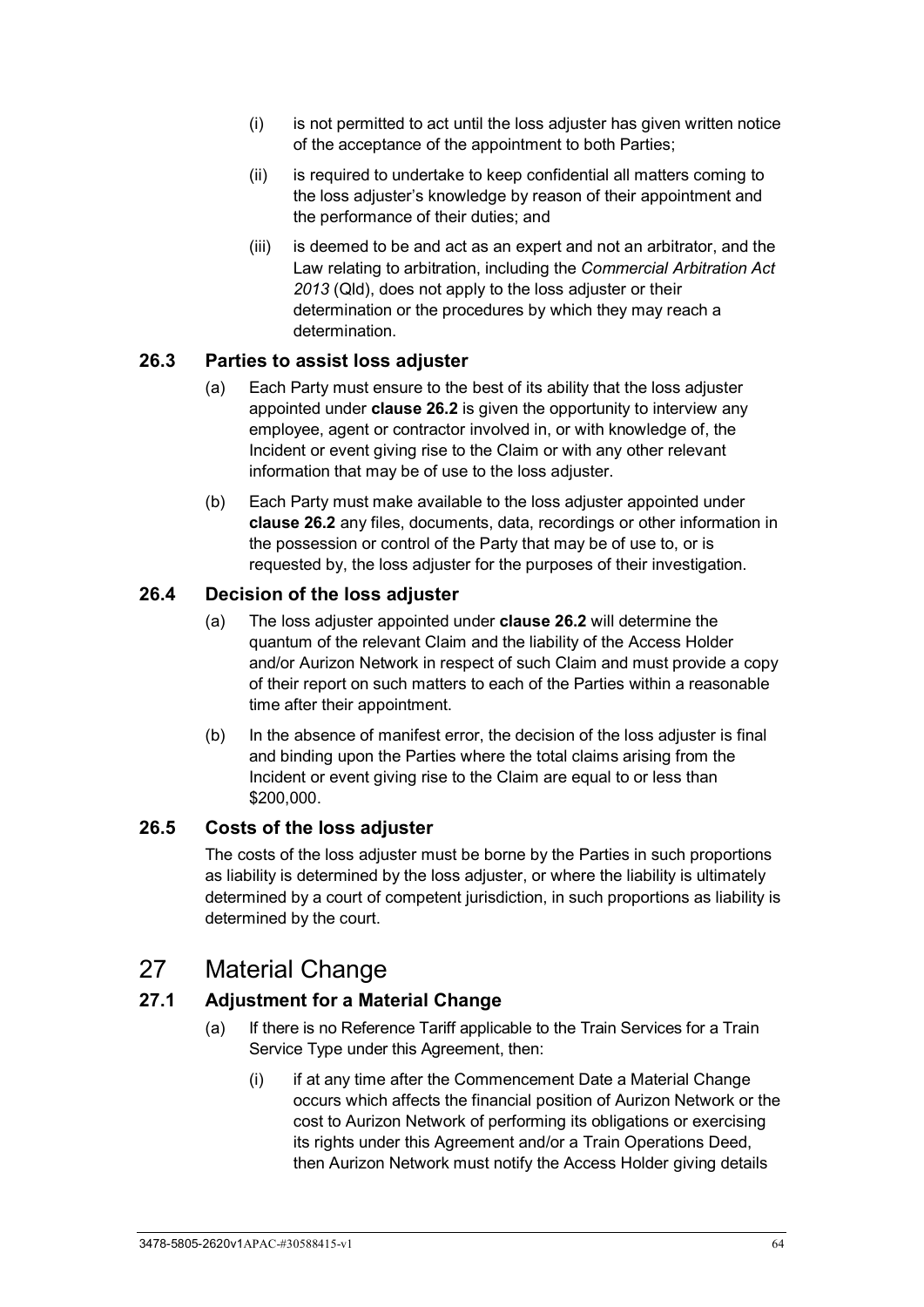- (i) is not permitted to act until the loss adjuster has given written notice of the acceptance of the appointment to both Parties;
- (ii) is required to undertake to keep confidential all matters coming to the loss adjuster's knowledge by reason of their appointment and the performance of their duties; and
- (iii) is deemed to be and act as an expert and not an arbitrator, and the Law relating to arbitration, including the *Commercial Arbitration Act 2013* (Qld), does not apply to the loss adjuster or their determination or the procedures by which they may reach a determination.

### **26.3 Parties to assist loss adjuster**

- (a) Each Party must ensure to the best of its ability that the loss adjuster appointed under **clause [26.2](#page-68-1)** is given the opportunity to interview any employee, agent or contractor involved in, or with knowledge of, the Incident or event giving rise to the Claim or with any other relevant information that may be of use to the loss adjuster.
- (b) Each Party must make available to the loss adjuster appointed under **clause [26.2](#page-68-1)** any files, documents, data, recordings or other information in the possession or control of the Party that may be of use to, or is requested by, the loss adjuster for the purposes of their investigation.

### **26.4 Decision of the loss adjuster**

- (a) The loss adjuster appointed under **clause [26.2](#page-68-1)** will determine the quantum of the relevant Claim and the liability of the Access Holder and/or Aurizon Network in respect of such Claim and must provide a copy of their report on such matters to each of the Parties within a reasonable time after their appointment.
- (b) In the absence of manifest error, the decision of the loss adjuster is final and binding upon the Parties where the total claims arising from the Incident or event giving rise to the Claim are equal to or less than \$200,000.

#### **26.5 Costs of the loss adjuster**

The costs of the loss adjuster must be borne by the Parties in such proportions as liability is determined by the loss adjuster, or where the liability is ultimately determined by a court of competent jurisdiction, in such proportions as liability is determined by the court.

## 27 Material Change

## <span id="page-69-0"></span>**27.1 Adjustment for a Material Change**

- (a) If there is no Reference Tariff applicable to the Train Services for a Train Service Type under this Agreement, then:
	- (i) if at any time after the Commencement Date a Material Change occurs which affects the financial position of Aurizon Network or the cost to Aurizon Network of performing its obligations or exercising its rights under this Agreement and/or a Train Operations Deed. then Aurizon Network must notify the Access Holder giving details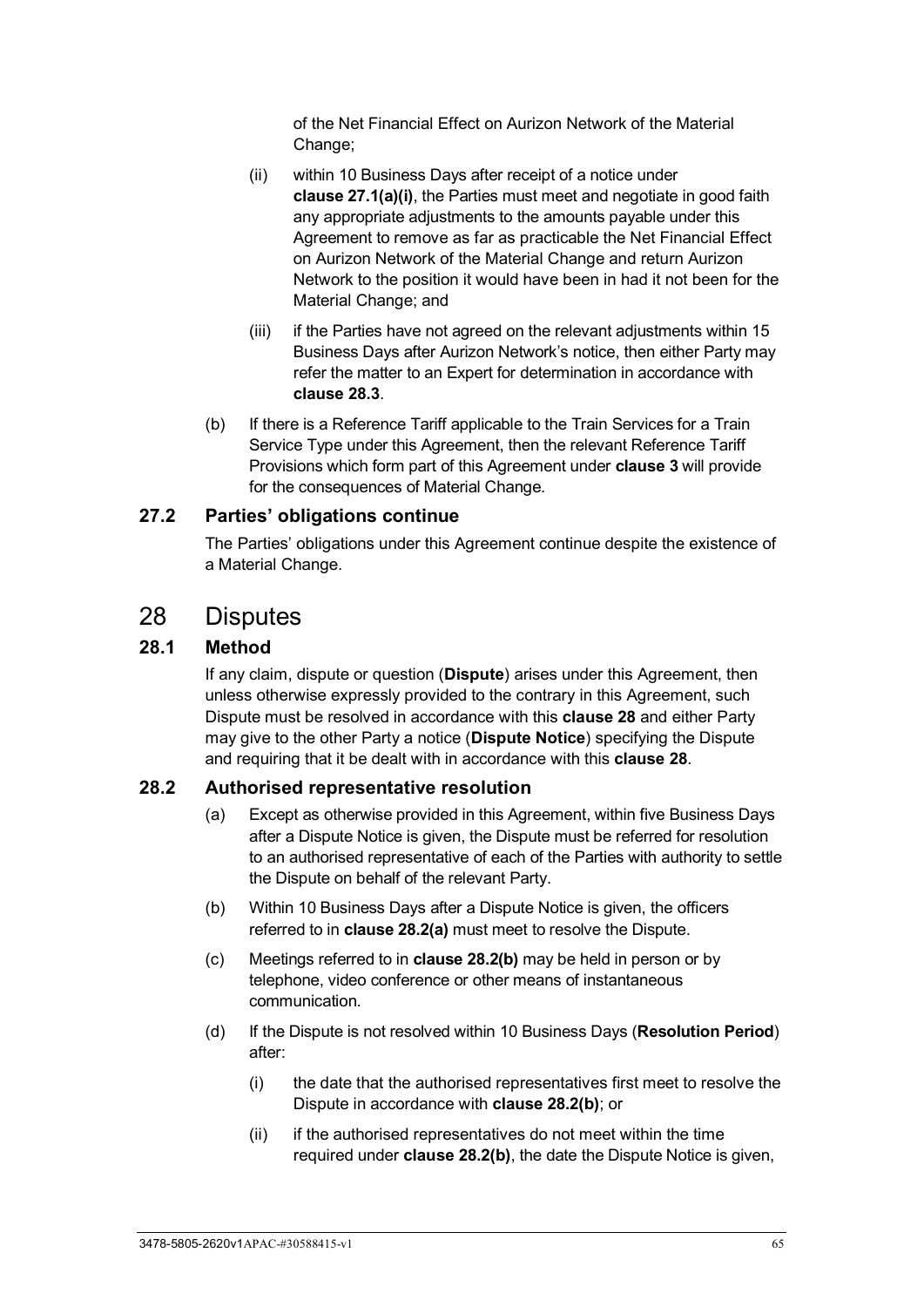of the Net Financial Effect on Aurizon Network of the Material Change;

- (ii) within 10 Business Days after receipt of a notice under **clause [27.1\(a\)\(i\)](#page-69-0)**, the Parties must meet and negotiate in good faith any appropriate adjustments to the amounts payable under this Agreement to remove as far as practicable the Net Financial Effect on Aurizon Network of the Material Change and return Aurizon Network to the position it would have been in had it not been for the Material Change; and
- (iii) if the Parties have not agreed on the relevant adjustments within 15 Business Days after Aurizon Network's notice, then either Party may refer the matter to an Expert for determination in accordance with **clause [28.3](#page-71-0)**.
- (b) If there is a Reference Tariff applicable to the Train Services for a Train Service Type under this Agreement, then the relevant Reference Tariff Provisions which form part of this Agreement under **clause [3](#page-26-0)** will provide for the consequences of Material Change.

### **27.2 Parties' obligations continue**

The Parties' obligations under this Agreement continue despite the existence of a Material Change.

## <span id="page-70-0"></span>28 Disputes

### **28.1 Method**

If any claim, dispute or question (**Dispute**) arises under this Agreement, then unless otherwise expressly provided to the contrary in this Agreement, such Dispute must be resolved in accordance with this **clause [28](#page-70-0)** and either Party may give to the other Party a notice (**Dispute Notice**) specifying the Dispute and requiring that it be dealt with in accordance with this **clause [28](#page-70-0)**.

#### <span id="page-70-2"></span><span id="page-70-1"></span>**28.2 Authorised representative resolution**

- (a) Except as otherwise provided in this Agreement, within five Business Days after a Dispute Notice is given, the Dispute must be referred for resolution to an authorised representative of each of the Parties with authority to settle the Dispute on behalf of the relevant Party.
- <span id="page-70-3"></span>(b) Within 10 Business Days after a Dispute Notice is given, the officers referred to in **claus[e 28.2\(a\)](#page-70-2)** must meet to resolve the Dispute.
- (c) Meetings referred to in **clause [28.2\(b\)](#page-70-3)** may be held in person or by telephone, video conference or other means of instantaneous communication.
- <span id="page-70-4"></span>(d) If the Dispute is not resolved within 10 Business Days (**Resolution Period**) after:
	- (i) the date that the authorised representatives first meet to resolve the Dispute in accordance with **clause [28.2\(b\)](#page-70-3)**; or
	- (ii) if the authorised representatives do not meet within the time required under **clause [28.2\(b\)](#page-70-3)**, the date the Dispute Notice is given,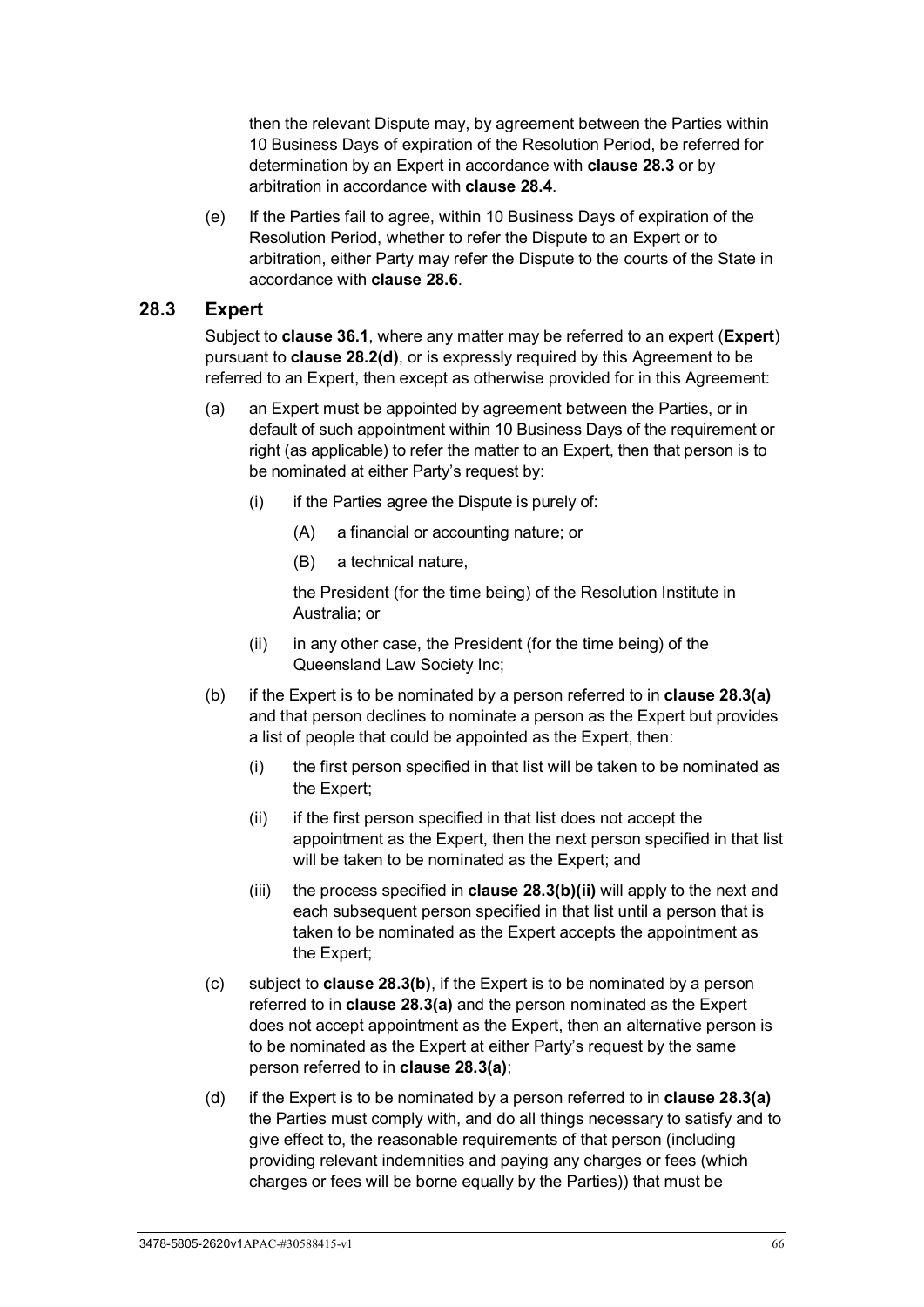then the relevant Dispute may, by agreement between the Parties within 10 Business Days of expiration of the Resolution Period, be referred for determination by an Expert in accordance with **clause [28.3](#page-71-0)** or by arbitration in accordance with **clause [28.4](#page-73-0)**.

(e) If the Parties fail to agree, within 10 Business Days of expiration of the Resolution Period, whether to refer the Dispute to an Expert or to arbitration, either Party may refer the Dispute to the courts of the State in accordance with **clause [28.6](#page-73-1)**.

#### <span id="page-71-0"></span>**28.3 Expert**

Subject to **clause [36.1](#page-85-1)**, where any matter may be referred to an expert (**Expert**) pursuant to **clause [28.2\(d\)](#page-70-4)**, or is expressly required by this Agreement to be referred to an Expert, then except as otherwise provided for in this Agreement:

- <span id="page-71-1"></span>(a) an Expert must be appointed by agreement between the Parties, or in default of such appointment within 10 Business Days of the requirement or right (as applicable) to refer the matter to an Expert, then that person is to be nominated at either Party's request by:
	- $(i)$  if the Parties agree the Dispute is purely of:
		- (A) a financial or accounting nature; or
		- (B) a technical nature,

the President (for the time being) of the Resolution Institute in Australia; or

- (ii) in any other case, the President (for the time being) of the Queensland Law Society Inc;
- <span id="page-71-3"></span><span id="page-71-2"></span>(b) if the Expert is to be nominated by a person referred to in **clause [28.3\(a\)](#page-71-1)** and that person declines to nominate a person as the Expert but provides a list of people that could be appointed as the Expert, then:
	- (i) the first person specified in that list will be taken to be nominated as the Expert;
	- (ii) if the first person specified in that list does not accept the appointment as the Expert, then the next person specified in that list will be taken to be nominated as the Expert; and
	- (iii) the process specified in **clause [28.3\(b\)\(ii\)](#page-71-2)** will apply to the next and each subsequent person specified in that list until a person that is taken to be nominated as the Expert accepts the appointment as the Expert;
- (c) subject to **clause [28.3\(b\)](#page-71-3)**, if the Expert is to be nominated by a person referred to in **clause [28.3\(a\)](#page-71-1)** and the person nominated as the Expert does not accept appointment as the Expert, then an alternative person is to be nominated as the Expert at either Party's request by the same person referred to in **clause [28.3\(a\)](#page-71-1)**;
- (d) if the Expert is to be nominated by a person referred to in **clause [28.3\(a\)](#page-71-1)** the Parties must comply with, and do all things necessary to satisfy and to give effect to, the reasonable requirements of that person (including providing relevant indemnities and paying any charges or fees (which charges or fees will be borne equally by the Parties)) that must be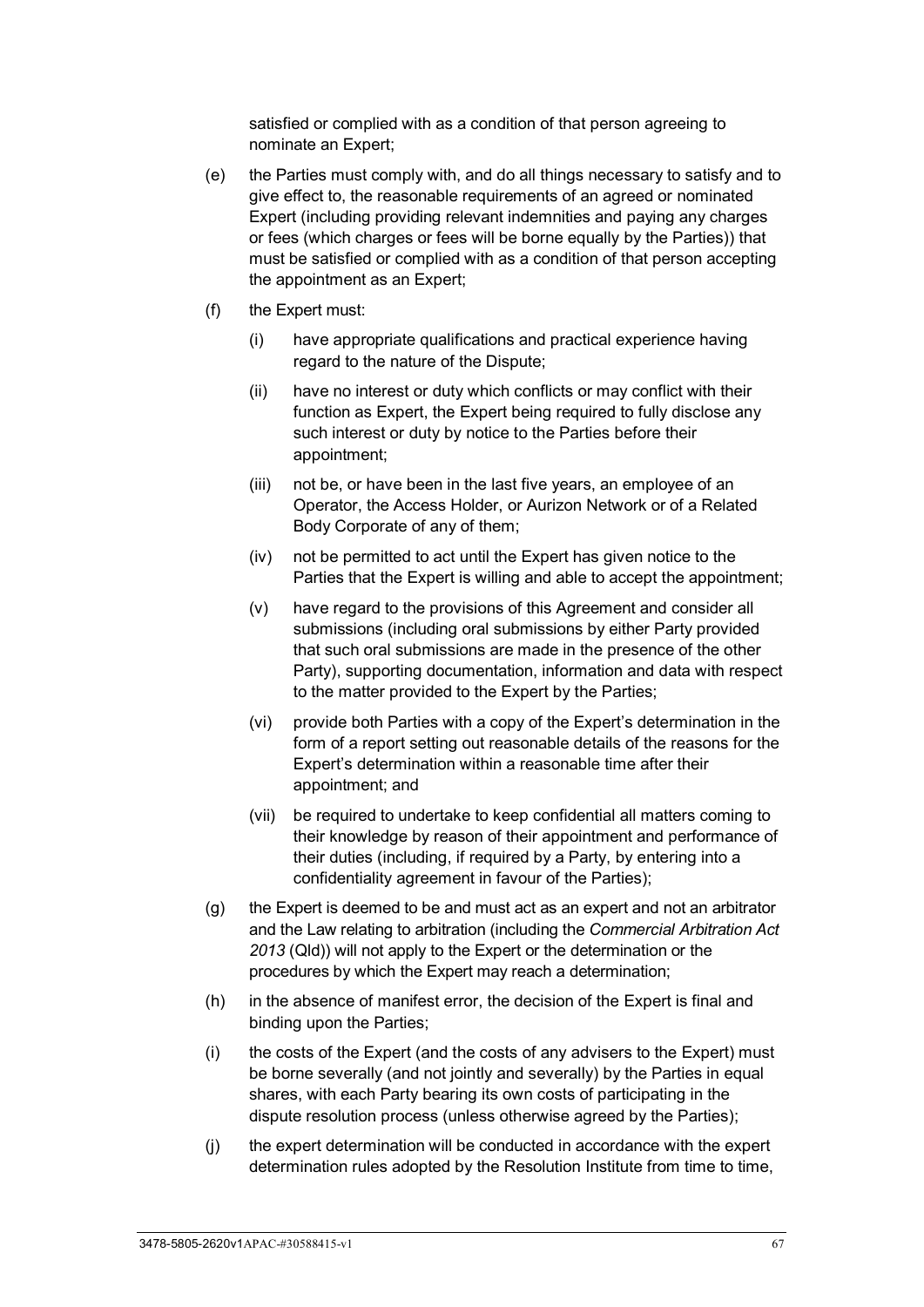satisfied or complied with as a condition of that person agreeing to nominate an Expert;

- (e) the Parties must comply with, and do all things necessary to satisfy and to give effect to, the reasonable requirements of an agreed or nominated Expert (including providing relevant indemnities and paying any charges or fees (which charges or fees will be borne equally by the Parties)) that must be satisfied or complied with as a condition of that person accepting the appointment as an Expert;
- (f) the Expert must:
	- (i) have appropriate qualifications and practical experience having regard to the nature of the Dispute;
	- (ii) have no interest or duty which conflicts or may conflict with their function as Expert, the Expert being required to fully disclose any such interest or duty by notice to the Parties before their appointment;
	- (iii) not be, or have been in the last five years, an employee of an Operator, the Access Holder, or Aurizon Network or of a Related Body Corporate of any of them;
	- (iv) not be permitted to act until the Expert has given notice to the Parties that the Expert is willing and able to accept the appointment;
	- (v) have regard to the provisions of this Agreement and consider all submissions (including oral submissions by either Party provided that such oral submissions are made in the presence of the other Party), supporting documentation, information and data with respect to the matter provided to the Expert by the Parties;
	- (vi) provide both Parties with a copy of the Expert's determination in the form of a report setting out reasonable details of the reasons for the Expert's determination within a reasonable time after their appointment; and
	- (vii) be required to undertake to keep confidential all matters coming to their knowledge by reason of their appointment and performance of their duties (including, if required by a Party, by entering into a confidentiality agreement in favour of the Parties);
- (g) the Expert is deemed to be and must act as an expert and not an arbitrator and the Law relating to arbitration (including the *Commercial Arbitration Act 2013* (Qld)) will not apply to the Expert or the determination or the procedures by which the Expert may reach a determination;
- (h) in the absence of manifest error, the decision of the Expert is final and binding upon the Parties;
- (i) the costs of the Expert (and the costs of any advisers to the Expert) must be borne severally (and not jointly and severally) by the Parties in equal shares, with each Party bearing its own costs of participating in the dispute resolution process (unless otherwise agreed by the Parties);
- (j) the expert determination will be conducted in accordance with the expert determination rules adopted by the Resolution Institute from time to time,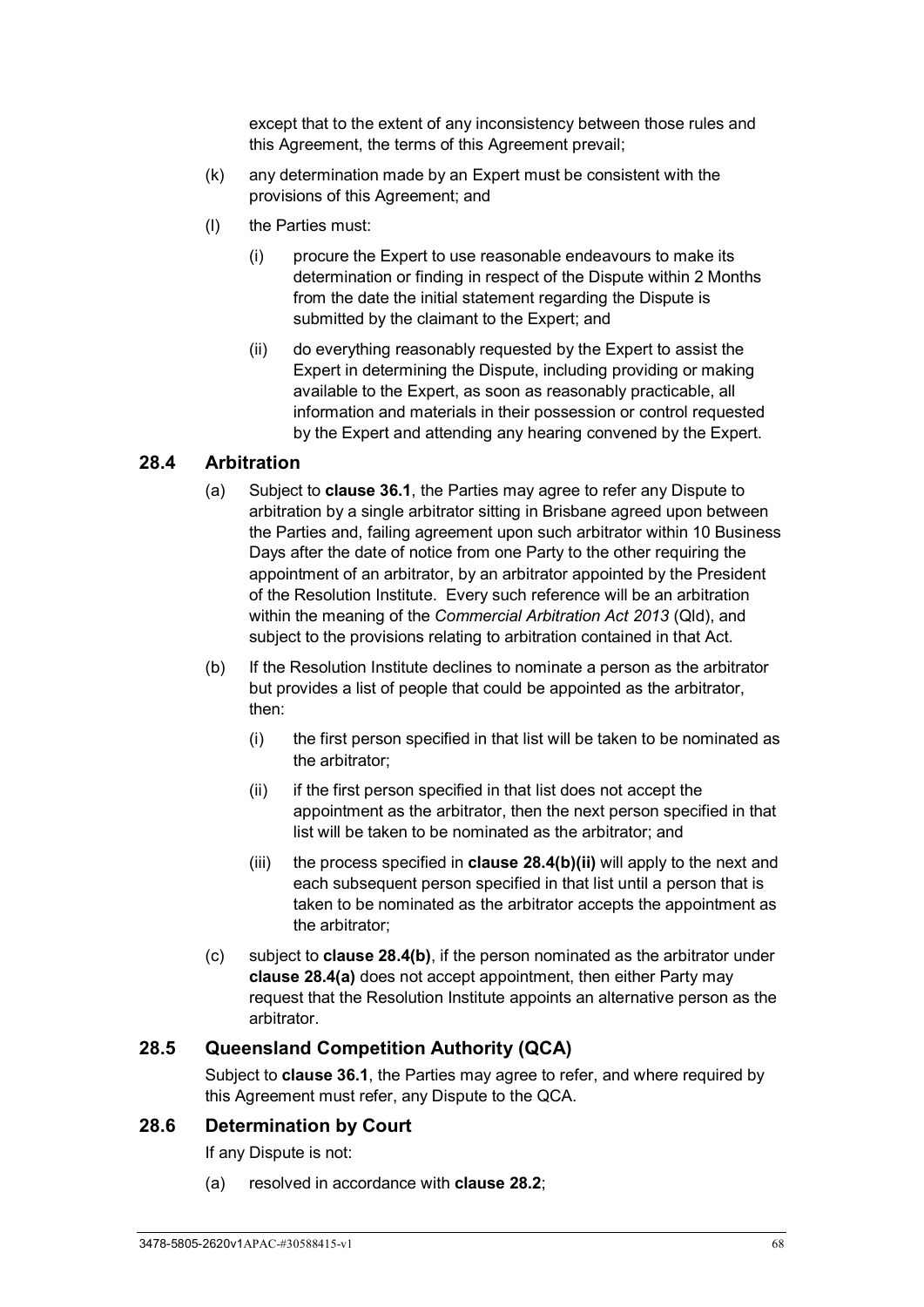except that to the extent of any inconsistency between those rules and this Agreement, the terms of this Agreement prevail;

- (k) any determination made by an Expert must be consistent with the provisions of this Agreement; and
- (l) the Parties must:
	- (i) procure the Expert to use reasonable endeavours to make its determination or finding in respect of the Dispute within 2 Months from the date the initial statement regarding the Dispute is submitted by the claimant to the Expert; and
	- (ii) do everything reasonably requested by the Expert to assist the Expert in determining the Dispute, including providing or making available to the Expert, as soon as reasonably practicable, all information and materials in their possession or control requested by the Expert and attending any hearing convened by the Expert.

## <span id="page-73-2"></span>**28.4 Arbitration**

- (a) Subject to **clause [36.1](#page-85-0)**, the Parties may agree to refer any Dispute to arbitration by a single arbitrator sitting in Brisbane agreed upon between the Parties and, failing agreement upon such arbitrator within 10 Business Days after the date of notice from one Party to the other requiring the appointment of an arbitrator, by an arbitrator appointed by the President of the Resolution Institute. Every such reference will be an arbitration within the meaning of the *Commercial Arbitration Act 2013* (Qld), and subject to the provisions relating to arbitration contained in that Act.
- <span id="page-73-1"></span><span id="page-73-0"></span>(b) If the Resolution Institute declines to nominate a person as the arbitrator but provides a list of people that could be appointed as the arbitrator, then:
	- (i) the first person specified in that list will be taken to be nominated as the arbitrator;
	- (ii) if the first person specified in that list does not accept the appointment as the arbitrator, then the next person specified in that list will be taken to be nominated as the arbitrator; and
	- (iii) the process specified in **clause [28.4\(b\)\(ii\)](#page-73-0)** will apply to the next and each subsequent person specified in that list until a person that is taken to be nominated as the arbitrator accepts the appointment as the arbitrator;
- (c) subject to **clause [28.4\(b\)](#page-73-1)**, if the person nominated as the arbitrator under **clause [28.4\(a\)](#page-73-2)** does not accept appointment, then either Party may request that the Resolution Institute appoints an alternative person as the arbitrator.

#### <span id="page-73-3"></span>**28.5 Queensland Competition Authority (QCA)**

Subject to **clause [36.1](#page-85-0)**, the Parties may agree to refer, and where required by this Agreement must refer, any Dispute to the QCA.

#### **28.6 Determination by Court**

If any Dispute is not:

(a) resolved in accordance with **clause [28.2](#page-70-0)**;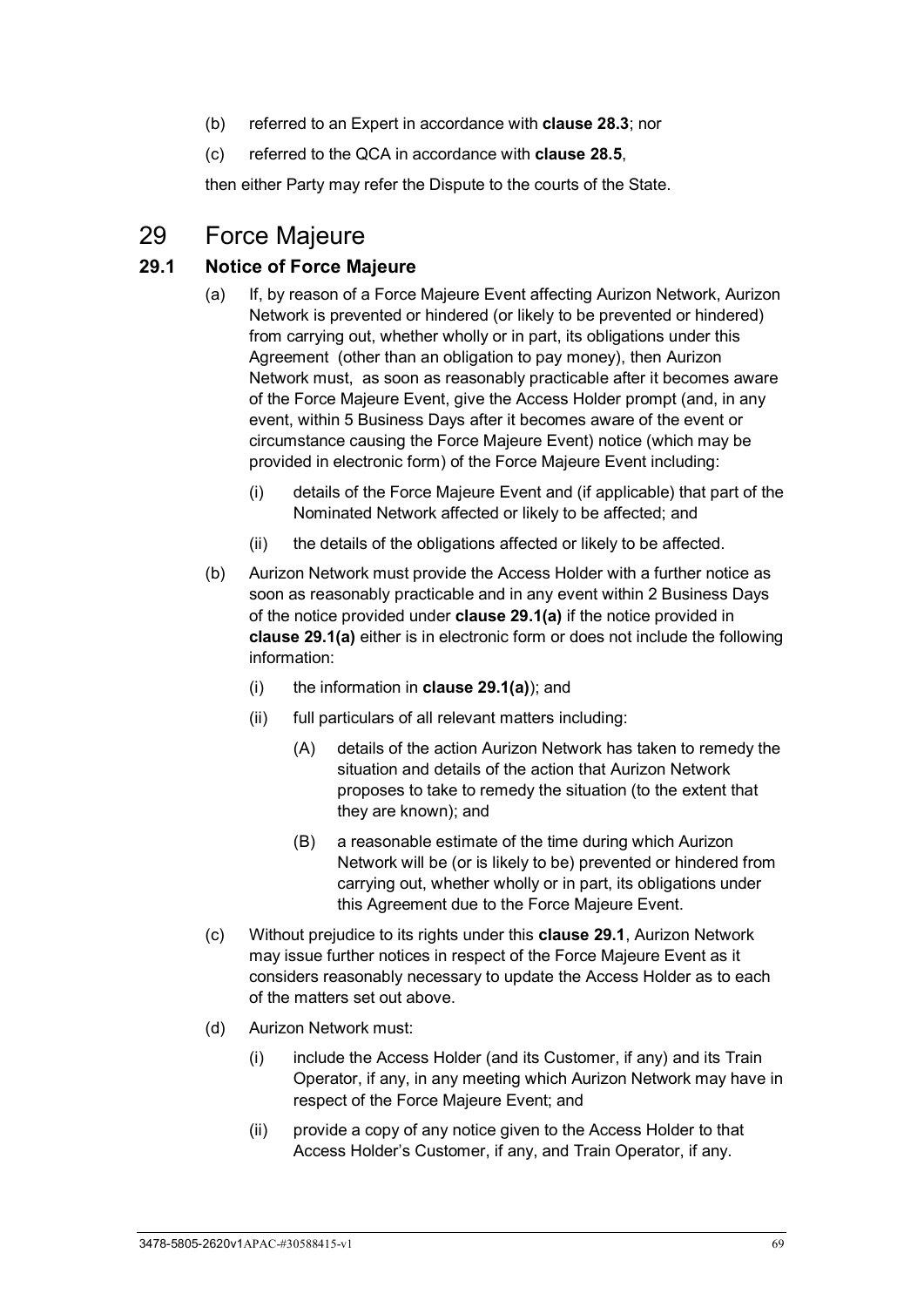- (b) referred to an Expert in accordance with **clause [28.3](#page-71-0)**; nor
- (c) referred to the QCA in accordance with **clause [28.5](#page-73-3)**,

then either Party may refer the Dispute to the courts of the State.

# 29 Force Majeure

#### <span id="page-74-1"></span>**29.1 Notice of Force Majeure**

- <span id="page-74-0"></span>(a) If, by reason of a Force Majeure Event affecting Aurizon Network, Aurizon Network is prevented or hindered (or likely to be prevented or hindered) from carrying out, whether wholly or in part, its obligations under this Agreement (other than an obligation to pay money), then Aurizon Network must, as soon as reasonably practicable after it becomes aware of the Force Majeure Event, give the Access Holder prompt (and, in any event, within 5 Business Days after it becomes aware of the event or circumstance causing the Force Majeure Event) notice (which may be provided in electronic form) of the Force Majeure Event including:
	- (i) details of the Force Majeure Event and (if applicable) that part of the Nominated Network affected or likely to be affected; and
	- (ii) the details of the obligations affected or likely to be affected.
- <span id="page-74-2"></span>(b) Aurizon Network must provide the Access Holder with a further notice as soon as reasonably practicable and in any event within 2 Business Days of the notice provided under **clause [29.1\(a\)](#page-74-0)** if the notice provided in **clause [29.1\(a\)](#page-74-0)** either is in electronic form or does not include the following information:
	- (i) the information in **clause [29.1\(a\)](#page-74-0)**); and
	- (ii) full particulars of all relevant matters including:
		- (A) details of the action Aurizon Network has taken to remedy the situation and details of the action that Aurizon Network proposes to take to remedy the situation (to the extent that they are known); and
		- (B) a reasonable estimate of the time during which Aurizon Network will be (or is likely to be) prevented or hindered from carrying out, whether wholly or in part, its obligations under this Agreement due to the Force Majeure Event.
- (c) Without prejudice to its rights under this **clause [29.1](#page-74-1)**, Aurizon Network may issue further notices in respect of the Force Majeure Event as it considers reasonably necessary to update the Access Holder as to each of the matters set out above.
- (d) Aurizon Network must:
	- (i) include the Access Holder (and its Customer, if any) and its Train Operator, if any, in any meeting which Aurizon Network may have in respect of the Force Majeure Event; and
	- (ii) provide a copy of any notice given to the Access Holder to that Access Holder's Customer, if any, and Train Operator, if any.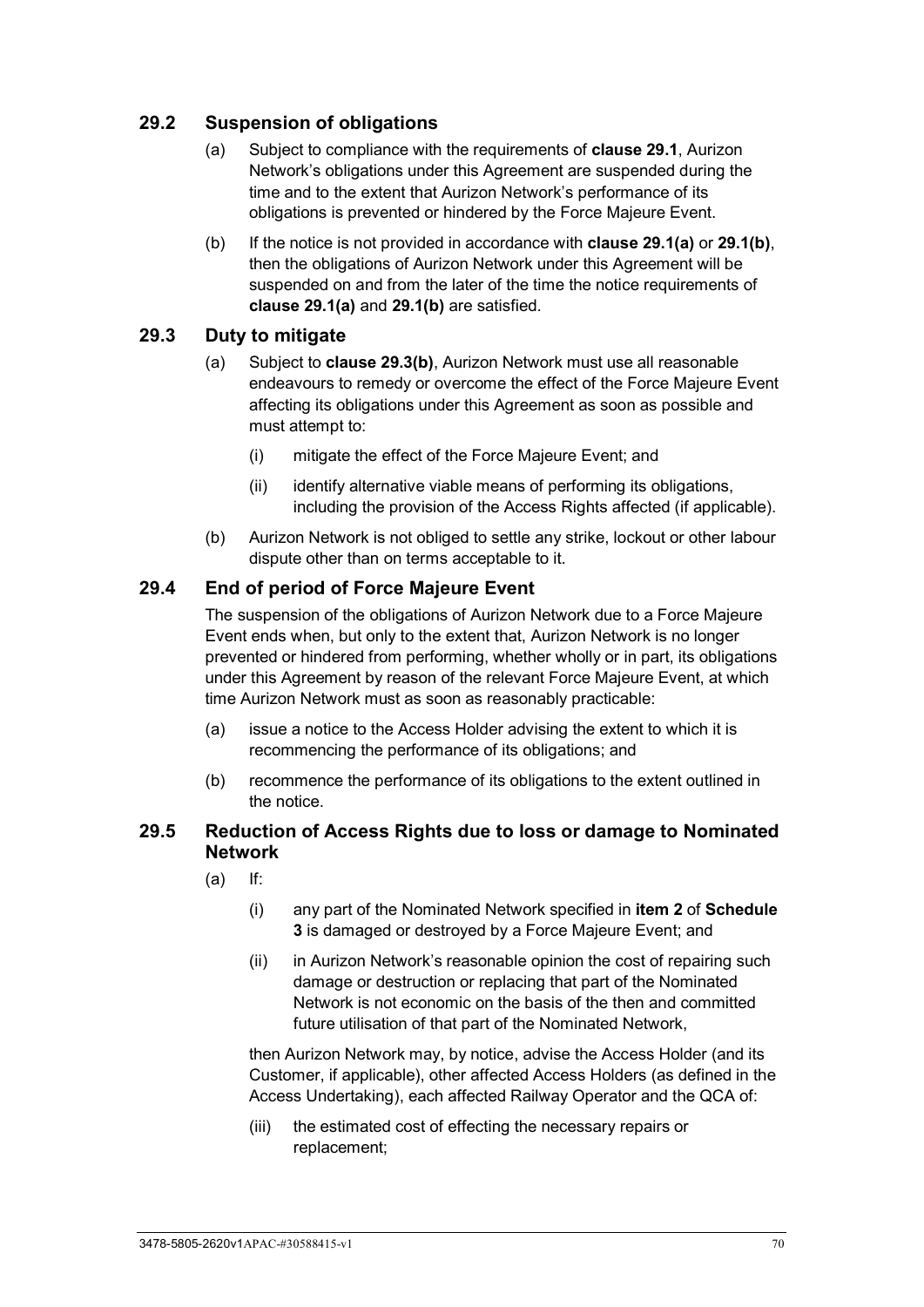## <span id="page-75-4"></span>**29.2 Suspension of obligations**

- (a) Subject to compliance with the requirements of **clause [29.1](#page-74-1)**, Aurizon Network's obligations under this Agreement are suspended during the time and to the extent that Aurizon Network's performance of its obligations is prevented or hindered by the Force Majeure Event.
- (b) If the notice is not provided in accordance with **clause [29.1\(a\)](#page-74-0)** or **[29.1\(b\)](#page-74-2)**, then the obligations of Aurizon Network under this Agreement will be suspended on and from the later of the time the notice requirements of **clause [29.1\(a\)](#page-74-0)** and **[29.1\(b\)](#page-74-2)** are satisfied.

## **29.3 Duty to mitigate**

- (a) Subject to **clause [29.3\(b\)](#page-75-0)**, Aurizon Network must use all reasonable endeavours to remedy or overcome the effect of the Force Majeure Event affecting its obligations under this Agreement as soon as possible and must attempt to:
	- (i) mitigate the effect of the Force Majeure Event; and
	- (ii) identify alternative viable means of performing its obligations, including the provision of the Access Rights affected (if applicable).
- (b) Aurizon Network is not obliged to settle any strike, lockout or other labour dispute other than on terms acceptable to it.

## <span id="page-75-2"></span><span id="page-75-0"></span>**29.4 End of period of Force Majeure Event**

The suspension of the obligations of Aurizon Network due to a Force Majeure Event ends when, but only to the extent that, Aurizon Network is no longer prevented or hindered from performing, whether wholly or in part, its obligations under this Agreement by reason of the relevant Force Majeure Event, at which time Aurizon Network must as soon as reasonably practicable:

- (a) issue a notice to the Access Holder advising the extent to which it is recommencing the performance of its obligations; and
- (b) recommence the performance of its obligations to the extent outlined in the notice.

#### <span id="page-75-3"></span><span id="page-75-1"></span>**29.5 Reduction of Access Rights due to loss or damage to Nominated Network**

- (a) If:
	- (i) any part of the Nominated Network specified in **item [2](#page-106-0)** of **[Schedule](#page-106-1)  [3](#page-106-1)** is damaged or destroyed by a Force Majeure Event; and
	- (ii) in Aurizon Network's reasonable opinion the cost of repairing such damage or destruction or replacing that part of the Nominated Network is not economic on the basis of the then and committed future utilisation of that part of the Nominated Network,

then Aurizon Network may, by notice, advise the Access Holder (and its Customer, if applicable), other affected Access Holders (as defined in the Access Undertaking), each affected Railway Operator and the QCA of:

(iii) the estimated cost of effecting the necessary repairs or replacement;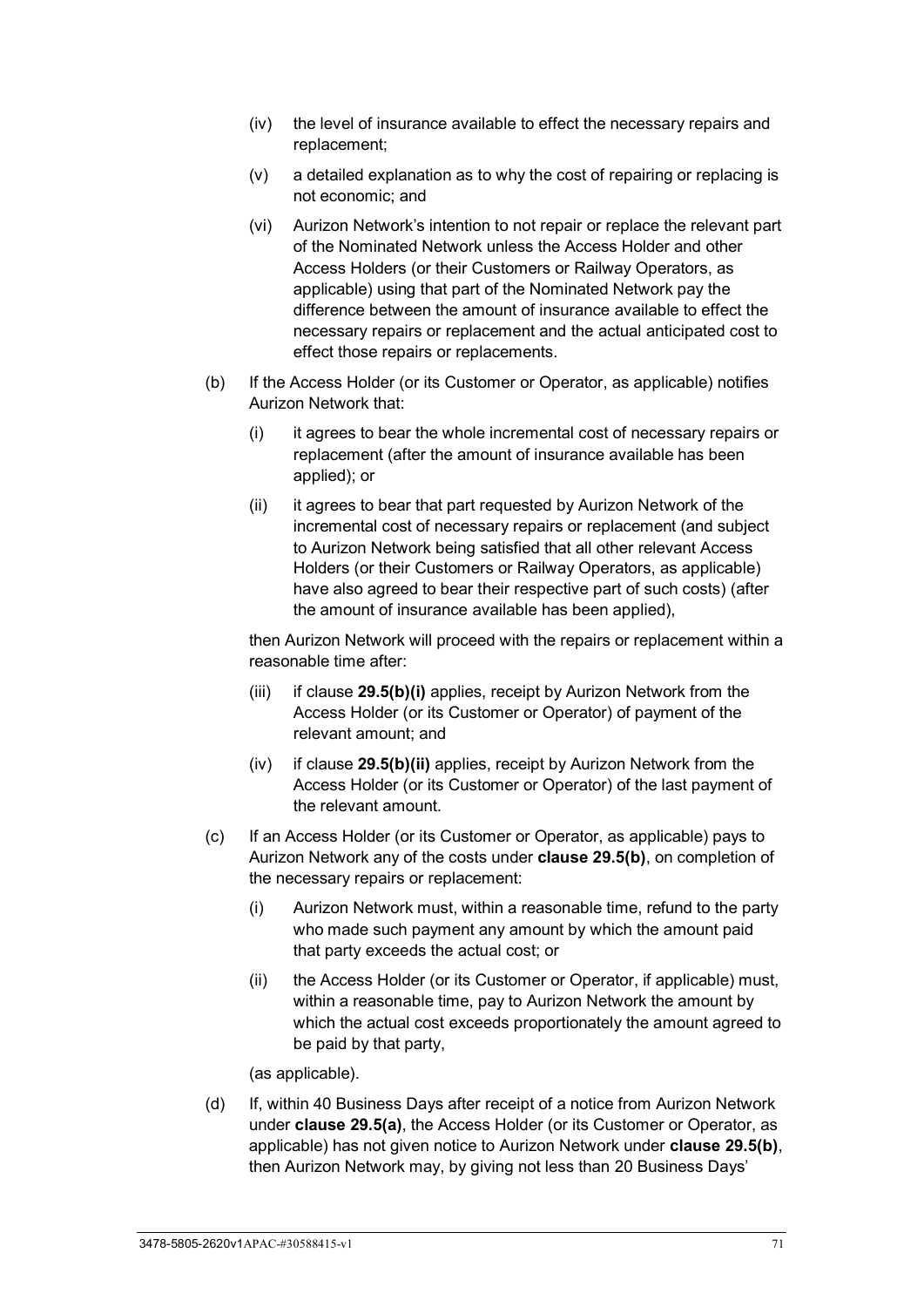- (iv) the level of insurance available to effect the necessary repairs and replacement;
- (v) a detailed explanation as to why the cost of repairing or replacing is not economic; and
- (vi) Aurizon Network's intention to not repair or replace the relevant part of the Nominated Network unless the Access Holder and other Access Holders (or their Customers or Railway Operators, as applicable) using that part of the Nominated Network pay the difference between the amount of insurance available to effect the necessary repairs or replacement and the actual anticipated cost to effect those repairs or replacements.
- <span id="page-76-2"></span><span id="page-76-1"></span><span id="page-76-0"></span>(b) If the Access Holder (or its Customer or Operator, as applicable) notifies Aurizon Network that:
	- (i) it agrees to bear the whole incremental cost of necessary repairs or replacement (after the amount of insurance available has been applied); or
	- (ii) it agrees to bear that part requested by Aurizon Network of the incremental cost of necessary repairs or replacement (and subject to Aurizon Network being satisfied that all other relevant Access Holders (or their Customers or Railway Operators, as applicable) have also agreed to bear their respective part of such costs) (after the amount of insurance available has been applied),

then Aurizon Network will proceed with the repairs or replacement within a reasonable time after:

- (iii) if clause **[29.5\(b\)\(i\)](#page-76-0)** applies, receipt by Aurizon Network from the Access Holder (or its Customer or Operator) of payment of the relevant amount; and
- (iv) if clause **[29.5\(b\)\(ii\)](#page-76-1)** applies, receipt by Aurizon Network from the Access Holder (or its Customer or Operator) of the last payment of the relevant amount.
- (c) If an Access Holder (or its Customer or Operator, as applicable) pays to Aurizon Network any of the costs under **clause [29.5\(b\)](#page-76-2)**, on completion of the necessary repairs or replacement:
	- (i) Aurizon Network must, within a reasonable time, refund to the party who made such payment any amount by which the amount paid that party exceeds the actual cost; or
	- (ii) the Access Holder (or its Customer or Operator, if applicable) must, within a reasonable time, pay to Aurizon Network the amount by which the actual cost exceeds proportionately the amount agreed to be paid by that party,

(as applicable).

(d) If, within 40 Business Days after receipt of a notice from Aurizon Network under **clause [29.5\(a\)](#page-75-1)**, the Access Holder (or its Customer or Operator, as applicable) has not given notice to Aurizon Network under **clause [29.5\(b\)](#page-76-2)**, then Aurizon Network may, by giving not less than 20 Business Days'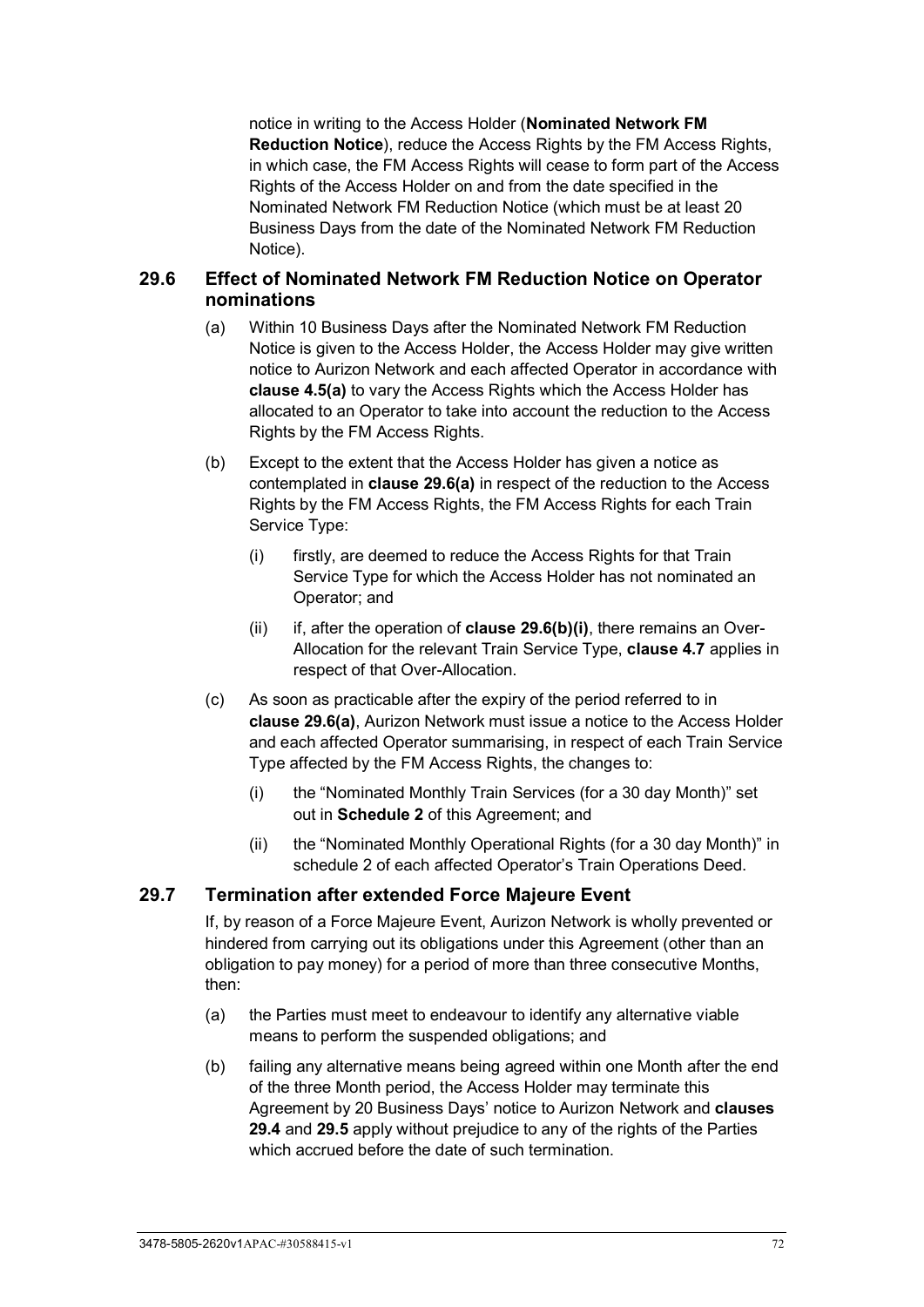notice in writing to the Access Holder (**Nominated Network FM Reduction Notice**), reduce the Access Rights by the FM Access Rights, in which case, the FM Access Rights will cease to form part of the Access Rights of the Access Holder on and from the date specified in the Nominated Network FM Reduction Notice (which must be at least 20 Business Days from the date of the Nominated Network FM Reduction Notice).

#### <span id="page-77-0"></span>**29.6 Effect of Nominated Network FM Reduction Notice on Operator nominations**

- (a) Within 10 Business Days after the Nominated Network FM Reduction Notice is given to the Access Holder, the Access Holder may give written notice to Aurizon Network and each affected Operator in accordance with **clause [4.5\(a\)](#page-31-0)** to vary the Access Rights which the Access Holder has allocated to an Operator to take into account the reduction to the Access Rights by the FM Access Rights.
- <span id="page-77-1"></span>(b) Except to the extent that the Access Holder has given a notice as contemplated in **clause [29.6\(a\)](#page-77-0)** in respect of the reduction to the Access Rights by the FM Access Rights, the FM Access Rights for each Train Service Type:
	- (i) firstly, are deemed to reduce the Access Rights for that Train Service Type for which the Access Holder has not nominated an Operator; and
	- (ii) if, after the operation of **clause [29.6\(b\)\(i\)](#page-77-1)**, there remains an Over-Allocation for the relevant Train Service Type, **clause [4.7](#page-32-0)** applies in respect of that Over-Allocation.
- (c) As soon as practicable after the expiry of the period referred to in **clause [29.6\(a\)](#page-77-0)**, Aurizon Network must issue a notice to the Access Holder and each affected Operator summarising, in respect of each Train Service Type affected by the FM Access Rights, the changes to:
	- (i) the "Nominated Monthly Train Services (for a 30 day Month)" set out in **[Schedule 2](#page-99-0)** of this Agreement; and
	- (ii) the "Nominated Monthly Operational Rights (for a 30 day Month)" in schedule 2 of each affected Operator's Train Operations Deed.

#### **29.7 Termination after extended Force Majeure Event**

If, by reason of a Force Majeure Event, Aurizon Network is wholly prevented or hindered from carrying out its obligations under this Agreement (other than an obligation to pay money) for a period of more than three consecutive Months, then:

- (a) the Parties must meet to endeavour to identify any alternative viable means to perform the suspended obligations; and
- (b) failing any alternative means being agreed within one Month after the end of the three Month period, the Access Holder may terminate this Agreement by 20 Business Days' notice to Aurizon Network and **clauses [29.4](#page-75-2)** and **[29.5](#page-75-3)** apply without prejudice to any of the rights of the Parties which accrued before the date of such termination.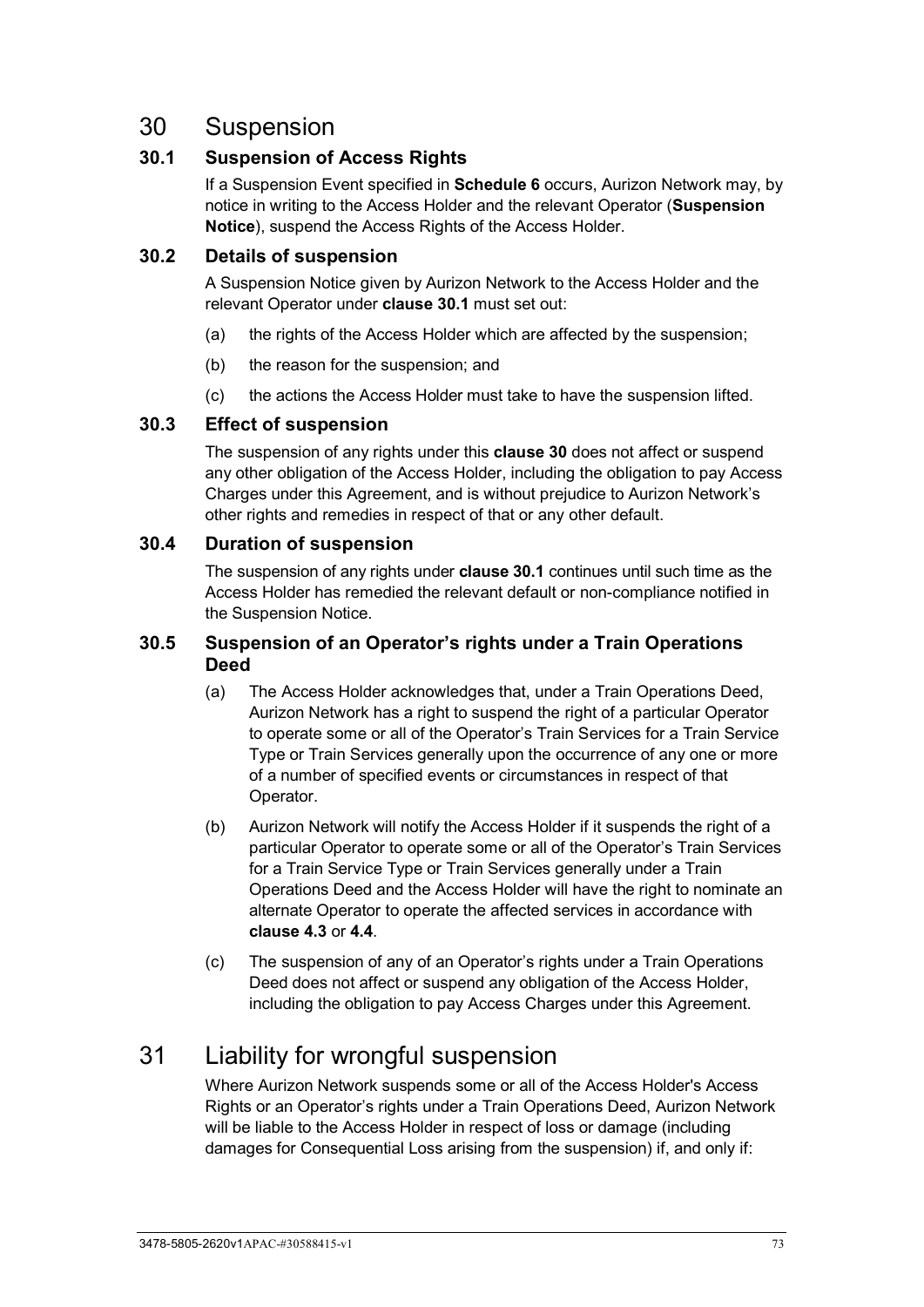# <span id="page-78-1"></span>30 Suspension

## <span id="page-78-0"></span>**30.1 Suspension of Access Rights**

If a Suspension Event specified in **[Schedule 6](#page-121-0)** occurs, Aurizon Network may, by notice in writing to the Access Holder and the relevant Operator (**Suspension Notice**), suspend the Access Rights of the Access Holder.

#### **30.2 Details of suspension**

A Suspension Notice given by Aurizon Network to the Access Holder and the relevant Operator under **clause [30.1](#page-78-0)** must set out:

- (a) the rights of the Access Holder which are affected by the suspension;
- (b) the reason for the suspension; and
- (c) the actions the Access Holder must take to have the suspension lifted.

## **30.3 Effect of suspension**

The suspension of any rights under this **clause [30](#page-78-1)** does not affect or suspend any other obligation of the Access Holder, including the obligation to pay Access Charges under this Agreement, and is without prejudice to Aurizon Network's other rights and remedies in respect of that or any other default.

#### **30.4 Duration of suspension**

The suspension of any rights under **clause [30.1](#page-78-0)** continues until such time as the Access Holder has remedied the relevant default or non-compliance notified in the Suspension Notice.

## **30.5 Suspension of an Operator's rights under a Train Operations Deed**

- (a) The Access Holder acknowledges that, under a Train Operations Deed, Aurizon Network has a right to suspend the right of a particular Operator to operate some or all of the Operator's Train Services for a Train Service Type or Train Services generally upon the occurrence of any one or more of a number of specified events or circumstances in respect of that Operator.
- (b) Aurizon Network will notify the Access Holder if it suspends the right of a particular Operator to operate some or all of the Operator's Train Services for a Train Service Type or Train Services generally under a Train Operations Deed and the Access Holder will have the right to nominate an alternate Operator to operate the affected services in accordance with **clause [4.3](#page-28-0)** or **[4.4](#page-30-0)**.
- (c) The suspension of any of an Operator's rights under a Train Operations Deed does not affect or suspend any obligation of the Access Holder, including the obligation to pay Access Charges under this Agreement.

# 31 Liability for wrongful suspension

Where Aurizon Network suspends some or all of the Access Holder's Access Rights or an Operator's rights under a Train Operations Deed, Aurizon Network will be liable to the Access Holder in respect of loss or damage (including damages for Consequential Loss arising from the suspension) if, and only if: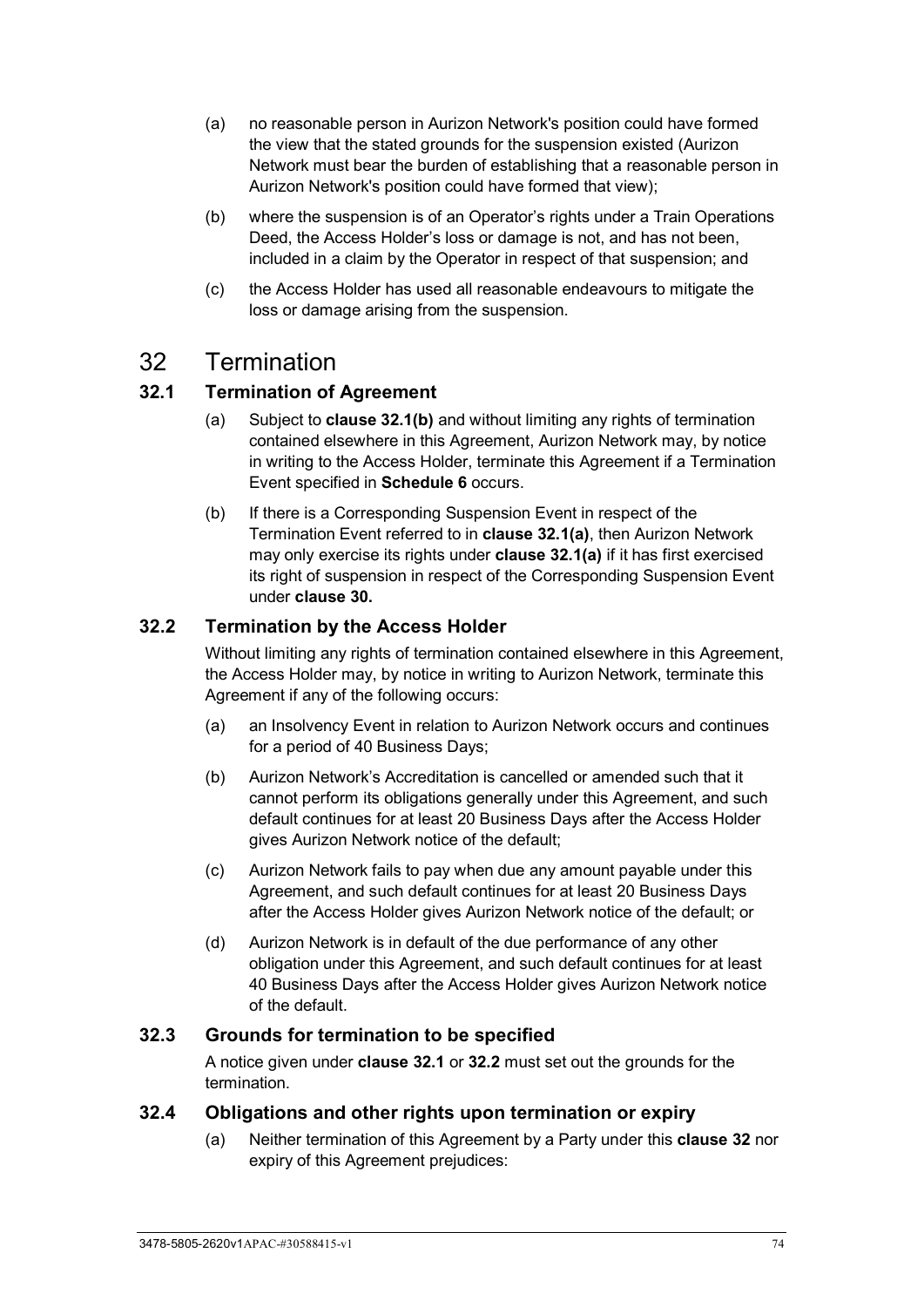- (a) no reasonable person in Aurizon Network's position could have formed the view that the stated grounds for the suspension existed (Aurizon Network must bear the burden of establishing that a reasonable person in Aurizon Network's position could have formed that view);
- (b) where the suspension is of an Operator's rights under a Train Operations Deed, the Access Holder's loss or damage is not, and has not been, included in a claim by the Operator in respect of that suspension; and
- (c) the Access Holder has used all reasonable endeavours to mitigate the loss or damage arising from the suspension.

# <span id="page-79-4"></span>32 Termination

## <span id="page-79-2"></span><span id="page-79-1"></span>**32.1 Termination of Agreement**

- (a) Subject to **clause [32.1\(b\)](#page-79-0)** and without limiting any rights of termination contained elsewhere in this Agreement, Aurizon Network may, by notice in writing to the Access Holder, terminate this Agreement if a Termination Event specified in **[Schedule 6](#page-121-0)** occurs.
- <span id="page-79-0"></span>(b) If there is a Corresponding Suspension Event in respect of the Termination Event referred to in **clause [32.1\(a\)](#page-79-1)**, then Aurizon Network may only exercise its rights under **clause [32.1\(a\)](#page-79-1)** if it has first exercised its right of suspension in respect of the Corresponding Suspension Event under **clause [30.](#page-78-1)**

#### <span id="page-79-3"></span>**32.2 Termination by the Access Holder**

Without limiting any rights of termination contained elsewhere in this Agreement, the Access Holder may, by notice in writing to Aurizon Network, terminate this Agreement if any of the following occurs:

- (a) an Insolvency Event in relation to Aurizon Network occurs and continues for a period of 40 Business Days;
- (b) Aurizon Network's Accreditation is cancelled or amended such that it cannot perform its obligations generally under this Agreement, and such default continues for at least 20 Business Days after the Access Holder gives Aurizon Network notice of the default;
- (c) Aurizon Network fails to pay when due any amount payable under this Agreement, and such default continues for at least 20 Business Days after the Access Holder gives Aurizon Network notice of the default; or
- (d) Aurizon Network is in default of the due performance of any other obligation under this Agreement, and such default continues for at least 40 Business Days after the Access Holder gives Aurizon Network notice of the default.

#### **32.3 Grounds for termination to be specified**

A notice given under **clause [32.1](#page-79-2)** or **[32.2](#page-79-3)** must set out the grounds for the termination.

#### **32.4 Obligations and other rights upon termination or expiry**

(a) Neither termination of this Agreement by a Party under this **clause [32](#page-79-4)** nor expiry of this Agreement prejudices: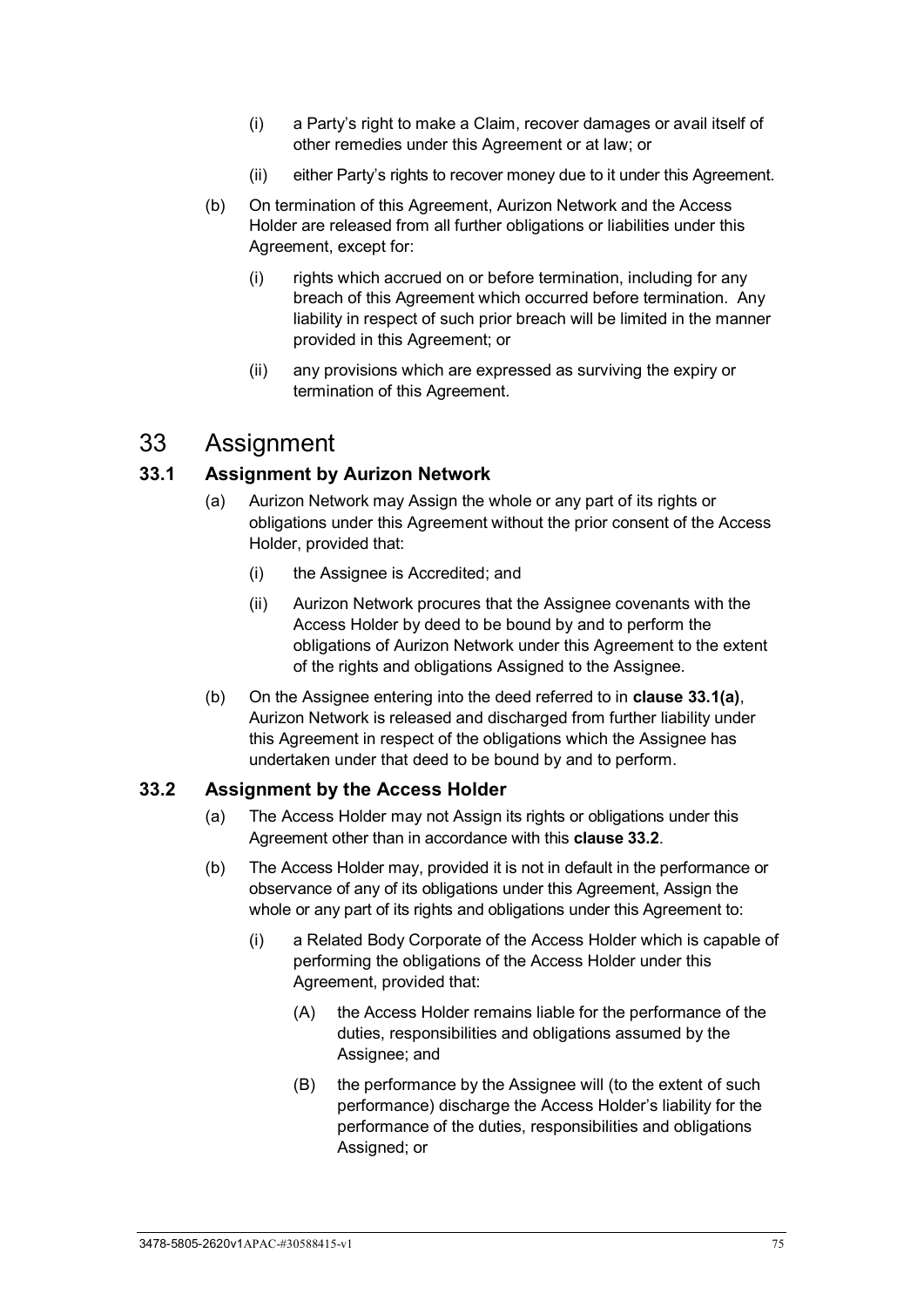- (i) a Party's right to make a Claim, recover damages or avail itself of other remedies under this Agreement or at law; or
- (ii) either Party's rights to recover money due to it under this Agreement.
- (b) On termination of this Agreement, Aurizon Network and the Access Holder are released from all further obligations or liabilities under this Agreement, except for:
	- (i) rights which accrued on or before termination, including for any breach of this Agreement which occurred before termination. Any liability in respect of such prior breach will be limited in the manner provided in this Agreement; or
	- (ii) any provisions which are expressed as surviving the expiry or termination of this Agreement.

# <span id="page-80-2"></span>33 Assignment

#### <span id="page-80-0"></span>**33.1 Assignment by Aurizon Network**

- (a) Aurizon Network may Assign the whole or any part of its rights or obligations under this Agreement without the prior consent of the Access Holder, provided that:
	- (i) the Assignee is Accredited; and
	- (ii) Aurizon Network procures that the Assignee covenants with the Access Holder by deed to be bound by and to perform the obligations of Aurizon Network under this Agreement to the extent of the rights and obligations Assigned to the Assignee.
- (b) On the Assignee entering into the deed referred to in **clause [33.1\(a\)](#page-80-0)**, Aurizon Network is released and discharged from further liability under this Agreement in respect of the obligations which the Assignee has undertaken under that deed to be bound by and to perform.

#### <span id="page-80-1"></span>**33.2 Assignment by the Access Holder**

- (a) The Access Holder may not Assign its rights or obligations under this Agreement other than in accordance with this **clause [33.2](#page-80-1)**.
- (b) The Access Holder may, provided it is not in default in the performance or observance of any of its obligations under this Agreement, Assign the whole or any part of its rights and obligations under this Agreement to:
	- (i) a Related Body Corporate of the Access Holder which is capable of performing the obligations of the Access Holder under this Agreement, provided that:
		- (A) the Access Holder remains liable for the performance of the duties, responsibilities and obligations assumed by the Assignee; and
		- (B) the performance by the Assignee will (to the extent of such performance) discharge the Access Holder's liability for the performance of the duties, responsibilities and obligations Assigned; or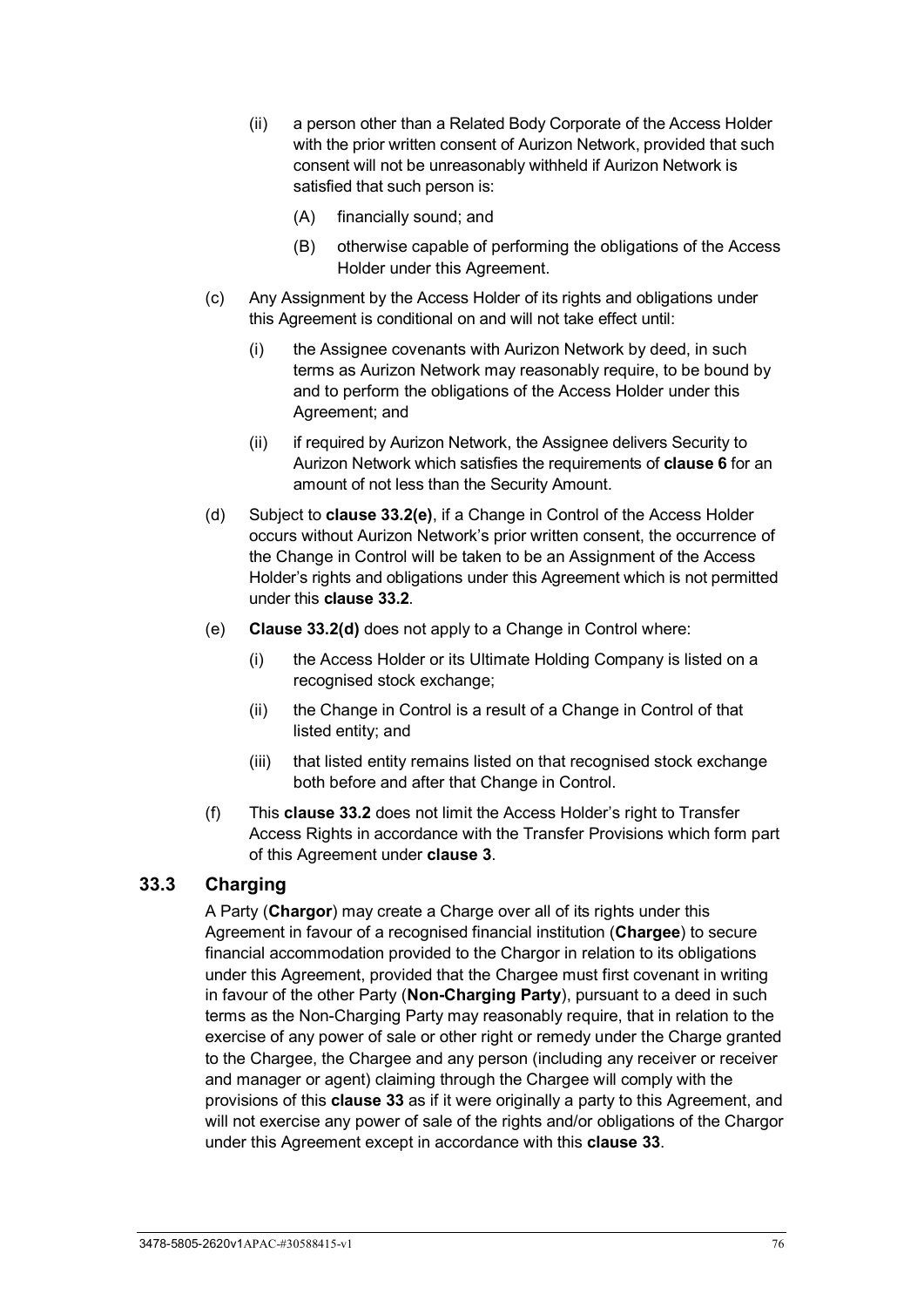- (ii) a person other than a Related Body Corporate of the Access Holder with the prior written consent of Aurizon Network, provided that such consent will not be unreasonably withheld if Aurizon Network is satisfied that such person is:
	- (A) financially sound; and
	- (B) otherwise capable of performing the obligations of the Access Holder under this Agreement.
- (c) Any Assignment by the Access Holder of its rights and obligations under this Agreement is conditional on and will not take effect until:
	- (i) the Assignee covenants with Aurizon Network by deed, in such terms as Aurizon Network may reasonably require, to be bound by and to perform the obligations of the Access Holder under this Agreement; and
	- (ii) if required by Aurizon Network, the Assignee delivers Security to Aurizon Network which satisfies the requirements of **clause [6](#page-38-0)** for an amount of not less than the Security Amount.
- <span id="page-81-1"></span>(d) Subject to **clause [33.2\(e\)](#page-81-0)**, if a Change in Control of the Access Holder occurs without Aurizon Network's prior written consent, the occurrence of the Change in Control will be taken to be an Assignment of the Access Holder's rights and obligations under this Agreement which is not permitted under this **clause [33.2](#page-80-1)**.
- <span id="page-81-0"></span>(e) **Clause [33.2\(d\)](#page-81-1)** does not apply to a Change in Control where:
	- (i) the Access Holder or its Ultimate Holding Company is listed on a recognised stock exchange;
	- (ii) the Change in Control is a result of a Change in Control of that listed entity; and
	- (iii) that listed entity remains listed on that recognised stock exchange both before and after that Change in Control.
- (f) This **clause [33.2](#page-80-1)** does not limit the Access Holder's right to Transfer Access Rights in accordance with the Transfer Provisions which form part of this Agreement under **clause [3](#page-26-0)**.

## **33.3 Charging**

A Party (**Chargor**) may create a Charge over all of its rights under this Agreement in favour of a recognised financial institution (**Chargee**) to secure financial accommodation provided to the Chargor in relation to its obligations under this Agreement, provided that the Chargee must first covenant in writing in favour of the other Party (**Non-Charging Party**), pursuant to a deed in such terms as the Non-Charging Party may reasonably require, that in relation to the exercise of any power of sale or other right or remedy under the Charge granted to the Chargee, the Chargee and any person (including any receiver or receiver and manager or agent) claiming through the Chargee will comply with the provisions of this **clause [33](#page-80-2)** as if it were originally a party to this Agreement, and will not exercise any power of sale of the rights and/or obligations of the Chargor under this Agreement except in accordance with this **clause [33](#page-80-2)**.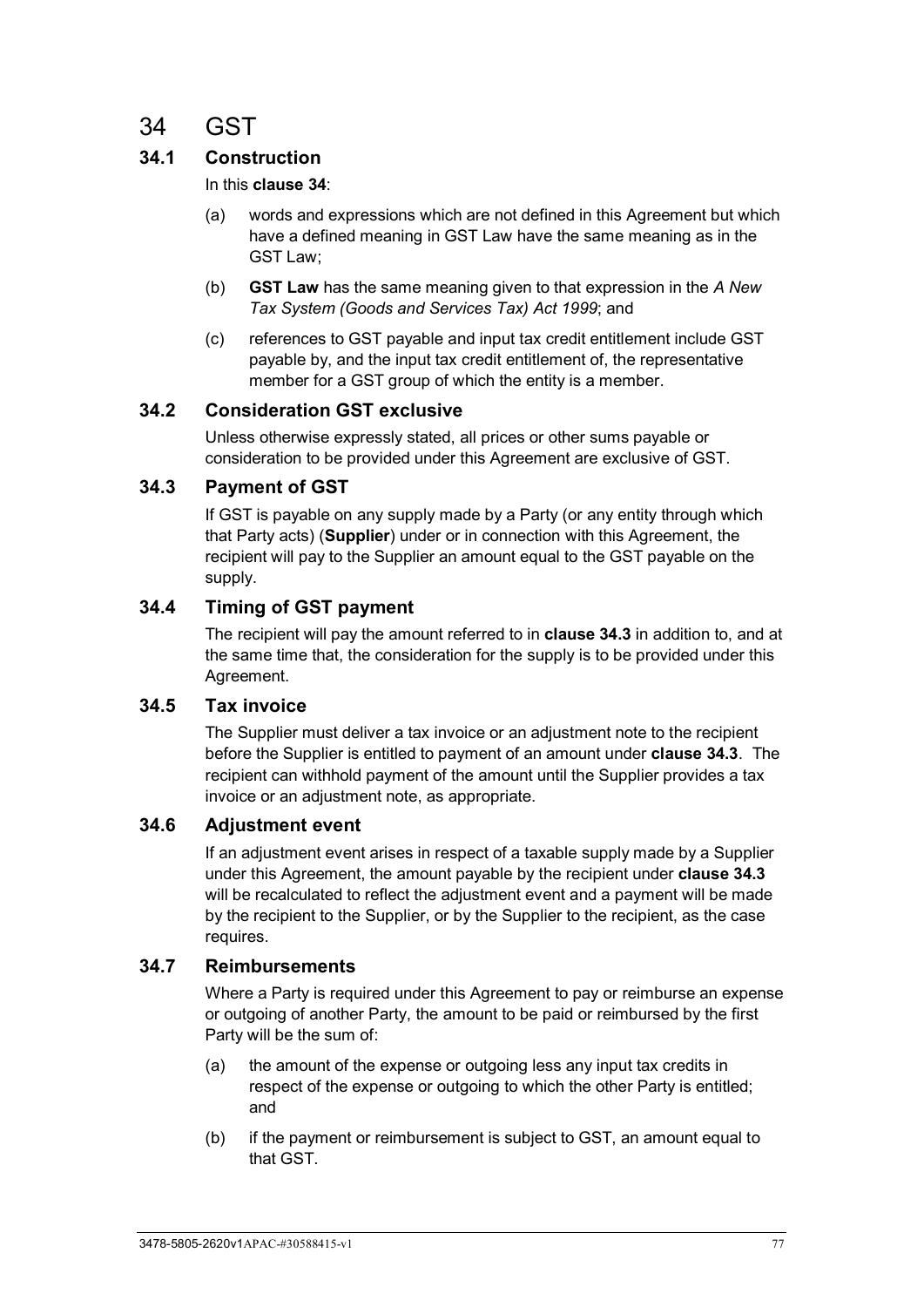# <span id="page-82-0"></span>34 GST

# **34.1 Construction**

#### In this **clause [34](#page-82-0)**:

- (a) words and expressions which are not defined in this Agreement but which have a defined meaning in GST Law have the same meaning as in the GST Law;
- (b) **GST Law** has the same meaning given to that expression in the *A New Tax System (Goods and Services Tax) Act 1999*; and
- (c) references to GST payable and input tax credit entitlement include GST payable by, and the input tax credit entitlement of, the representative member for a GST group of which the entity is a member.

#### **34.2 Consideration GST exclusive**

Unless otherwise expressly stated, all prices or other sums payable or consideration to be provided under this Agreement are exclusive of GST.

#### <span id="page-82-1"></span>**34.3 Payment of GST**

If GST is payable on any supply made by a Party (or any entity through which that Party acts) (**Supplier**) under or in connection with this Agreement, the recipient will pay to the Supplier an amount equal to the GST payable on the supply.

#### **34.4 Timing of GST payment**

The recipient will pay the amount referred to in **clause [34.3](#page-82-1)** in addition to, and at the same time that, the consideration for the supply is to be provided under this Agreement.

## **34.5 Tax invoice**

The Supplier must deliver a tax invoice or an adjustment note to the recipient before the Supplier is entitled to payment of an amount under **clause [34.3](#page-82-1)**. The recipient can withhold payment of the amount until the Supplier provides a tax invoice or an adjustment note, as appropriate.

#### **34.6 Adjustment event**

If an adjustment event arises in respect of a taxable supply made by a Supplier under this Agreement, the amount payable by the recipient under **clause [34.3](#page-82-1)** will be recalculated to reflect the adjustment event and a payment will be made by the recipient to the Supplier, or by the Supplier to the recipient, as the case requires.

#### **34.7 Reimbursements**

Where a Party is required under this Agreement to pay or reimburse an expense or outgoing of another Party, the amount to be paid or reimbursed by the first Party will be the sum of:

- (a) the amount of the expense or outgoing less any input tax credits in respect of the expense or outgoing to which the other Party is entitled; and
- (b) if the payment or reimbursement is subject to GST, an amount equal to that GST.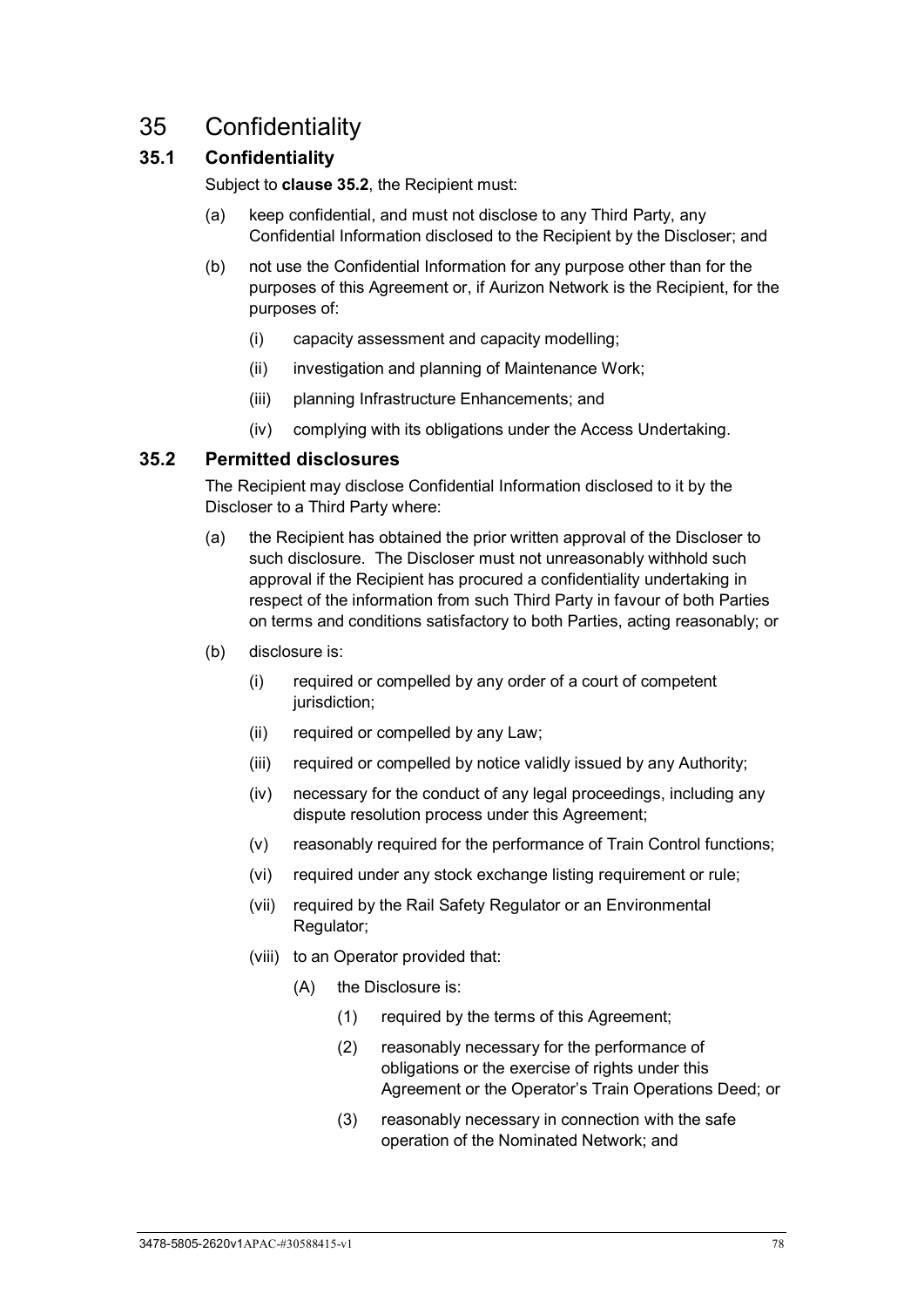# <span id="page-83-1"></span>35 Confidentiality

# **35.1 Confidentiality**

Subject to **clause [35.2](#page-83-0)**, the Recipient must:

- (a) keep confidential, and must not disclose to any Third Party, any Confidential Information disclosed to the Recipient by the Discloser; and
- (b) not use the Confidential Information for any purpose other than for the purposes of this Agreement or, if Aurizon Network is the Recipient, for the purposes of:
	- (i) capacity assessment and capacity modelling;
	- (ii) investigation and planning of Maintenance Work;
	- (iii) planning Infrastructure Enhancements; and
	- (iv) complying with its obligations under the Access Undertaking.

#### <span id="page-83-0"></span>**35.2 Permitted disclosures**

The Recipient may disclose Confidential Information disclosed to it by the Discloser to a Third Party where:

- (a) the Recipient has obtained the prior written approval of the Discloser to such disclosure. The Discloser must not unreasonably withhold such approval if the Recipient has procured a confidentiality undertaking in respect of the information from such Third Party in favour of both Parties on terms and conditions satisfactory to both Parties, acting reasonably; or
- (b) disclosure is:
	- (i) required or compelled by any order of a court of competent jurisdiction;
	- (ii) required or compelled by any Law;
	- (iii) required or compelled by notice validly issued by any Authority;
	- (iv) necessary for the conduct of any legal proceedings, including any dispute resolution process under this Agreement;
	- (v) reasonably required for the performance of Train Control functions;
	- (vi) required under any stock exchange listing requirement or rule;
	- (vii) required by the Rail Safety Regulator or an Environmental Regulator;
	- (viii) to an Operator provided that:
		- (A) the Disclosure is:
			- (1) required by the terms of this Agreement;
			- (2) reasonably necessary for the performance of obligations or the exercise of rights under this Agreement or the Operator's Train Operations Deed; or
			- (3) reasonably necessary in connection with the safe operation of the Nominated Network; and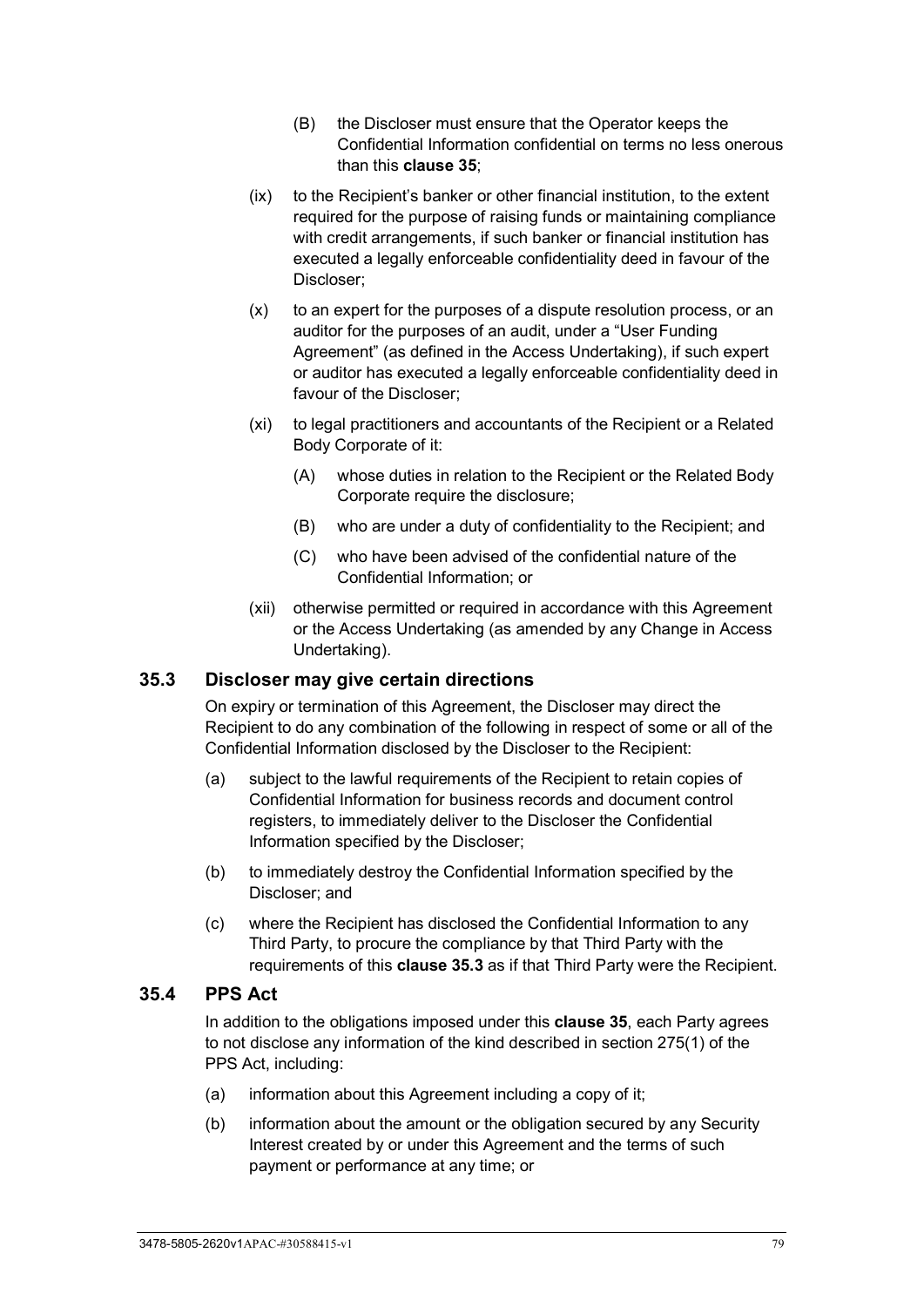- (B) the Discloser must ensure that the Operator keeps the Confidential Information confidential on terms no less onerous than this **clause [35](#page-83-1)**;
- (ix) to the Recipient's banker or other financial institution, to the extent required for the purpose of raising funds or maintaining compliance with credit arrangements, if such banker or financial institution has executed a legally enforceable confidentiality deed in favour of the Discloser;
- (x) to an expert for the purposes of a dispute resolution process, or an auditor for the purposes of an audit, under a "User Funding Agreement" (as defined in the Access Undertaking), if such expert or auditor has executed a legally enforceable confidentiality deed in favour of the Discloser;
- (xi) to legal practitioners and accountants of the Recipient or a Related Body Corporate of it:
	- (A) whose duties in relation to the Recipient or the Related Body Corporate require the disclosure;
	- (B) who are under a duty of confidentiality to the Recipient; and
	- (C) who have been advised of the confidential nature of the Confidential Information; or
- (xii) otherwise permitted or required in accordance with this Agreement or the Access Undertaking (as amended by any Change in Access Undertaking).

#### <span id="page-84-0"></span>**35.3 Discloser may give certain directions**

On expiry or termination of this Agreement, the Discloser may direct the Recipient to do any combination of the following in respect of some or all of the Confidential Information disclosed by the Discloser to the Recipient:

- (a) subject to the lawful requirements of the Recipient to retain copies of Confidential Information for business records and document control registers, to immediately deliver to the Discloser the Confidential Information specified by the Discloser;
- (b) to immediately destroy the Confidential Information specified by the Discloser; and
- (c) where the Recipient has disclosed the Confidential Information to any Third Party, to procure the compliance by that Third Party with the requirements of this **clause [35.3](#page-84-0)** as if that Third Party were the Recipient.

#### **35.4 PPS Act**

In addition to the obligations imposed under this **clause [35](#page-83-1)**, each Party agrees to not disclose any information of the kind described in section 275(1) of the PPS Act, including:

- (a) information about this Agreement including a copy of it;
- (b) information about the amount or the obligation secured by any Security Interest created by or under this Agreement and the terms of such payment or performance at any time; or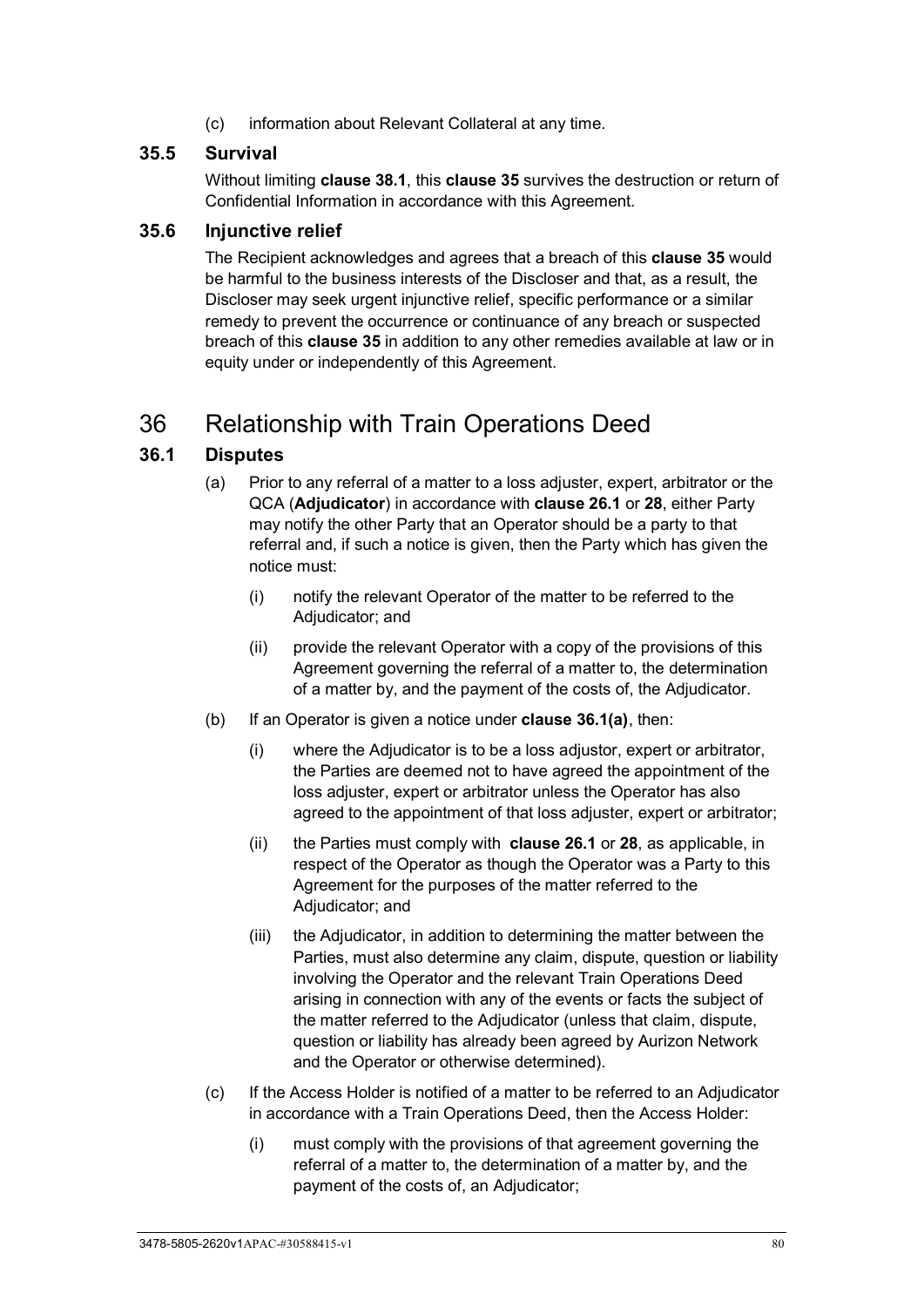(c) information about Relevant Collateral at any time.

## **35.5 Survival**

Without limiting **clause [38.1](#page-88-0)**, this **clause [35](#page-83-1)** survives the destruction or return of Confidential Information in accordance with this Agreement.

#### **35.6 Injunctive relief**

The Recipient acknowledges and agrees that a breach of this **clause [35](#page-83-1)** would be harmful to the business interests of the Discloser and that, as a result, the Discloser may seek urgent injunctive relief, specific performance or a similar remedy to prevent the occurrence or continuance of any breach or suspected breach of this **clause [35](#page-83-1)** in addition to any other remedies available at law or in equity under or independently of this Agreement.

# 36 Relationship with Train Operations Deed

## <span id="page-85-1"></span><span id="page-85-0"></span>**36.1 Disputes**

- (a) Prior to any referral of a matter to a loss adjuster, expert, arbitrator or the QCA (**Adjudicator**) in accordance with **clause [26.1](#page-67-0)** or **[28](#page-70-1)**, either Party may notify the other Party that an Operator should be a party to that referral and, if such a notice is given, then the Party which has given the notice must:
	- (i) notify the relevant Operator of the matter to be referred to the Adjudicator; and
	- (ii) provide the relevant Operator with a copy of the provisions of this Agreement governing the referral of a matter to, the determination of a matter by, and the payment of the costs of, the Adjudicator.
- (b) If an Operator is given a notice under **clause [36.1](#page-85-0)[\(a\)](#page-85-1)**, then:
	- (i) where the Adjudicator is to be a loss adjustor, expert or arbitrator, the Parties are deemed not to have agreed the appointment of the loss adjuster, expert or arbitrator unless the Operator has also agreed to the appointment of that loss adjuster, expert or arbitrator;
	- (ii) the Parties must comply with **clause [26.1](#page-67-0)** or **[28](#page-70-1)**, as applicable, in respect of the Operator as though the Operator was a Party to this Agreement for the purposes of the matter referred to the Adjudicator; and
	- (iii) the Adjudicator, in addition to determining the matter between the Parties, must also determine any claim, dispute, question or liability involving the Operator and the relevant Train Operations Deed arising in connection with any of the events or facts the subject of the matter referred to the Adjudicator (unless that claim, dispute, question or liability has already been agreed by Aurizon Network and the Operator or otherwise determined).
- (c) If the Access Holder is notified of a matter to be referred to an Adjudicator in accordance with a Train Operations Deed, then the Access Holder:
	- (i) must comply with the provisions of that agreement governing the referral of a matter to, the determination of a matter by, and the payment of the costs of, an Adjudicator;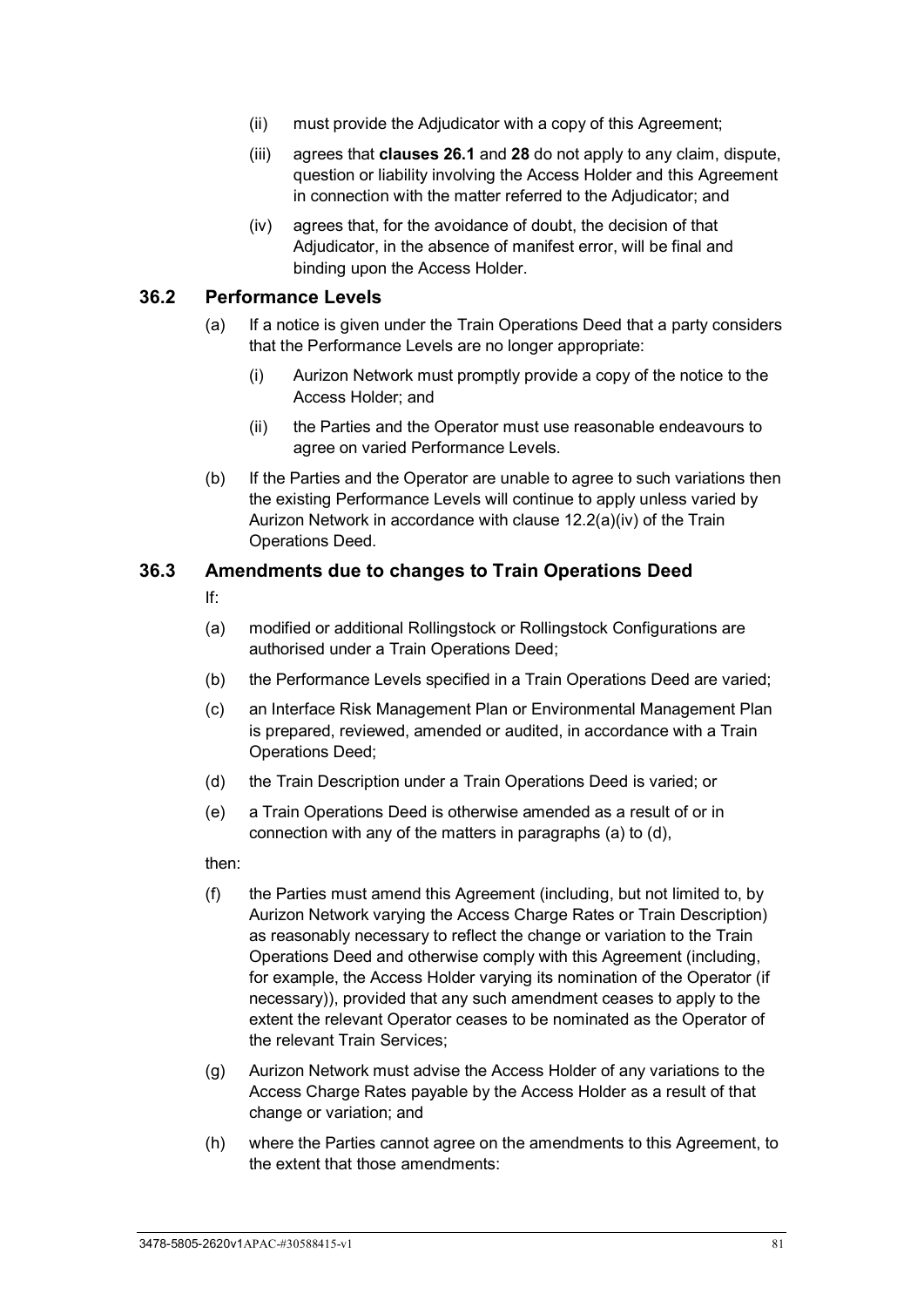- (ii) must provide the Adjudicator with a copy of this Agreement;
- (iii) agrees that **clauses [26.1](#page-67-0)** and **[28](#page-70-1)** do not apply to any claim, dispute, question or liability involving the Access Holder and this Agreement in connection with the matter referred to the Adjudicator; and
- (iv) agrees that, for the avoidance of doubt, the decision of that Adjudicator, in the absence of manifest error, will be final and binding upon the Access Holder.

#### **36.2 Performance Levels**

- (a) If a notice is given under the Train Operations Deed that a party considers that the Performance Levels are no longer appropriate:
	- (i) Aurizon Network must promptly provide a copy of the notice to the Access Holder; and
	- (ii) the Parties and the Operator must use reasonable endeavours to agree on varied Performance Levels.
- (b) If the Parties and the Operator are unable to agree to such variations then the existing Performance Levels will continue to apply unless varied by Aurizon Network in accordance with clause 12.2(a)(iv) of the Train Operations Deed.

#### <span id="page-86-0"></span>**36.3 Amendments due to changes to Train Operations Deed**

If:

- (a) modified or additional Rollingstock or Rollingstock Configurations are authorised under a Train Operations Deed;
- (b) the Performance Levels specified in a Train Operations Deed are varied;
- (c) an Interface Risk Management Plan or Environmental Management Plan is prepared, reviewed, amended or audited, in accordance with a Train Operations Deed;
- (d) the Train Description under a Train Operations Deed is varied; or
- <span id="page-86-1"></span>(e) a Train Operations Deed is otherwise amended as a result of or in connection with any of the matters in paragraphs (a) to (d),

then:

- (f) the Parties must amend this Agreement (including, but not limited to, by Aurizon Network varying the Access Charge Rates or Train Description) as reasonably necessary to reflect the change or variation to the Train Operations Deed and otherwise comply with this Agreement (including, for example, the Access Holder varying its nomination of the Operator (if necessary)), provided that any such amendment ceases to apply to the extent the relevant Operator ceases to be nominated as the Operator of the relevant Train Services;
- (g) Aurizon Network must advise the Access Holder of any variations to the Access Charge Rates payable by the Access Holder as a result of that change or variation; and
- (h) where the Parties cannot agree on the amendments to this Agreement, to the extent that those amendments: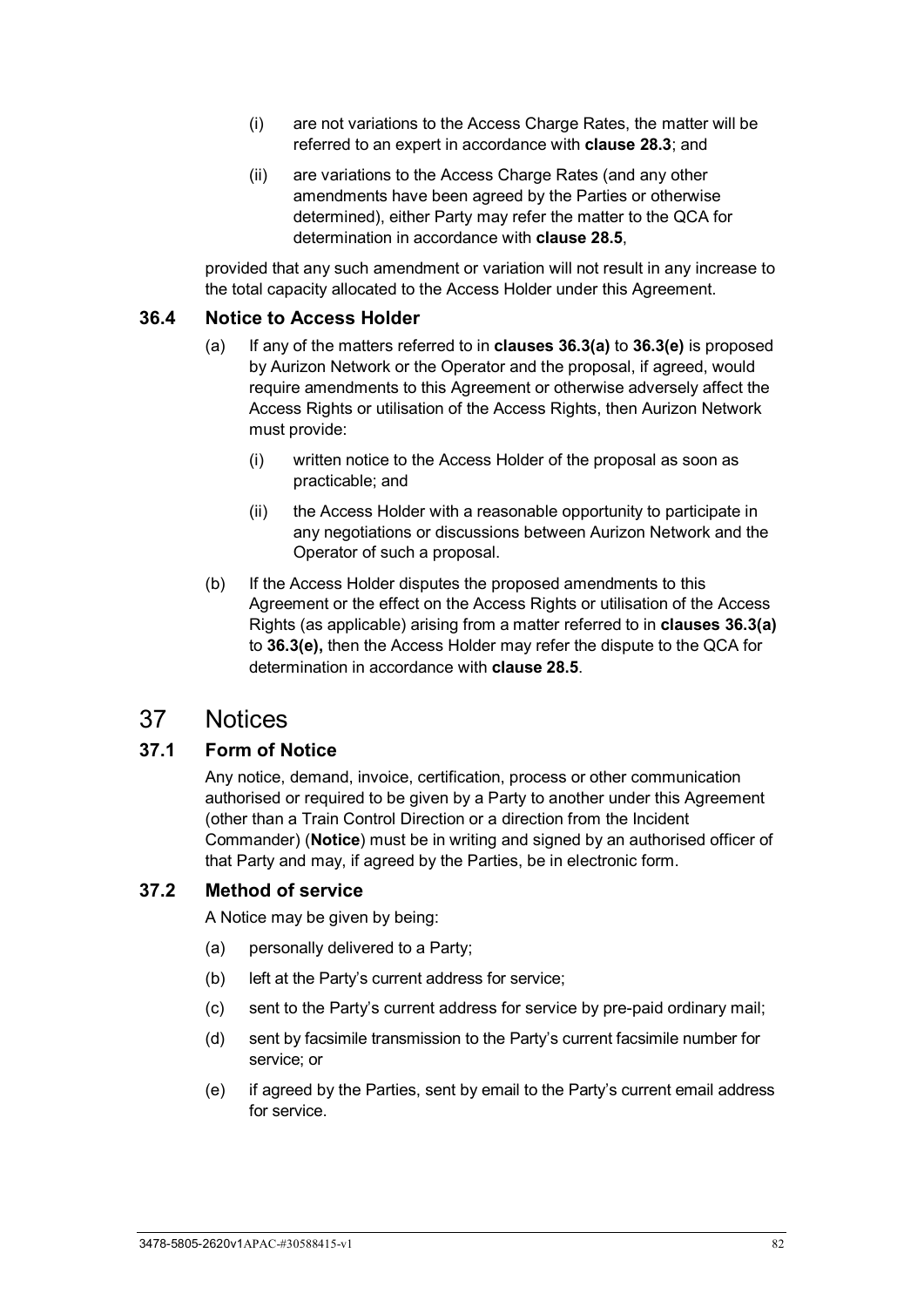- (i) are not variations to the Access Charge Rates, the matter will be referred to an expert in accordance with **clause [28.3](#page-71-0)**; and
- (ii) are variations to the Access Charge Rates (and any other amendments have been agreed by the Parties or otherwise determined), either Party may refer the matter to the QCA for determination in accordance with **clause [28.5](#page-73-3)**,

provided that any such amendment or variation will not result in any increase to the total capacity allocated to the Access Holder under this Agreement.

#### **36.4 Notice to Access Holder**

- (a) If any of the matters referred to in **clauses [36.3\(a\)](#page-86-0)** to **[36.3\(e\)](#page-86-1)** is proposed by Aurizon Network or the Operator and the proposal, if agreed, would require amendments to this Agreement or otherwise adversely affect the Access Rights or utilisation of the Access Rights, then Aurizon Network must provide:
	- (i) written notice to the Access Holder of the proposal as soon as practicable; and
	- (ii) the Access Holder with a reasonable opportunity to participate in any negotiations or discussions between Aurizon Network and the Operator of such a proposal.
- (b) If the Access Holder disputes the proposed amendments to this Agreement or the effect on the Access Rights or utilisation of the Access Rights (as applicable) arising from a matter referred to in **clauses [36.3\(a\)](#page-86-0)** to **[36.3\(e\),](#page-86-1)** then the Access Holder may refer the dispute to the QCA for determination in accordance with **clause [28.5](#page-73-3)**.

# <span id="page-87-0"></span>37 Notices

#### **37.1 Form of Notice**

Any notice, demand, invoice, certification, process or other communication authorised or required to be given by a Party to another under this Agreement (other than a Train Control Direction or a direction from the Incident Commander) (**Notice**) must be in writing and signed by an authorised officer of that Party and may, if agreed by the Parties, be in electronic form.

#### **37.2 Method of service**

A Notice may be given by being:

- (a) personally delivered to a Party;
- (b) left at the Party's current address for service;
- (c) sent to the Party's current address for service by pre-paid ordinary mail;
- (d) sent by facsimile transmission to the Party's current facsimile number for service; or
- (e) if agreed by the Parties, sent by email to the Party's current email address for service.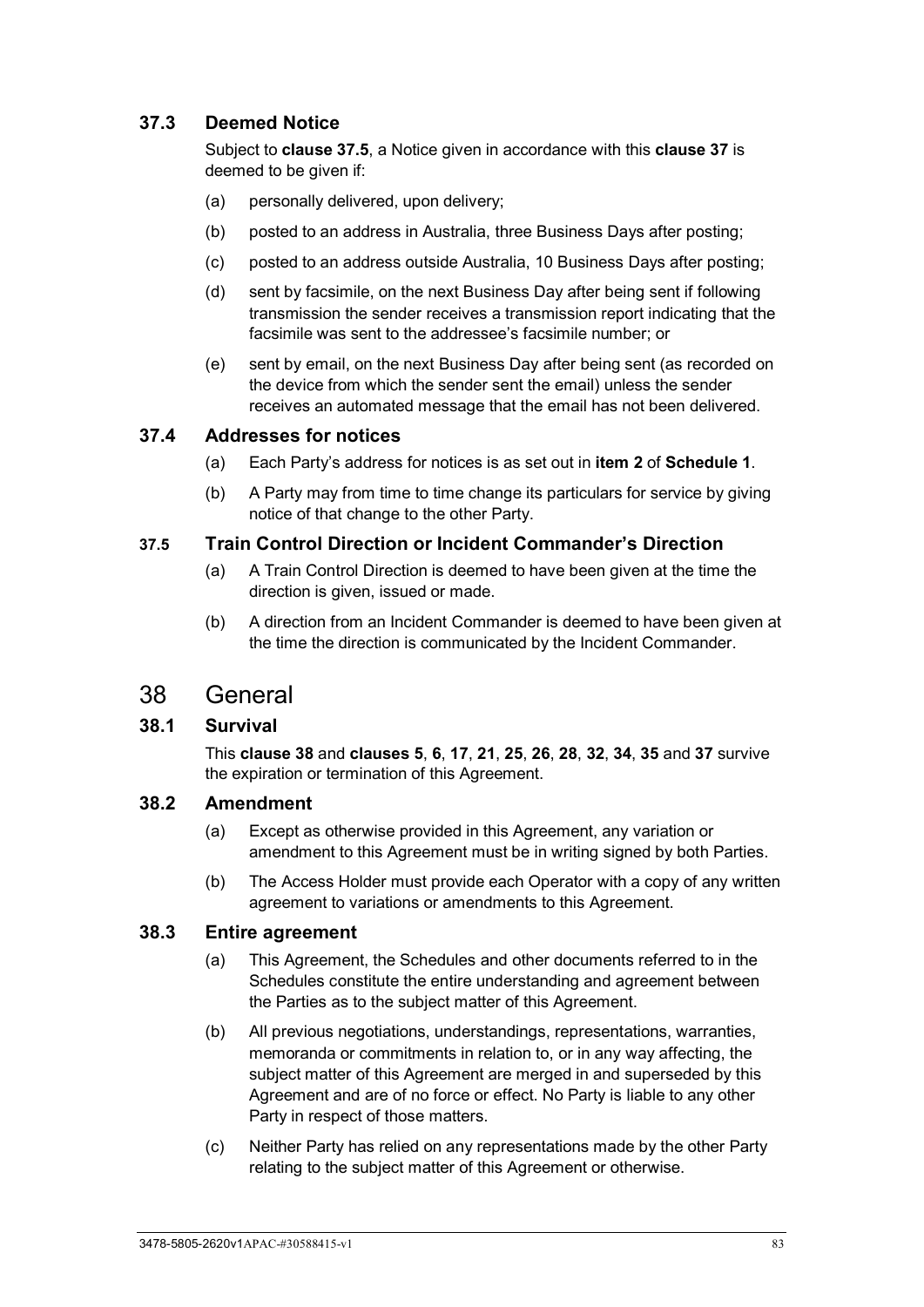## **37.3 Deemed Notice**

Subject to **clause [37.5](#page-88-1)**, a Notice given in accordance with this **clause [37](#page-87-0)** is deemed to be given if:

- (a) personally delivered, upon delivery;
- (b) posted to an address in Australia, three Business Days after posting;
- (c) posted to an address outside Australia, 10 Business Days after posting;
- (d) sent by facsimile, on the next Business Day after being sent if following transmission the sender receives a transmission report indicating that the facsimile was sent to the addressee's facsimile number; or
- (e) sent by email, on the next Business Day after being sent (as recorded on the device from which the sender sent the email) unless the sender receives an automated message that the email has not been delivered.

#### **37.4 Addresses for notices**

- (a) Each Party's address for notices is as set out in **item [2](#page-97-0)** of **[Schedule 1](#page-97-1)**.
- (b) A Party may from time to time change its particulars for service by giving notice of that change to the other Party.

#### <span id="page-88-1"></span>**37.5 Train Control Direction or Incident Commander's Direction**

- (a) A Train Control Direction is deemed to have been given at the time the direction is given, issued or made.
- (b) A direction from an Incident Commander is deemed to have been given at the time the direction is communicated by the Incident Commander.

# <span id="page-88-2"></span>38 General

#### <span id="page-88-0"></span>**38.1 Survival**

This **clause [38](#page-88-2)** and **clauses [5](#page-35-0)**, **[6](#page-38-0)**, **[17](#page-54-0)**, **[21](#page-59-0)**, **[25](#page-63-0)**, **[26](#page-67-1)**, **[28](#page-70-1)**, **[32](#page-79-4)**, **[34](#page-82-0)**, **[35](#page-83-1)** and **[37](#page-87-0)** survive the expiration or termination of this Agreement.

#### **38.2 Amendment**

- (a) Except as otherwise provided in this Agreement, any variation or amendment to this Agreement must be in writing signed by both Parties.
- (b) The Access Holder must provide each Operator with a copy of any written agreement to variations or amendments to this Agreement.

#### **38.3 Entire agreement**

- (a) This Agreement, the Schedules and other documents referred to in the Schedules constitute the entire understanding and agreement between the Parties as to the subject matter of this Agreement.
- (b) All previous negotiations, understandings, representations, warranties, memoranda or commitments in relation to, or in any way affecting, the subject matter of this Agreement are merged in and superseded by this Agreement and are of no force or effect. No Party is liable to any other Party in respect of those matters.
- (c) Neither Party has relied on any representations made by the other Party relating to the subject matter of this Agreement or otherwise.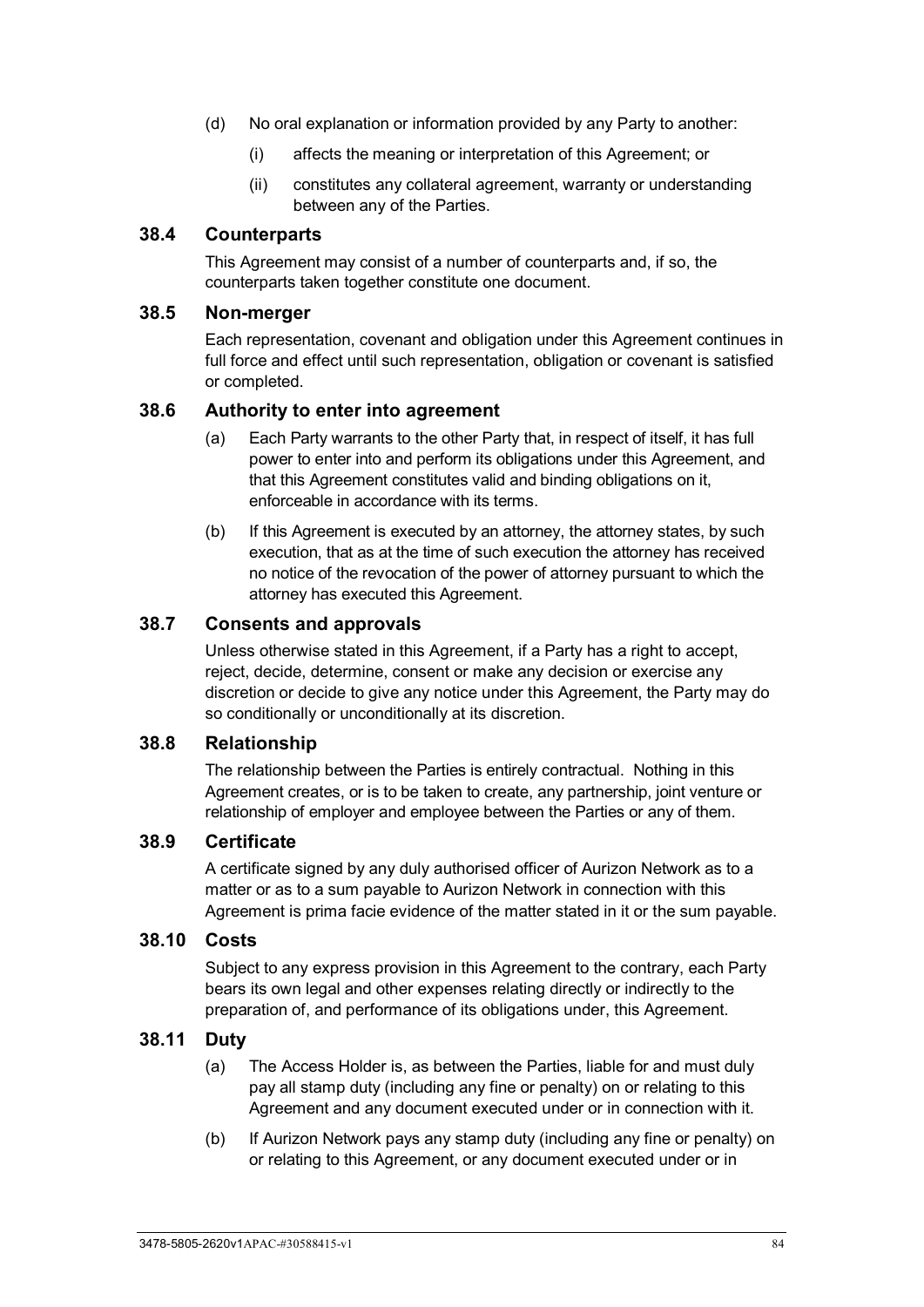- (d) No oral explanation or information provided by any Party to another:
	- (i) affects the meaning or interpretation of this Agreement; or
	- (ii) constitutes any collateral agreement, warranty or understanding between any of the Parties.

#### **38.4 Counterparts**

This Agreement may consist of a number of counterparts and, if so, the counterparts taken together constitute one document.

#### **38.5 Non-merger**

Each representation, covenant and obligation under this Agreement continues in full force and effect until such representation, obligation or covenant is satisfied or completed.

#### **38.6 Authority to enter into agreement**

- (a) Each Party warrants to the other Party that, in respect of itself, it has full power to enter into and perform its obligations under this Agreement, and that this Agreement constitutes valid and binding obligations on it, enforceable in accordance with its terms.
- (b) If this Agreement is executed by an attorney, the attorney states, by such execution, that as at the time of such execution the attorney has received no notice of the revocation of the power of attorney pursuant to which the attorney has executed this Agreement.

#### **38.7 Consents and approvals**

Unless otherwise stated in this Agreement, if a Party has a right to accept, reject, decide, determine, consent or make any decision or exercise any discretion or decide to give any notice under this Agreement, the Party may do so conditionally or unconditionally at its discretion.

#### **38.8 Relationship**

The relationship between the Parties is entirely contractual. Nothing in this Agreement creates, or is to be taken to create, any partnership, joint venture or relationship of employer and employee between the Parties or any of them.

#### **38.9 Certificate**

A certificate signed by any duly authorised officer of Aurizon Network as to a matter or as to a sum payable to Aurizon Network in connection with this Agreement is prima facie evidence of the matter stated in it or the sum payable.

#### **38.10 Costs**

Subject to any express provision in this Agreement to the contrary, each Party bears its own legal and other expenses relating directly or indirectly to the preparation of, and performance of its obligations under, this Agreement.

#### **38.11 Duty**

- (a) The Access Holder is, as between the Parties, liable for and must duly pay all stamp duty (including any fine or penalty) on or relating to this Agreement and any document executed under or in connection with it.
- (b) If Aurizon Network pays any stamp duty (including any fine or penalty) on or relating to this Agreement, or any document executed under or in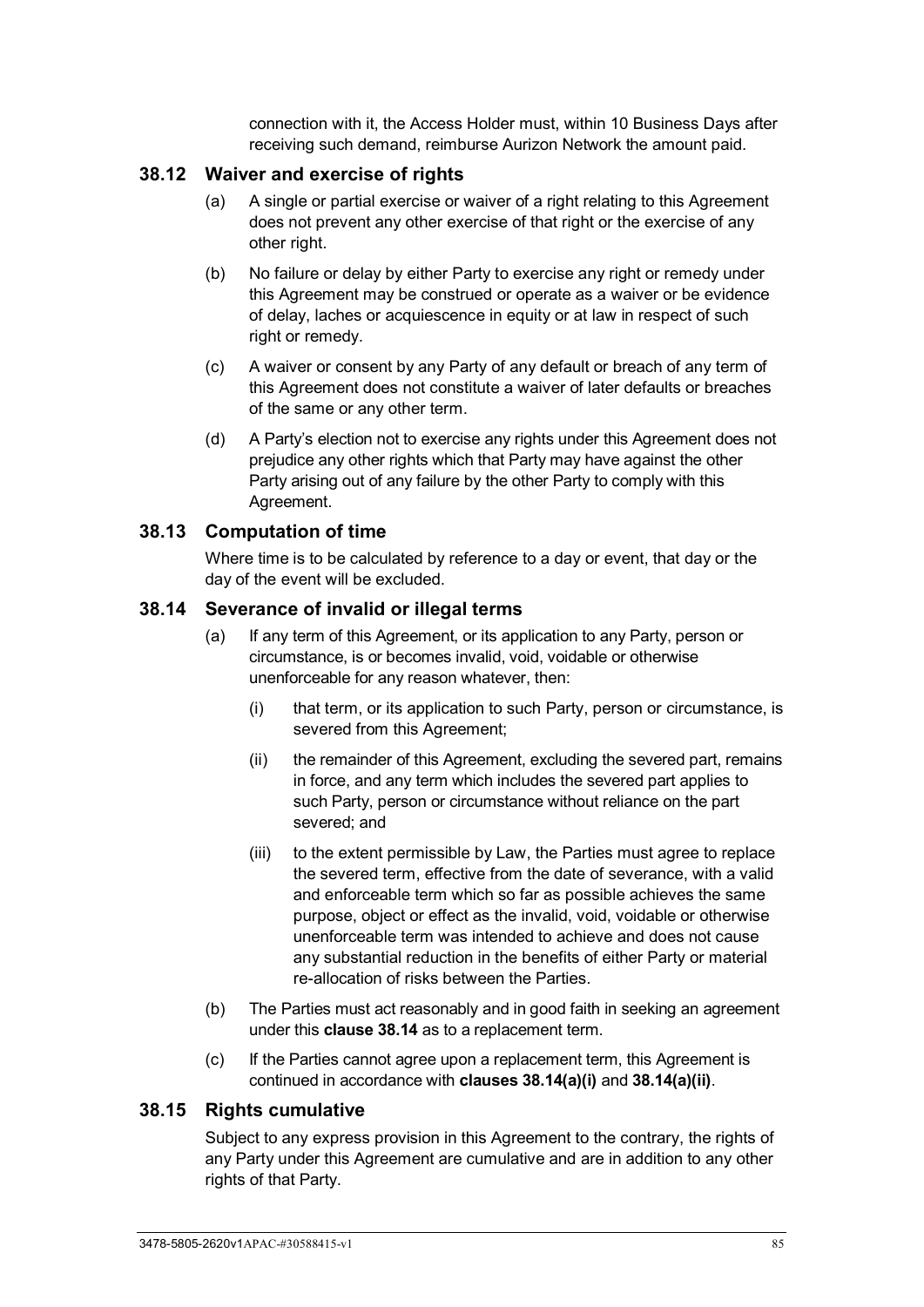connection with it, the Access Holder must, within 10 Business Days after receiving such demand, reimburse Aurizon Network the amount paid.

#### **38.12 Waiver and exercise of rights**

- (a) A single or partial exercise or waiver of a right relating to this Agreement does not prevent any other exercise of that right or the exercise of any other right.
- (b) No failure or delay by either Party to exercise any right or remedy under this Agreement may be construed or operate as a waiver or be evidence of delay, laches or acquiescence in equity or at law in respect of such right or remedy.
- (c) A waiver or consent by any Party of any default or breach of any term of this Agreement does not constitute a waiver of later defaults or breaches of the same or any other term.
- (d) A Party's election not to exercise any rights under this Agreement does not prejudice any other rights which that Party may have against the other Party arising out of any failure by the other Party to comply with this Agreement.

#### **38.13 Computation of time**

Where time is to be calculated by reference to a day or event, that day or the day of the event will be excluded.

#### <span id="page-90-1"></span><span id="page-90-0"></span>**38.14 Severance of invalid or illegal terms**

- <span id="page-90-2"></span>(a) If any term of this Agreement, or its application to any Party, person or circumstance, is or becomes invalid, void, voidable or otherwise unenforceable for any reason whatever, then:
	- (i) that term, or its application to such Party, person or circumstance, is severed from this Agreement;
	- (ii) the remainder of this Agreement, excluding the severed part, remains in force, and any term which includes the severed part applies to such Party, person or circumstance without reliance on the part severed; and
	- (iii) to the extent permissible by Law, the Parties must agree to replace the severed term, effective from the date of severance, with a valid and enforceable term which so far as possible achieves the same purpose, object or effect as the invalid, void, voidable or otherwise unenforceable term was intended to achieve and does not cause any substantial reduction in the benefits of either Party or material re-allocation of risks between the Parties.
- (b) The Parties must act reasonably and in good faith in seeking an agreement under this **clause [38.14](#page-90-0)** as to a replacement term.
- (c) If the Parties cannot agree upon a replacement term, this Agreement is continued in accordance with **clauses [38.14\(a\)\(i\)](#page-90-1)** and **[38.14\(a\)\(ii\)](#page-90-2)**.

#### **38.15 Rights cumulative**

Subject to any express provision in this Agreement to the contrary, the rights of any Party under this Agreement are cumulative and are in addition to any other rights of that Party.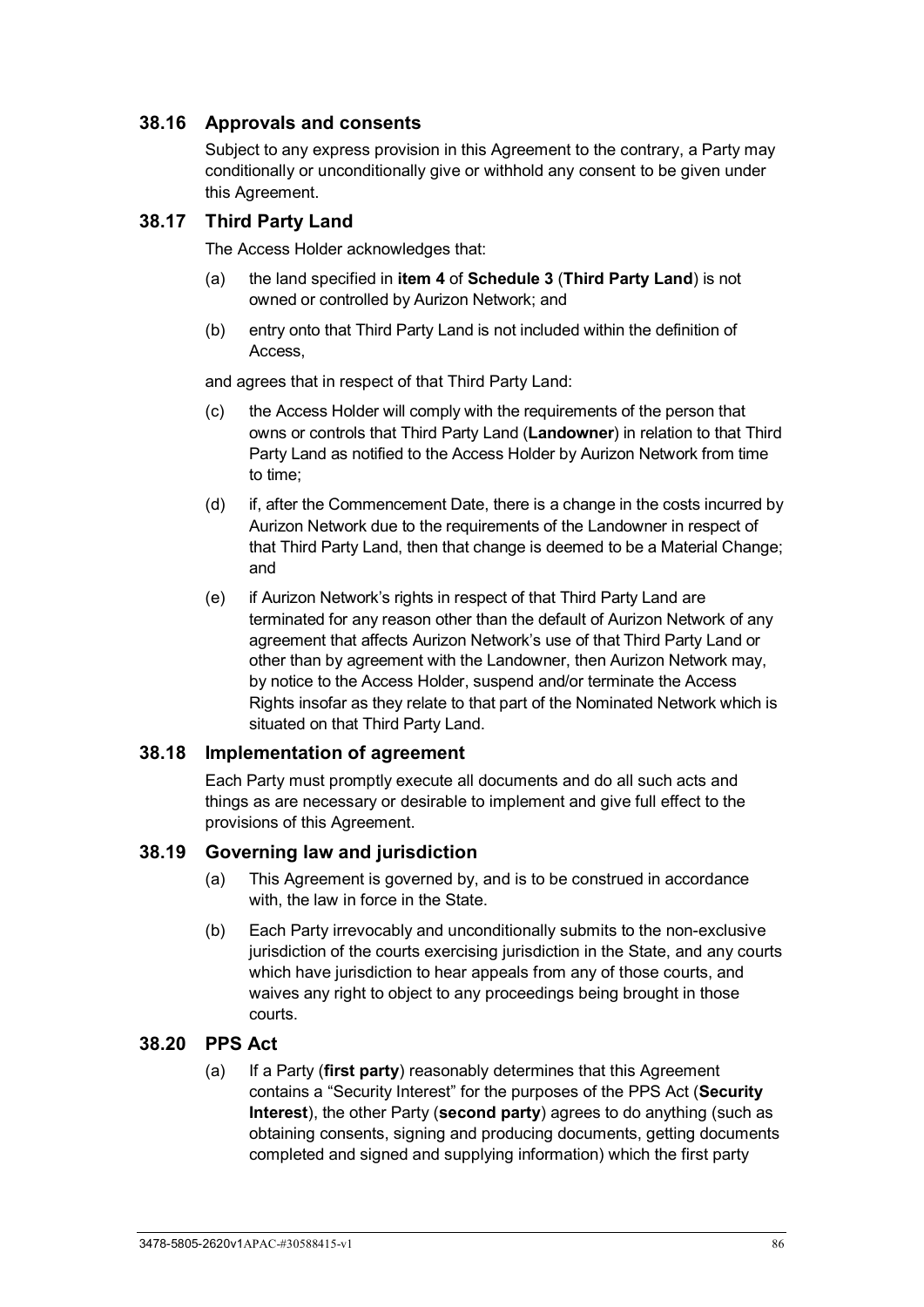## **38.16 Approvals and consents**

Subject to any express provision in this Agreement to the contrary, a Party may conditionally or unconditionally give or withhold any consent to be given under this Agreement.

#### **38.17 Third Party Land**

The Access Holder acknowledges that:

- (a) the land specified in **item [4](#page-106-2)** of **[Schedule 3](#page-106-1)** (**Third Party Land**) is not owned or controlled by Aurizon Network; and
- (b) entry onto that Third Party Land is not included within the definition of Access,

and agrees that in respect of that Third Party Land:

- (c) the Access Holder will comply with the requirements of the person that owns or controls that Third Party Land (**Landowner**) in relation to that Third Party Land as notified to the Access Holder by Aurizon Network from time to time;
- (d) if, after the Commencement Date, there is a change in the costs incurred by Aurizon Network due to the requirements of the Landowner in respect of that Third Party Land, then that change is deemed to be a Material Change; and
- (e) if Aurizon Network's rights in respect of that Third Party Land are terminated for any reason other than the default of Aurizon Network of any agreement that affects Aurizon Network's use of that Third Party Land or other than by agreement with the Landowner, then Aurizon Network may, by notice to the Access Holder, suspend and/or terminate the Access Rights insofar as they relate to that part of the Nominated Network which is situated on that Third Party Land.

#### **38.18 Implementation of agreement**

Each Party must promptly execute all documents and do all such acts and things as are necessary or desirable to implement and give full effect to the provisions of this Agreement.

#### **38.19 Governing law and jurisdiction**

- (a) This Agreement is governed by, and is to be construed in accordance with, the law in force in the State.
- (b) Each Party irrevocably and unconditionally submits to the non-exclusive jurisdiction of the courts exercising jurisdiction in the State, and any courts which have jurisdiction to hear appeals from any of those courts, and waives any right to object to any proceedings being brought in those courts.

#### **38.20 PPS Act**

(a) If a Party (**first party**) reasonably determines that this Agreement contains a "Security Interest" for the purposes of the PPS Act (**Security Interest**), the other Party (**second party**) agrees to do anything (such as obtaining consents, signing and producing documents, getting documents completed and signed and supplying information) which the first party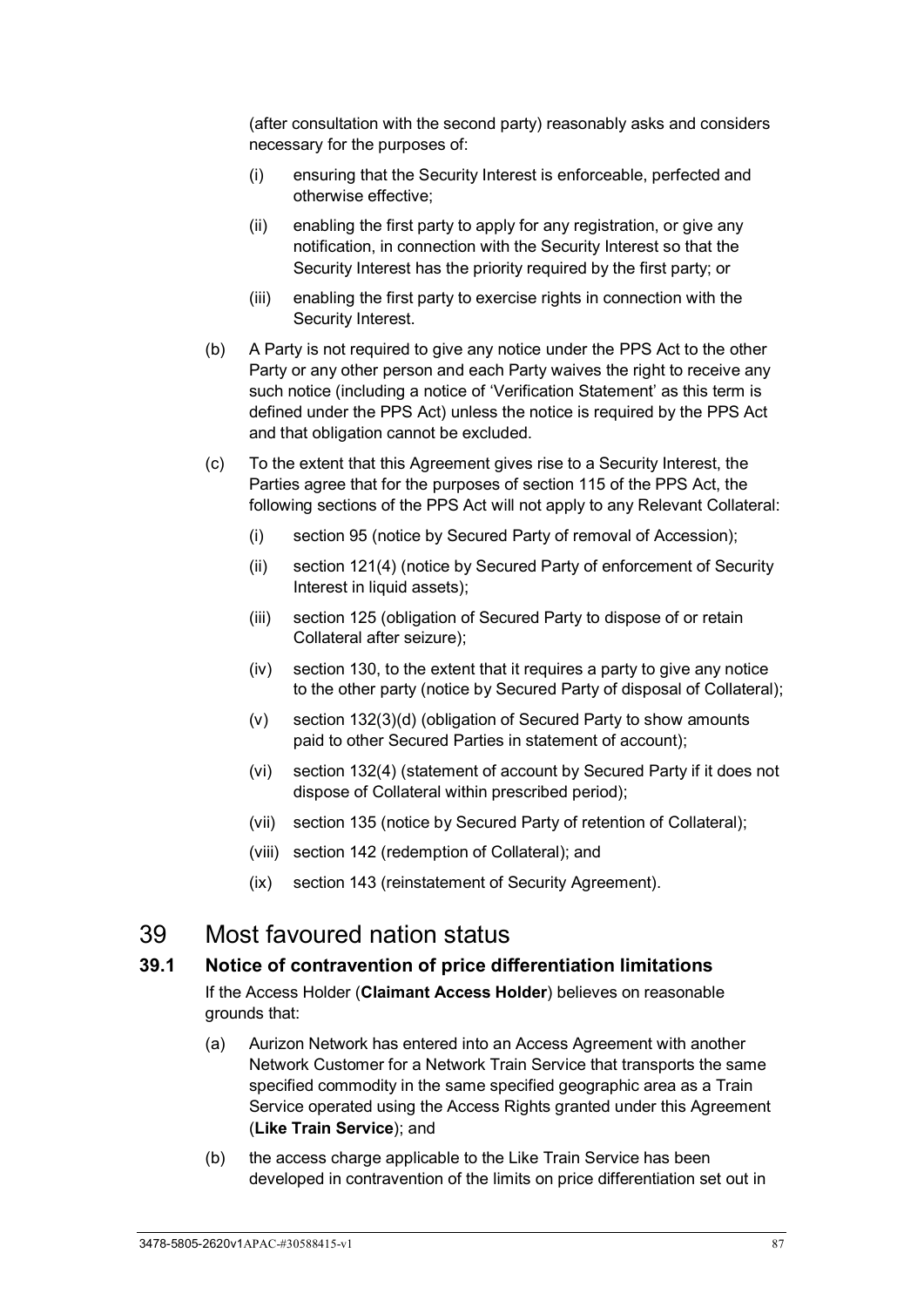(after consultation with the second party) reasonably asks and considers necessary for the purposes of:

- (i) ensuring that the Security Interest is enforceable, perfected and otherwise effective;
- (ii) enabling the first party to apply for any registration, or give any notification, in connection with the Security Interest so that the Security Interest has the priority required by the first party; or
- (iii) enabling the first party to exercise rights in connection with the Security Interest.
- (b) A Party is not required to give any notice under the PPS Act to the other Party or any other person and each Party waives the right to receive any such notice (including a notice of 'Verification Statement' as this term is defined under the PPS Act) unless the notice is required by the PPS Act and that obligation cannot be excluded.
- (c) To the extent that this Agreement gives rise to a Security Interest, the Parties agree that for the purposes of section 115 of the PPS Act, the following sections of the PPS Act will not apply to any Relevant Collateral:
	- (i) section 95 (notice by Secured Party of removal of Accession);
	- (ii) section 121(4) (notice by Secured Party of enforcement of Security Interest in liquid assets):
	- (iii) section 125 (obligation of Secured Party to dispose of or retain Collateral after seizure);
	- (iv) section 130, to the extent that it requires a party to give any notice to the other party (notice by Secured Party of disposal of Collateral);
	- (v) section 132(3)(d) (obligation of Secured Party to show amounts paid to other Secured Parties in statement of account);
	- (vi) section 132(4) (statement of account by Secured Party if it does not dispose of Collateral within prescribed period);
	- (vii) section 135 (notice by Secured Party of retention of Collateral);
	- (viii) section 142 (redemption of Collateral); and
	- (ix) section 143 (reinstatement of Security Agreement).

# 39 Most favoured nation status

#### **39.1 Notice of contravention of price differentiation limitations**

If the Access Holder (**Claimant Access Holder**) believes on reasonable grounds that:

- (a) Aurizon Network has entered into an Access Agreement with another Network Customer for a Network Train Service that transports the same specified commodity in the same specified geographic area as a Train Service operated using the Access Rights granted under this Agreement (**Like Train Service**); and
- (b) the access charge applicable to the Like Train Service has been developed in contravention of the limits on price differentiation set out in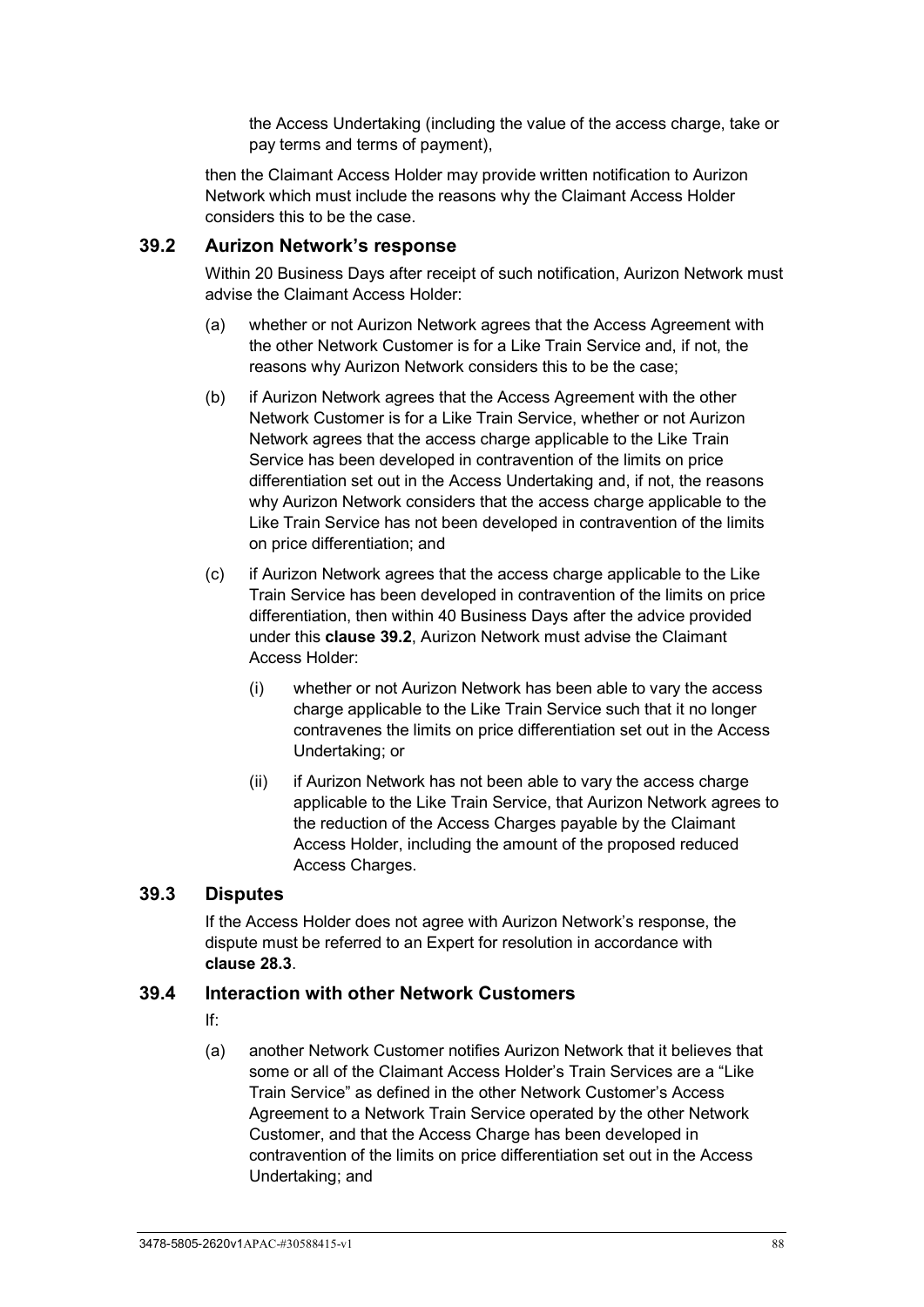the Access Undertaking (including the value of the access charge, take or pay terms and terms of payment),

then the Claimant Access Holder may provide written notification to Aurizon Network which must include the reasons why the Claimant Access Holder considers this to be the case.

#### <span id="page-93-0"></span>**39.2 Aurizon Network's response**

Within 20 Business Days after receipt of such notification, Aurizon Network must advise the Claimant Access Holder:

- (a) whether or not Aurizon Network agrees that the Access Agreement with the other Network Customer is for a Like Train Service and, if not, the reasons why Aurizon Network considers this to be the case;
- (b) if Aurizon Network agrees that the Access Agreement with the other Network Customer is for a Like Train Service, whether or not Aurizon Network agrees that the access charge applicable to the Like Train Service has been developed in contravention of the limits on price differentiation set out in the Access Undertaking and, if not, the reasons why Aurizon Network considers that the access charge applicable to the Like Train Service has not been developed in contravention of the limits on price differentiation; and
- (c) if Aurizon Network agrees that the access charge applicable to the Like Train Service has been developed in contravention of the limits on price differentiation, then within 40 Business Days after the advice provided under this **clause [39.2](#page-93-0)**, Aurizon Network must advise the Claimant Access Holder:
	- (i) whether or not Aurizon Network has been able to vary the access charge applicable to the Like Train Service such that it no longer contravenes the limits on price differentiation set out in the Access Undertaking; or
	- (ii) if Aurizon Network has not been able to vary the access charge applicable to the Like Train Service, that Aurizon Network agrees to the reduction of the Access Charges payable by the Claimant Access Holder, including the amount of the proposed reduced Access Charges.

#### **39.3 Disputes**

If the Access Holder does not agree with Aurizon Network's response, the dispute must be referred to an Expert for resolution in accordance with **clause [28.3](#page-71-0)**.

#### **39.4 Interaction with other Network Customers**

- If:
- (a) another Network Customer notifies Aurizon Network that it believes that some or all of the Claimant Access Holder's Train Services are a "Like Train Service" as defined in the other Network Customer's Access Agreement to a Network Train Service operated by the other Network Customer, and that the Access Charge has been developed in contravention of the limits on price differentiation set out in the Access Undertaking; and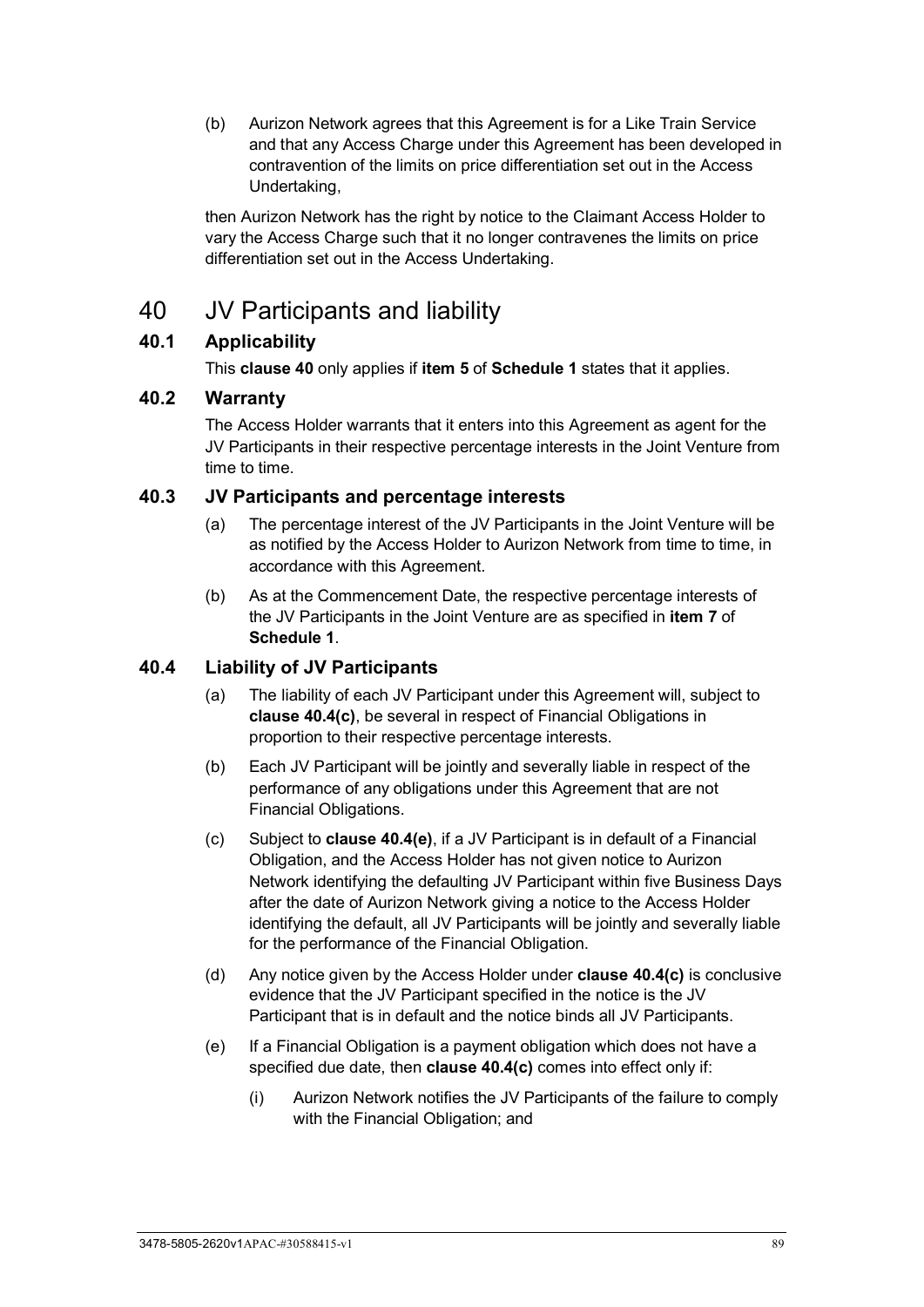(b) Aurizon Network agrees that this Agreement is for a Like Train Service and that any Access Charge under this Agreement has been developed in contravention of the limits on price differentiation set out in the Access Undertaking,

then Aurizon Network has the right by notice to the Claimant Access Holder to vary the Access Charge such that it no longer contravenes the limits on price differentiation set out in the Access Undertaking.

# <span id="page-94-0"></span>40 JV Participants and liability

## **40.1 Applicability**

This **clause [40](#page-94-0)** only applies if **item [5](#page-97-2)** of **[Schedule 1](#page-97-1)** states that it applies.

## **40.2 Warranty**

The Access Holder warrants that it enters into this Agreement as agent for the JV Participants in their respective percentage interests in the Joint Venture from time to time.

#### **40.3 JV Participants and percentage interests**

- (a) The percentage interest of the JV Participants in the Joint Venture will be as notified by the Access Holder to Aurizon Network from time to time, in accordance with this Agreement.
- (b) As at the Commencement Date, the respective percentage interests of the JV Participants in the Joint Venture are as specified in **item [7](#page-97-3)** of **[Schedule 1](#page-97-1)**.

## **40.4 Liability of JV Participants**

- (a) The liability of each JV Participant under this Agreement will, subject to **clause [40.4\(c\)](#page-94-1)**, be several in respect of Financial Obligations in proportion to their respective percentage interests.
- (b) Each JV Participant will be jointly and severally liable in respect of the performance of any obligations under this Agreement that are not Financial Obligations.
- <span id="page-94-1"></span>(c) Subject to **clause [40.4\(e\)](#page-94-2)**, if a JV Participant is in default of a Financial Obligation, and the Access Holder has not given notice to Aurizon Network identifying the defaulting JV Participant within five Business Days after the date of Aurizon Network giving a notice to the Access Holder identifying the default, all JV Participants will be jointly and severally liable for the performance of the Financial Obligation.
- (d) Any notice given by the Access Holder under **clause [40.4\(c\)](#page-94-1)** is conclusive evidence that the JV Participant specified in the notice is the JV Participant that is in default and the notice binds all JV Participants.
- <span id="page-94-3"></span><span id="page-94-2"></span>(e) If a Financial Obligation is a payment obligation which does not have a specified due date, then **clause [40.4\(c\)](#page-94-1)** comes into effect only if:
	- (i) Aurizon Network notifies the JV Participants of the failure to comply with the Financial Obligation; and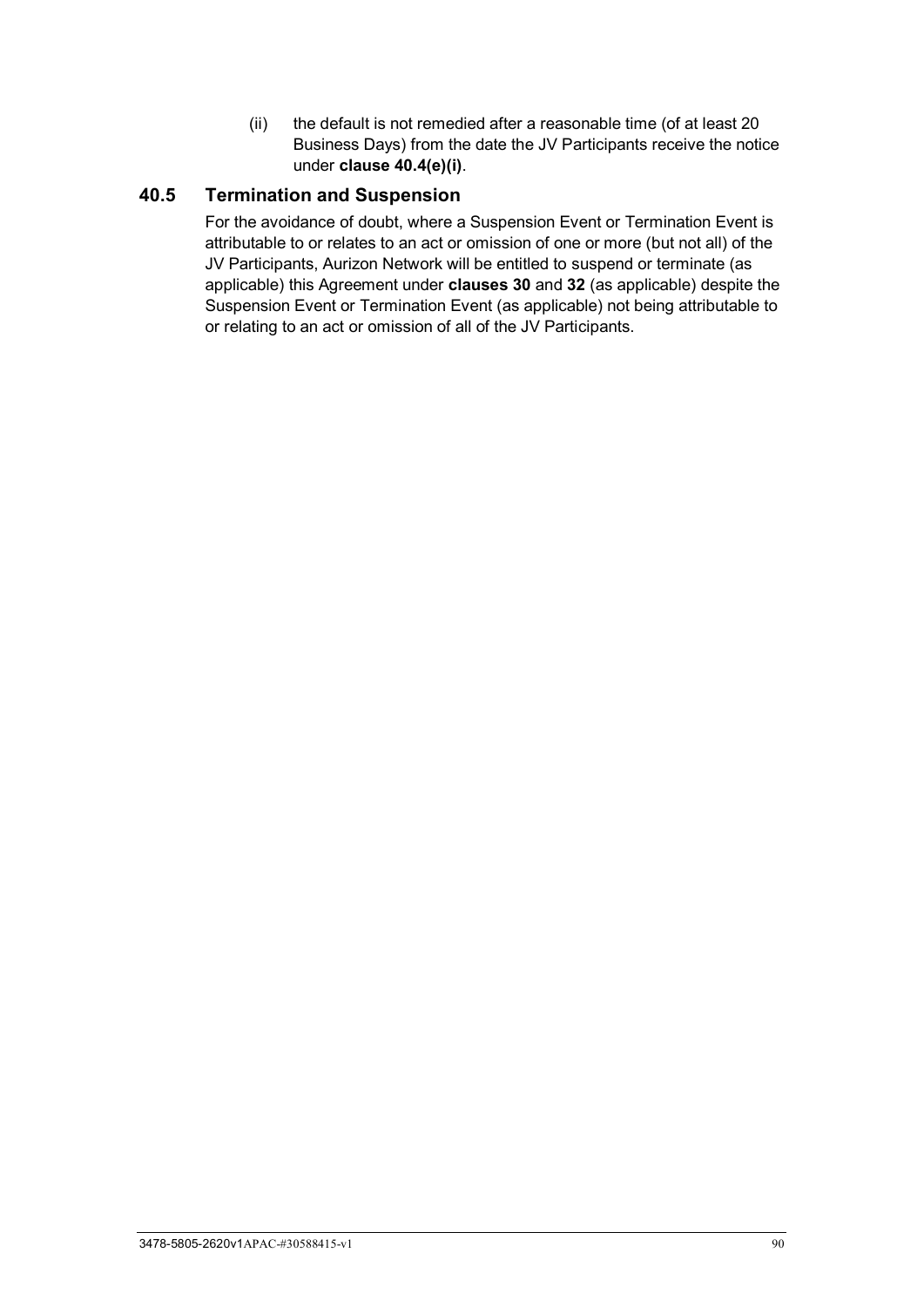(ii) the default is not remedied after a reasonable time (of at least 20 Business Days) from the date the JV Participants receive the notice under **clause [40.4\(e\)\(i\)](#page-94-3)**.

## **40.5 Termination and Suspension**

For the avoidance of doubt, where a Suspension Event or Termination Event is attributable to or relates to an act or omission of one or more (but not all) of the JV Participants, Aurizon Network will be entitled to suspend or terminate (as applicable) this Agreement under **clauses [30](#page-78-1)** and **[32](#page-79-4)** (as applicable) despite the Suspension Event or Termination Event (as applicable) not being attributable to or relating to an act or omission of all of the JV Participants.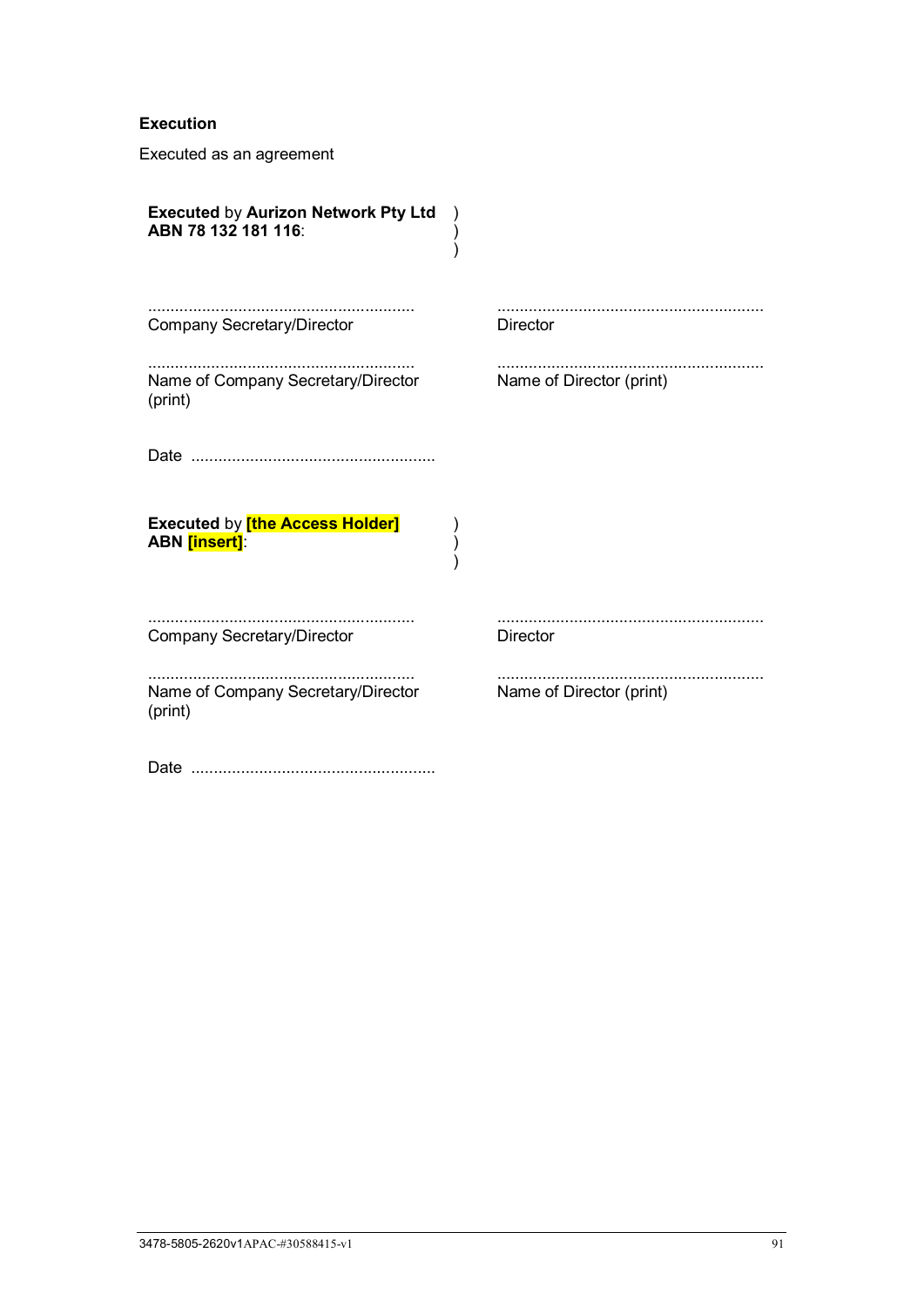#### **Execution**

Executed as an agreement

| <b>Executed by Aurizon Network Pty Ltd</b><br>ABN 78 132 181 116: |                          |
|-------------------------------------------------------------------|--------------------------|
| <b>Company Secretary/Director</b>                                 | <b>Director</b>          |
| Name of Company Secretary/Director<br>(print)                     | Name of Director (print) |
|                                                                   |                          |
| <b>Executed by [the Access Holder]</b><br><b>ABN</b> [insert]:    |                          |
| <b>Company Secretary/Director</b>                                 | <b>Director</b>          |
| Name of Company Secretary/Director<br>(print)                     | Name of Director (print) |
|                                                                   |                          |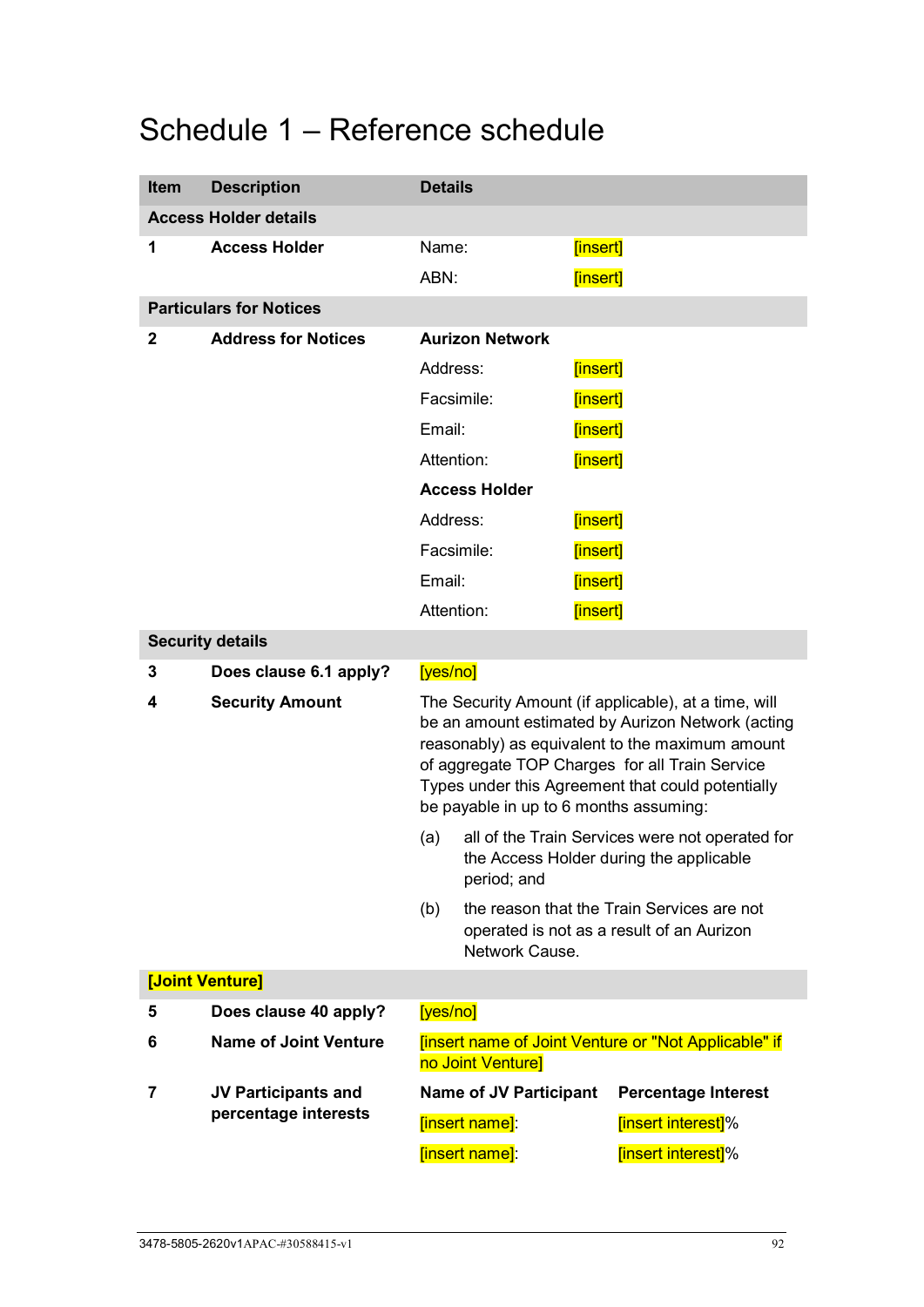# <span id="page-97-1"></span>Schedule 1 – Reference schedule

<span id="page-97-3"></span><span id="page-97-2"></span><span id="page-97-0"></span>

| <b>Item</b>                  | <b>Description</b>             | <b>Details</b>                                                                                                                                                                                                                                                                                                |                               |          |                                                                                         |
|------------------------------|--------------------------------|---------------------------------------------------------------------------------------------------------------------------------------------------------------------------------------------------------------------------------------------------------------------------------------------------------------|-------------------------------|----------|-----------------------------------------------------------------------------------------|
| <b>Access Holder details</b> |                                |                                                                                                                                                                                                                                                                                                               |                               |          |                                                                                         |
| 1                            | <b>Access Holder</b>           | Name:                                                                                                                                                                                                                                                                                                         |                               | [insert] |                                                                                         |
|                              |                                | ABN:                                                                                                                                                                                                                                                                                                          |                               | [insert] |                                                                                         |
|                              | <b>Particulars for Notices</b> |                                                                                                                                                                                                                                                                                                               |                               |          |                                                                                         |
| 2                            | <b>Address for Notices</b>     |                                                                                                                                                                                                                                                                                                               | <b>Aurizon Network</b>        |          |                                                                                         |
|                              |                                | Address:                                                                                                                                                                                                                                                                                                      |                               | [insert] |                                                                                         |
|                              |                                |                                                                                                                                                                                                                                                                                                               | Facsimile:                    | [insert] |                                                                                         |
|                              |                                | Email:                                                                                                                                                                                                                                                                                                        |                               | [insert] |                                                                                         |
|                              |                                | Attention:                                                                                                                                                                                                                                                                                                    |                               | [insert] |                                                                                         |
|                              |                                |                                                                                                                                                                                                                                                                                                               | <b>Access Holder</b>          |          |                                                                                         |
|                              |                                | Address:                                                                                                                                                                                                                                                                                                      |                               | [insert] |                                                                                         |
|                              |                                |                                                                                                                                                                                                                                                                                                               | Facsimile:                    | [insert] |                                                                                         |
|                              |                                | Email:                                                                                                                                                                                                                                                                                                        |                               | [insert] |                                                                                         |
|                              |                                | Attention:                                                                                                                                                                                                                                                                                                    |                               | [insert] |                                                                                         |
|                              | <b>Security details</b>        |                                                                                                                                                                                                                                                                                                               |                               |          |                                                                                         |
| 3                            | Does clause 6.1 apply?         | [yes/no]                                                                                                                                                                                                                                                                                                      |                               |          |                                                                                         |
| 4                            | <b>Security Amount</b>         | The Security Amount (if applicable), at a time, will<br>be an amount estimated by Aurizon Network (acting<br>reasonably) as equivalent to the maximum amount<br>of aggregate TOP Charges for all Train Service<br>Types under this Agreement that could potentially<br>be payable in up to 6 months assuming: |                               |          |                                                                                         |
|                              |                                | all of the Train Services were not operated for<br>(a)<br>the Access Holder during the applicable<br>period; and                                                                                                                                                                                              |                               |          |                                                                                         |
|                              |                                | (b)                                                                                                                                                                                                                                                                                                           | Network Cause.                |          | the reason that the Train Services are not<br>operated is not as a result of an Aurizon |
|                              | [Joint Venture]                |                                                                                                                                                                                                                                                                                                               |                               |          |                                                                                         |
| 5                            | Does clause 40 apply?          | [yes/no]                                                                                                                                                                                                                                                                                                      |                               |          |                                                                                         |
| 6                            | <b>Name of Joint Venture</b>   | [insert name of Joint Venture or "Not Applicable" if<br>no Joint Venture]                                                                                                                                                                                                                                     |                               |          |                                                                                         |
| 7                            | <b>JV Participants and</b>     |                                                                                                                                                                                                                                                                                                               | <b>Name of JV Participant</b> |          | <b>Percentage Interest</b>                                                              |
|                              | percentage interests           |                                                                                                                                                                                                                                                                                                               | [insert name]:                |          | [insert interest]%                                                                      |
|                              |                                |                                                                                                                                                                                                                                                                                                               | [insert name]:                |          | [insert interest]%                                                                      |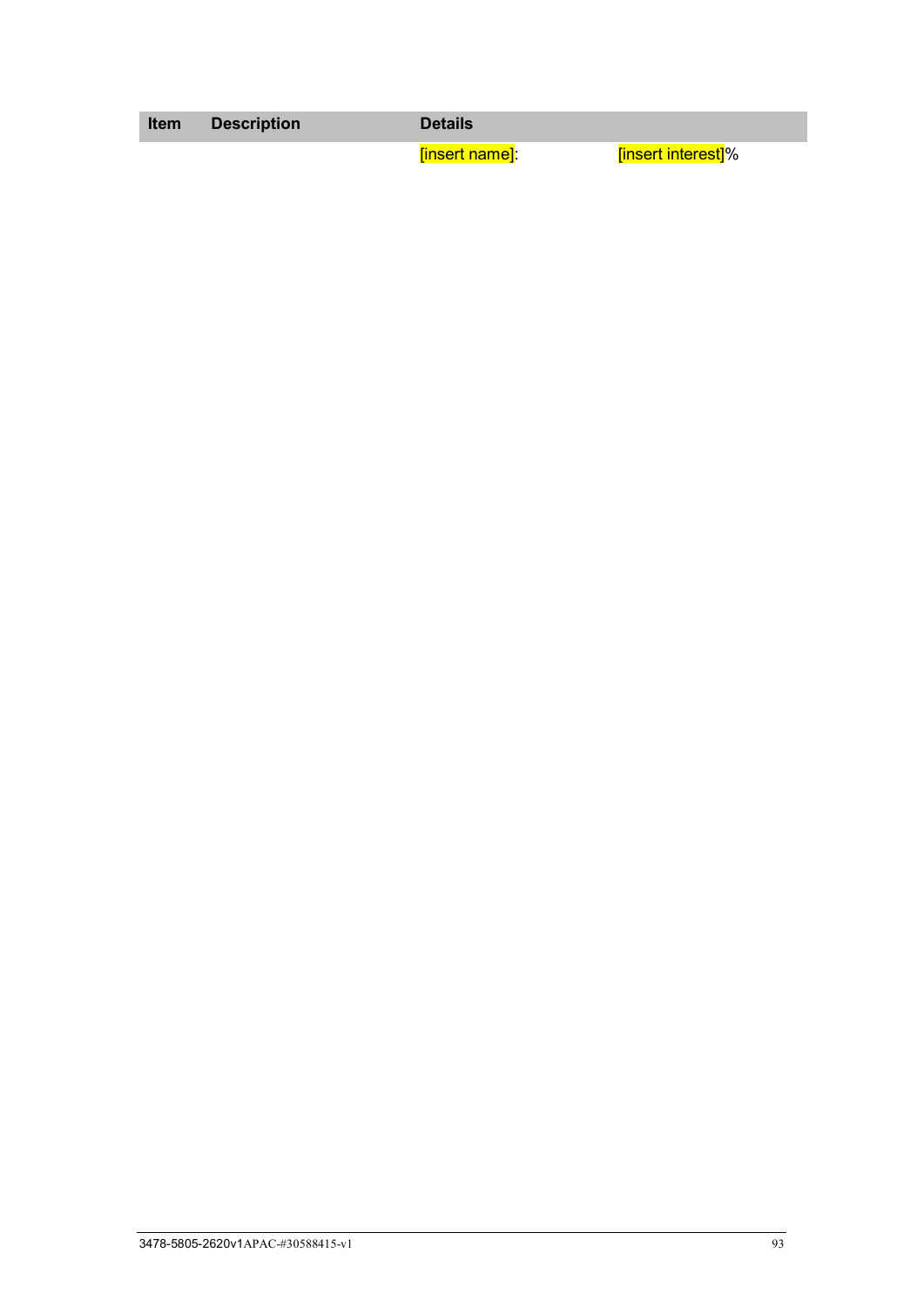**Item Description Details**

[insert name]: [insert interest]%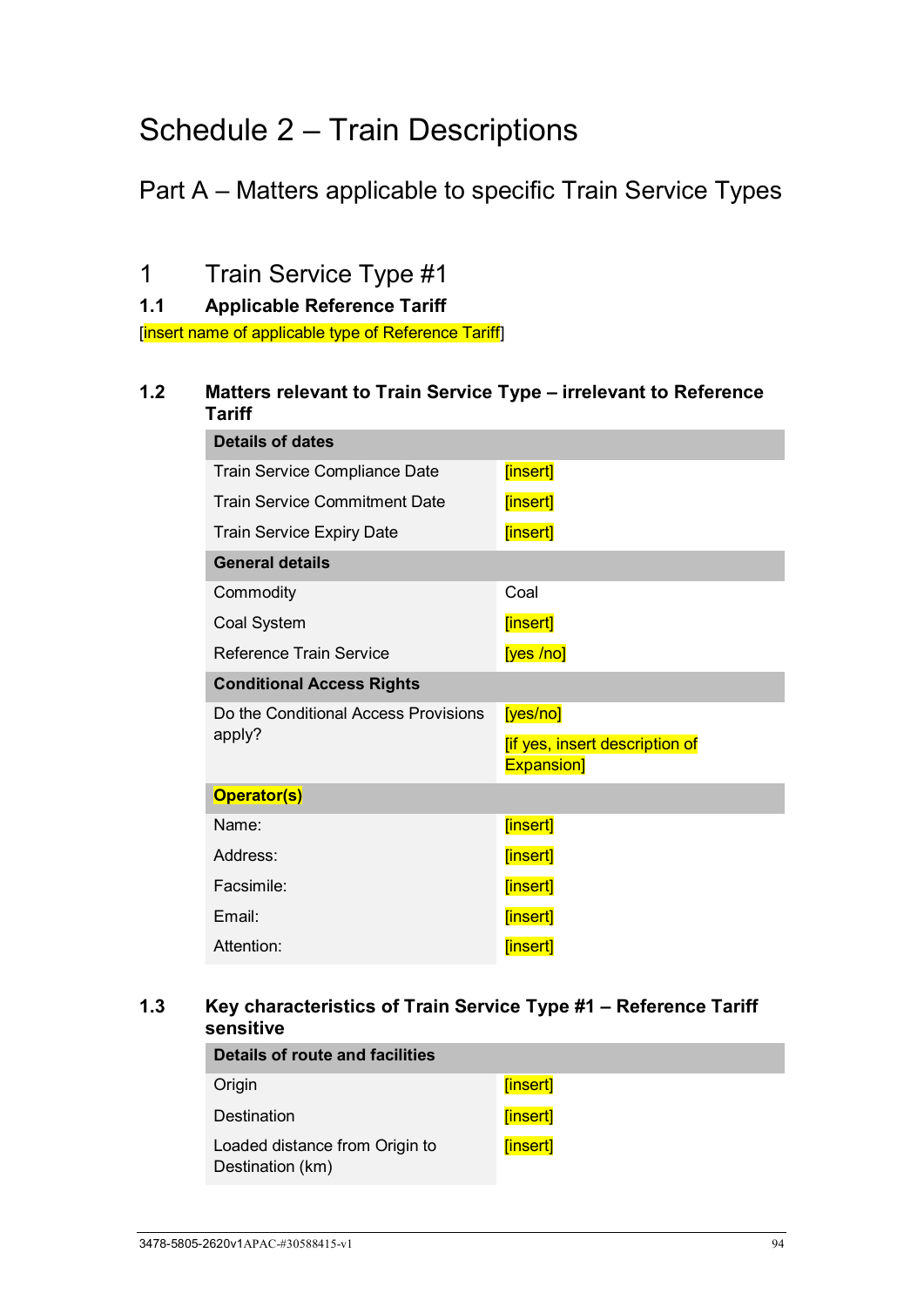# <span id="page-99-0"></span>Schedule 2 – Train Descriptions

# Part A – Matters applicable to specific Train Service Types

1 Train Service Type #1

**1.1 Applicable Reference Tariff**

[insert name of applicable type of Reference Tariff]

## **1.2 Matters relevant to Train Service Type – irrelevant to Reference Tariff**

| <b>Details of dates</b>              |                                                             |
|--------------------------------------|-------------------------------------------------------------|
| <b>Train Service Compliance Date</b> | [insert]                                                    |
| Train Service Commitment Date        | [insert]                                                    |
| <b>Train Service Expiry Date</b>     | [insert]                                                    |
| <b>General details</b>               |                                                             |
| Commodity                            | Coal                                                        |
| Coal System                          | [insert]                                                    |
| <b>Reference Train Service</b>       | [yes/no]                                                    |
| <b>Conditional Access Rights</b>     |                                                             |
| Do the Conditional Access Provisions | [yes/no]                                                    |
| apply?                               | <b>fif yes, insert description of</b><br><b>Expansion</b> ] |
|                                      |                                                             |
| <b>Operator(s)</b>                   |                                                             |
| Name:                                | [insert]                                                    |
| Address:                             | [insert]                                                    |
| Facsimile:                           | [insert]                                                    |
| Email:                               | [insert]                                                    |
| Attention:                           | [insert]                                                    |

## **1.3 Key characteristics of Train Service Type #1 – Reference Tariff sensitive**

| Details of route and facilities                    |          |  |
|----------------------------------------------------|----------|--|
| Origin                                             | [insert] |  |
| Destination                                        | [insert] |  |
| Loaded distance from Origin to<br>Destination (km) | [insert] |  |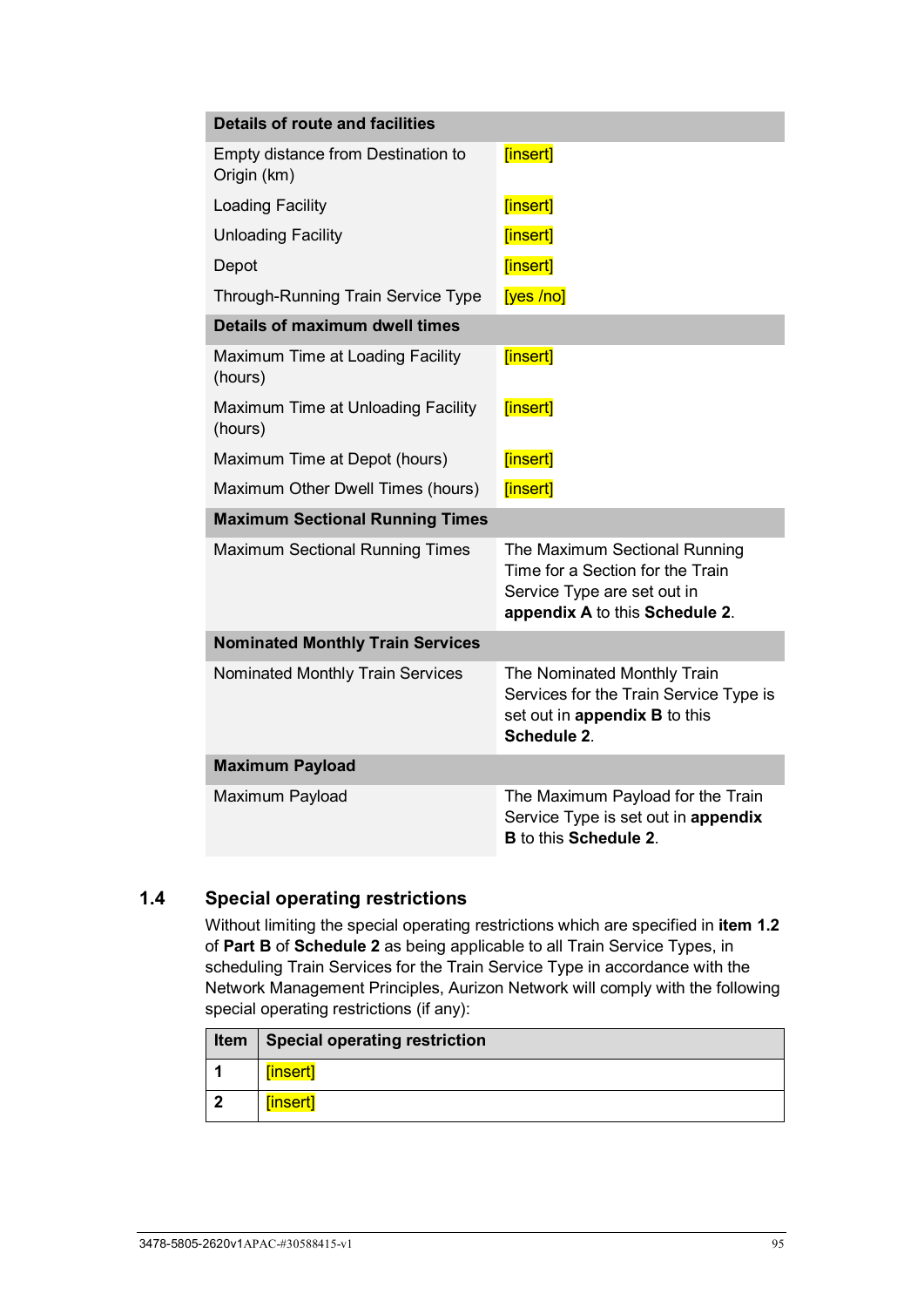| <b>Details of route and facilities</b>            |                                                                                                                                    |
|---------------------------------------------------|------------------------------------------------------------------------------------------------------------------------------------|
| Empty distance from Destination to<br>Origin (km) | [insert]                                                                                                                           |
| <b>Loading Facility</b>                           | [insert]                                                                                                                           |
| <b>Unloading Facility</b>                         | [insert]                                                                                                                           |
| Depot                                             | [insert]                                                                                                                           |
| Through-Running Train Service Type                | [yes /no]                                                                                                                          |
| <b>Details of maximum dwell times</b>             |                                                                                                                                    |
| Maximum Time at Loading Facility<br>(hours)       | [insert]                                                                                                                           |
| Maximum Time at Unloading Facility<br>(hours)     | [insert]                                                                                                                           |
| Maximum Time at Depot (hours)                     | [insert]                                                                                                                           |
| Maximum Other Dwell Times (hours)                 | [insert]                                                                                                                           |
| <b>Maximum Sectional Running Times</b>            |                                                                                                                                    |
| <b>Maximum Sectional Running Times</b>            | The Maximum Sectional Running<br>Time for a Section for the Train<br>Service Type are set out in<br>appendix A to this Schedule 2. |
| <b>Nominated Monthly Train Services</b>           |                                                                                                                                    |
| <b>Nominated Monthly Train Services</b>           | The Nominated Monthly Train<br>Services for the Train Service Type is<br>set out in appendix B to this<br>Schedule 2.              |
| <b>Maximum Payload</b>                            |                                                                                                                                    |
| Maximum Payload                                   | The Maximum Payload for the Train<br>Service Type is set out in appendix<br><b>B</b> to this <b>Schedule 2.</b>                    |

# <span id="page-100-0"></span>**1.4 Special operating restrictions**

Without limiting the special operating restrictions which are specified in **item [1.2](#page-102-0)** of **Part B** of **[Schedule 2](#page-99-0)** as being applicable to all Train Service Types, in scheduling Train Services for the Train Service Type in accordance with the Network Management Principles, Aurizon Network will comply with the following special operating restrictions (if any):

|   | Item   Special operating restriction |
|---|--------------------------------------|
|   | [insert]                             |
| 2 | [insert]                             |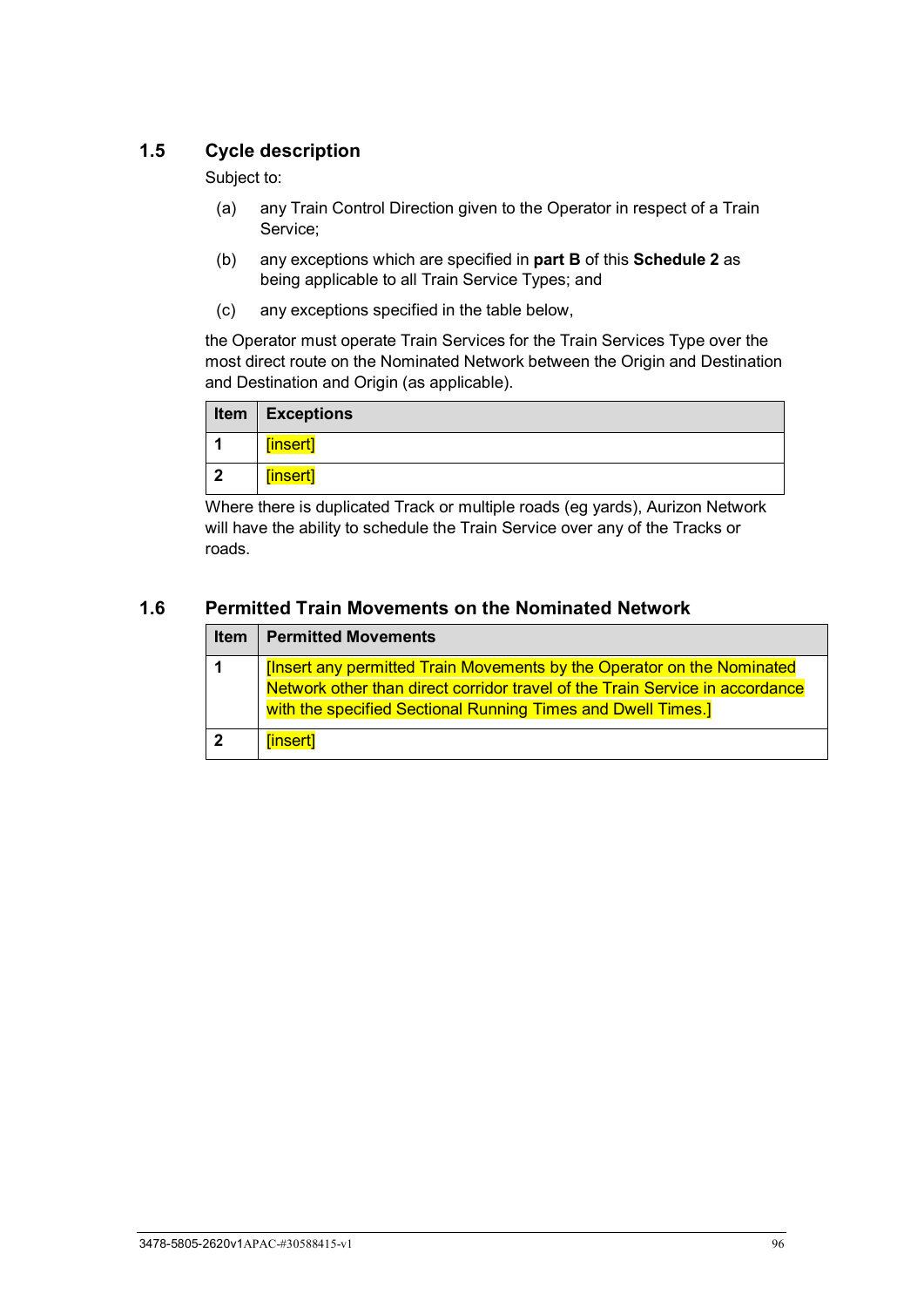## **1.5 Cycle description**

Subject to:

- (a) any Train Control Direction given to the Operator in respect of a Train Service;
- (b) any exceptions which are specified in **part B** of this **[Schedule 2](#page-99-0)** as being applicable to all Train Service Types; and
- (c) any exceptions specified in the table below,

the Operator must operate Train Services for the Train Services Type over the most direct route on the Nominated Network between the Origin and Destination and Destination and Origin (as applicable).

|    | Item $ $ Exceptions |
|----|---------------------|
|    | [insert]            |
| -2 | [insert]            |

Where there is duplicated Track or multiple roads (eg yards), Aurizon Network will have the ability to schedule the Train Service over any of the Tracks or roads.

#### **1.6 Permitted Train Movements on the Nominated Network**

| <b>Item</b> | <b>Permitted Movements</b>                                                   |  |  |  |  |
|-------------|------------------------------------------------------------------------------|--|--|--|--|
|             | [Insert any permitted Train Movements by the Operator on the Nominated       |  |  |  |  |
|             | Network other than direct corridor travel of the Train Service in accordance |  |  |  |  |
|             | with the specified Sectional Running Times and Dwell Times.]                 |  |  |  |  |
|             | [insert]                                                                     |  |  |  |  |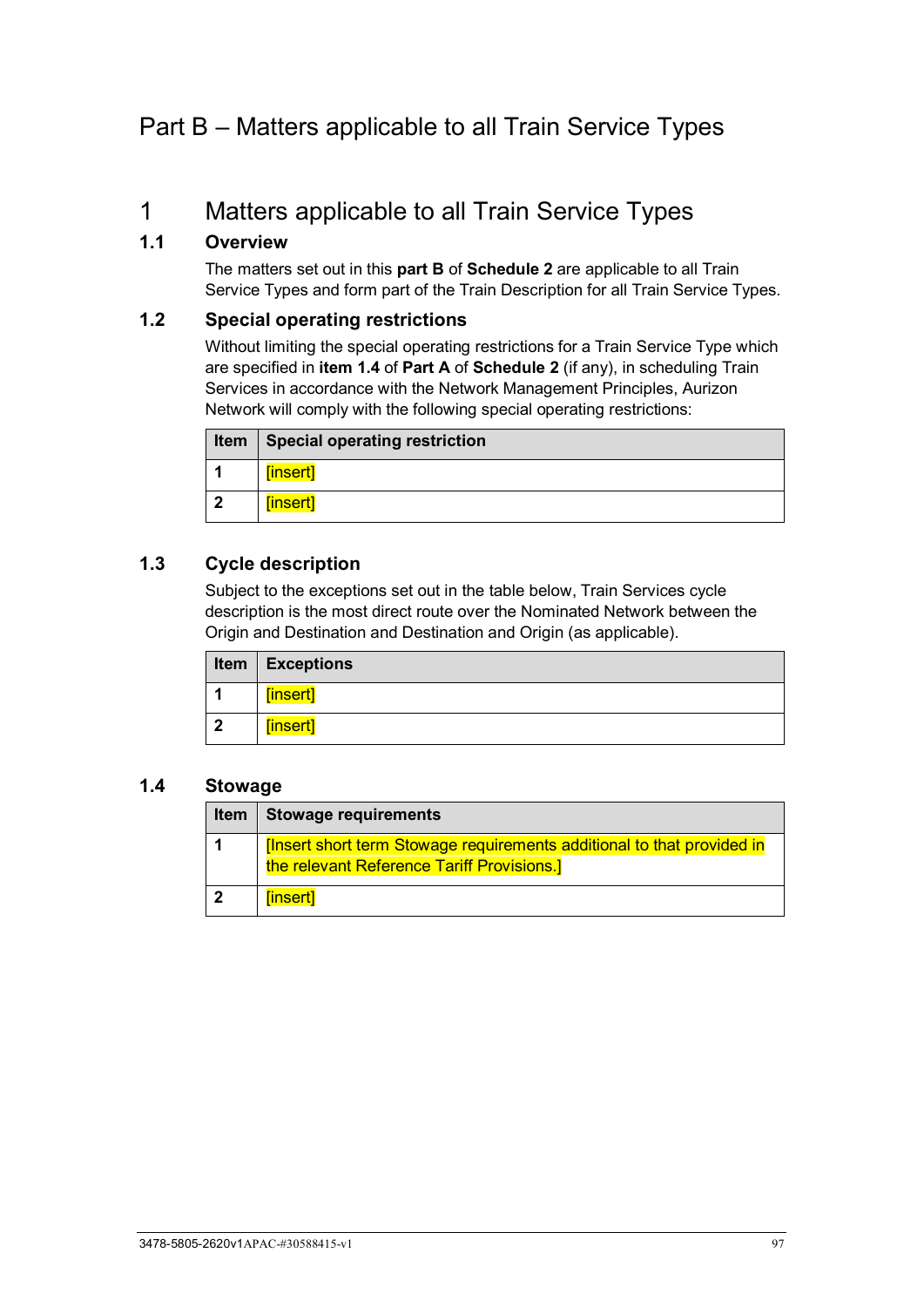# Part B – Matters applicable to all Train Service Types

# 1 Matters applicable to all Train Service Types

## **1.1 Overview**

The matters set out in this **part B** of **[Schedule 2](#page-99-0)** are applicable to all Train Service Types and form part of the Train Description for all Train Service Types.

#### <span id="page-102-0"></span>**1.2 Special operating restrictions**

Without limiting the special operating restrictions for a Train Service Type which are specified in **item [1.4](#page-100-0)** of **Part A** of **[Schedule 2](#page-99-0)** (if any), in scheduling Train Services in accordance with the Network Management Principles, Aurizon Network will comply with the following special operating restrictions:

| Item   Special operating restriction |
|--------------------------------------|
| [insert]                             |
| [insert]                             |

## **1.3 Cycle description**

Subject to the exceptions set out in the table below, Train Services cycle description is the most direct route over the Nominated Network between the Origin and Destination and Destination and Origin (as applicable).

|                         | <b>Item   Exceptions</b> |
|-------------------------|--------------------------|
|                         | [insert]                 |
| $\overline{\mathbf{2}}$ | [insert]                 |

## **1.4 Stowage**

| <b>Item</b> | Stowage requirements                                                                                                       |  |  |  |
|-------------|----------------------------------------------------------------------------------------------------------------------------|--|--|--|
|             | <b>Insert short term Stowage requirements additional to that provided in</b><br>the relevant Reference Tariff Provisions.] |  |  |  |
|             | [insert]                                                                                                                   |  |  |  |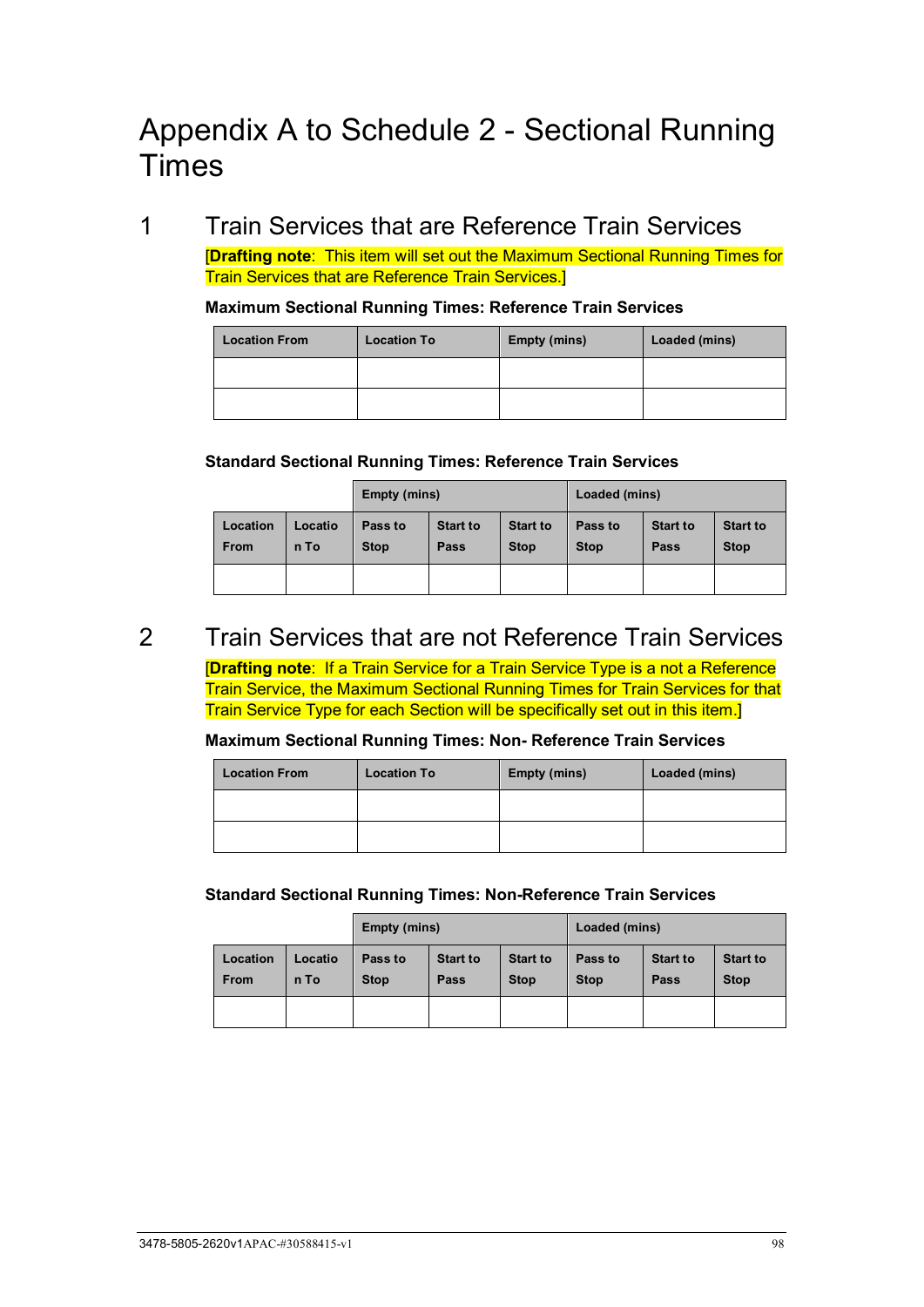# Appendix A to Schedule 2 - Sectional Running Times

1 Train Services that are Reference Train Services [**Drafting note**: This item will set out the Maximum Sectional Running Times for

Train Services that are Reference Train Services.]

#### **Maximum Sectional Running Times: Reference Train Services**

| <b>Location From</b> | <b>Location To</b> | <b>Empty (mins)</b> | Loaded (mins) |
|----------------------|--------------------|---------------------|---------------|
|                      |                    |                     |               |
|                      |                    |                     |               |

#### **Standard Sectional Running Times: Reference Train Services**

|                         |                 | Empty (mins)           |                         |                                | Loaded (mins)          |                         |                                |
|-------------------------|-----------------|------------------------|-------------------------|--------------------------------|------------------------|-------------------------|--------------------------------|
| Location<br><b>From</b> | Locatio<br>n To | Pass to<br><b>Stop</b> | <b>Start to</b><br>Pass | <b>Start to</b><br><b>Stop</b> | Pass to<br><b>Stop</b> | <b>Start to</b><br>Pass | <b>Start to</b><br><b>Stop</b> |
|                         |                 |                        |                         |                                |                        |                         |                                |

# 2 Train Services that are not Reference Train Services

[**Drafting note**: If a Train Service for a Train Service Type is a not a Reference Train Service, the Maximum Sectional Running Times for Train Services for that Train Service Type for each Section will be specifically set out in this item.]

#### **Maximum Sectional Running Times: Non- Reference Train Services**

| <b>Location From</b> | <b>Location To</b> | <b>Empty (mins)</b> | Loaded (mins) |
|----------------------|--------------------|---------------------|---------------|
|                      |                    |                     |               |
|                      |                    |                     |               |

#### **Standard Sectional Running Times: Non-Reference Train Services**

|                         |                 | Empty (mins)           |                         |                                | Loaded (mins)          |                         |                                |
|-------------------------|-----------------|------------------------|-------------------------|--------------------------------|------------------------|-------------------------|--------------------------------|
| Location<br><b>From</b> | Locatio<br>n To | Pass to<br><b>Stop</b> | <b>Start to</b><br>Pass | <b>Start to</b><br><b>Stop</b> | Pass to<br><b>Stop</b> | <b>Start to</b><br>Pass | <b>Start to</b><br><b>Stop</b> |
|                         |                 |                        |                         |                                |                        |                         |                                |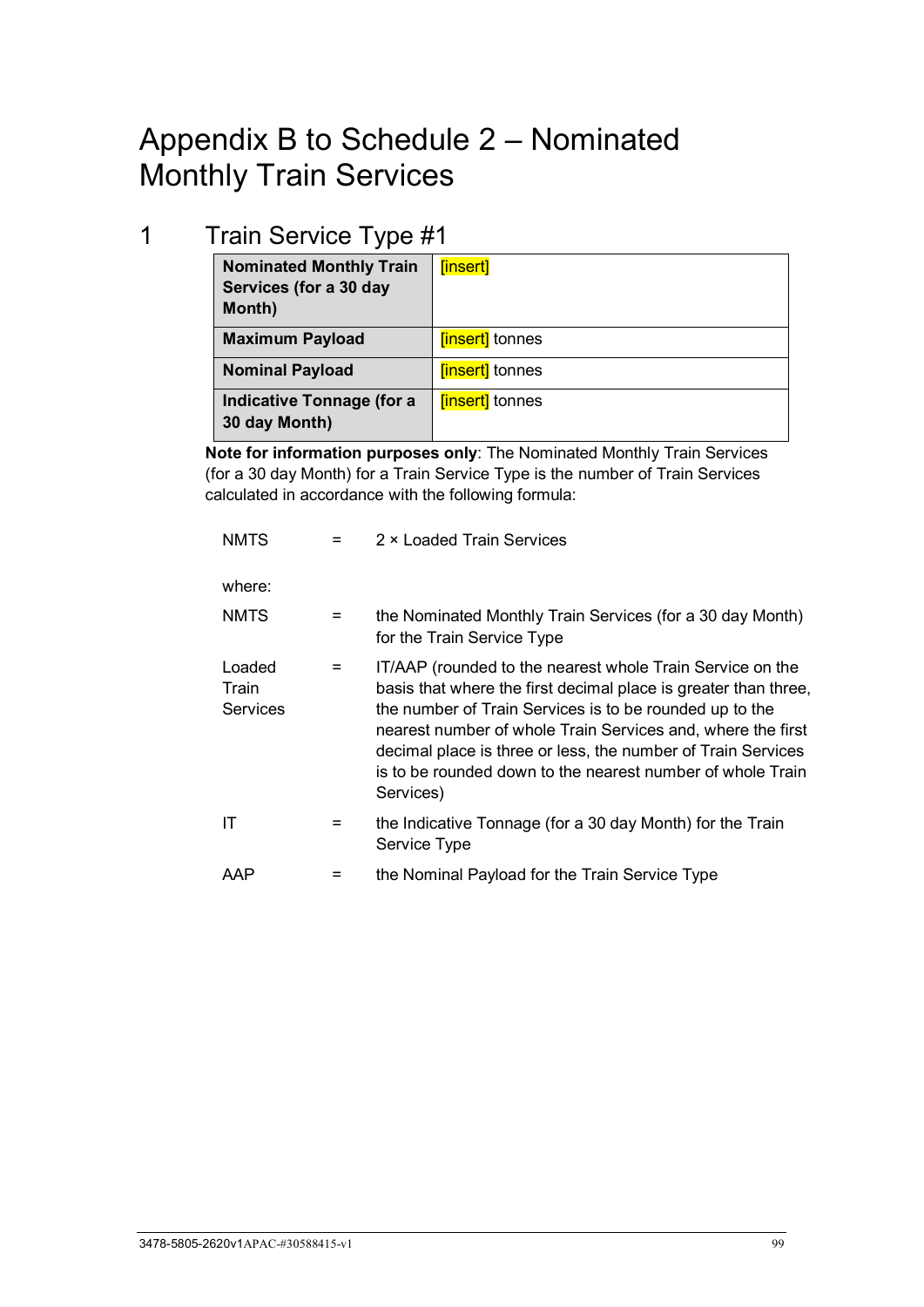# Appendix B to Schedule 2 – Nominated Monthly Train Services

# 1 Train Service Type #1

| <b>Nominated Monthly Train</b><br>Services (for a 30 day<br>Month) | [insert]              |
|--------------------------------------------------------------------|-----------------------|
| <b>Maximum Payload</b>                                             | <b>finsert</b> tonnes |
| <b>Nominal Payload</b>                                             | <b>finsert</b> tonnes |
| Indicative Tonnage (for a<br>30 day Month)                         | <b>finsert</b> tonnes |

**Note for information purposes only**: The Nominated Monthly Train Services (for a 30 day Month) for a Train Service Type is the number of Train Services calculated in accordance with the following formula:

| <b>NMTS</b>                 |                   | 2 × Loaded Train Services                                                                                                                                                                                                                                                                                                                                                                         |
|-----------------------------|-------------------|---------------------------------------------------------------------------------------------------------------------------------------------------------------------------------------------------------------------------------------------------------------------------------------------------------------------------------------------------------------------------------------------------|
| where:                      |                   |                                                                                                                                                                                                                                                                                                                                                                                                   |
| <b>NMTS</b>                 | $=$               | the Nominated Monthly Train Services (for a 30 day Month)<br>for the Train Service Type                                                                                                                                                                                                                                                                                                           |
| Loaded<br>Train<br>Services | $\qquad \qquad =$ | IT/AAP (rounded to the nearest whole Train Service on the<br>basis that where the first decimal place is greater than three,<br>the number of Train Services is to be rounded up to the<br>nearest number of whole Train Services and, where the first<br>decimal place is three or less, the number of Train Services<br>is to be rounded down to the nearest number of whole Train<br>Services) |
| IT                          | $\equiv$          | the Indicative Tonnage (for a 30 day Month) for the Train<br>Service Type                                                                                                                                                                                                                                                                                                                         |
| AAP                         |                   | the Nominal Payload for the Train Service Type                                                                                                                                                                                                                                                                                                                                                    |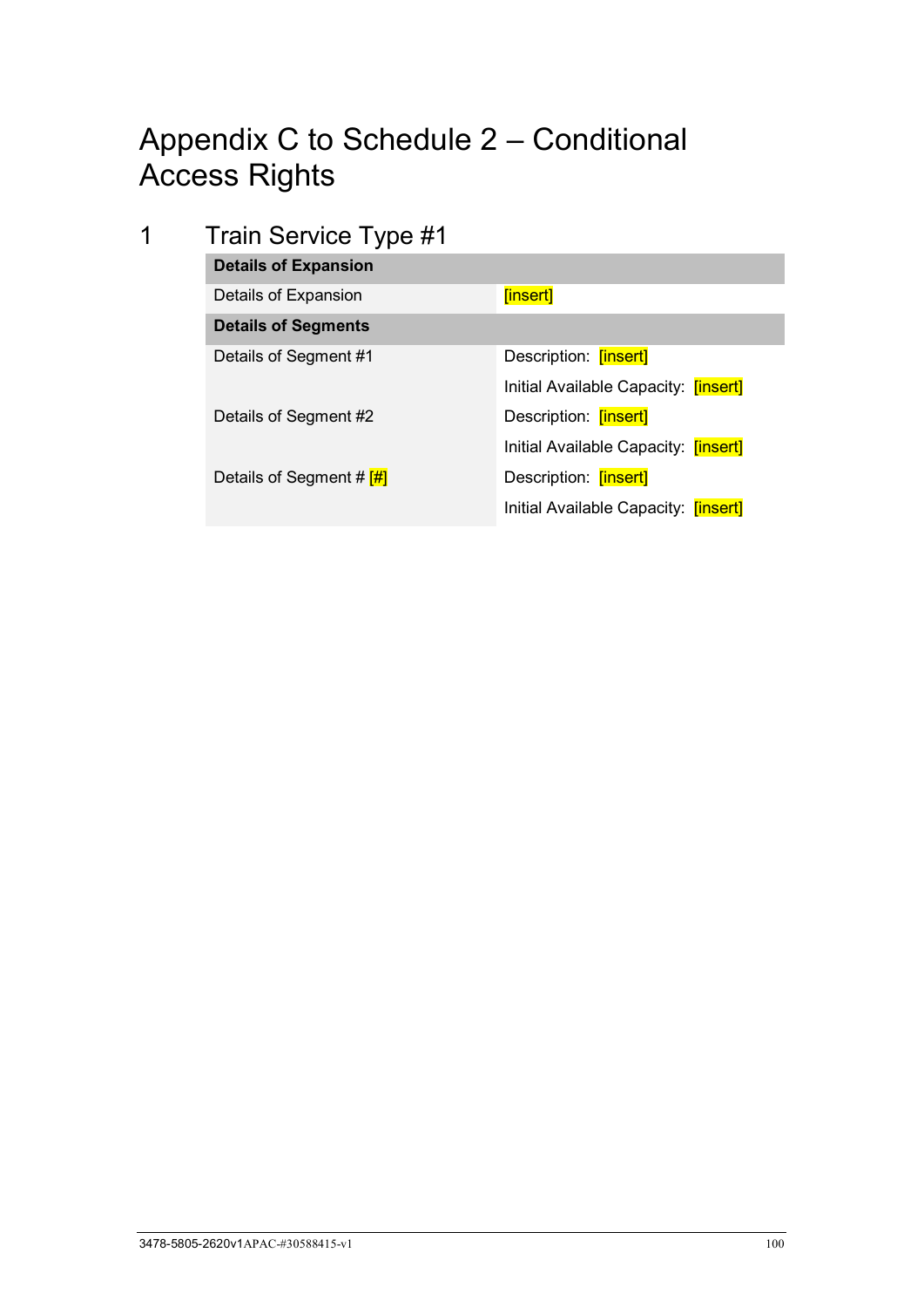# Appendix C to Schedule 2 – Conditional Access Rights

# 1 Train Service Type #1

| <b>Details of Expansion</b>        |                                             |
|------------------------------------|---------------------------------------------|
| Details of Expansion               | [insert]                                    |
| <b>Details of Segments</b>         |                                             |
| Details of Segment #1              | Description: [insert]                       |
|                                    | Initial Available Capacity: <b>[insert]</b> |
| Details of Segment #2              | Description: [insert]                       |
|                                    | Initial Available Capacity: <b>[insert]</b> |
| Details of Segment # $\frac{H}{H}$ | Description: [insert]                       |
|                                    | Initial Available Capacity: <b>[insert]</b> |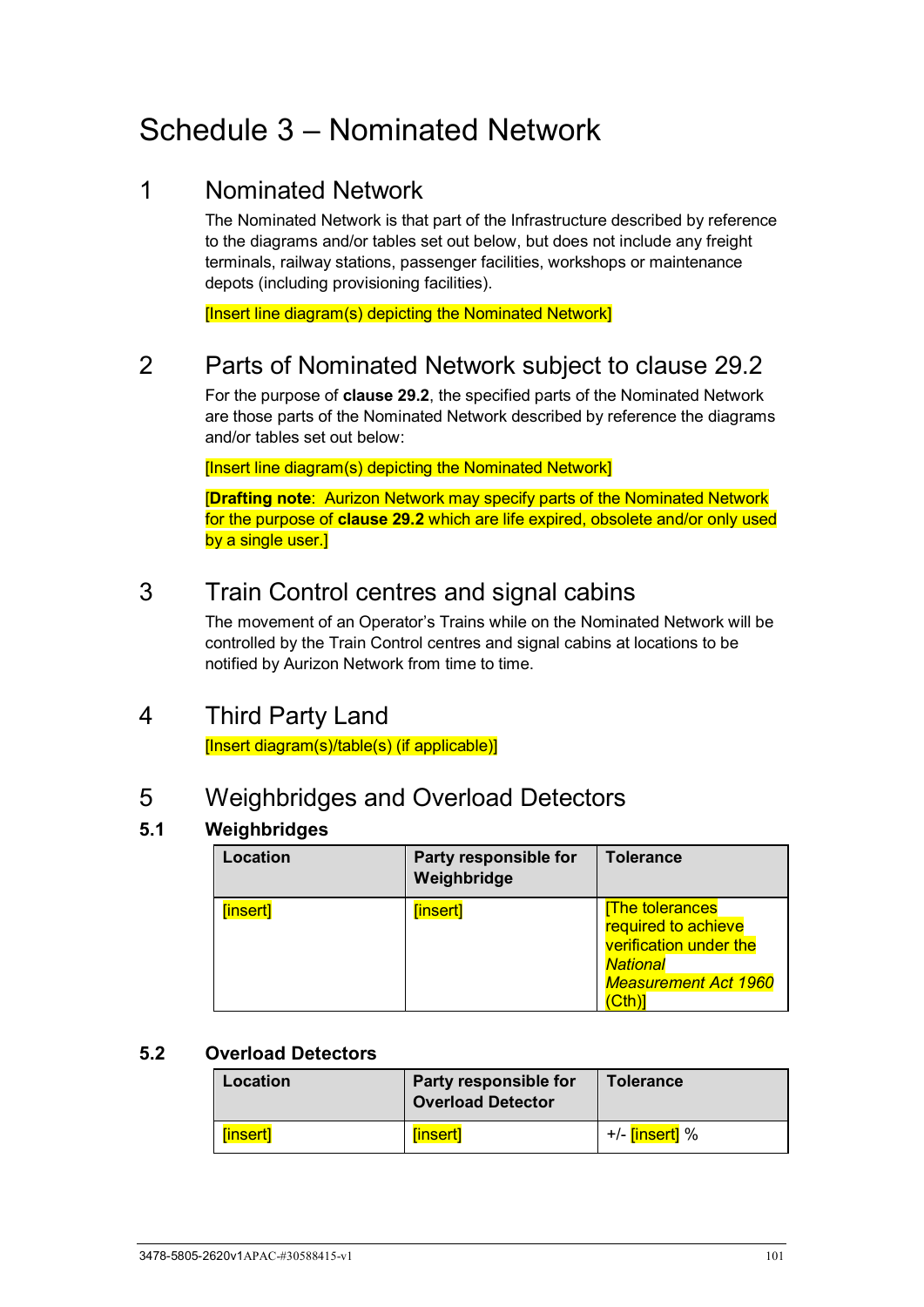# Schedule 3 – Nominated Network

# 1 Nominated Network

<span id="page-106-1"></span>The Nominated Network is that part of the Infrastructure described by reference to the diagrams and/or tables set out below, but does not include any freight terminals, railway stations, passenger facilities, workshops or maintenance depots (including provisioning facilities).

[Insert line diagram(s) depicting the Nominated Network]

# <span id="page-106-0"></span>2 Parts of Nominated Network subject to clause [29.2](#page-75-4)

For the purpose of **clause [29.2](#page-75-4)**, the specified parts of the Nominated Network are those parts of the Nominated Network described by reference the diagrams and/or tables set out below:

[Insert line diagram(s) depicting the Nominated Network]

[**Drafting note**: Aurizon Network may specify parts of the Nominated Network for the purpose of **clause [29.2](#page-75-4)** which are life expired, obsolete and/or only used by a single user.]

# 3 Train Control centres and signal cabins

The movement of an Operator's Trains while on the Nominated Network will be controlled by the Train Control centres and signal cabins at locations to be notified by Aurizon Network from time to time.

# <span id="page-106-2"></span>4 Third Party Land

[Insert diagram(s)/table(s) (if applicable)]

# 5 Weighbridges and Overload Detectors

## **5.1 Weighbridges**

| Location | Party responsible for<br>Weighbridge | <b>Tolerance</b>                                                                                                         |
|----------|--------------------------------------|--------------------------------------------------------------------------------------------------------------------------|
| [insert] | [insert]                             | <b>The tolerances</b><br>required to achieve<br>verification under the<br><b>National</b><br><b>Measurement Act 1960</b> |

## **5.2 Overload Detectors**

| Location | Party responsible for<br><b>Overload Detector</b> | <b>Tolerance</b>            |
|----------|---------------------------------------------------|-----------------------------|
| [insert] | [insert]                                          | +/- <mark>[insert]</mark> % |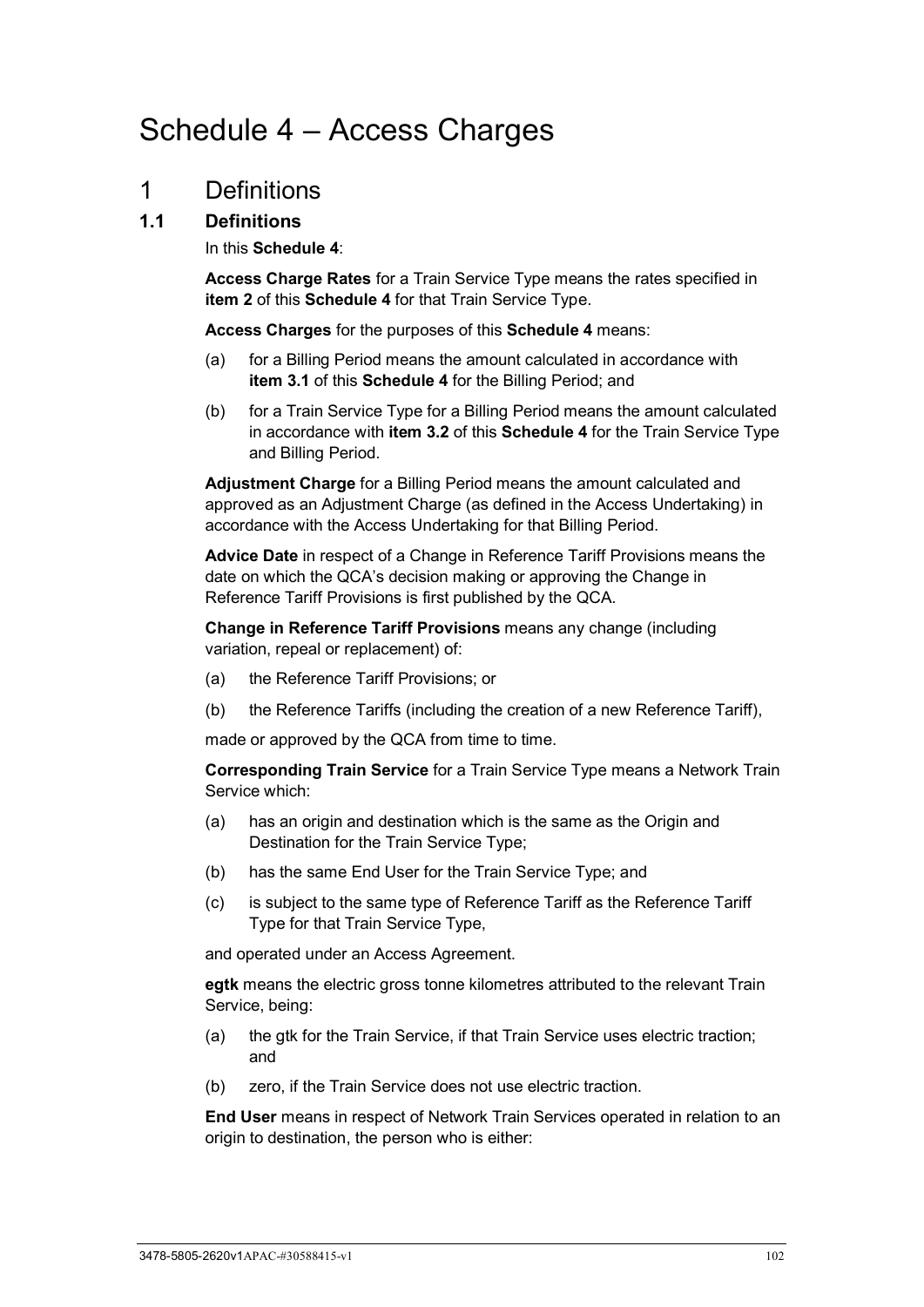# Schedule 4 – Access Charges

# 1 Definitions

## **1.1 Definitions**

<span id="page-107-0"></span>In this **[Schedule 4](#page-107-0)**:

**Access Charge Rates** for a Train Service Type means the rates specified in **item 2** of this **[Schedule 4](#page-107-0)** for that Train Service Type.

**Access Charges** for the purposes of this **[Schedule 4](#page-107-0)** means:

- (a) for a Billing Period means the amount calculated in accordance with **item 3.1** of this **[Schedule 4](#page-107-0)** for the Billing Period; and
- (b) for a Train Service Type for a Billing Period means the amount calculated in accordance with **item 3.2** of this **[Schedule 4](#page-107-0)** for the Train Service Type and Billing Period.

**Adjustment Charge** for a Billing Period means the amount calculated and approved as an Adjustment Charge (as defined in the Access Undertaking) in accordance with the Access Undertaking for that Billing Period.

**Advice Date** in respect of a Change in Reference Tariff Provisions means the date on which the QCA's decision making or approving the Change in Reference Tariff Provisions is first published by the QCA.

**Change in Reference Tariff Provisions** means any change (including variation, repeal or replacement) of:

- (a) the Reference Tariff Provisions; or
- (b) the Reference Tariffs (including the creation of a new Reference Tariff),

made or approved by the QCA from time to time.

**Corresponding Train Service** for a Train Service Type means a Network Train Service which:

- (a) has an origin and destination which is the same as the Origin and Destination for the Train Service Type;
- (b) has the same End User for the Train Service Type; and
- (c) is subject to the same type of Reference Tariff as the Reference Tariff Type for that Train Service Type,

and operated under an Access Agreement.

**egtk** means the electric gross tonne kilometres attributed to the relevant Train Service, being:

- (a) the gtk for the Train Service, if that Train Service uses electric traction; and
- (b) zero, if the Train Service does not use electric traction.

**End User** means in respect of Network Train Services operated in relation to an origin to destination, the person who is either: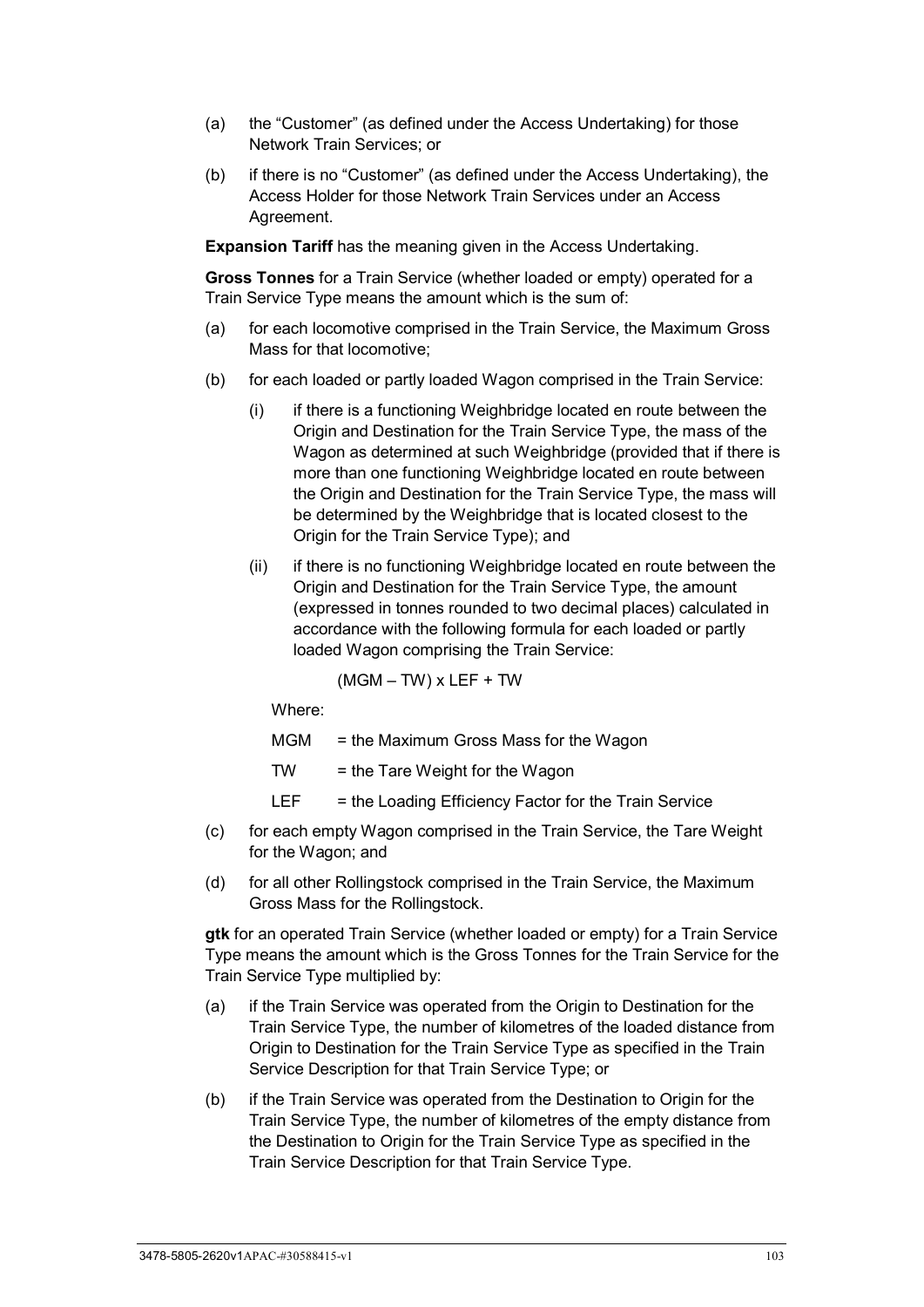- (a) the "Customer" (as defined under the Access Undertaking) for those Network Train Services; or
- (b) if there is no "Customer" (as defined under the Access Undertaking), the Access Holder for those Network Train Services under an Access Agreement.

**Expansion Tariff** has the meaning given in the Access Undertaking.

**Gross Tonnes** for a Train Service (whether loaded or empty) operated for a Train Service Type means the amount which is the sum of:

- (a) for each locomotive comprised in the Train Service, the Maximum Gross Mass for that locomotive;
- (b) for each loaded or partly loaded Wagon comprised in the Train Service:
	- (i) if there is a functioning Weighbridge located en route between the Origin and Destination for the Train Service Type, the mass of the Wagon as determined at such Weighbridge (provided that if there is more than one functioning Weighbridge located en route between the Origin and Destination for the Train Service Type, the mass will be determined by the Weighbridge that is located closest to the Origin for the Train Service Type); and
	- (ii) if there is no functioning Weighbridge located en route between the Origin and Destination for the Train Service Type, the amount (expressed in tonnes rounded to two decimal places) calculated in accordance with the following formula for each loaded or partly loaded Wagon comprising the Train Service:

 $(MGM - TW)$  x LEF + TW

Where:

MGM = the Maximum Gross Mass for the Wagon

TW = the Tare Weight for the Wagon

LEF  $=$  the Loading Efficiency Factor for the Train Service

- (c) for each empty Wagon comprised in the Train Service, the Tare Weight for the Wagon; and
- (d) for all other Rollingstock comprised in the Train Service, the Maximum Gross Mass for the Rollingstock.

**gtk** for an operated Train Service (whether loaded or empty) for a Train Service Type means the amount which is the Gross Tonnes for the Train Service for the Train Service Type multiplied by:

- (a) if the Train Service was operated from the Origin to Destination for the Train Service Type, the number of kilometres of the loaded distance from Origin to Destination for the Train Service Type as specified in the Train Service Description for that Train Service Type; or
- (b) if the Train Service was operated from the Destination to Origin for the Train Service Type, the number of kilometres of the empty distance from the Destination to Origin for the Train Service Type as specified in the Train Service Description for that Train Service Type.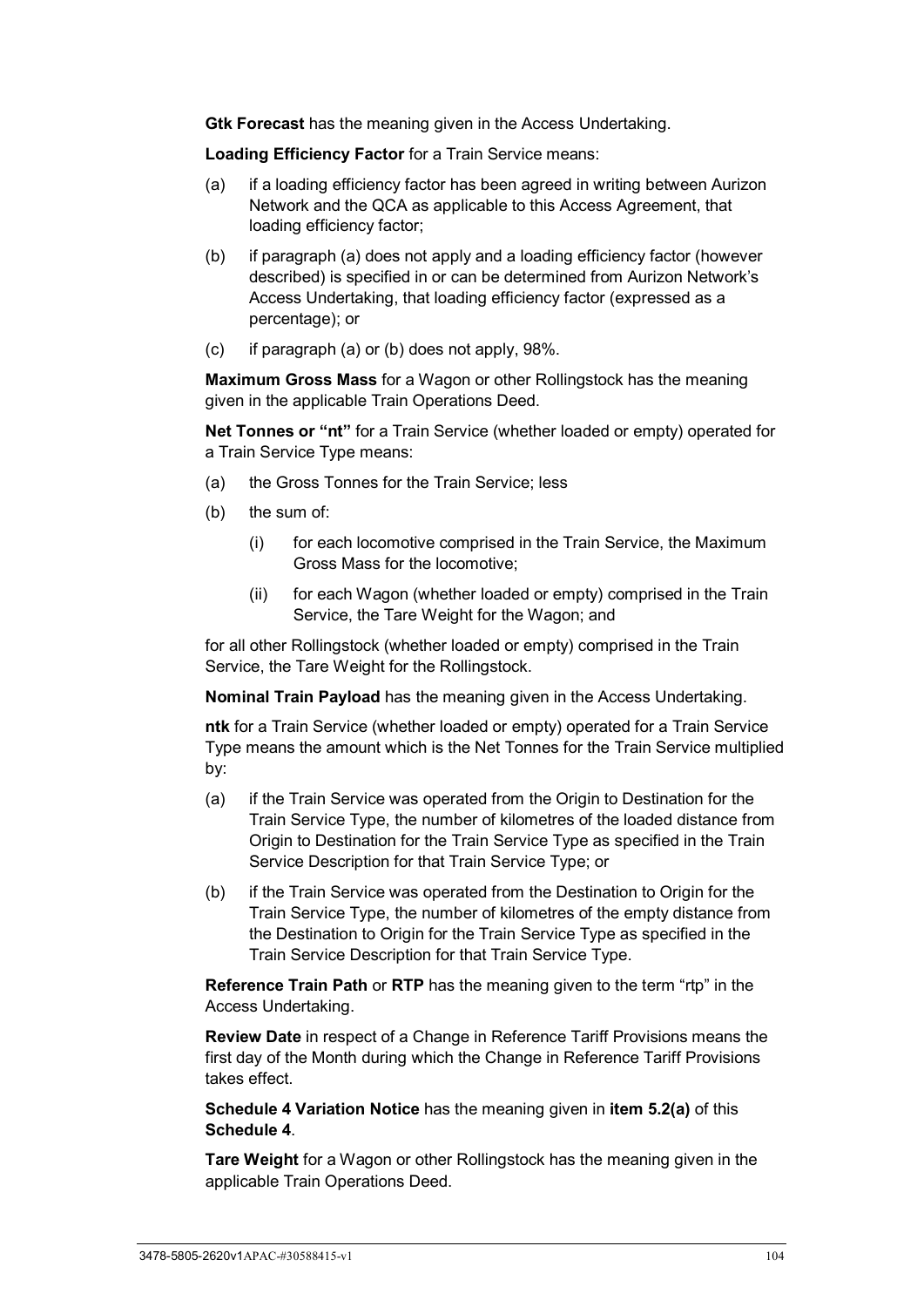**Gtk Forecast** has the meaning given in the Access Undertaking.

**Loading Efficiency Factor** for a Train Service means:

- (a) if a loading efficiency factor has been agreed in writing between Aurizon Network and the QCA as applicable to this Access Agreement, that loading efficiency factor;
- (b) if paragraph (a) does not apply and a loading efficiency factor (however described) is specified in or can be determined from Aurizon Network's Access Undertaking, that loading efficiency factor (expressed as a percentage); or
- (c) if paragraph (a) or (b) does not apply, 98%.

**Maximum Gross Mass** for a Wagon or other Rollingstock has the meaning given in the applicable Train Operations Deed.

**Net Tonnes or "nt"** for a Train Service (whether loaded or empty) operated for a Train Service Type means:

- (a) the Gross Tonnes for the Train Service; less
- (b) the sum of:
	- (i) for each locomotive comprised in the Train Service, the Maximum Gross Mass for the locomotive;
	- (ii) for each Wagon (whether loaded or empty) comprised in the Train Service, the Tare Weight for the Wagon; and

for all other Rollingstock (whether loaded or empty) comprised in the Train Service, the Tare Weight for the Rollingstock.

**Nominal Train Payload** has the meaning given in the Access Undertaking.

**ntk** for a Train Service (whether loaded or empty) operated for a Train Service Type means the amount which is the Net Tonnes for the Train Service multiplied by:

- (a) if the Train Service was operated from the Origin to Destination for the Train Service Type, the number of kilometres of the loaded distance from Origin to Destination for the Train Service Type as specified in the Train Service Description for that Train Service Type; or
- (b) if the Train Service was operated from the Destination to Origin for the Train Service Type, the number of kilometres of the empty distance from the Destination to Origin for the Train Service Type as specified in the Train Service Description for that Train Service Type.

**Reference Train Path** or **RTP** has the meaning given to the term "rtp" in the Access Undertaking.

**Review Date** in respect of a Change in Reference Tariff Provisions means the first day of the Month during which the Change in Reference Tariff Provisions takes effect.

**Schedule 4 Variation Notice** has the meaning given in **item 5.2(a)** of this **[Schedule 4](#page-107-0)**.

**Tare Weight** for a Wagon or other Rollingstock has the meaning given in the applicable Train Operations Deed.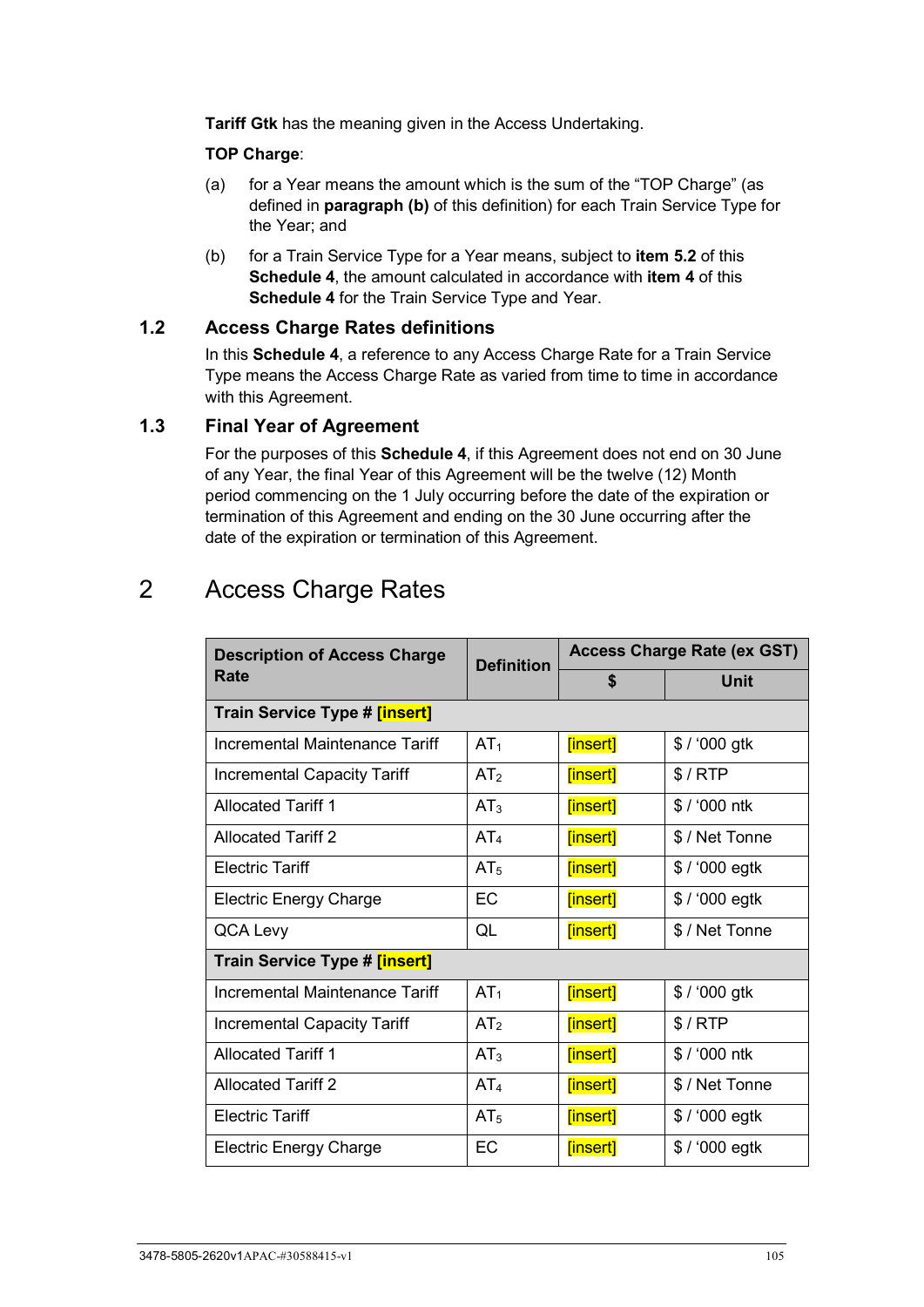**Tariff Gtk** has the meaning given in the Access Undertaking.

#### **TOP Charge**:

- (a) for a Year means the amount which is the sum of the "TOP Charge" (as defined in **paragraph (b)** of this definition) for each Train Service Type for the Year; and
- (b) for a Train Service Type for a Year means, subject to **item 5.2** of this **[Schedule 4](#page-107-0)**, the amount calculated in accordance with **item 4** of this **[Schedule 4](#page-107-0)** for the Train Service Type and Year.

#### **1.2 Access Charge Rates definitions**

In this **[Schedule 4](#page-107-0)**, a reference to any Access Charge Rate for a Train Service Type means the Access Charge Rate as varied from time to time in accordance with this Agreement.

# **1.3 Final Year of Agreement**

For the purposes of this **[Schedule 4](#page-107-0)**, if this Agreement does not end on 30 June of any Year, the final Year of this Agreement will be the twelve (12) Month period commencing on the 1 July occurring before the date of the expiration or termination of this Agreement and ending on the 30 June occurring after the date of the expiration or termination of this Agreement.

# 2 Access Charge Rates

| <b>Description of Access Charge</b>  | <b>Definition</b> | <b>Access Charge Rate (ex GST)</b> |                 |
|--------------------------------------|-------------------|------------------------------------|-----------------|
| Rate                                 |                   | \$                                 | <b>Unit</b>     |
| Train Service Type # [insert]        |                   |                                    |                 |
| Incremental Maintenance Tariff       | AT <sub>1</sub>   | [insert]                           | $$ / '000$ gtk  |
| Incremental Capacity Tariff          | AT <sub>2</sub>   | [insert]                           | \$/RTP          |
| <b>Allocated Tariff 1</b>            | AT <sub>3</sub>   | [insert]                           | \$ / '000 ntk   |
| <b>Allocated Tariff 2</b>            | AT <sub>4</sub>   | [insert]                           | \$ / Net Tonne  |
| <b>Electric Tariff</b>               | AT <sub>5</sub>   | [insert]                           | $$ / '000$ egtk |
| <b>Electric Energy Charge</b>        | EC                | [insert]                           | $$ / '000$ egtk |
| QCA Levy                             | QL                | [insert]                           | \$ / Net Tonne  |
| <b>Train Service Type # [insert]</b> |                   |                                    |                 |
| Incremental Maintenance Tariff       | AT <sub>1</sub>   | [insert]                           | \$ / '000 gtk   |
| <b>Incremental Capacity Tariff</b>   | AT <sub>2</sub>   | [insert]                           | \$/RTP          |
| <b>Allocated Tariff 1</b>            | AT <sub>3</sub>   | [insert]                           | \$ / '000 ntk   |
| <b>Allocated Tariff 2</b>            | AT <sub>4</sub>   | [insert]                           | \$ / Net Tonne  |
| <b>Electric Tariff</b>               | AT <sub>5</sub>   | [insert]                           | $$ / '000$ egtk |
| <b>Electric Energy Charge</b>        | EC                | [insert]                           | $$ / '000$ egtk |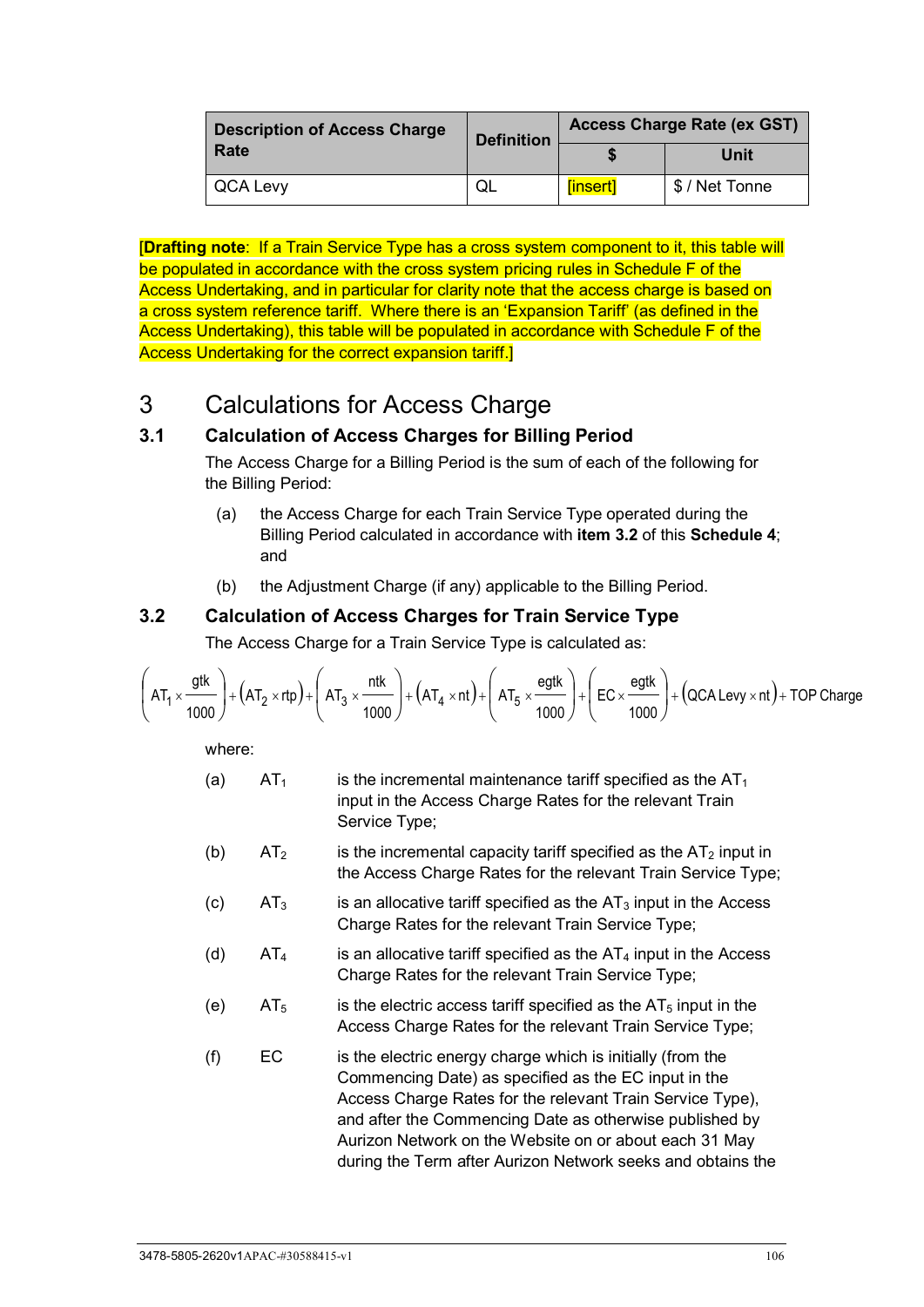| <b>Description of Access Charge</b> | <b>Definition</b> | Access Charge Rate (ex GST) |                |
|-------------------------------------|-------------------|-----------------------------|----------------|
| Rate                                |                   |                             | Unit           |
| <b>QCA Levy</b>                     | QL                | [insert]                    | \$ / Net Tonne |

[**Drafting note**: If a Train Service Type has a cross system component to it, this table will be populated in accordance with the cross system pricing rules in Schedule F of the Access Undertaking, and in particular for clarity note that the access charge is based on a cross system reference tariff. Where there is an 'Expansion Tariff' (as defined in the Access Undertaking), this table will be populated in accordance with Schedule F of the Access Undertaking for the correct expansion tariff.]

# 3 Calculations for Access Charge

# **3.1 Calculation of Access Charges for Billing Period**

The Access Charge for a Billing Period is the sum of each of the following for the Billing Period:

- (a) the Access Charge for each Train Service Type operated during the Billing Period calculated in accordance with **item 3.2** of this **[Schedule 4](#page-107-0)**; and
- (b) the Adjustment Charge (if any) applicable to the Billing Period.

# **3.2 Calculation of Access Charges for Train Service Type**

The Access Charge for a Train Service Type is calculated as:

$$
\left( AT_1 \times \frac{gtk}{1000} \right) + \left( AT_2 \times rtp \right) + \left( AT_3 \times \frac{ntk}{1000} \right) + \left( AT_4 \times nt \right) + \left( AT_5 \times \frac{egtk}{1000} \right) + \left( EC \times \frac{egtk}{1000} \right) + \left( QCA Levy \times nt \right) + TOP Charge
$$

where:

- (a)  $AT_1$  is the incremental maintenance tariff specified as the  $AT_1$ input in the Access Charge Rates for the relevant Train Service Type;
- (b)  $AT_2$  is the incremental capacity tariff specified as the  $AT_2$  input in the Access Charge Rates for the relevant Train Service Type;
- (c)  $AT_3$  is an allocative tariff specified as the  $AT_3$  input in the Access Charge Rates for the relevant Train Service Type;
- (d)  $AT_4$  is an allocative tariff specified as the  $AT_4$  input in the Access Charge Rates for the relevant Train Service Type;
- (e)  $AT_5$  is the electric access tariff specified as the  $AT_5$  input in the Access Charge Rates for the relevant Train Service Type;
- $(f)$  EC is the electric energy charge which is initially (from the Commencing Date) as specified as the EC input in the Access Charge Rates for the relevant Train Service Type), and after the Commencing Date as otherwise published by Aurizon Network on the Website on or about each 31 May during the Term after Aurizon Network seeks and obtains the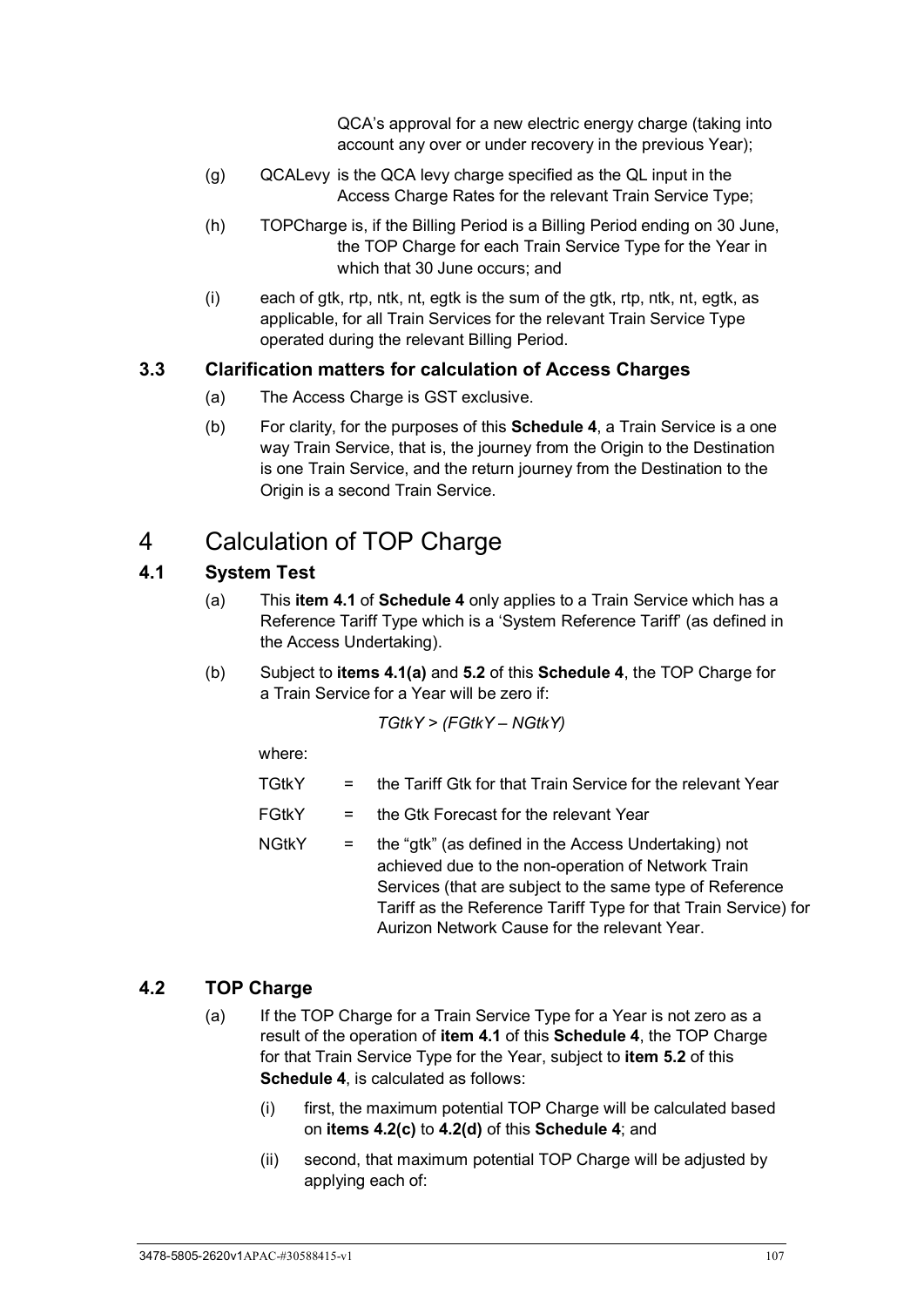QCA's approval for a new electric energy charge (taking into account any over or under recovery in the previous Year);

- (g) QCALevy is the QCA levy charge specified as the QL input in the Access Charge Rates for the relevant Train Service Type;
- (h) TOPCharge is, if the Billing Period is a Billing Period ending on 30 June, the TOP Charge for each Train Service Type for the Year in which that 30 June occurs; and
- (i) each of gtk, rtp, ntk, nt, egtk is the sum of the gtk, rtp, ntk, nt, egtk, as applicable, for all Train Services for the relevant Train Service Type operated during the relevant Billing Period.

#### **3.3 Clarification matters for calculation of Access Charges**

- (a) The Access Charge is GST exclusive.
- (b) For clarity, for the purposes of this **[Schedule 4](#page-107-0)**, a Train Service is a one way Train Service, that is, the journey from the Origin to the Destination is one Train Service, and the return journey from the Destination to the Origin is a second Train Service.

# 4 Calculation of TOP Charge

# **4.1 System Test**

- (a) This **item 4.1** of **[Schedule 4](#page-107-0)** only applies to a Train Service which has a Reference Tariff Type which is a 'System Reference Tariff' (as defined in the Access Undertaking).
- (b) Subject to **items 4.1(a)** and **5.2** of this **[Schedule 4](#page-107-0)**, the TOP Charge for a Train Service for a Year will be zero if:

$$
TGtkY > (FGtkY - NGtkY)
$$

where:

- TGtkY = the Tariff Gtk for that Train Service for the relevant Year
- FGtkY = the Gtk Forecast for the relevant Year
- $NG$ tk $Y =$  the "gtk" (as defined in the Access Undertaking) not achieved due to the non-operation of Network Train Services (that are subject to the same type of Reference Tariff as the Reference Tariff Type for that Train Service) for Aurizon Network Cause for the relevant Year.

## **4.2 TOP Charge**

- (a) If the TOP Charge for a Train Service Type for a Year is not zero as a result of the operation of **item 4.1** of this **[Schedule 4](#page-107-0)**, the TOP Charge for that Train Service Type for the Year, subject to **item 5.2** of this **[Schedule 4](#page-107-0)**, is calculated as follows:
	- (i) first, the maximum potential TOP Charge will be calculated based on **items 4.2(c)** to **4.2(d)** of this **[Schedule 4](#page-107-0)**; and
	- (ii) second, that maximum potential TOP Charge will be adjusted by applying each of: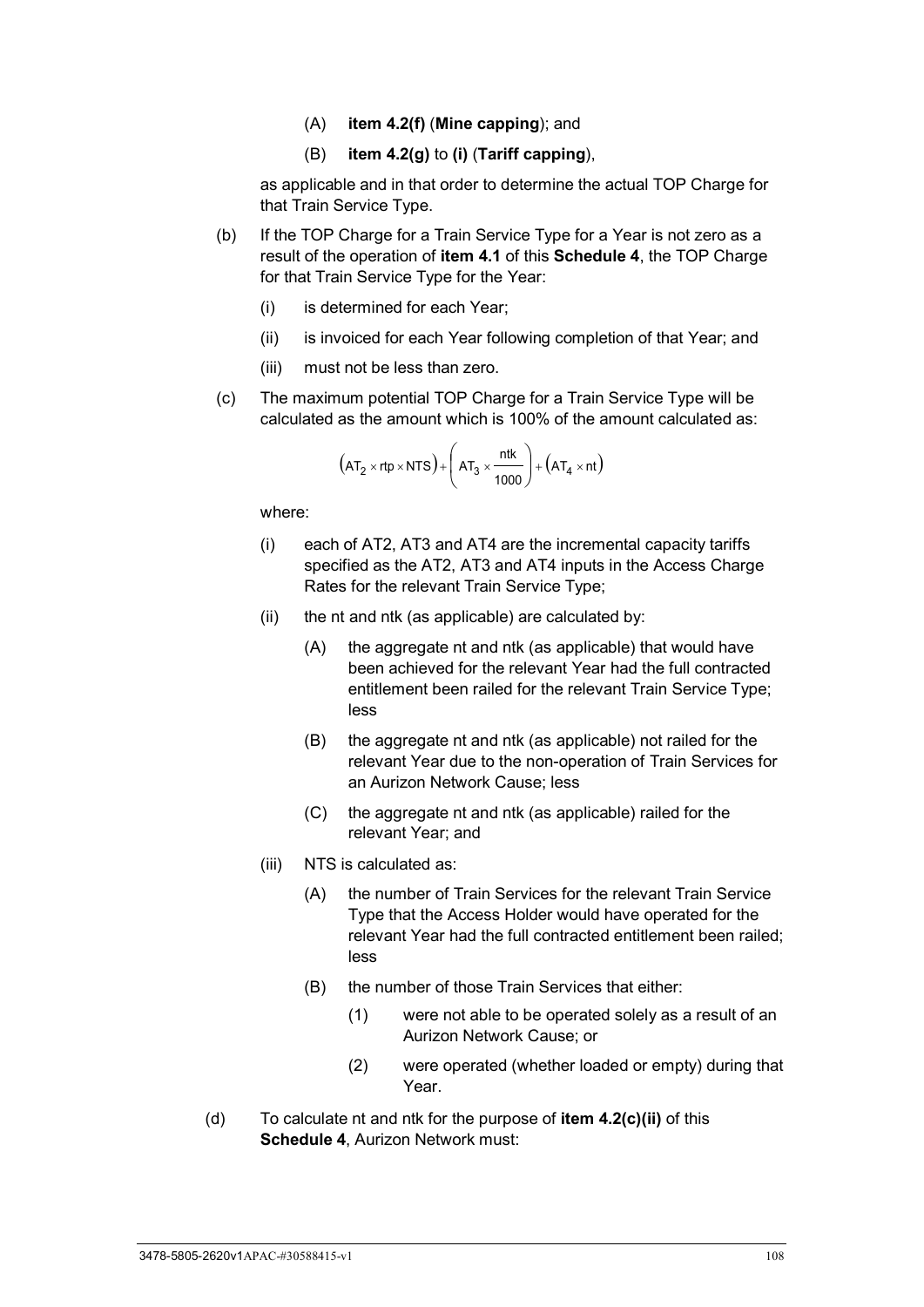- (A) **item 4.2(f)** (**Mine capping**); and
- (B) **item 4.2(g)** to **(i)** (**Tariff capping**),

as applicable and in that order to determine the actual TOP Charge for that Train Service Type.

- (b) If the TOP Charge for a Train Service Type for a Year is not zero as a result of the operation of **item 4.1** of this **[Schedule 4](#page-107-0)**, the TOP Charge for that Train Service Type for the Year:
	- (i) is determined for each Year;
	- (ii) is invoiced for each Year following completion of that Year; and
	- (iii) must not be less than zero.
- (c) The maximum potential TOP Charge for a Train Service Type will be calculated as the amount which is 100% of the amount calculated as:

$$
(AT_2 \times rtp \times NTS) + \left( AT_3 \times \frac{ntk}{1000} \right) + \left( AT_4 \times nt \right)
$$

where:

- (i) each of AT2, AT3 and AT4 are the incremental capacity tariffs specified as the AT2, AT3 and AT4 inputs in the Access Charge Rates for the relevant Train Service Type;
- (ii) the nt and ntk (as applicable) are calculated by:
	- (A) the aggregate nt and ntk (as applicable) that would have been achieved for the relevant Year had the full contracted entitlement been railed for the relevant Train Service Type; less
	- (B) the aggregate nt and ntk (as applicable) not railed for the relevant Year due to the non-operation of Train Services for an Aurizon Network Cause; less
	- (C) the aggregate nt and ntk (as applicable) railed for the relevant Year; and
- (iii) NTS is calculated as:
	- (A) the number of Train Services for the relevant Train Service Type that the Access Holder would have operated for the relevant Year had the full contracted entitlement been railed; less
	- (B) the number of those Train Services that either:
		- (1) were not able to be operated solely as a result of an Aurizon Network Cause; or
		- (2) were operated (whether loaded or empty) during that Year.
- (d) To calculate nt and ntk for the purpose of **item 4.2(c)(ii)** of this **[Schedule 4](#page-107-0)**, Aurizon Network must: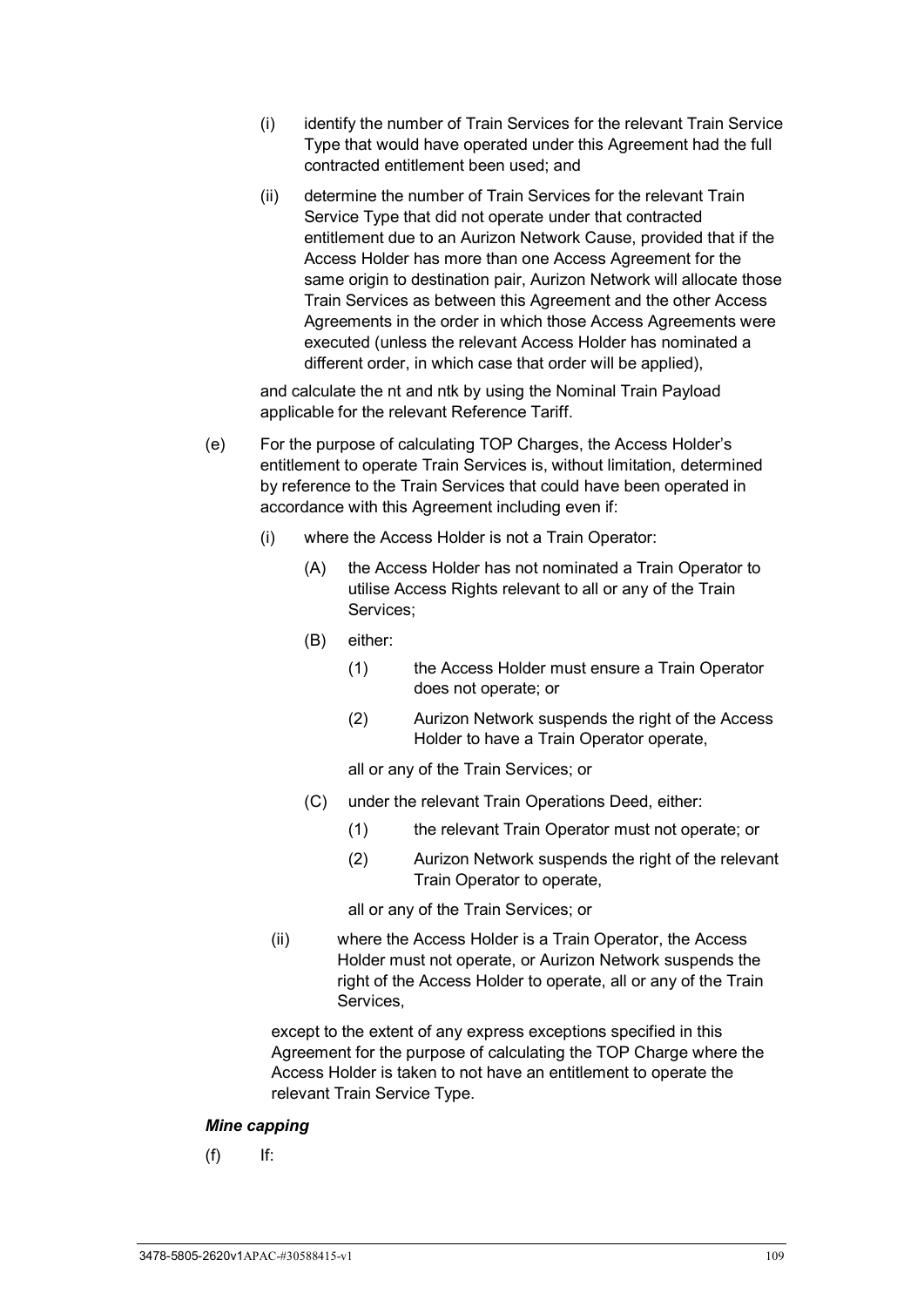- (i) identify the number of Train Services for the relevant Train Service Type that would have operated under this Agreement had the full contracted entitlement been used; and
- (ii) determine the number of Train Services for the relevant Train Service Type that did not operate under that contracted entitlement due to an Aurizon Network Cause, provided that if the Access Holder has more than one Access Agreement for the same origin to destination pair, Aurizon Network will allocate those Train Services as between this Agreement and the other Access Agreements in the order in which those Access Agreements were executed (unless the relevant Access Holder has nominated a different order, in which case that order will be applied),

and calculate the nt and ntk by using the Nominal Train Payload applicable for the relevant Reference Tariff.

- (e) For the purpose of calculating TOP Charges, the Access Holder's entitlement to operate Train Services is, without limitation, determined by reference to the Train Services that could have been operated in accordance with this Agreement including even if:
	- (i) where the Access Holder is not a Train Operator:
		- (A) the Access Holder has not nominated a Train Operator to utilise Access Rights relevant to all or any of the Train Services;
		- (B) either:
			- (1) the Access Holder must ensure a Train Operator does not operate; or
			- (2) Aurizon Network suspends the right of the Access Holder to have a Train Operator operate,

all or any of the Train Services; or

- (C) under the relevant Train Operations Deed, either:
	- (1) the relevant Train Operator must not operate; or
	- (2) Aurizon Network suspends the right of the relevant Train Operator to operate,

all or any of the Train Services; or

(ii) where the Access Holder is a Train Operator, the Access Holder must not operate, or Aurizon Network suspends the right of the Access Holder to operate, all or any of the Train Services,

except to the extent of any express exceptions specified in this Agreement for the purpose of calculating the TOP Charge where the Access Holder is taken to not have an entitlement to operate the relevant Train Service Type.

#### *Mine capping*

 $(f)$  If: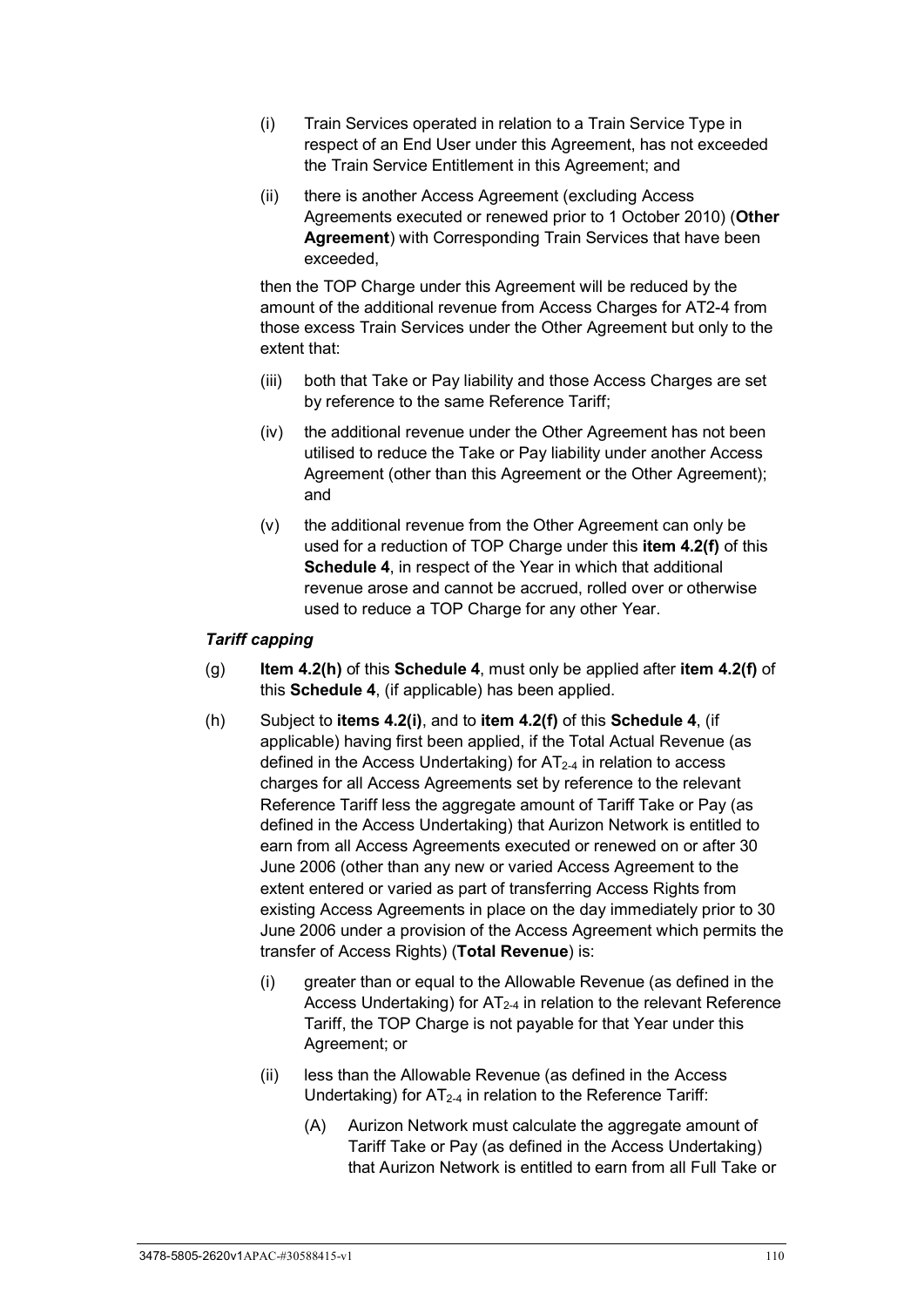- (i) Train Services operated in relation to a Train Service Type in respect of an End User under this Agreement, has not exceeded the Train Service Entitlement in this Agreement; and
- (ii) there is another Access Agreement (excluding Access Agreements executed or renewed prior to 1 October 2010) (**Other Agreement**) with Corresponding Train Services that have been exceeded,

then the TOP Charge under this Agreement will be reduced by the amount of the additional revenue from Access Charges for AT2-4 from those excess Train Services under the Other Agreement but only to the extent that:

- (iii) both that Take or Pay liability and those Access Charges are set by reference to the same Reference Tariff;
- (iv) the additional revenue under the Other Agreement has not been utilised to reduce the Take or Pay liability under another Access Agreement (other than this Agreement or the Other Agreement); and
- (v) the additional revenue from the Other Agreement can only be used for a reduction of TOP Charge under this **item 4.2(f)** of this **[Schedule 4](#page-107-0)**, in respect of the Year in which that additional revenue arose and cannot be accrued, rolled over or otherwise used to reduce a TOP Charge for any other Year.

#### *Tariff capping*

- (g) **Item 4.2(h)** of this **[Schedule 4](#page-107-0)**, must only be applied after **item 4.2(f)** of this **[Schedule 4](#page-107-0)**, (if applicable) has been applied.
- (h) Subject to **items 4.2(i)**, and to **item 4.2(f)** of this **[Schedule 4](#page-107-0)**, (if applicable) having first been applied, if the Total Actual Revenue (as defined in the Access Undertaking) for  $AT_{2-4}$  in relation to access charges for all Access Agreements set by reference to the relevant Reference Tariff less the aggregate amount of Tariff Take or Pay (as defined in the Access Undertaking) that Aurizon Network is entitled to earn from all Access Agreements executed or renewed on or after 30 June 2006 (other than any new or varied Access Agreement to the extent entered or varied as part of transferring Access Rights from existing Access Agreements in place on the day immediately prior to 30 June 2006 under a provision of the Access Agreement which permits the transfer of Access Rights) (**Total Revenue**) is:
	- (i) greater than or equal to the Allowable Revenue (as defined in the Access Undertaking) for  $AT<sub>2-4</sub>$  in relation to the relevant Reference Tariff, the TOP Charge is not payable for that Year under this Agreement; or
	- (ii) less than the Allowable Revenue (as defined in the Access Undertaking) for  $AT_{2-4}$  in relation to the Reference Tariff:
		- (A) Aurizon Network must calculate the aggregate amount of Tariff Take or Pay (as defined in the Access Undertaking) that Aurizon Network is entitled to earn from all Full Take or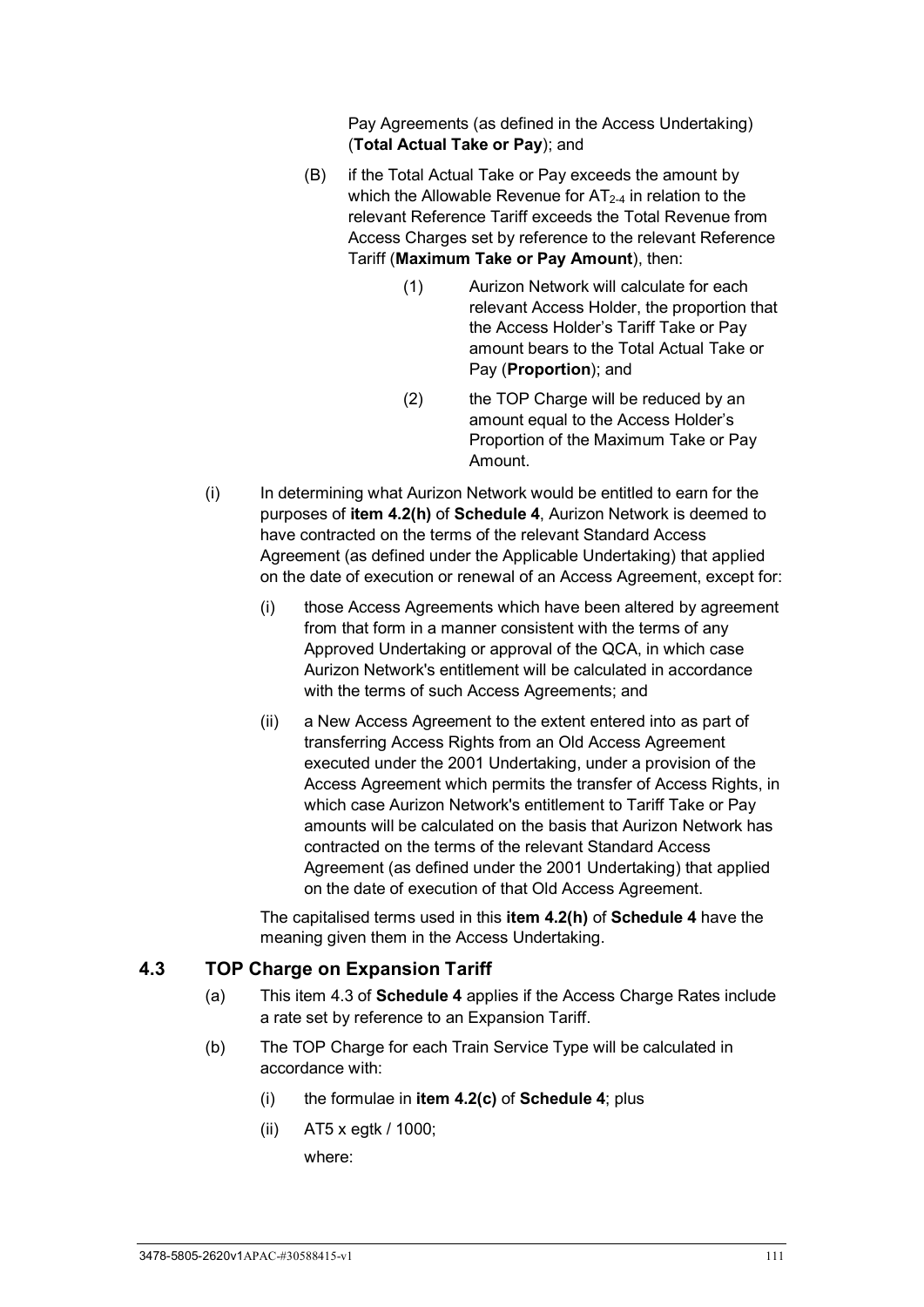Pay Agreements (as defined in the Access Undertaking) (**Total Actual Take or Pay**); and

- (B) if the Total Actual Take or Pay exceeds the amount by which the Allowable Revenue for  $AT_{2-4}$  in relation to the relevant Reference Tariff exceeds the Total Revenue from Access Charges set by reference to the relevant Reference Tariff (**Maximum Take or Pay Amount**), then:
	- (1) Aurizon Network will calculate for each relevant Access Holder, the proportion that the Access Holder's Tariff Take or Pay amount bears to the Total Actual Take or Pay (**Proportion**); and
	- (2) the TOP Charge will be reduced by an amount equal to the Access Holder's Proportion of the Maximum Take or Pay Amount.
- (i) In determining what Aurizon Network would be entitled to earn for the purposes of **item 4.2(h)** of **[Schedule 4](#page-107-0)**, Aurizon Network is deemed to have contracted on the terms of the relevant Standard Access Agreement (as defined under the Applicable Undertaking) that applied on the date of execution or renewal of an Access Agreement, except for:
	- (i) those Access Agreements which have been altered by agreement from that form in a manner consistent with the terms of any Approved Undertaking or approval of the QCA, in which case Aurizon Network's entitlement will be calculated in accordance with the terms of such Access Agreements; and
	- (ii) a New Access Agreement to the extent entered into as part of transferring Access Rights from an Old Access Agreement executed under the 2001 Undertaking, under a provision of the Access Agreement which permits the transfer of Access Rights, in which case Aurizon Network's entitlement to Tariff Take or Pay amounts will be calculated on the basis that Aurizon Network has contracted on the terms of the relevant Standard Access Agreement (as defined under the 2001 Undertaking) that applied on the date of execution of that Old Access Agreement.

The capitalised terms used in this **item 4.2(h)** of **[Schedule 4](#page-107-0)** have the meaning given them in the Access Undertaking.

#### **4.3 TOP Charge on Expansion Tariff**

- (a) This item 4.3 of **[Schedule 4](#page-107-0)** applies if the Access Charge Rates include a rate set by reference to an Expansion Tariff.
- (b) The TOP Charge for each Train Service Type will be calculated in accordance with:
	- (i) the formulae in **item 4.2(c)** of **[Schedule 4](#page-107-0)**; plus
	- (ii) AT5 x egtk / 1000; where: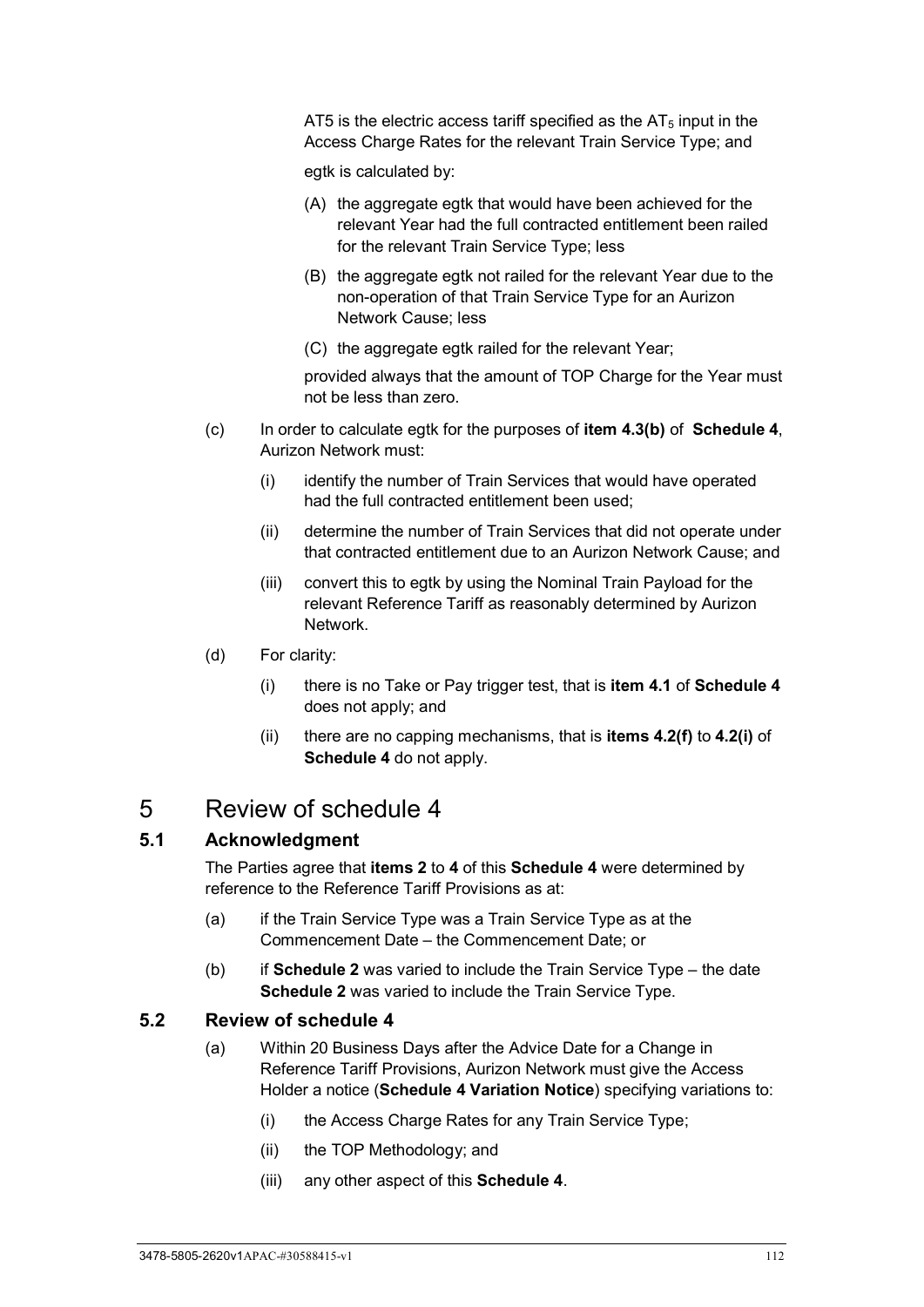AT5 is the electric access tariff specified as the  $AT<sub>5</sub>$  input in the Access Charge Rates for the relevant Train Service Type; and

egtk is calculated by:

- (A) the aggregate egtk that would have been achieved for the relevant Year had the full contracted entitlement been railed for the relevant Train Service Type; less
- (B) the aggregate egtk not railed for the relevant Year due to the non-operation of that Train Service Type for an Aurizon Network Cause; less
- (C) the aggregate egtk railed for the relevant Year;

provided always that the amount of TOP Charge for the Year must not be less than zero.

- (c) In order to calculate egtk for the purposes of **item 4.3(b)** of **[Schedule 4](#page-107-0)**, Aurizon Network must:
	- (i) identify the number of Train Services that would have operated had the full contracted entitlement been used;
	- (ii) determine the number of Train Services that did not operate under that contracted entitlement due to an Aurizon Network Cause; and
	- (iii) convert this to egtk by using the Nominal Train Payload for the relevant Reference Tariff as reasonably determined by Aurizon Network.
- (d) For clarity:
	- (i) there is no Take or Pay trigger test, that is **item 4.1** of **[Schedule 4](#page-107-0)** does not apply; and
	- (ii) there are no capping mechanisms, that is **items 4.2(f)** to **4.2(i)** of **[Schedule 4](#page-107-0)** do not apply.

# 5 Review of schedule 4

# **5.1 Acknowledgment**

The Parties agree that **items 2** to **4** of this **[Schedule 4](#page-107-0)** were determined by reference to the Reference Tariff Provisions as at:

- (a) if the Train Service Type was a Train Service Type as at the Commencement Date – the Commencement Date; or
- (b) if **[Schedule 2](#page-99-0)** was varied to include the Train Service Type the date **[Schedule 2](#page-99-0)** was varied to include the Train Service Type.

## **5.2 Review of schedule 4**

- (a) Within 20 Business Days after the Advice Date for a Change in Reference Tariff Provisions, Aurizon Network must give the Access Holder a notice (**Schedule 4 Variation Notice**) specifying variations to:
	- (i) the Access Charge Rates for any Train Service Type;
	- (ii) the TOP Methodology; and
	- (iii) any other aspect of this **[Schedule 4](#page-107-0)**.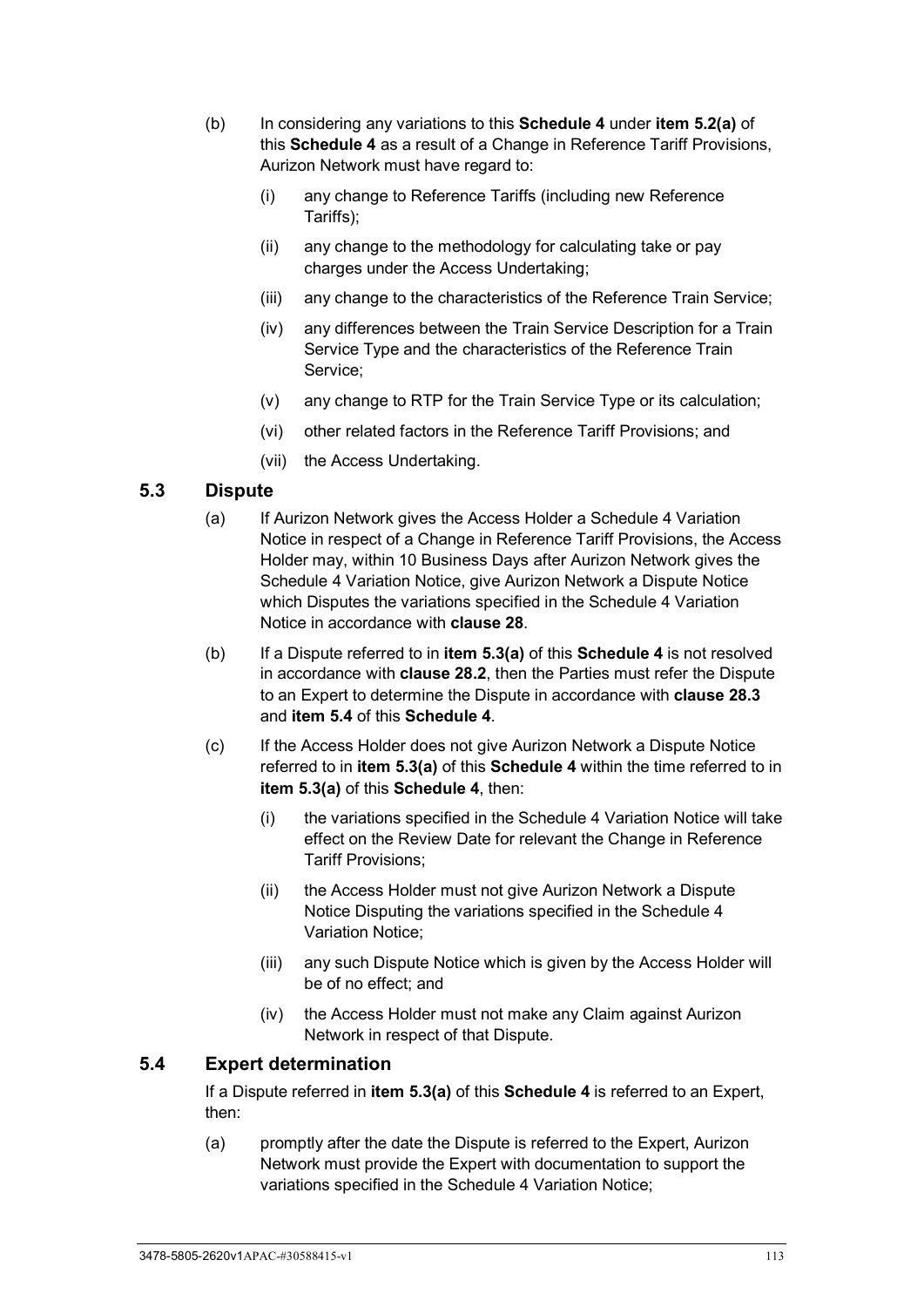- (b) In considering any variations to this **[Schedule 4](#page-107-0)** under **item 5.2(a)** of this **[Schedule 4](#page-107-0)** as a result of a Change in Reference Tariff Provisions, Aurizon Network must have regard to:
	- (i) any change to Reference Tariffs (including new Reference Tariffs);
	- (ii) any change to the methodology for calculating take or pay charges under the Access Undertaking;
	- (iii) any change to the characteristics of the Reference Train Service;
	- (iv) any differences between the Train Service Description for a Train Service Type and the characteristics of the Reference Train Service;
	- (v) any change to RTP for the Train Service Type or its calculation;
	- (vi) other related factors in the Reference Tariff Provisions; and
	- (vii) the Access Undertaking.

#### **5.3 Dispute**

- (a) If Aurizon Network gives the Access Holder a Schedule 4 Variation Notice in respect of a Change in Reference Tariff Provisions, the Access Holder may, within 10 Business Days after Aurizon Network gives the Schedule 4 Variation Notice, give Aurizon Network a Dispute Notice which Disputes the variations specified in the Schedule 4 Variation Notice in accordance with **clause [28](#page-70-0)**.
- (b) If a Dispute referred to in **item 5.3(a)** of this **[Schedule 4](#page-107-0)** is not resolved in accordance with **clause [28.2](#page-70-1)**, then the Parties must refer the Dispute to an Expert to determine the Dispute in accordance with **clause [28.3](#page-71-0)** and **item [5.4](#page-118-0)** of this **[Schedule 4](#page-107-0)**.
- (c) If the Access Holder does not give Aurizon Network a Dispute Notice referred to in **item 5.3(a)** of this **[Schedule 4](#page-107-0)** within the time referred to in **item 5.3(a)** of this **[Schedule 4](#page-107-0)**, then:
	- (i) the variations specified in the Schedule 4 Variation Notice will take effect on the Review Date for relevant the Change in Reference Tariff Provisions;
	- (ii) the Access Holder must not give Aurizon Network a Dispute Notice Disputing the variations specified in the Schedule 4 Variation Notice;
	- (iii) any such Dispute Notice which is given by the Access Holder will be of no effect; and
	- (iv) the Access Holder must not make any Claim against Aurizon Network in respect of that Dispute.

#### <span id="page-118-0"></span>**5.4 Expert determination**

If a Dispute referred in **item 5.3(a)** of this **[Schedule 4](#page-107-0)** is referred to an Expert, then:

(a) promptly after the date the Dispute is referred to the Expert, Aurizon Network must provide the Expert with documentation to support the variations specified in the Schedule 4 Variation Notice;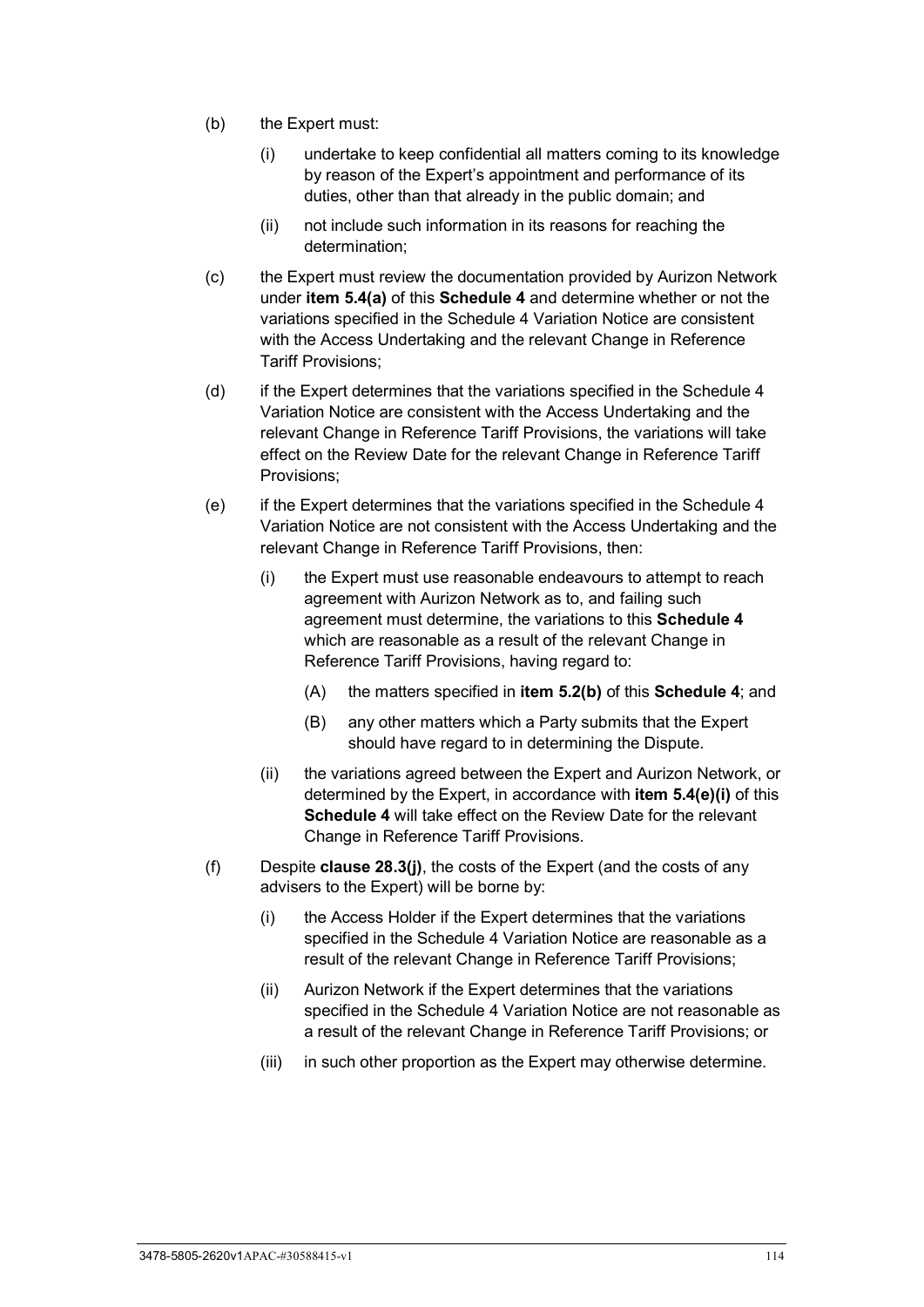- (b) the Expert must:
	- (i) undertake to keep confidential all matters coming to its knowledge by reason of the Expert's appointment and performance of its duties, other than that already in the public domain; and
	- (ii) not include such information in its reasons for reaching the determination;
- (c) the Expert must review the documentation provided by Aurizon Network under **item 5.4(a)** of this **[Schedule 4](#page-107-0)** and determine whether or not the variations specified in the Schedule 4 Variation Notice are consistent with the Access Undertaking and the relevant Change in Reference Tariff Provisions;
- (d) if the Expert determines that the variations specified in the Schedule 4 Variation Notice are consistent with the Access Undertaking and the relevant Change in Reference Tariff Provisions, the variations will take effect on the Review Date for the relevant Change in Reference Tariff Provisions;
- (e) if the Expert determines that the variations specified in the Schedule 4 Variation Notice are not consistent with the Access Undertaking and the relevant Change in Reference Tariff Provisions, then:
	- (i) the Expert must use reasonable endeavours to attempt to reach agreement with Aurizon Network as to, and failing such agreement must determine, the variations to this **[Schedule 4](#page-107-0)** which are reasonable as a result of the relevant Change in Reference Tariff Provisions, having regard to:
		- (A) the matters specified in **item 5.2(b)** of this **[Schedule 4](#page-107-0)**; and
		- (B) any other matters which a Party submits that the Expert should have regard to in determining the Dispute.
	- (ii) the variations agreed between the Expert and Aurizon Network, or determined by the Expert, in accordance with **item 5.4(e)(i)** of this **[Schedule 4](#page-107-0)** will take effect on the Review Date for the relevant Change in Reference Tariff Provisions.
- (f) Despite **clause [28.3\(j\)](#page-72-0)**, the costs of the Expert (and the costs of any advisers to the Expert) will be borne by:
	- (i) the Access Holder if the Expert determines that the variations specified in the Schedule 4 Variation Notice are reasonable as a result of the relevant Change in Reference Tariff Provisions;
	- (ii) Aurizon Network if the Expert determines that the variations specified in the Schedule 4 Variation Notice are not reasonable as a result of the relevant Change in Reference Tariff Provisions; or
	- (iii) in such other proportion as the Expert may otherwise determine.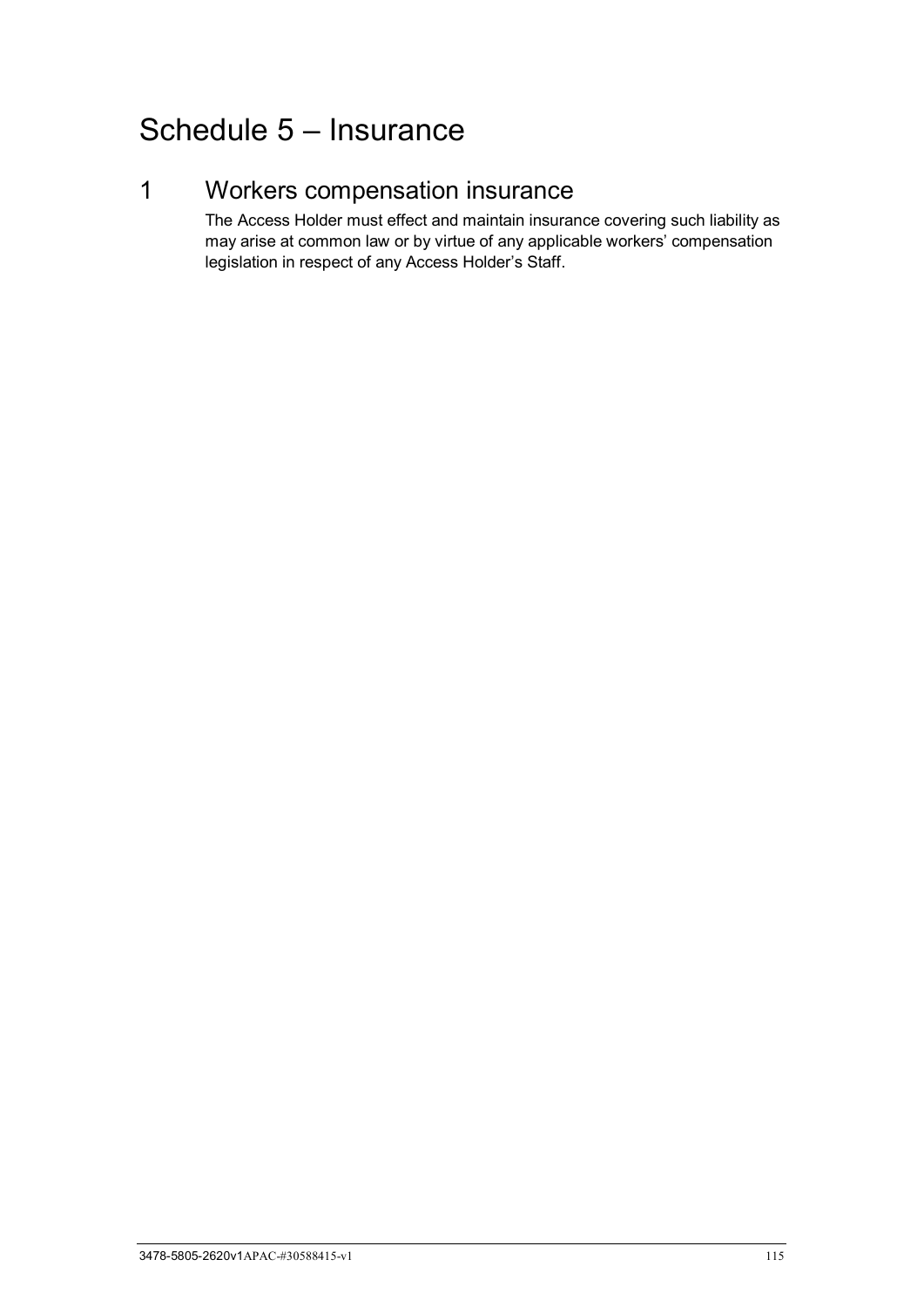# Schedule 5 – Insurance

# 1 Workers compensation insurance

The Access Holder must effect and maintain insurance covering such liability as may arise at common law or by virtue of any applicable workers' compensation legislation in respect of any Access Holder's Staff.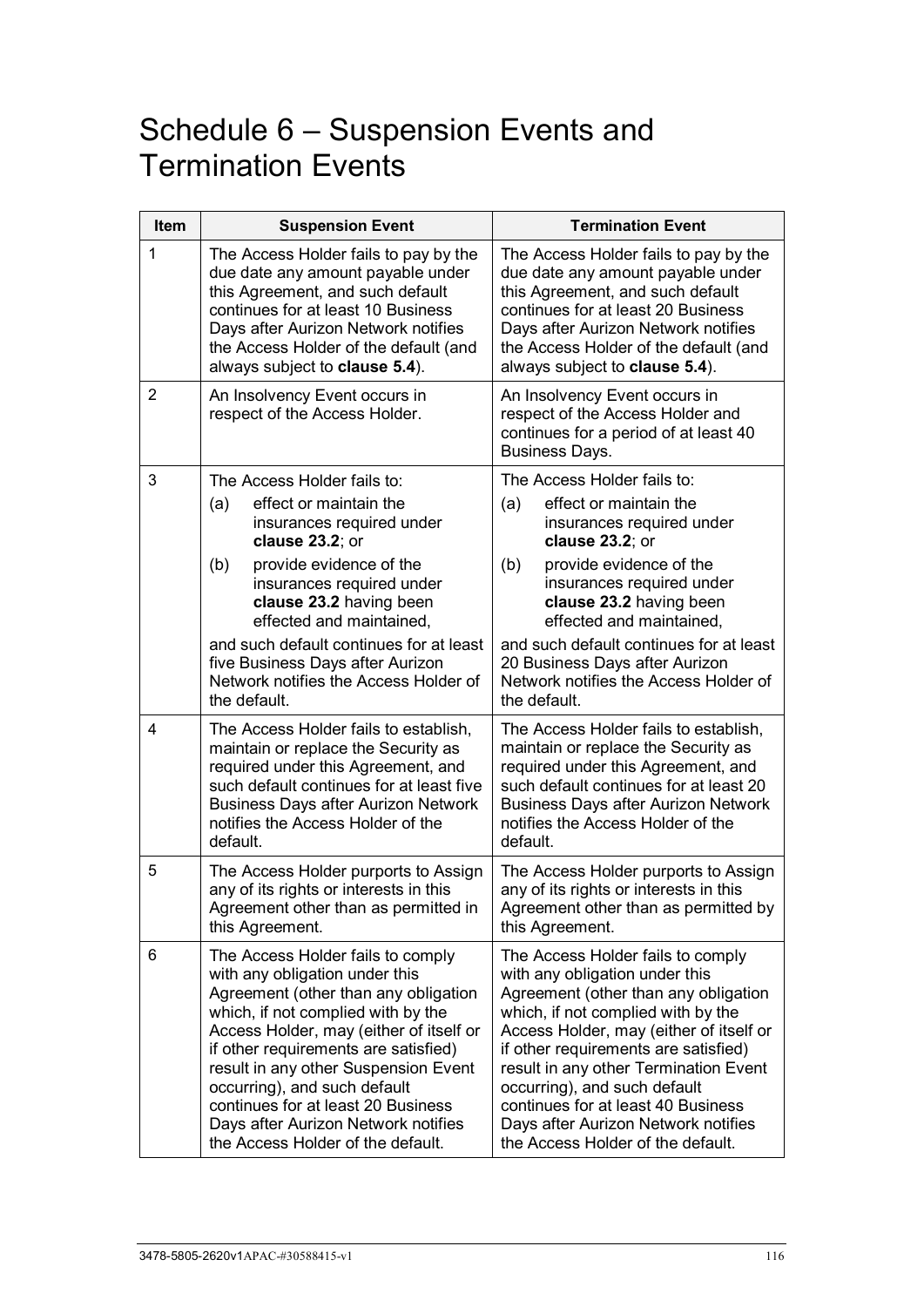# Schedule 6 – Suspension Events and Termination Events

| Item           | <b>Suspension Event</b>                                                                                                                                                                                                                                                                                                                                                                                                        | <b>Termination Event</b>                                                                                                                                                                                                                                                                                                                                                                                                        |
|----------------|--------------------------------------------------------------------------------------------------------------------------------------------------------------------------------------------------------------------------------------------------------------------------------------------------------------------------------------------------------------------------------------------------------------------------------|---------------------------------------------------------------------------------------------------------------------------------------------------------------------------------------------------------------------------------------------------------------------------------------------------------------------------------------------------------------------------------------------------------------------------------|
| 1              | The Access Holder fails to pay by the<br>due date any amount payable under<br>this Agreement, and such default<br>continues for at least 10 Business<br>Days after Aurizon Network notifies<br>the Access Holder of the default (and<br>always subject to clause 5.4).                                                                                                                                                         | The Access Holder fails to pay by the<br>due date any amount payable under<br>this Agreement, and such default<br>continues for at least 20 Business<br>Days after Aurizon Network notifies<br>the Access Holder of the default (and<br>always subject to clause 5.4).                                                                                                                                                          |
| $\overline{2}$ | An Insolvency Event occurs in<br>respect of the Access Holder.                                                                                                                                                                                                                                                                                                                                                                 | An Insolvency Event occurs in<br>respect of the Access Holder and<br>continues for a period of at least 40<br><b>Business Days.</b>                                                                                                                                                                                                                                                                                             |
| 3              | The Access Holder fails to:<br>effect or maintain the<br>(a)<br>insurances required under<br>clause 23.2; or<br>provide evidence of the<br>(b)<br>insurances required under<br>clause 23.2 having been<br>effected and maintained,<br>and such default continues for at least<br>five Business Days after Aurizon<br>Network notifies the Access Holder of<br>the default.                                                     | The Access Holder fails to:<br>effect or maintain the<br>(a)<br>insurances required under<br>clause 23.2; or<br>provide evidence of the<br>(b)<br>insurances required under<br>clause 23.2 having been<br>effected and maintained,<br>and such default continues for at least<br>20 Business Days after Aurizon<br>Network notifies the Access Holder of<br>the default.                                                        |
| $\overline{4}$ | The Access Holder fails to establish,<br>maintain or replace the Security as<br>required under this Agreement, and<br>such default continues for at least five<br><b>Business Days after Aurizon Network</b><br>notifies the Access Holder of the<br>default.                                                                                                                                                                  | The Access Holder fails to establish,<br>maintain or replace the Security as<br>required under this Agreement, and<br>such default continues for at least 20<br><b>Business Days after Aurizon Network</b><br>notifies the Access Holder of the<br>default.                                                                                                                                                                     |
| 5              | The Access Holder purports to Assign<br>any of its rights or interests in this<br>Agreement other than as permitted in<br>this Agreement.                                                                                                                                                                                                                                                                                      | The Access Holder purports to Assign<br>any of its rights or interests in this<br>Agreement other than as permitted by<br>this Agreement.                                                                                                                                                                                                                                                                                       |
| 6              | The Access Holder fails to comply<br>with any obligation under this<br>Agreement (other than any obligation<br>which, if not complied with by the<br>Access Holder, may (either of itself or<br>if other requirements are satisfied)<br>result in any other Suspension Event<br>occurring), and such default<br>continues for at least 20 Business<br>Days after Aurizon Network notifies<br>the Access Holder of the default. | The Access Holder fails to comply<br>with any obligation under this<br>Agreement (other than any obligation<br>which, if not complied with by the<br>Access Holder, may (either of itself or<br>if other requirements are satisfied)<br>result in any other Termination Event<br>occurring), and such default<br>continues for at least 40 Business<br>Days after Aurizon Network notifies<br>the Access Holder of the default. |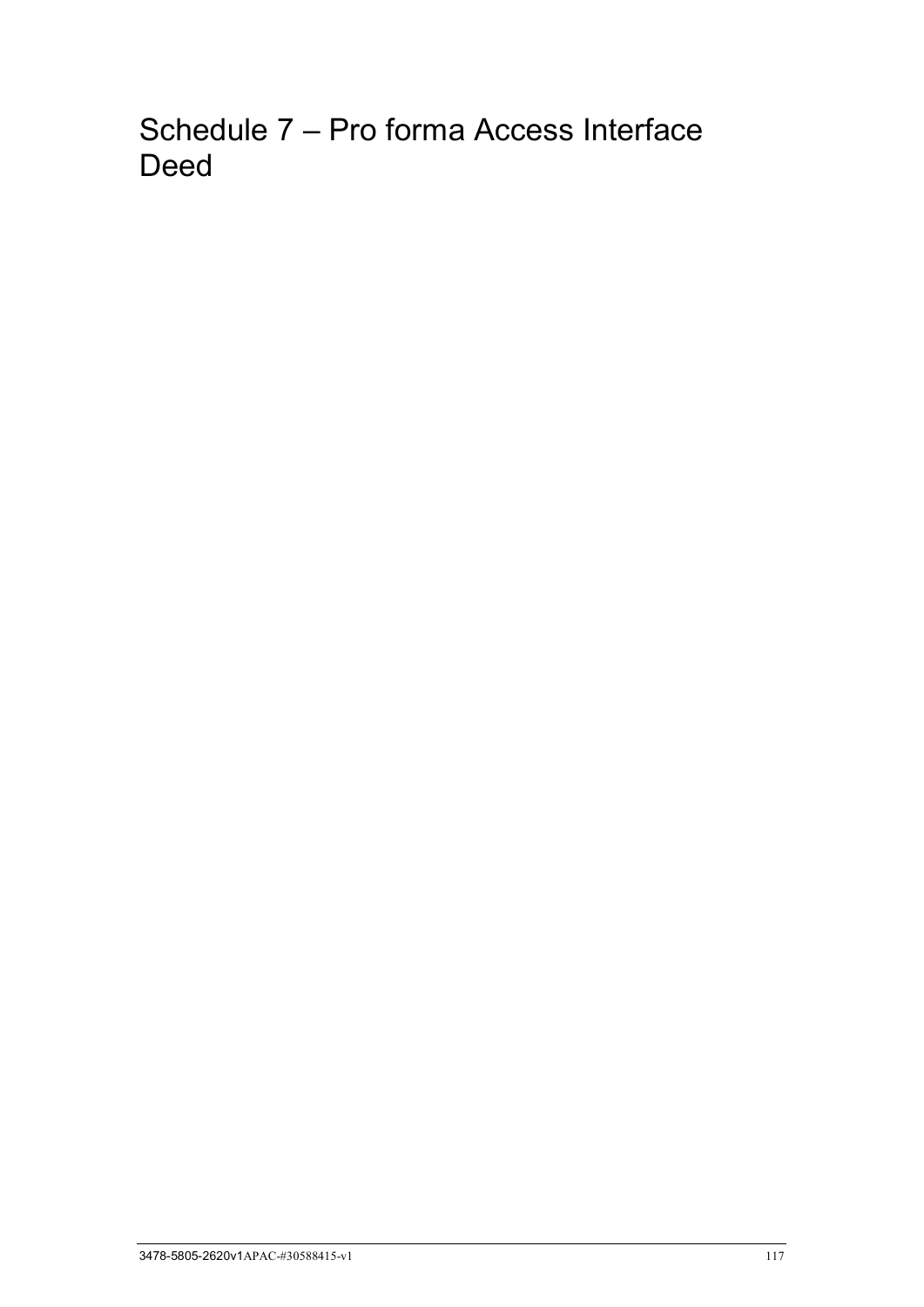Schedule 7 – Pro forma Access Interface Deed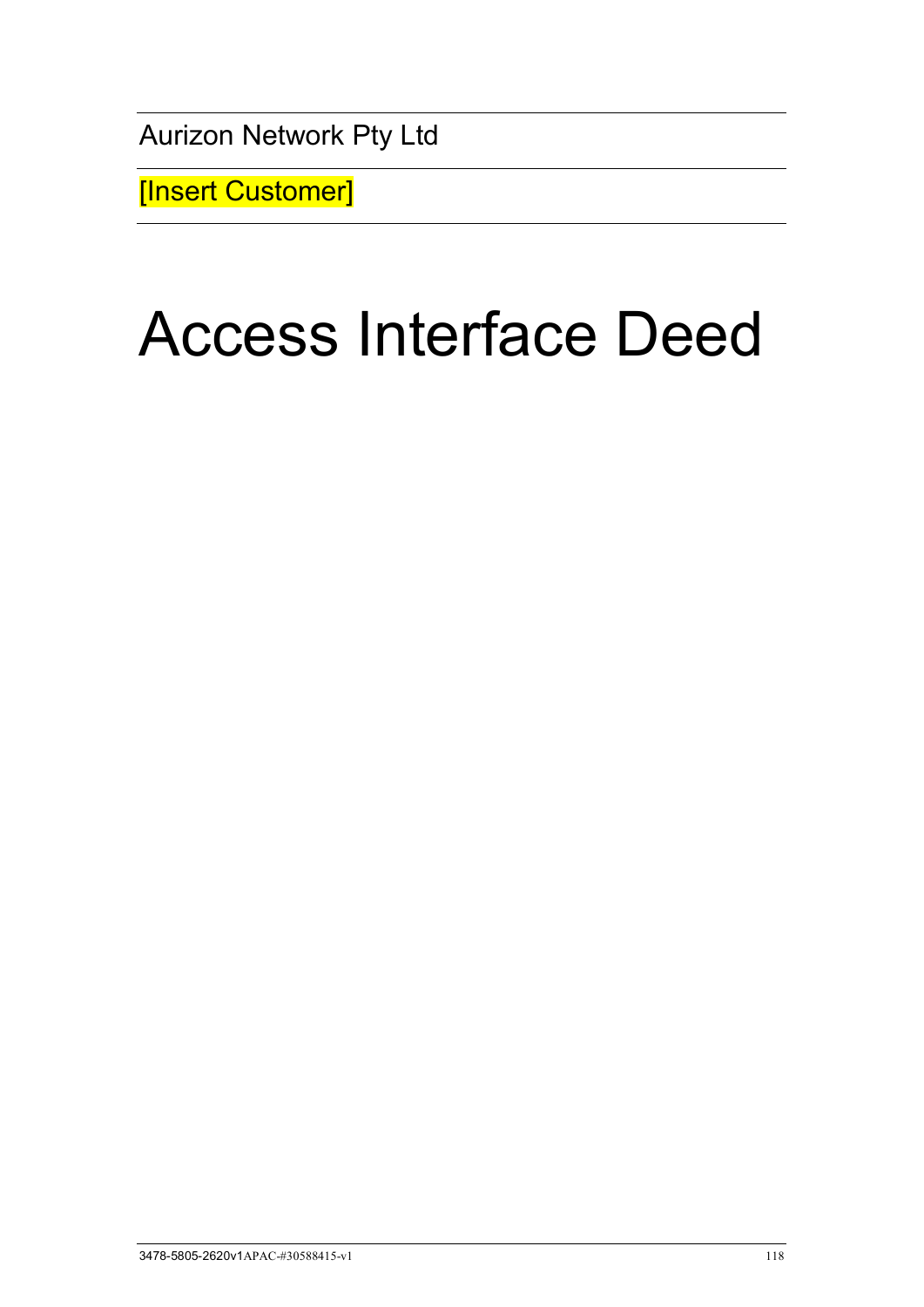Aurizon Network Pty Ltd

[Insert Customer]

# Access Interface Deed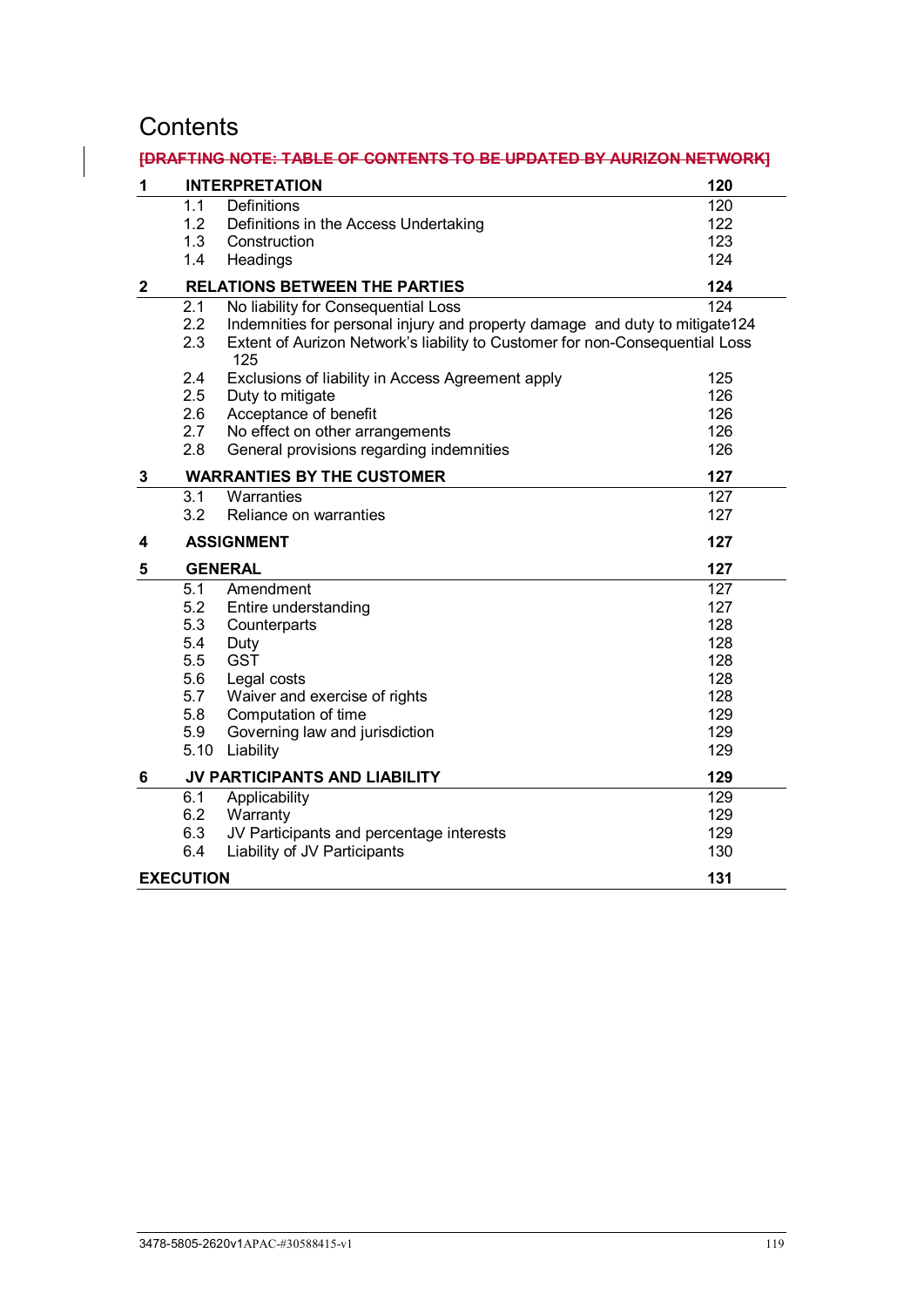# **Contents**

# **[DRAFTING NOTE: TABLE OF CONTENTS TO BE UPDATED BY AURIZON NETWORK]**

| 1           |                  | <b>INTERPRETATION</b>                                                               | 120              |
|-------------|------------------|-------------------------------------------------------------------------------------|------------------|
|             | 1.1              | Definitions                                                                         | 120              |
|             | 1.2              | Definitions in the Access Undertaking                                               | 122              |
|             | 1.3              | Construction                                                                        | 123              |
|             | 1.4              | Headings                                                                            | 124              |
| $\mathbf 2$ |                  | <b>RELATIONS BETWEEN THE PARTIES</b>                                                | 124              |
|             | 2.1              | No liability for Consequential Loss                                                 | $\overline{124}$ |
|             | 2.2              | Indemnities for personal injury and property damage and duty to mitigate124         |                  |
|             | 2.3              | Extent of Aurizon Network's liability to Customer for non-Consequential Loss<br>125 |                  |
|             | 2.4              | Exclusions of liability in Access Agreement apply                                   | 125              |
|             | 2.5              | Duty to mitigate                                                                    | 126              |
|             | 2.6              | Acceptance of benefit                                                               | 126              |
|             | 2.7              | No effect on other arrangements                                                     | 126              |
|             | 2.8              | General provisions regarding indemnities                                            | 126              |
| 3           |                  | <b>WARRANTIES BY THE CUSTOMER</b>                                                   | 127              |
|             | 3.1              | Warranties                                                                          | 127              |
|             | 3.2              | Reliance on warranties                                                              | 127              |
| 4           |                  | <b>ASSIGNMENT</b>                                                                   | 127              |
| 5           |                  | <b>GENERAL</b>                                                                      | 127              |
|             | 5.1              | Amendment                                                                           | 127              |
|             | 5.2              | Entire understanding                                                                | 127              |
|             | 5.3              | Counterparts                                                                        | 128              |
|             | 5.4              | Duty                                                                                | 128              |
|             | 5.5              | <b>GST</b>                                                                          | 128              |
|             | 5.6              | Legal costs                                                                         | 128              |
|             | 5.7              | Waiver and exercise of rights                                                       | 128              |
|             | 5.8              | Computation of time                                                                 | 129              |
|             | 5.9              | Governing law and jurisdiction                                                      | 129              |
|             | 5.10             | Liability                                                                           | 129              |
| 6           |                  | JV PARTICIPANTS AND LIABILITY                                                       | 129              |
|             | 6.1              | Applicability                                                                       | 129              |
|             | 6.2              | Warranty                                                                            | 129              |
|             | 6.3              | JV Participants and percentage interests                                            | 129              |
|             | 6.4              | Liability of JV Participants                                                        | 130              |
|             | <b>EXECUTION</b> |                                                                                     | 131              |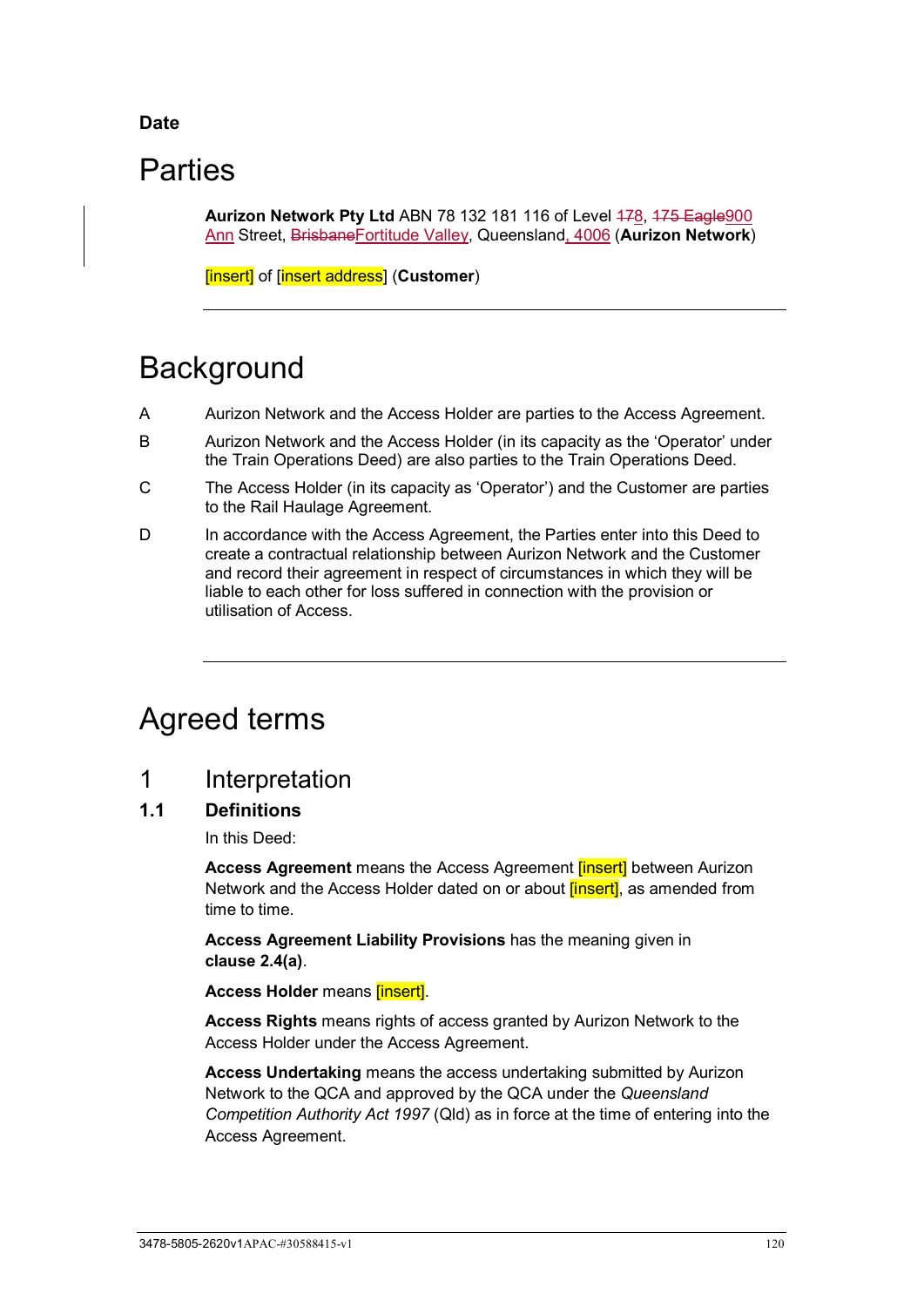## **Date**

# **Parties**

**Aurizon Network Pty Ltd ABN 78 132 181 116 of Level 478, 475 Eagle 900** Ann Street, BrisbaneFortitude Valley, Queensland, 4006 (**Aurizon Network**)

[insert] of [insert address] (**Customer**)

# **Background**

- A Aurizon Network and the Access Holder are parties to the Access Agreement.
- B Aurizon Network and the Access Holder (in its capacity as the 'Operator' under the Train Operations Deed) are also parties to the Train Operations Deed.
- C The Access Holder (in its capacity as 'Operator') and the Customer are parties to the Rail Haulage Agreement.
- D In accordance with the Access Agreement, the Parties enter into this Deed to create a contractual relationship between Aurizon Network and the Customer and record their agreement in respect of circumstances in which they will be liable to each other for loss suffered in connection with the provision or utilisation of Access.

# Agreed terms

# <span id="page-125-0"></span>1 Interpretation

## <span id="page-125-1"></span>**1.1 Definitions**

In this Deed:

**Access Agreement** means the Access Agreement [insert] between Aurizon Network and the Access Holder dated on or about *[insert]*, as amended from time to time.

**Access Agreement Liability Provisions** has the meaning given in **clause [2.4\(a\)](#page-130-2)**.

**Access Holder** means **[insert]**.

**Access Rights** means rights of access granted by Aurizon Network to the Access Holder under the Access Agreement.

**Access Undertaking** means the access undertaking submitted by Aurizon Network to the QCA and approved by the QCA under the *Queensland Competition Authority Act 1997* (Qld) as in force at the time of entering into the Access Agreement.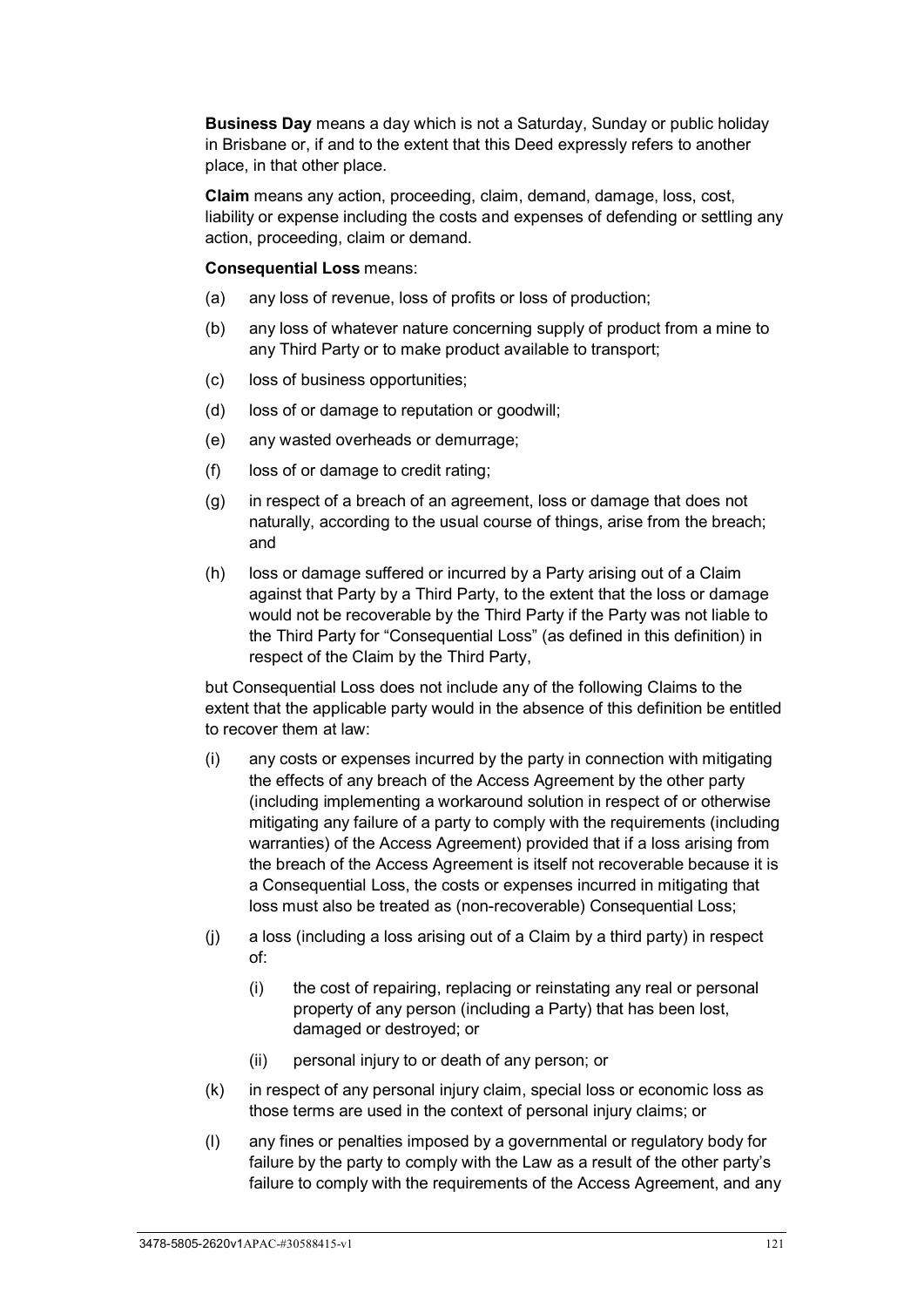**Business Day** means a day which is not a Saturday, Sunday or public holiday in Brisbane or, if and to the extent that this Deed expressly refers to another place, in that other place.

**Claim** means any action, proceeding, claim, demand, damage, loss, cost, liability or expense including the costs and expenses of defending or settling any action, proceeding, claim or demand.

#### **Consequential Loss** means:

- (a) any loss of revenue, loss of profits or loss of production;
- (b) any loss of whatever nature concerning supply of product from a mine to any Third Party or to make product available to transport;
- (c) loss of business opportunities;
- (d) loss of or damage to reputation or goodwill;
- (e) any wasted overheads or demurrage;
- (f) loss of or damage to credit rating;
- (g) in respect of a breach of an agreement, loss or damage that does not naturally, according to the usual course of things, arise from the breach; and
- (h) loss or damage suffered or incurred by a Party arising out of a Claim against that Party by a Third Party, to the extent that the loss or damage would not be recoverable by the Third Party if the Party was not liable to the Third Party for "Consequential Loss" (as defined in this definition) in respect of the Claim by the Third Party,

but Consequential Loss does not include any of the following Claims to the extent that the applicable party would in the absence of this definition be entitled to recover them at law:

- (i) any costs or expenses incurred by the party in connection with mitigating the effects of any breach of the Access Agreement by the other party (including implementing a workaround solution in respect of or otherwise mitigating any failure of a party to comply with the requirements (including warranties) of the Access Agreement) provided that if a loss arising from the breach of the Access Agreement is itself not recoverable because it is a Consequential Loss, the costs or expenses incurred in mitigating that loss must also be treated as (non-recoverable) Consequential Loss;
- (j) a loss (including a loss arising out of a Claim by a third party) in respect of:
	- (i) the cost of repairing, replacing or reinstating any real or personal property of any person (including a Party) that has been lost, damaged or destroyed; or
	- (ii) personal injury to or death of any person; or
- (k) in respect of any personal injury claim, special loss or economic loss as those terms are used in the context of personal injury claims; or
- (l) any fines or penalties imposed by a governmental or regulatory body for failure by the party to comply with the Law as a result of the other party's failure to comply with the requirements of the Access Agreement, and any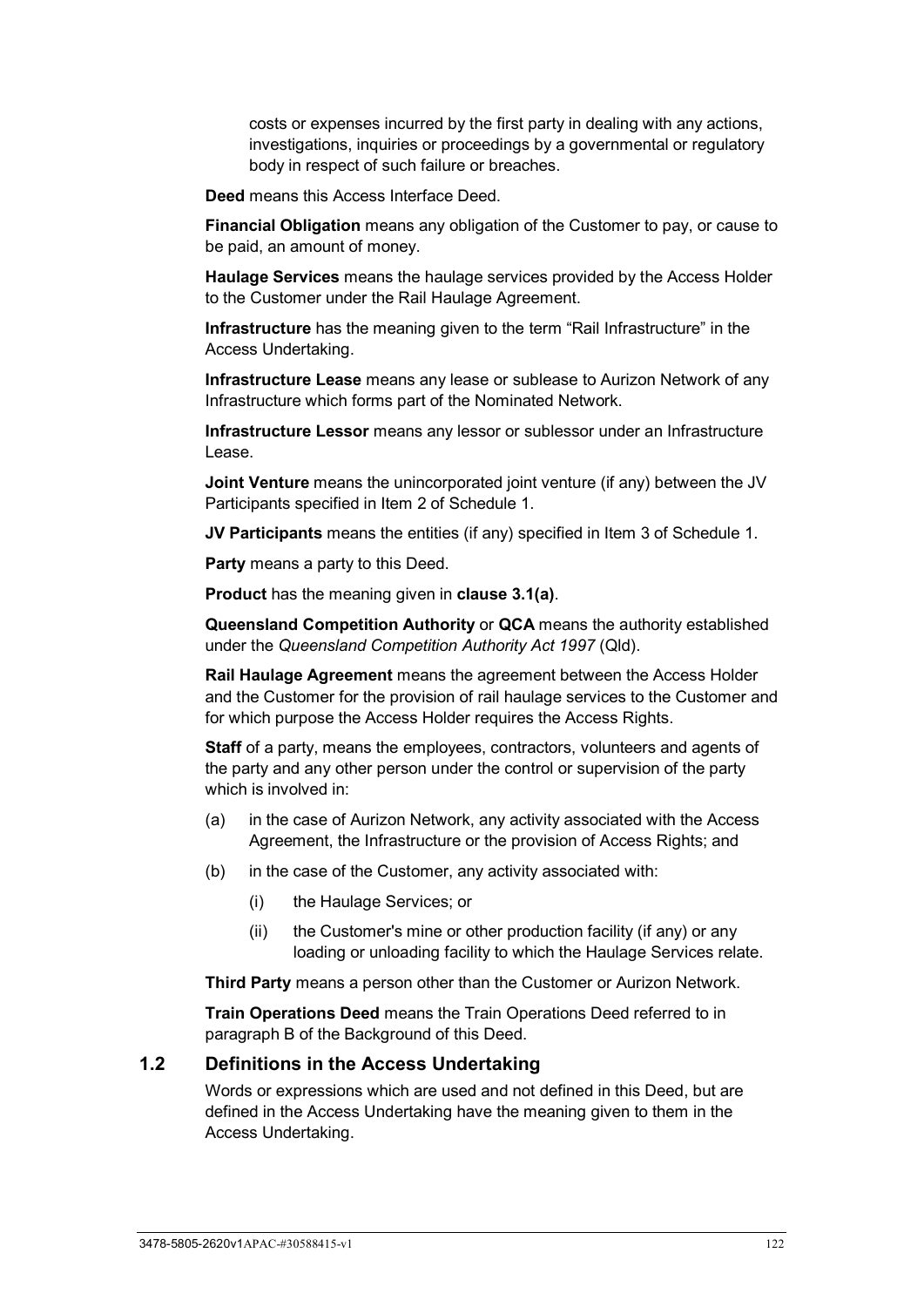costs or expenses incurred by the first party in dealing with any actions, investigations, inquiries or proceedings by a governmental or regulatory body in respect of such failure or breaches.

**Deed** means this Access Interface Deed.

**Financial Obligation** means any obligation of the Customer to pay, or cause to be paid, an amount of money.

**Haulage Services** means the haulage services provided by the Access Holder to the Customer under the Rail Haulage Agreement.

**Infrastructure** has the meaning given to the term "Rail Infrastructure" in the Access Undertaking.

**Infrastructure Lease** means any lease or sublease to Aurizon Network of any Infrastructure which forms part of the Nominated Network.

**Infrastructure Lessor** means any lessor or sublessor under an Infrastructure Lease.

**Joint Venture** means the unincorporated joint venture (if any) between the JV Participants specified in Item 2 of Schedule 1.

**JV Participants** means the entities (if any) specified in Item 3 of Schedule 1.

**Party** means a party to this Deed.

**Product** has the meaning given in **clause [3.1\(a\)](#page-26-0)**.

**Queensland Competition Authority** or **QCA** means the authority established under the *Queensland Competition Authority Act 1997* (Qld).

**Rail Haulage Agreement** means the agreement between the Access Holder and the Customer for the provision of rail haulage services to the Customer and for which purpose the Access Holder requires the Access Rights.

**Staff** of a party, means the employees, contractors, volunteers and agents of the party and any other person under the control or supervision of the party which is involved in:

- (a) in the case of Aurizon Network, any activity associated with the Access Agreement, the Infrastructure or the provision of Access Rights; and
- (b) in the case of the Customer, any activity associated with:
	- (i) the Haulage Services; or
	- (ii) the Customer's mine or other production facility (if any) or any loading or unloading facility to which the Haulage Services relate.

**Third Party** means a person other than the Customer or Aurizon Network.

**Train Operations Deed** means the Train Operations Deed referred to in paragraph B of the Background of this Deed.

#### <span id="page-127-0"></span>**1.2 Definitions in the Access Undertaking**

Words or expressions which are used and not defined in this Deed, but are defined in the Access Undertaking have the meaning given to them in the Access Undertaking.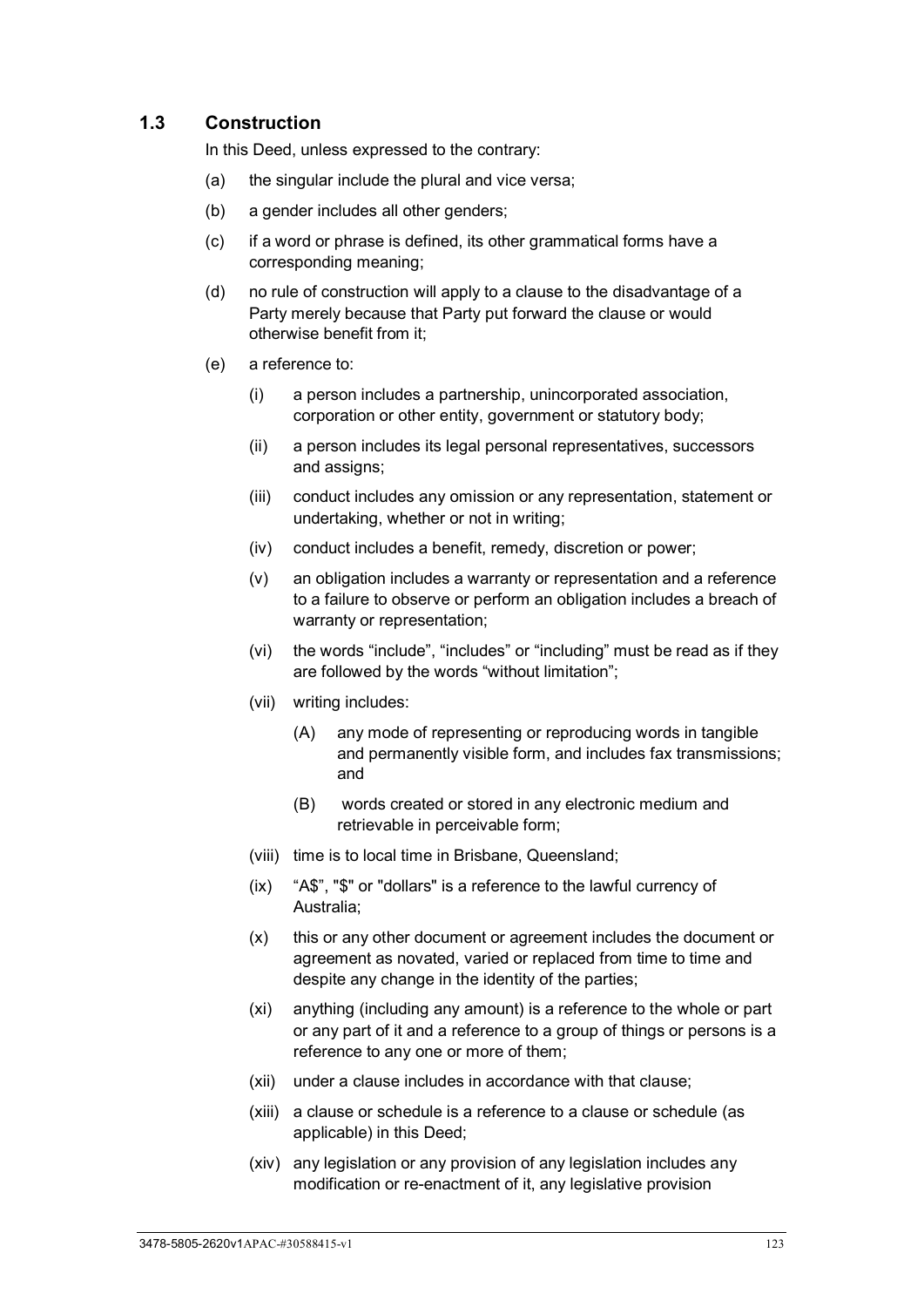# <span id="page-128-0"></span>**1.3 Construction**

In this Deed, unless expressed to the contrary:

- (a) the singular include the plural and vice versa;
- (b) a gender includes all other genders;
- (c) if a word or phrase is defined, its other grammatical forms have a corresponding meaning;
- (d) no rule of construction will apply to a clause to the disadvantage of a Party merely because that Party put forward the clause or would otherwise benefit from it;
- (e) a reference to:
	- (i) a person includes a partnership, unincorporated association, corporation or other entity, government or statutory body;
	- (ii) a person includes its legal personal representatives, successors and assigns;
	- (iii) conduct includes any omission or any representation, statement or undertaking, whether or not in writing;
	- (iv) conduct includes a benefit, remedy, discretion or power;
	- (v) an obligation includes a warranty or representation and a reference to a failure to observe or perform an obligation includes a breach of warranty or representation;
	- (vi) the words "include", "includes" or "including" must be read as if they are followed by the words "without limitation";
	- (vii) writing includes:
		- (A) any mode of representing or reproducing words in tangible and permanently visible form, and includes fax transmissions; and
		- (B) words created or stored in any electronic medium and retrievable in perceivable form;
	- (viii) time is to local time in Brisbane, Queensland;
	- (ix) "A\$", "\$" or "dollars" is a reference to the lawful currency of Australia;
	- (x) this or any other document or agreement includes the document or agreement as novated, varied or replaced from time to time and despite any change in the identity of the parties;
	- (xi) anything (including any amount) is a reference to the whole or part or any part of it and a reference to a group of things or persons is a reference to any one or more of them;
	- (xii) under a clause includes in accordance with that clause;
	- (xiii) a clause or schedule is a reference to a clause or schedule (as applicable) in this Deed;
	- (xiv) any legislation or any provision of any legislation includes any modification or re-enactment of it, any legislative provision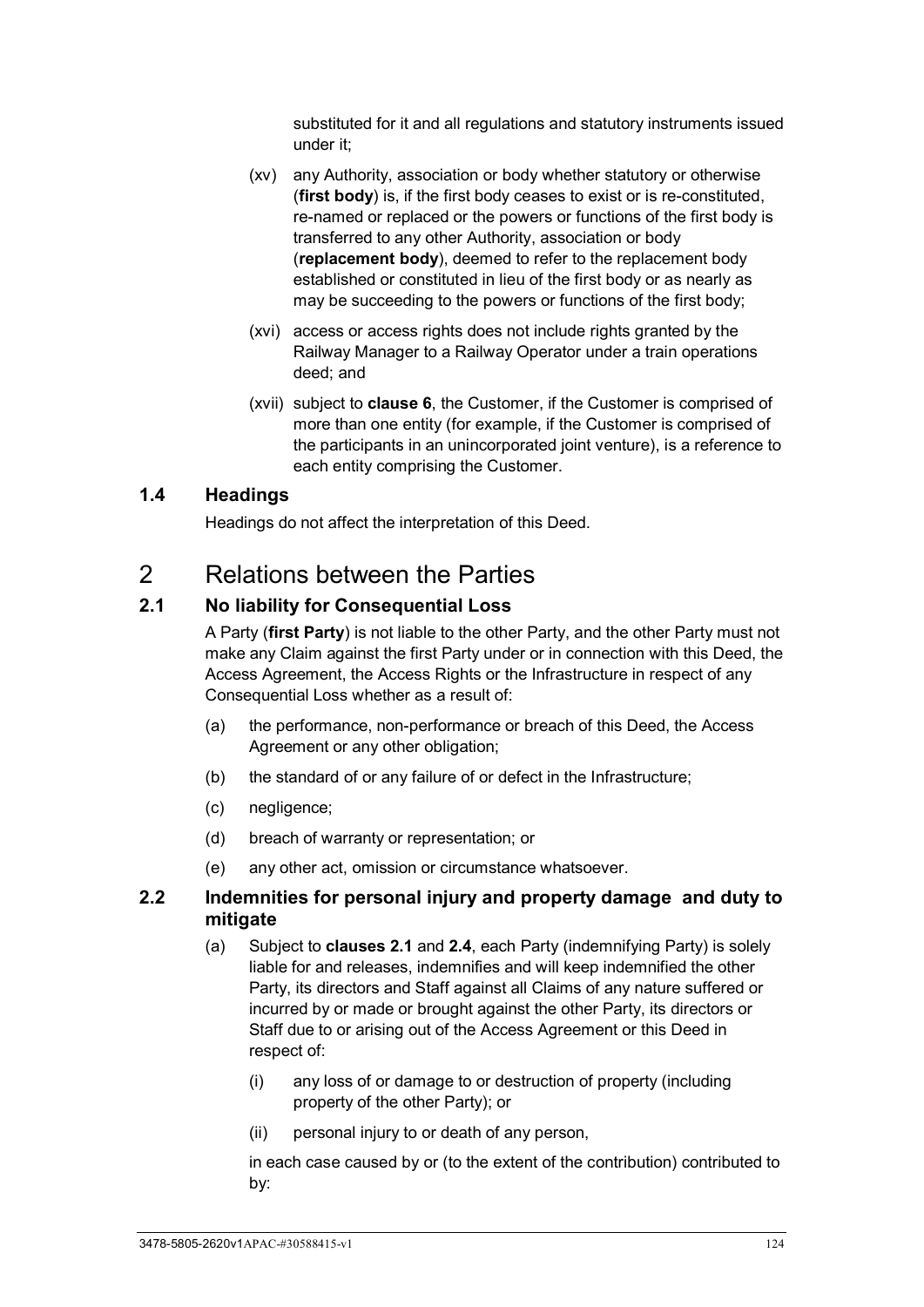substituted for it and all regulations and statutory instruments issued under it;

- (xv) any Authority, association or body whether statutory or otherwise (**first body**) is, if the first body ceases to exist or is re-constituted, re-named or replaced or the powers or functions of the first body is transferred to any other Authority, association or body (**replacement body**), deemed to refer to the replacement body established or constituted in lieu of the first body or as nearly as may be succeeding to the powers or functions of the first body;
- (xvi) access or access rights does not include rights granted by the Railway Manager to a Railway Operator under a train operations deed; and
- (xvii) subject to **clause [6](#page-134-3)**, the Customer, if the Customer is comprised of more than one entity (for example, if the Customer is comprised of the participants in an unincorporated joint venture), is a reference to each entity comprising the Customer.

# <span id="page-129-0"></span>**1.4 Headings**

Headings do not affect the interpretation of this Deed.

# <span id="page-129-1"></span>2 Relations between the Parties

# <span id="page-129-2"></span>**2.1 No liability for Consequential Loss**

A Party (**first Party**) is not liable to the other Party, and the other Party must not make any Claim against the first Party under or in connection with this Deed, the Access Agreement, the Access Rights or the Infrastructure in respect of any Consequential Loss whether as a result of:

- (a) the performance, non-performance or breach of this Deed, the Access Agreement or any other obligation;
- (b) the standard of or any failure of or defect in the Infrastructure;
- (c) negligence;
- (d) breach of warranty or representation; or
- (e) any other act, omission or circumstance whatsoever.

# <span id="page-129-3"></span>**2.2 Indemnities for personal injury and property damage and duty to mitigate**

- (a) Subject to **clauses [2.1](#page-129-2)** and **[2.4](#page-130-1)**, each Party (indemnifying Party) is solely liable for and releases, indemnifies and will keep indemnified the other Party, its directors and Staff against all Claims of any nature suffered or incurred by or made or brought against the other Party, its directors or Staff due to or arising out of the Access Agreement or this Deed in respect of:
	- (i) any loss of or damage to or destruction of property (including property of the other Party); or
	- (ii) personal injury to or death of any person,

in each case caused by or (to the extent of the contribution) contributed to by: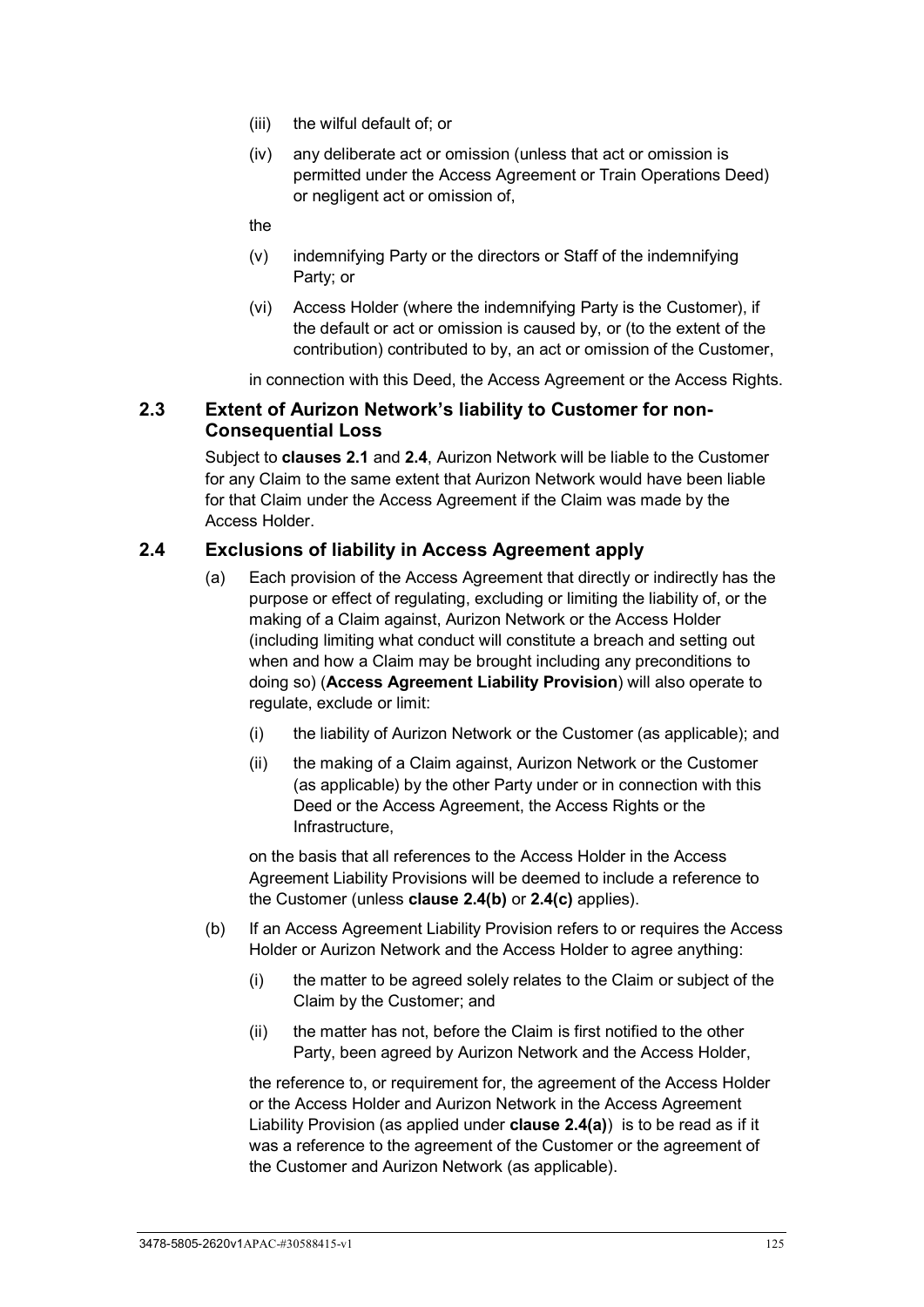- (iii) the wilful default of; or
- (iv) any deliberate act or omission (unless that act or omission is permitted under the Access Agreement or Train Operations Deed) or negligent act or omission of,

the

- (v) indemnifying Party or the directors or Staff of the indemnifying Party; or
- (vi) Access Holder (where the indemnifying Party is the Customer), if the default or act or omission is caused by, or (to the extent of the contribution) contributed to by, an act or omission of the Customer,

in connection with this Deed, the Access Agreement or the Access Rights.

# <span id="page-130-0"></span>**2.3 Extent of Aurizon Network's liability to Customer for non-Consequential Loss**

Subject to **clauses [2.1](#page-129-2)** and **[2.4](#page-130-1)**, Aurizon Network will be liable to the Customer for any Claim to the same extent that Aurizon Network would have been liable for that Claim under the Access Agreement if the Claim was made by the Access Holder.

## <span id="page-130-2"></span><span id="page-130-1"></span>**2.4 Exclusions of liability in Access Agreement apply**

- (a) Each provision of the Access Agreement that directly or indirectly has the purpose or effect of regulating, excluding or limiting the liability of, or the making of a Claim against, Aurizon Network or the Access Holder (including limiting what conduct will constitute a breach and setting out when and how a Claim may be brought including any preconditions to doing so) (**Access Agreement Liability Provision**) will also operate to regulate, exclude or limit:
	- (i) the liability of Aurizon Network or the Customer (as applicable); and
	- (ii) the making of a Claim against, Aurizon Network or the Customer (as applicable) by the other Party under or in connection with this Deed or the Access Agreement, the Access Rights or the Infrastructure,

on the basis that all references to the Access Holder in the Access Agreement Liability Provisions will be deemed to include a reference to the Customer (unless **clause [2.4\(b\)](#page-130-3)** or **[2.4\(c\)](#page-131-4)** applies).

- <span id="page-130-3"></span>(b) If an Access Agreement Liability Provision refers to or requires the Access Holder or Aurizon Network and the Access Holder to agree anything:
	- (i) the matter to be agreed solely relates to the Claim or subject of the Claim by the Customer; and
	- (ii) the matter has not, before the Claim is first notified to the other Party, been agreed by Aurizon Network and the Access Holder,

the reference to, or requirement for, the agreement of the Access Holder or the Access Holder and Aurizon Network in the Access Agreement Liability Provision (as applied under **clause [2.4\(a\)](#page-130-2)**) is to be read as if it was a reference to the agreement of the Customer or the agreement of the Customer and Aurizon Network (as applicable).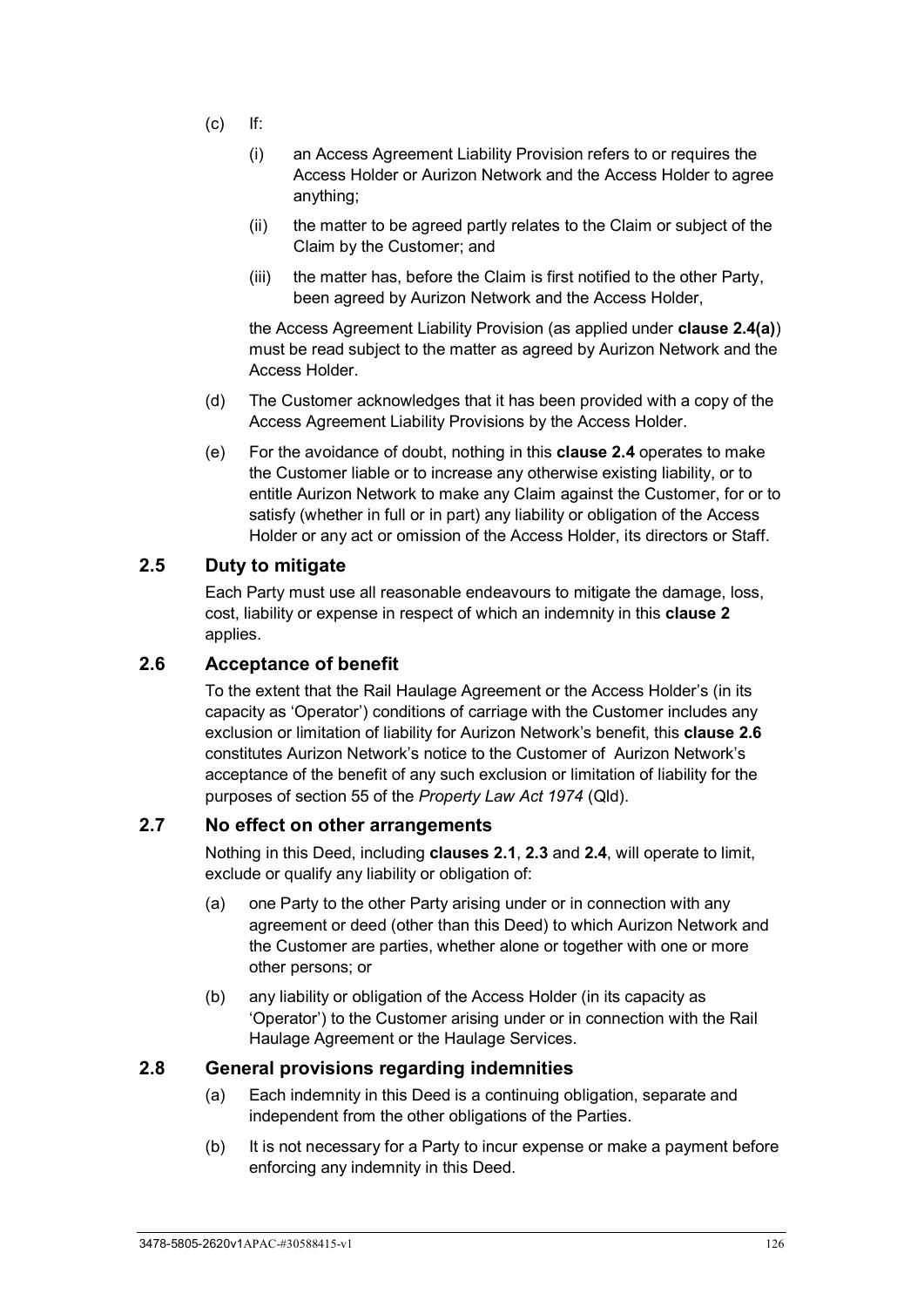- <span id="page-131-4"></span>(c) If:
	- (i) an Access Agreement Liability Provision refers to or requires the Access Holder or Aurizon Network and the Access Holder to agree anything;
	- (ii) the matter to be agreed partly relates to the Claim or subject of the Claim by the Customer; and
	- (iii) the matter has, before the Claim is first notified to the other Party, been agreed by Aurizon Network and the Access Holder,

the Access Agreement Liability Provision (as applied under **clause [2.4\(a\)](#page-130-2)**) must be read subject to the matter as agreed by Aurizon Network and the Access Holder.

- (d) The Customer acknowledges that it has been provided with a copy of the Access Agreement Liability Provisions by the Access Holder.
- (e) For the avoidance of doubt, nothing in this **clause [2.4](#page-130-1)** operates to make the Customer liable or to increase any otherwise existing liability, or to entitle Aurizon Network to make any Claim against the Customer, for or to satisfy (whether in full or in part) any liability or obligation of the Access Holder or any act or omission of the Access Holder, its directors or Staff.

## <span id="page-131-0"></span>**2.5 Duty to mitigate**

Each Party must use all reasonable endeavours to mitigate the damage, loss, cost, liability or expense in respect of which an indemnity in this **clause [2](#page-129-1)** applies.

## <span id="page-131-1"></span>**2.6 Acceptance of benefit**

To the extent that the Rail Haulage Agreement or the Access Holder's (in its capacity as 'Operator') conditions of carriage with the Customer includes any exclusion or limitation of liability for Aurizon Network's benefit, this **clause [2.6](#page-131-1)** constitutes Aurizon Network's notice to the Customer of Aurizon Network's acceptance of the benefit of any such exclusion or limitation of liability for the purposes of section 55 of the *Property Law Act 1974* (Qld).

# <span id="page-131-2"></span>**2.7 No effect on other arrangements**

Nothing in this Deed, including **clauses [2.1](#page-129-2)**, **[2.3](#page-130-0)** and **[2.4](#page-130-1)**, will operate to limit, exclude or qualify any liability or obligation of:

- (a) one Party to the other Party arising under or in connection with any agreement or deed (other than this Deed) to which Aurizon Network and the Customer are parties, whether alone or together with one or more other persons; or
- (b) any liability or obligation of the Access Holder (in its capacity as 'Operator') to the Customer arising under or in connection with the Rail Haulage Agreement or the Haulage Services.

## <span id="page-131-3"></span>**2.8 General provisions regarding indemnities**

- (a) Each indemnity in this Deed is a continuing obligation, separate and independent from the other obligations of the Parties.
- (b) It is not necessary for a Party to incur expense or make a payment before enforcing any indemnity in this Deed.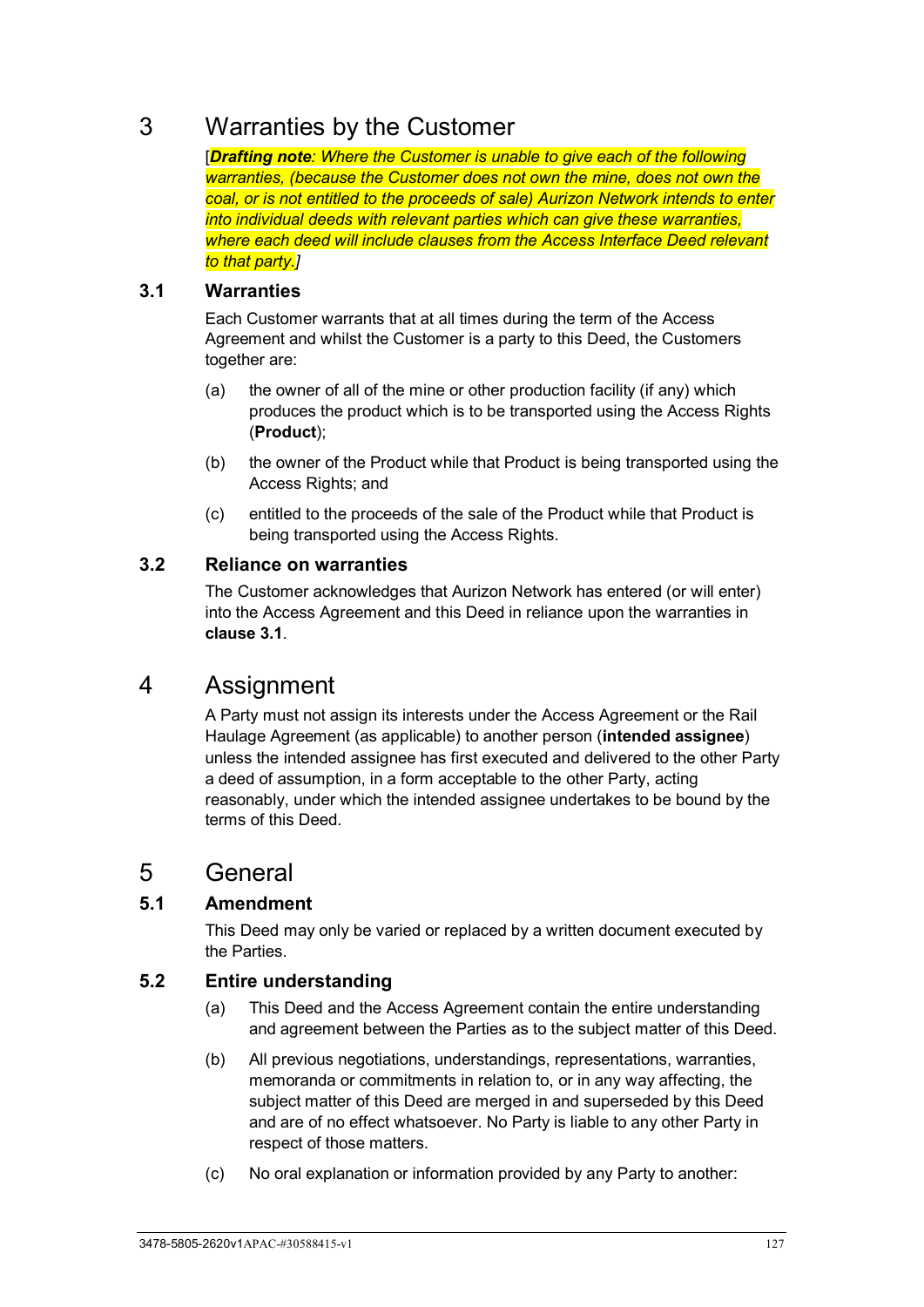# <span id="page-132-0"></span>3 Warranties by the Customer

[*Drafting note: Where the Customer is unable to give each of the following warranties, (because the Customer does not own the mine, does not own the coal, or is not entitled to the proceeds of sale) Aurizon Network intends to enter into individual deeds with relevant parties which can give these warranties, where each deed will include clauses from the Access Interface Deed relevant to that party.]*

# <span id="page-132-1"></span>**3.1 Warranties**

Each Customer warrants that at all times during the term of the Access Agreement and whilst the Customer is a party to this Deed, the Customers together are:

- (a) the owner of all of the mine or other production facility (if any) which produces the product which is to be transported using the Access Rights (**Product**);
- (b) the owner of the Product while that Product is being transported using the Access Rights; and
- (c) entitled to the proceeds of the sale of the Product while that Product is being transported using the Access Rights.

# <span id="page-132-2"></span>**3.2 Reliance on warranties**

The Customer acknowledges that Aurizon Network has entered (or will enter) into the Access Agreement and this Deed in reliance upon the warranties in **clause [3.1](#page-132-1)**.

# <span id="page-132-3"></span>4 Assignment

A Party must not assign its interests under the Access Agreement or the Rail Haulage Agreement (as applicable) to another person (**intended assignee**) unless the intended assignee has first executed and delivered to the other Party a deed of assumption, in a form acceptable to the other Party, acting reasonably, under which the intended assignee undertakes to be bound by the terms of this Deed.

# <span id="page-132-4"></span>5 General

# <span id="page-132-5"></span>**5.1 Amendment**

This Deed may only be varied or replaced by a written document executed by the Parties.

# <span id="page-132-6"></span>**5.2 Entire understanding**

- (a) This Deed and the Access Agreement contain the entire understanding and agreement between the Parties as to the subject matter of this Deed.
- (b) All previous negotiations, understandings, representations, warranties, memoranda or commitments in relation to, or in any way affecting, the subject matter of this Deed are merged in and superseded by this Deed and are of no effect whatsoever. No Party is liable to any other Party in respect of those matters.
- (c) No oral explanation or information provided by any Party to another: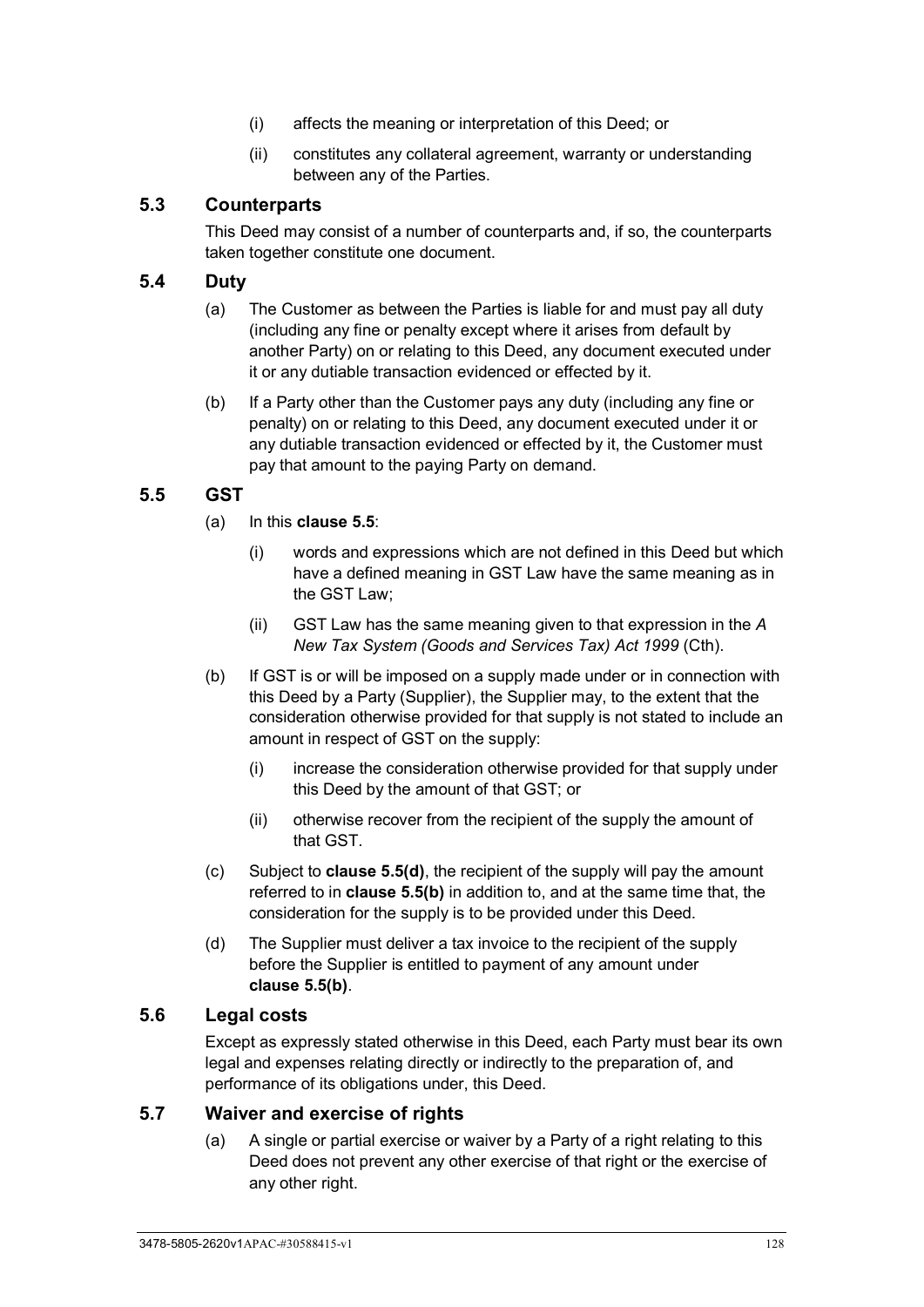- (i) affects the meaning or interpretation of this Deed; or
- (ii) constitutes any collateral agreement, warranty or understanding between any of the Parties.

# <span id="page-133-0"></span>**5.3 Counterparts**

This Deed may consist of a number of counterparts and, if so, the counterparts taken together constitute one document.

# <span id="page-133-1"></span>**5.4 Duty**

- (a) The Customer as between the Parties is liable for and must pay all duty (including any fine or penalty except where it arises from default by another Party) on or relating to this Deed, any document executed under it or any dutiable transaction evidenced or effected by it.
- (b) If a Party other than the Customer pays any duty (including any fine or penalty) on or relating to this Deed, any document executed under it or any dutiable transaction evidenced or effected by it, the Customer must pay that amount to the paying Party on demand.

# <span id="page-133-2"></span>**5.5 GST**

- (a) In this **clause [5.5](#page-133-2)**:
	- (i) words and expressions which are not defined in this Deed but which have a defined meaning in GST Law have the same meaning as in the GST Law;
	- (ii) GST Law has the same meaning given to that expression in the *A New Tax System (Goods and Services Tax) Act 1999* (Cth).
- <span id="page-133-6"></span>(b) If GST is or will be imposed on a supply made under or in connection with this Deed by a Party (Supplier), the Supplier may, to the extent that the consideration otherwise provided for that supply is not stated to include an amount in respect of GST on the supply:
	- (i) increase the consideration otherwise provided for that supply under this Deed by the amount of that GST; or
	- (ii) otherwise recover from the recipient of the supply the amount of that GST.
- (c) Subject to **clause [5.5\(d\)](#page-133-5)**, the recipient of the supply will pay the amount referred to in **clause [5.5\(b\)](#page-133-6)** in addition to, and at the same time that, the consideration for the supply is to be provided under this Deed.
- <span id="page-133-5"></span>(d) The Supplier must deliver a tax invoice to the recipient of the supply before the Supplier is entitled to payment of any amount under **clause [5.5\(b\)](#page-133-6)**.

# <span id="page-133-3"></span>**5.6 Legal costs**

Except as expressly stated otherwise in this Deed, each Party must bear its own legal and expenses relating directly or indirectly to the preparation of, and performance of its obligations under, this Deed.

## <span id="page-133-4"></span>**5.7 Waiver and exercise of rights**

(a) A single or partial exercise or waiver by a Party of a right relating to this Deed does not prevent any other exercise of that right or the exercise of any other right.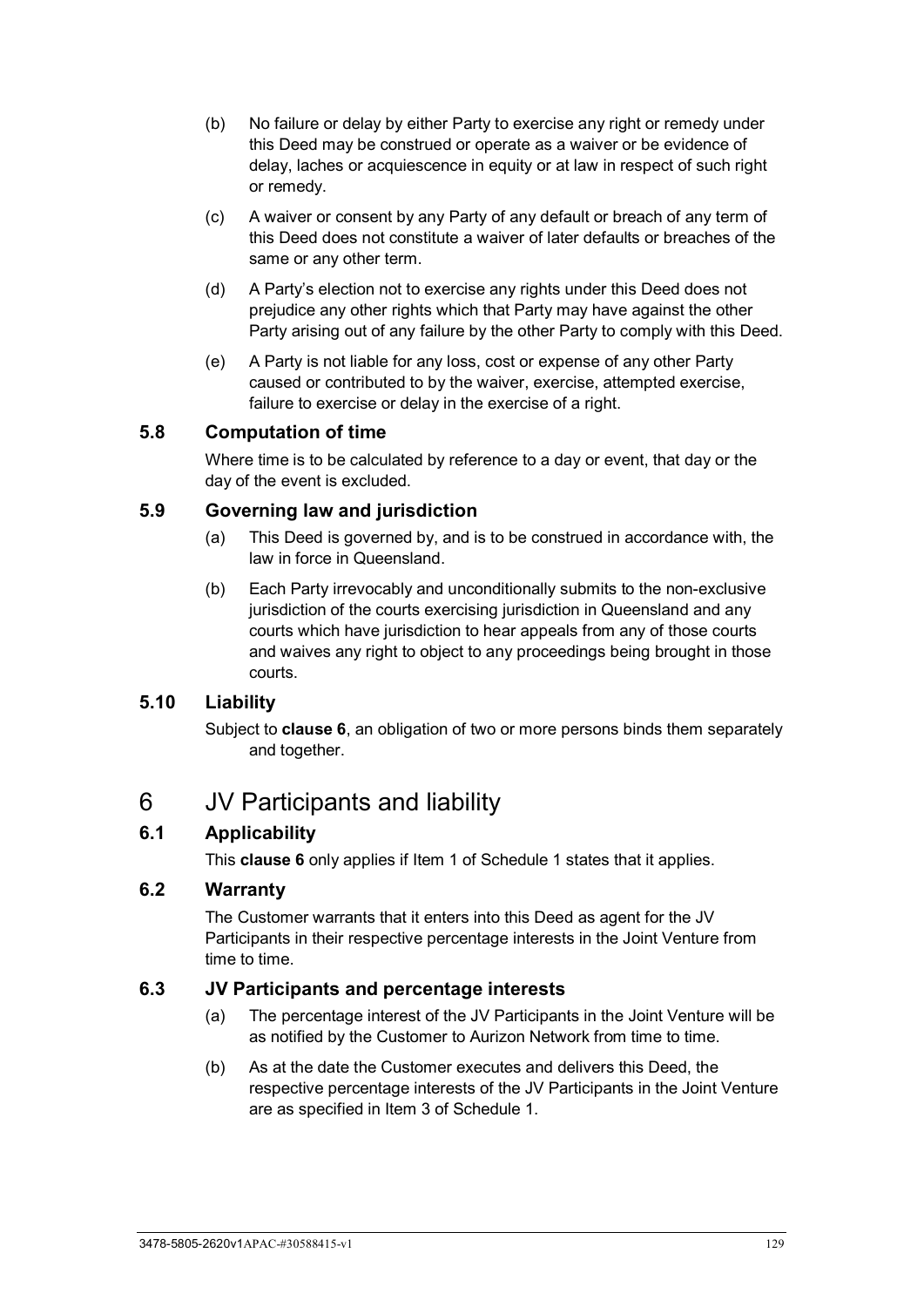- (b) No failure or delay by either Party to exercise any right or remedy under this Deed may be construed or operate as a waiver or be evidence of delay, laches or acquiescence in equity or at law in respect of such right or remedy.
- (c) A waiver or consent by any Party of any default or breach of any term of this Deed does not constitute a waiver of later defaults or breaches of the same or any other term.
- (d) A Party's election not to exercise any rights under this Deed does not prejudice any other rights which that Party may have against the other Party arising out of any failure by the other Party to comply with this Deed.
- (e) A Party is not liable for any loss, cost or expense of any other Party caused or contributed to by the waiver, exercise, attempted exercise, failure to exercise or delay in the exercise of a right.

# <span id="page-134-0"></span>**5.8 Computation of time**

Where time is to be calculated by reference to a day or event, that day or the day of the event is excluded.

# <span id="page-134-1"></span>**5.9 Governing law and jurisdiction**

- (a) This Deed is governed by, and is to be construed in accordance with, the law in force in Queensland.
- (b) Each Party irrevocably and unconditionally submits to the non-exclusive jurisdiction of the courts exercising jurisdiction in Queensland and any courts which have jurisdiction to hear appeals from any of those courts and waives any right to object to any proceedings being brought in those courts.

# <span id="page-134-2"></span>**5.10 Liability**

Subject to **clause [6](#page-134-3)**, an obligation of two or more persons binds them separately and together.

# <span id="page-134-3"></span>6 JV Participants and liability

# <span id="page-134-4"></span>**6.1 Applicability**

This **clause [6](#page-134-3)** only applies if Item 1 of Schedule 1 states that it applies.

## <span id="page-134-5"></span>**6.2 Warranty**

The Customer warrants that it enters into this Deed as agent for the JV Participants in their respective percentage interests in the Joint Venture from time to time.

## <span id="page-134-6"></span>**6.3 JV Participants and percentage interests**

- (a) The percentage interest of the JV Participants in the Joint Venture will be as notified by the Customer to Aurizon Network from time to time.
- (b) As at the date the Customer executes and delivers this Deed, the respective percentage interests of the JV Participants in the Joint Venture are as specified in Item 3 of Schedule 1.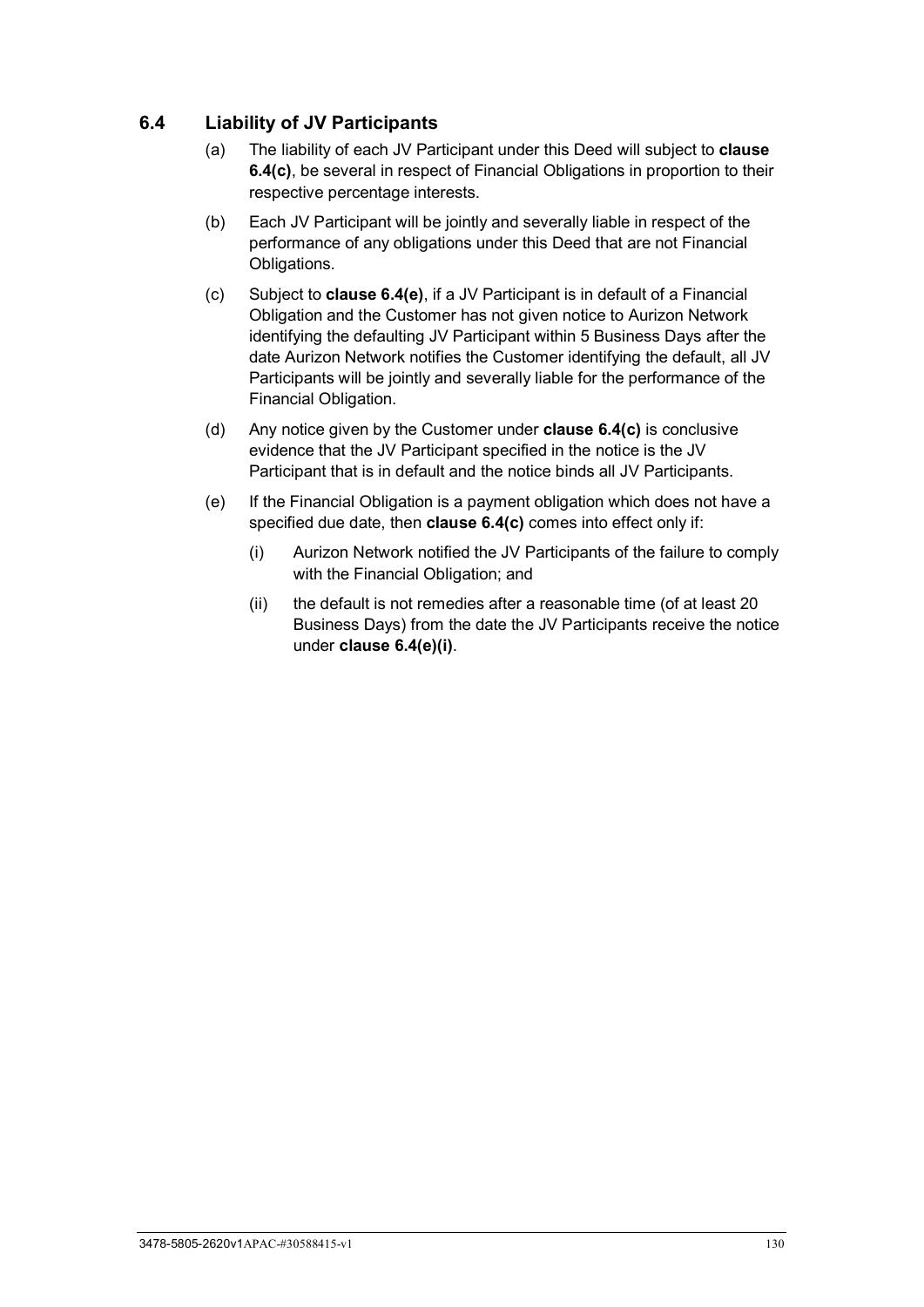# <span id="page-135-0"></span>**6.4 Liability of JV Participants**

- (a) The liability of each JV Participant under this Deed will subject to **clause [6.4\(c\)](#page-135-1)**, be several in respect of Financial Obligations in proportion to their respective percentage interests.
- (b) Each JV Participant will be jointly and severally liable in respect of the performance of any obligations under this Deed that are not Financial Obligations.
- <span id="page-135-1"></span>(c) Subject to **clause [6.4\(e\)](#page-135-2)**, if a JV Participant is in default of a Financial Obligation and the Customer has not given notice to Aurizon Network identifying the defaulting JV Participant within 5 Business Days after the date Aurizon Network notifies the Customer identifying the default, all JV Participants will be jointly and severally liable for the performance of the Financial Obligation.
- (d) Any notice given by the Customer under **clause [6.4\(c\)](#page-135-1)** is conclusive evidence that the JV Participant specified in the notice is the JV Participant that is in default and the notice binds all JV Participants.
- <span id="page-135-3"></span><span id="page-135-2"></span>(e) If the Financial Obligation is a payment obligation which does not have a specified due date, then **clause [6.4\(c\)](#page-135-1)** comes into effect only if:
	- (i) Aurizon Network notified the JV Participants of the failure to comply with the Financial Obligation; and
	- (ii) the default is not remedies after a reasonable time (of at least 20 Business Days) from the date the JV Participants receive the notice under **clause [6.4\(e\)\(i\)](#page-135-3)**.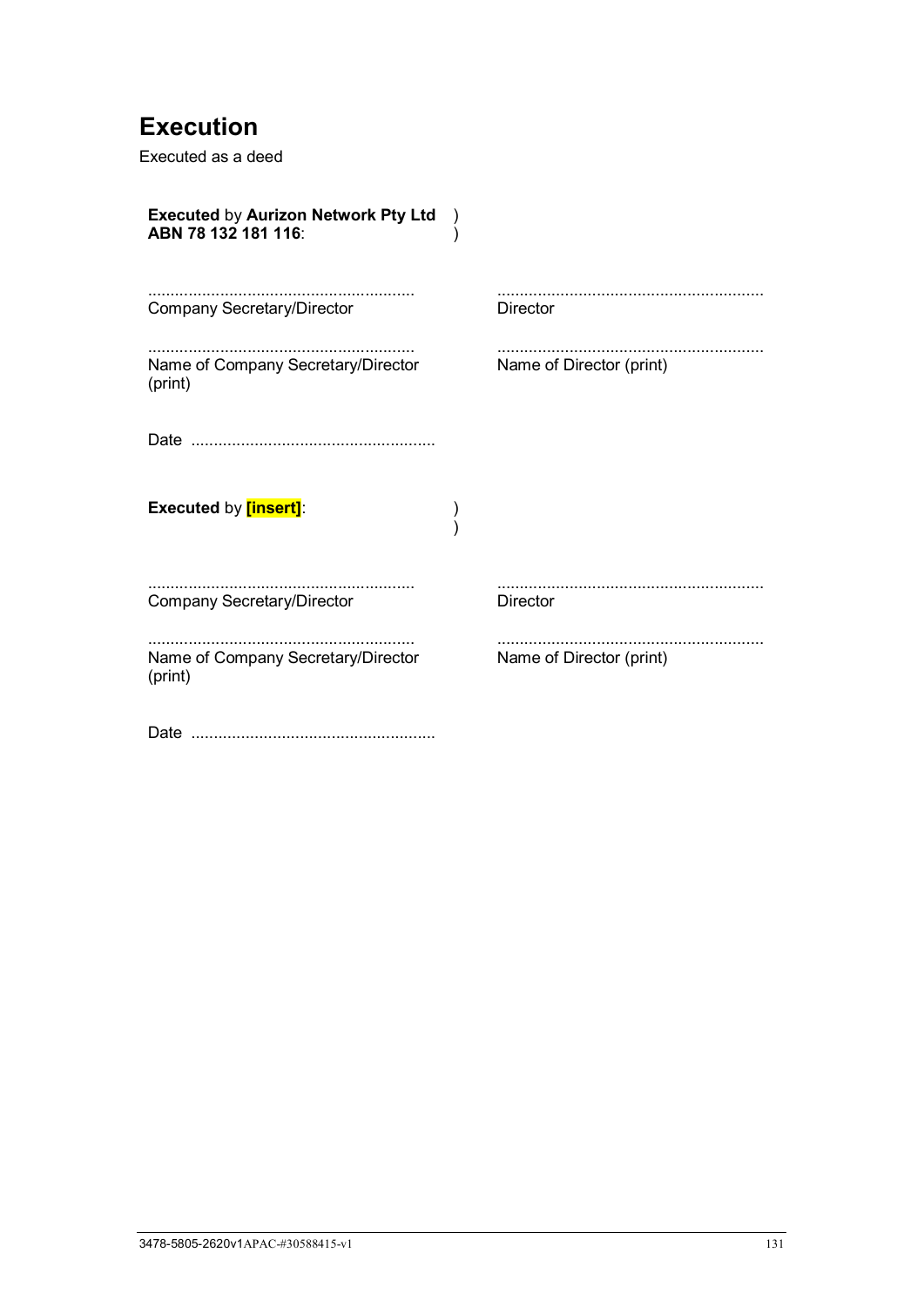# <span id="page-136-0"></span>**Execution**

Executed as a deed

| <b>Executed by Aurizon Network Pty Ltd</b><br>ABN 78 132 181 116: |                          |
|-------------------------------------------------------------------|--------------------------|
| <b>Company Secretary/Director</b>                                 | <b>Director</b>          |
| Name of Company Secretary/Director<br>(print)                     | Name of Director (print) |
|                                                                   |                          |
| <b>Executed by [insert]:</b>                                      |                          |
| <b>Company Secretary/Director</b>                                 | <b>Director</b>          |
| Name of Company Secretary/Director<br>(print)                     | Name of Director (print) |
|                                                                   |                          |